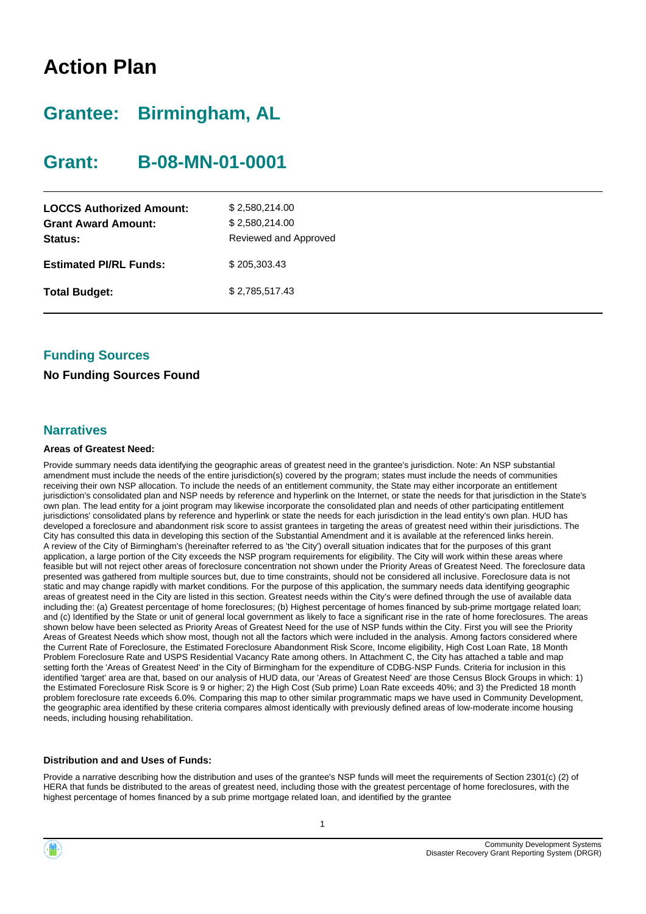# **Action Plan**

# **Grantee: Birmingham, AL**

# **Grant: B-08-MN-01-0001**

| <b>LOCCS Authorized Amount:</b><br><b>Grant Award Amount:</b><br>Status: | \$2,580,214.00<br>\$2,580,214.00<br>Reviewed and Approved |
|--------------------------------------------------------------------------|-----------------------------------------------------------|
| <b>Estimated PI/RL Funds:</b>                                            | \$205,303.43                                              |
| <b>Total Budget:</b>                                                     | \$2,785,517.43                                            |

## **Funding Sources**

#### **No Funding Sources Found**

#### **Narratives**

#### **Areas of Greatest Need:**

Provide summary needs data identifying the geographic areas of greatest need in the grantee's jurisdiction. Note: An NSP substantial amendment must include the needs of the entire jurisdiction(s) covered by the program; states must include the needs of communities receiving their own NSP allocation. To include the needs of an entitlement community, the State may either incorporate an entitlement jurisdiction's consolidated plan and NSP needs by reference and hyperlink on the Internet, or state the needs for that jurisdiction in the State's own plan. The lead entity for a joint program may likewise incorporate the consolidated plan and needs of other participating entitlement jurisdictions' consolidated plans by reference and hyperlink or state the needs for each jurisdiction in the lead entity's own plan. HUD has developed a foreclosure and abandonment risk score to assist grantees in targeting the areas of greatest need within their jurisdictions. The City has consulted this data in developing this section of the Substantial Amendment and it is available at the referenced links herein. A review of the City of Birmingham's (hereinafter referred to as 'the City') overall situation indicates that for the purposes of this grant application, a large portion of the City exceeds the NSP program requirements for eligibility. The City will work within these areas where feasible but will not reject other areas of foreclosure concentration not shown under the Priority Areas of Greatest Need. The foreclosure data presented was gathered from multiple sources but, due to time constraints, should not be considered all inclusive. Foreclosure data is not static and may change rapidly with market conditions. For the purpose of this application, the summary needs data identifying geographic areas of greatest need in the City are listed in this section. Greatest needs within the City's were defined through the use of available data including the: (a) Greatest percentage of home foreclosures; (b) Highest percentage of homes financed by sub-prime mortgage related loan; and (c) Identified by the State or unit of general local government as likely to face a significant rise in the rate of home foreclosures. The areas shown below have been selected as Priority Areas of Greatest Need for the use of NSP funds within the City. First you will see the Priority Areas of Greatest Needs which show most, though not all the factors which were included in the analysis. Among factors considered where the Current Rate of Foreclosure, the Estimated Foreclosure Abandonment Risk Score, Income eligibility, High Cost Loan Rate, 18 Month Problem Foreclosure Rate and USPS Residential Vacancy Rate among others. In Attachment C, the City has attached a table and map setting forth the 'Areas of Greatest Need' in the City of Birmingham for the expenditure of CDBG-NSP Funds. Criteria for inclusion in this identified 'target' area are that, based on our analysis of HUD data, our 'Areas of Greatest Need' are those Census Block Groups in which: 1) the Estimated Foreclosure Risk Score is 9 or higher; 2) the High Cost (Sub prime) Loan Rate exceeds 40%; and 3) the Predicted 18 month problem foreclosure rate exceeds 6.0%. Comparing this map to other similar programmatic maps we have used in Community Development, the geographic area identified by these criteria compares almost identically with previously defined areas of low-moderate income housing needs, including housing rehabilitation.

#### **Distribution and and Uses of Funds:**

Provide a narrative describing how the distribution and uses of the grantee's NSP funds will meet the requirements of Section 2301(c) (2) of HERA that funds be distributed to the areas of greatest need, including those with the greatest percentage of home foreclosures, with the highest percentage of homes financed by a sub prime mortgage related loan, and identified by the grantee



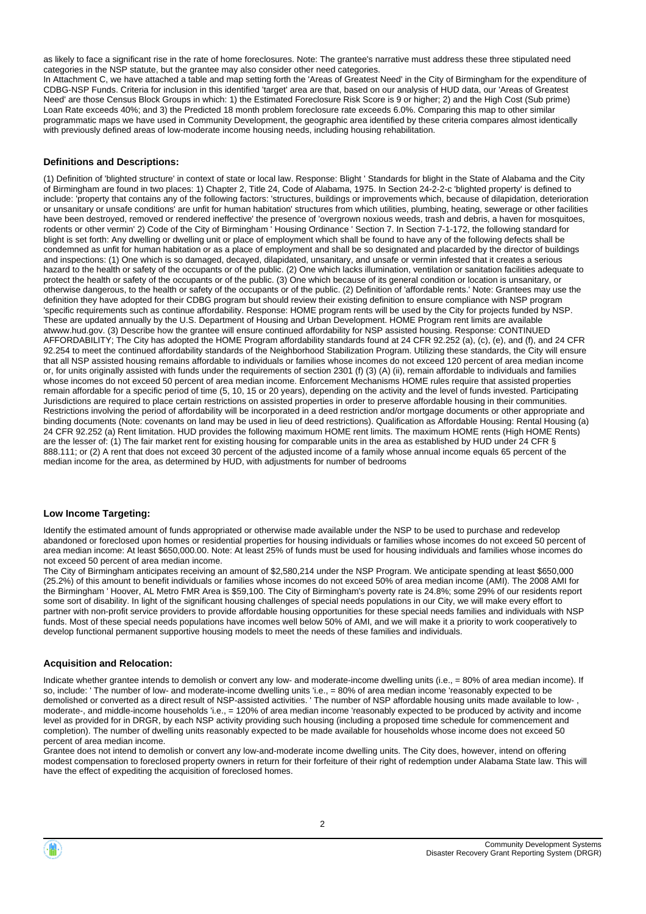as likely to face a significant rise in the rate of home foreclosures. Note: The grantee's narrative must address these three stipulated need categories in the NSP statute, but the grantee may also consider other need categories.

In Attachment C, we have attached a table and map setting forth the 'Areas of Greatest Need' in the City of Birmingham for the expenditure of CDBG-NSP Funds. Criteria for inclusion in this identified 'target' area are that, based on our analysis of HUD data, our 'Areas of Greatest Need' are those Census Block Groups in which: 1) the Estimated Foreclosure Risk Score is 9 or higher; 2) and the High Cost (Sub prime) Loan Rate exceeds 40%; and 3) the Predicted 18 month problem foreclosure rate exceeds 6.0%. Comparing this map to other similar programmatic maps we have used in Community Development, the geographic area identified by these criteria compares almost identically with previously defined areas of low-moderate income housing needs, including housing rehabilitation.

#### **Definitions and Descriptions:**

(1) Definition of 'blighted structure' in context of state or local law. Response: Blight ' Standards for blight in the State of Alabama and the City of Birmingham are found in two places: 1) Chapter 2, Title 24, Code of Alabama, 1975. In Section 24-2-2-c 'blighted property' is defined to include: 'property that contains any of the following factors: 'structures, buildings or improvements which, because of dilapidation, deterioration or unsanitary or unsafe conditions' are unfit for human habitation' structures from which utilities, plumbing, heating, sewerage or other facilities have been destroyed, removed or rendered ineffective' the presence of 'overgrown noxious weeds, trash and debris, a haven for mosquitoes, rodents or other vermin' 2) Code of the City of Birmingham ' Housing Ordinance ' Section 7. In Section 7-1-172, the following standard for blight is set forth: Any dwelling or dwelling unit or place of employment which shall be found to have any of the following defects shall be condemned as unfit for human habitation or as a place of employment and shall be so designated and placarded by the director of buildings and inspections: (1) One which is so damaged, decayed, dilapidated, unsanitary, and unsafe or vermin infested that it creates a serious hazard to the health or safety of the occupants or of the public. (2) One which lacks illumination, ventilation or sanitation facilities adequate to protect the health or safety of the occupants or of the public. (3) One which because of its general condition or location is unsanitary, or otherwise dangerous, to the health or safety of the occupants or of the public. (2) Definition of 'affordable rents.' Note: Grantees may use the definition they have adopted for their CDBG program but should review their existing definition to ensure compliance with NSP program 'specific requirements such as continue affordability. Response: HOME program rents will be used by the City for projects funded by NSP. These are updated annually by the U.S. Department of Housing and Urban Development. HOME Program rent limits are available atwww.hud.gov. (3) Describe how the grantee will ensure continued affordability for NSP assisted housing. Response: CONTINUED AFFORDABILITY; The City has adopted the HOME Program affordability standards found at 24 CFR 92.252 (a), (c), (e), and (f), and 24 CFR 92.254 to meet the continued affordability standards of the Neighborhood Stabilization Program. Utilizing these standards, the City will ensure that all NSP assisted housing remains affordable to individuals or families whose incomes do not exceed 120 percent of area median income or, for units originally assisted with funds under the requirements of section 2301 (f) (3) (A) (ii), remain affordable to individuals and families whose incomes do not exceed 50 percent of area median income. Enforcement Mechanisms HOME rules require that assisted properties remain affordable for a specific period of time (5, 10, 15 or 20 years), depending on the activity and the level of funds invested. Participating Jurisdictions are required to place certain restrictions on assisted properties in order to preserve affordable housing in their communities. Restrictions involving the period of affordability will be incorporated in a deed restriction and/or mortgage documents or other appropriate and binding documents (Note: covenants on land may be used in lieu of deed restrictions). Qualification as Affordable Housing: Rental Housing (a) 24 CFR 92.252 (a) Rent limitation. HUD provides the following maximum HOME rent limits. The maximum HOME rents (High HOME Rents) are the lesser of: (1) The fair market rent for existing housing for comparable units in the area as established by HUD under 24 CFR § 888.111; or (2) A rent that does not exceed 30 percent of the adjusted income of a family whose annual income equals 65 percent of the median income for the area, as determined by HUD, with adjustments for number of bedrooms

#### **Low Income Targeting:**

Identify the estimated amount of funds appropriated or otherwise made available under the NSP to be used to purchase and redevelop abandoned or foreclosed upon homes or residential properties for housing individuals or families whose incomes do not exceed 50 percent of area median income: At least \$650,000.00. Note: At least 25% of funds must be used for housing individuals and families whose incomes do not exceed 50 percent of area median income.

The City of Birmingham anticipates receiving an amount of \$2,580,214 under the NSP Program. We anticipate spending at least \$650,000 (25.2%) of this amount to benefit individuals or families whose incomes do not exceed 50% of area median income (AMI). The 2008 AMI for the Birmingham ' Hoover, AL Metro FMR Area is \$59,100. The City of Birmingham's poverty rate is 24.8%; some 29% of our residents report some sort of disability. In light of the significant housing challenges of special needs populations in our City, we will make every effort to partner with non-profit service providers to provide affordable housing opportunities for these special needs families and individuals with NSP funds. Most of these special needs populations have incomes well below 50% of AMI, and we will make it a priority to work cooperatively to develop functional permanent supportive housing models to meet the needs of these families and individuals.

#### **Acquisition and Relocation:**

Indicate whether grantee intends to demolish or convert any low- and moderate-income dwelling units (i.e., = 80% of area median income). If so, include: ' The number of low- and moderate-income dwelling units 'i.e., = 80% of area median income 'reasonably expected to be demolished or converted as a direct result of NSP-assisted activities. 'The number of NSP affordable housing units made available to lowmoderate-, and middle-income households 'i.e., = 120% of area median income 'reasonably expected to be produced by activity and income level as provided for in DRGR, by each NSP activity providing such housing (including a proposed time schedule for commencement and completion). The number of dwelling units reasonably expected to be made available for households whose income does not exceed 50 percent of area median income.

Grantee does not intend to demolish or convert any low-and-moderate income dwelling units. The City does, however, intend on offering modest compensation to foreclosed property owners in return for their forfeiture of their right of redemption under Alabama State law. This will have the effect of expediting the acquisition of foreclosed homes.

 $\overline{2}$ 

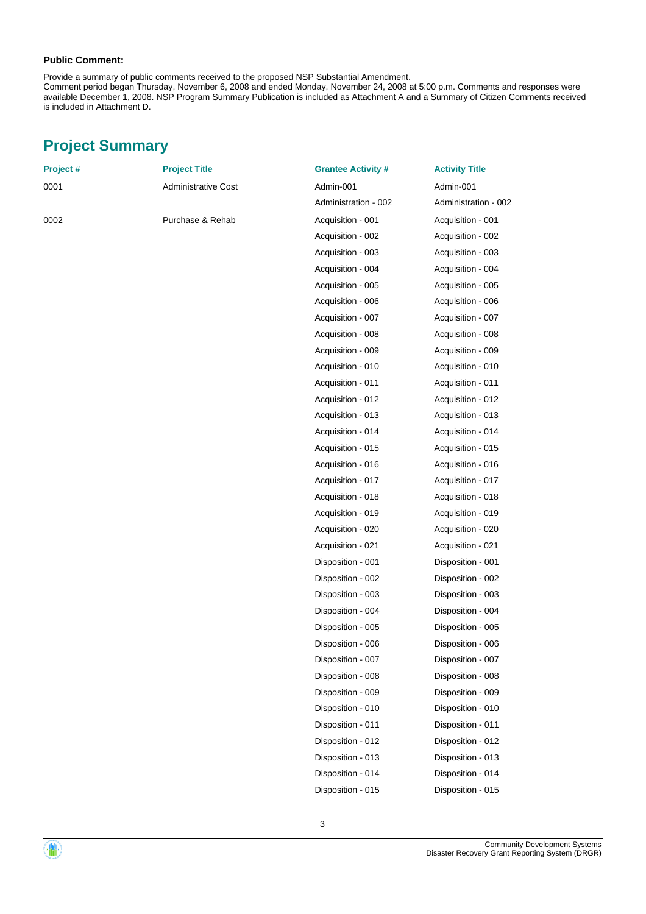#### **Public Comment:**

Provide a summary of public comments received to the proposed NSP Substantial Amendment.

Comment period began Thursday, November 6, 2008 and ended Monday, November 24, 2008 at 5:00 p.m. Comments and responses were available December 1, 2008. NSP Program Summary Publication is included as Attachment A and a Summary of Citizen Comments received is included in Attachment D.

# **Project Summary**

| Project # | <b>Project Title</b>       | <b>Grantee Activity #</b> | <b>Activity Title</b> |
|-----------|----------------------------|---------------------------|-----------------------|
| 0001      | <b>Administrative Cost</b> | Admin-001                 | Admin-001             |
|           |                            | Administration - 002      | Administration - 002  |
| 0002      | Purchase & Rehab           | Acquisition - 001         | Acquisition - 001     |
|           |                            | Acquisition - 002         | Acquisition - 002     |
|           |                            | Acquisition - 003         | Acquisition - 003     |
|           |                            | Acquisition - 004         | Acquisition - 004     |
|           |                            | Acquisition - 005         | Acquisition - 005     |
|           |                            | Acquisition - 006         | Acquisition - 006     |
|           |                            | Acquisition - 007         | Acquisition - 007     |
|           |                            | Acquisition - 008         | Acquisition - 008     |
|           |                            | Acquisition - 009         | Acquisition - 009     |
|           |                            | Acquisition - 010         | Acquisition - 010     |
|           |                            | Acquisition - 011         | Acquisition - 011     |
|           |                            | Acquisition - 012         | Acquisition - 012     |
|           |                            | Acquisition - 013         | Acquisition - 013     |
|           |                            | Acquisition - 014         | Acquisition - 014     |
|           |                            | Acquisition - 015         | Acquisition - 015     |
|           |                            | Acquisition - 016         | Acquisition - 016     |
|           |                            | Acquisition - 017         | Acquisition - 017     |
|           |                            | Acquisition - 018         | Acquisition - 018     |
|           |                            | Acquisition - 019         | Acquisition - 019     |
|           |                            | Acquisition - 020         | Acquisition - 020     |
|           |                            | Acquisition - 021         | Acquisition - 021     |
|           |                            | Disposition - 001         | Disposition - 001     |
|           |                            | Disposition - 002         | Disposition - 002     |
|           |                            | Disposition - 003         | Disposition - 003     |
|           |                            | Disposition - 004         | Disposition - 004     |
|           |                            | Disposition - 005         | Disposition - 005     |
|           |                            | Disposition - 006         | Disposition - 006     |
|           |                            | Disposition - 007         | Disposition - 007     |
|           |                            | Disposition - 008         | Disposition - 008     |
|           |                            | Disposition - 009         | Disposition - 009     |
|           |                            | Disposition - 010         | Disposition - 010     |
|           |                            | Disposition - 011         | Disposition - 011     |
|           |                            | Disposition - 012         | Disposition - 012     |
|           |                            | Disposition - 013         | Disposition - 013     |
|           |                            | Disposition - 014         | Disposition - 014     |
|           |                            | Disposition - 015         | Disposition - 015     |
|           |                            |                           |                       |

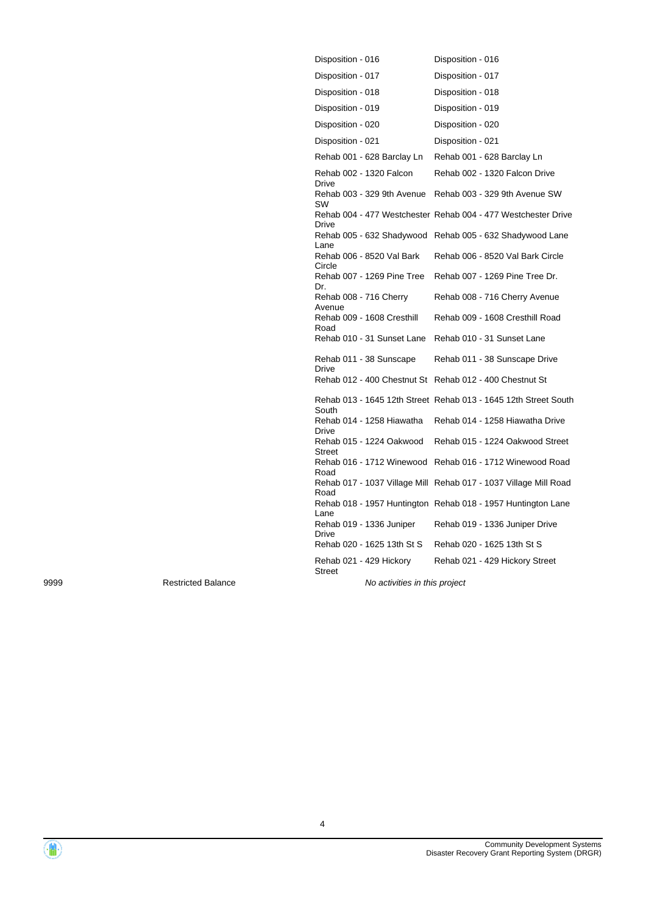| Disposition - 016                |                             | Disposition - 016                                                |
|----------------------------------|-----------------------------|------------------------------------------------------------------|
| Disposition - 017                |                             | Disposition - 017                                                |
| Disposition - 018                |                             | Disposition - 018                                                |
| Disposition - 019                |                             | Disposition - 019                                                |
| Disposition - 020                |                             | Disposition - 020                                                |
| Disposition - 021                |                             | Disposition - 021                                                |
|                                  | Rehab 001 - 628 Barclay Ln  | Rehab 001 - 628 Barclay Ln                                       |
| Drive                            | Rehab 002 - 1320 Falcon     | Rehab 002 - 1320 Falcon Drive                                    |
| SW                               | Rehab 003 - 329 9th Avenue  | Rehab 003 - 329 9th Avenue SW                                    |
| Drive                            |                             | Rehab 004 - 477 Westchester Rehab 004 - 477 Westchester Drive    |
| Lane                             |                             | Rehab 005 - 632 Shadywood Rehab 005 - 632 Shadywood Lane         |
| Circle                           | Rehab 006 - 8520 Val Bark   | Rehab 006 - 8520 Val Bark Circle                                 |
| Dr.                              | Rehab 007 - 1269 Pine Tree  | Rehab 007 - 1269 Pine Tree Dr.                                   |
| Rehab 008 - 716 Cherry<br>Avenue |                             | Rehab 008 - 716 Cherry Avenue                                    |
| Road                             | Rehab 009 - 1608 Cresthill  | Rehab 009 - 1608 Cresthill Road                                  |
|                                  | Rehab 010 - 31 Sunset Lane  | Rehab 010 - 31 Sunset Lane                                       |
| Drive                            | Rehab 011 - 38 Sunscape     | Rehab 011 - 38 Sunscape Drive                                    |
|                                  | Rehab 012 - 400 Chestnut St | Rehab 012 - 400 Chestnut St                                      |
| South                            |                             | Rehab 013 - 1645 12th Street Rehab 013 - 1645 12th Street South  |
| Drive                            | Rehab 014 - 1258 Hiawatha   | Rehab 014 - 1258 Hiawatha Drive                                  |
| <b>Street</b>                    | Rehab 015 - 1224 Oakwood    | Rehab 015 - 1224 Oakwood Street                                  |
| Road                             | Rehab 016 - 1712 Winewood   | Rehab 016 - 1712 Winewood Road                                   |
| Road                             |                             | Rehab 017 - 1037 Village Mill Rehab 017 - 1037 Village Mill Road |
| Lane                             |                             | Rehab 018 - 1957 Huntington Rehab 018 - 1957 Huntington Lane     |
| Drive                            | Rehab 019 - 1336 Juniper    | Rehab 019 - 1336 Juniper Drive                                   |
|                                  | Rehab 020 - 1625 13th St S  | Rehab 020 - 1625 13th St S                                       |
| <b>Street</b>                    | Rehab 021 - 429 Hickory     | Rehab 021 - 429 Hickory Street                                   |
|                                  |                             |                                                                  |

9999 Restricted Balance Restricted Balance Restricted Balance No activities in this project

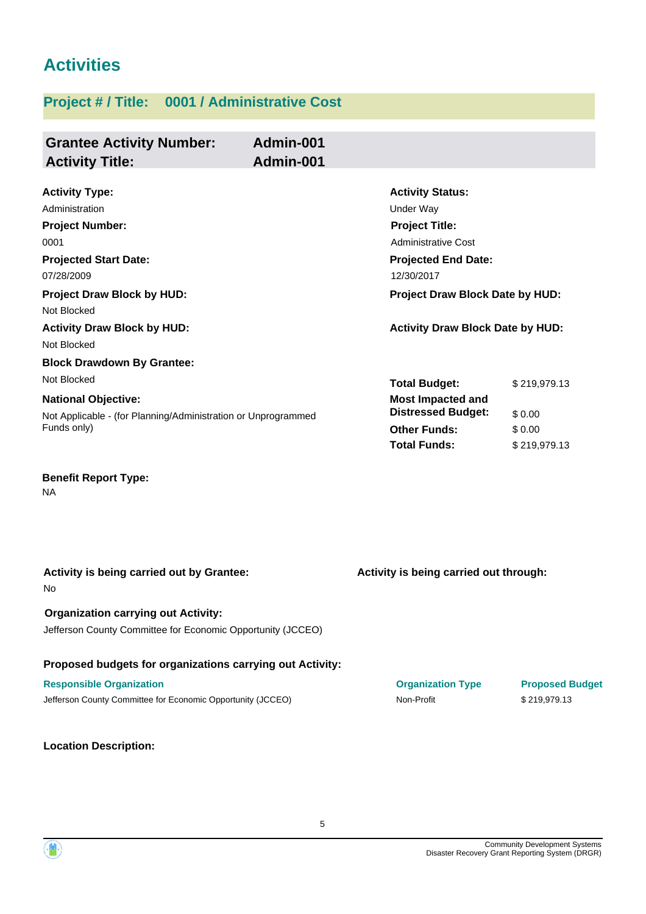# **Activities**

# **Project # / Title: 0001 / Administrative Cost**

| <b>Grantee Activity Number:</b><br><b>Activity Title:</b>                                                               | Admin-001<br>Admin-001 |                                                                                                                                                |                                  |
|-------------------------------------------------------------------------------------------------------------------------|------------------------|------------------------------------------------------------------------------------------------------------------------------------------------|----------------------------------|
| <b>Activity Type:</b><br>Administration<br><b>Project Number:</b><br>0001<br><b>Projected Start Date:</b><br>07/28/2009 |                        | <b>Activity Status:</b><br><b>Under Way</b><br><b>Project Title:</b><br><b>Administrative Cost</b><br><b>Projected End Date:</b><br>12/30/2017 |                                  |
| <b>Project Draw Block by HUD:</b><br>Not Blocked<br><b>Activity Draw Block by HUD:</b>                                  |                        | Project Draw Block Date by HUD:<br><b>Activity Draw Block Date by HUD:</b>                                                                     |                                  |
| Not Blocked<br><b>Block Drawdown By Grantee:</b><br>Not Blocked                                                         |                        | <b>Total Budget:</b>                                                                                                                           | \$219,979.13                     |
| <b>National Objective:</b><br>Not Applicable - (for Planning/Administration or Unprogrammed<br>Funds only)              |                        | Most Impacted and<br><b>Distressed Budget:</b><br><b>Other Funds:</b><br><b>Total Funds:</b>                                                   | \$0.00<br>\$0.00<br>\$219,979.13 |
| <b>Benefit Report Type:</b><br><b>NA</b>                                                                                |                        |                                                                                                                                                |                                  |

| Activity is being carried out by Grantee:<br><b>No</b>      | Activity is being carried out through: |                        |
|-------------------------------------------------------------|----------------------------------------|------------------------|
| <b>Organization carrying out Activity:</b>                  |                                        |                        |
| Jefferson County Committee for Economic Opportunity (JCCEO) |                                        |                        |
| Proposed budgets for organizations carrying out Activity:   |                                        |                        |
| <b>Responsible Organization</b>                             | <b>Organization Type</b>               | <b>Proposed Budget</b> |
| Jefferson County Committee for Economic Opportunity (JCCEO) | Non-Profit                             | \$219.979.13           |
|                                                             |                                        |                        |

#### **Location Description:**

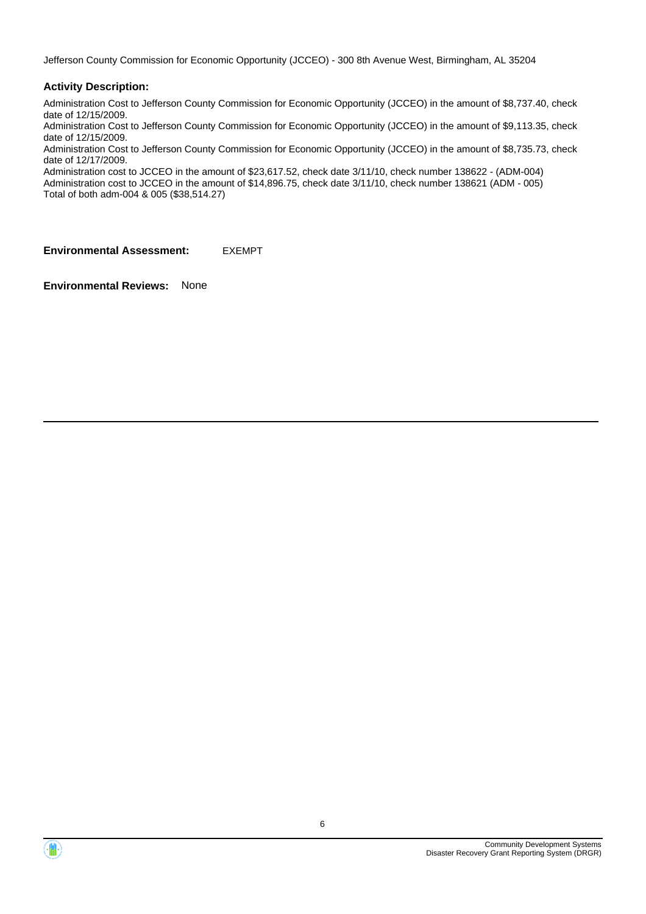Jefferson County Commission for Economic Opportunity (JCCEO) - 300 8th Avenue West, Birmingham, AL 35204

#### **Activity Description:**

Administration Cost to Jefferson County Commission for Economic Opportunity (JCCEO) in the amount of \$8,737.40, check date of 12/15/2009.

Administration Cost to Jefferson County Commission for Economic Opportunity (JCCEO) in the amount of \$9,113.35, check date of 12/15/2009.

Administration Cost to Jefferson County Commission for Economic Opportunity (JCCEO) in the amount of \$8,735.73, check date of 12/17/2009.

Administration cost to JCCEO in the amount of \$23,617.52, check date 3/11/10, check number 138622 - (ADM-004) Administration cost to JCCEO in the amount of \$14,896.75, check date 3/11/10, check number 138621 (ADM - 005) Total of both adm-004 & 005 (\$38,514.27)

**Environmental Assessment:** EXEMPT



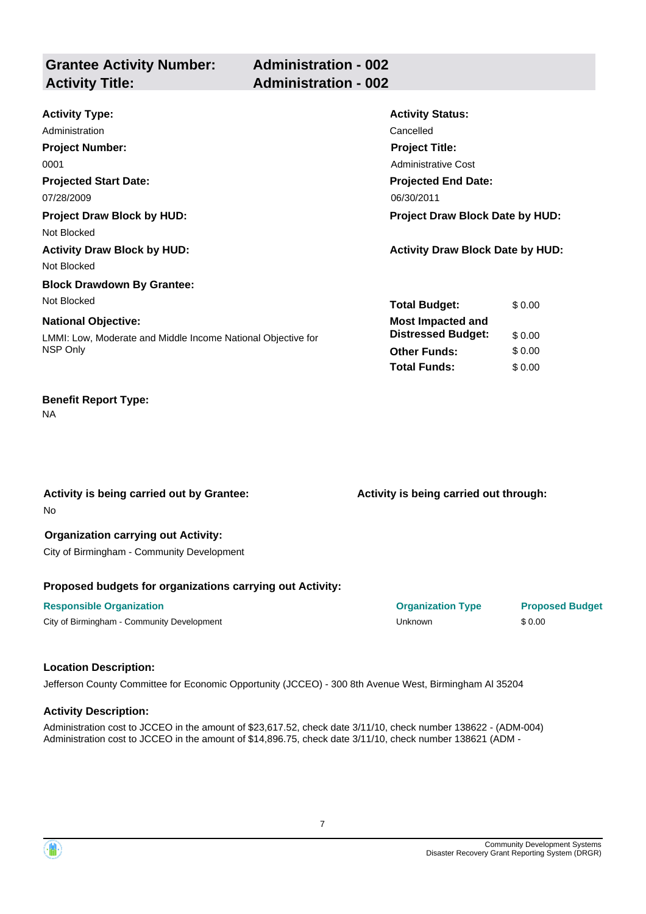| <b>Activity Type:</b>                                        | <b>Activity Status:</b>                 |        |
|--------------------------------------------------------------|-----------------------------------------|--------|
| Administration                                               | Cancelled                               |        |
| <b>Project Number:</b>                                       | <b>Project Title:</b>                   |        |
| 0001                                                         | Administrative Cost                     |        |
| <b>Projected Start Date:</b>                                 | <b>Projected End Date:</b>              |        |
| 07/28/2009                                                   | 06/30/2011                              |        |
| <b>Project Draw Block by HUD:</b>                            | <b>Project Draw Block Date by HUD:</b>  |        |
| Not Blocked                                                  |                                         |        |
| <b>Activity Draw Block by HUD:</b>                           | <b>Activity Draw Block Date by HUD:</b> |        |
| Not Blocked                                                  |                                         |        |
| <b>Block Drawdown By Grantee:</b>                            |                                         |        |
| Not Blocked                                                  | <b>Total Budget:</b>                    | \$0.00 |
| <b>National Objective:</b>                                   | <b>Most Impacted and</b>                |        |
| LMMI: Low, Moderate and Middle Income National Objective for | <b>Distressed Budget:</b>               | \$0.00 |
| NSP Only                                                     | <b>Other Funds:</b>                     | \$0.00 |
|                                                              | <b>Total Funds:</b>                     | \$0.00 |

NA

No **Activity is being carried out by Grantee:** **Activity is being carried out through:**

#### **Organization carrying out Activity:**

City of Birmingham - Community Development

#### **Proposed budgets for organizations carrying out Activity:**

#### **Responsible Organization Organization Type Proposed Budget**

City of Birmingham - Community Development **All and Structure City of Birmingham - Community Development City of Birmingham - Community Development** 

#### **Location Description:**

Jefferson County Committee for Economic Opportunity (JCCEO) - 300 8th Avenue West, Birmingham Al 35204

#### **Activity Description:**

Administration cost to JCCEO in the amount of \$23,617.52, check date 3/11/10, check number 138622 - (ADM-004) Administration cost to JCCEO in the amount of \$14,896.75, check date 3/11/10, check number 138621 (ADM -

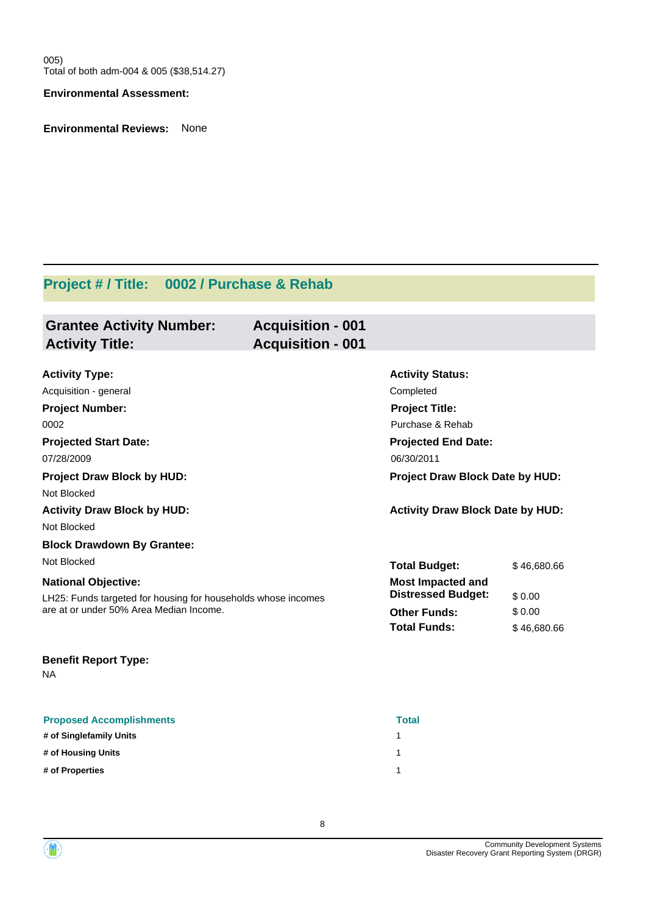005) Total of both adm-004 & 005 (\$38,514.27)

#### **Environmental Assessment:**

**Environmental Reviews:** None

# **Project # / Title: 0002 / Purchase & Rehab**

| <b>Grantee Activity Number:</b> | <b>Acquisition - 001</b> |
|---------------------------------|--------------------------|
| <b>Activity Title:</b>          | <b>Acquisition - 001</b> |
|                                 |                          |

| <b>Activity Type:</b>                                         | <b>Activity Status:</b>                 |             |
|---------------------------------------------------------------|-----------------------------------------|-------------|
| Acquisition - general                                         | Completed                               |             |
| <b>Project Number:</b>                                        | <b>Project Title:</b>                   |             |
| 0002                                                          | Purchase & Rehab                        |             |
| <b>Projected Start Date:</b>                                  | <b>Projected End Date:</b>              |             |
| 07/28/2009                                                    | 06/30/2011                              |             |
| <b>Project Draw Block by HUD:</b>                             | Project Draw Block Date by HUD:         |             |
| Not Blocked                                                   |                                         |             |
| <b>Activity Draw Block by HUD:</b>                            | <b>Activity Draw Block Date by HUD:</b> |             |
| Not Blocked                                                   |                                         |             |
| <b>Block Drawdown By Grantee:</b>                             |                                         |             |
| Not Blocked                                                   | <b>Total Budget:</b>                    | \$46,680.66 |
| <b>National Objective:</b>                                    | <b>Most Impacted and</b>                |             |
| LH25: Funds targeted for housing for households whose incomes | <b>Distressed Budget:</b>               | \$0.00      |
| are at or under 50% Area Median Income.                       | <b>Other Funds:</b>                     | \$0.00      |
|                                                               | <b>Total Funds:</b>                     | \$46,680.66 |
| <b>Benefit Report Type:</b><br>NА                             |                                         |             |

| <b>Proposed Accomplishments</b> | <b>Total</b> |
|---------------------------------|--------------|
| # of Singlefamily Units         |              |
| # of Housing Units              |              |
| # of Properties                 |              |

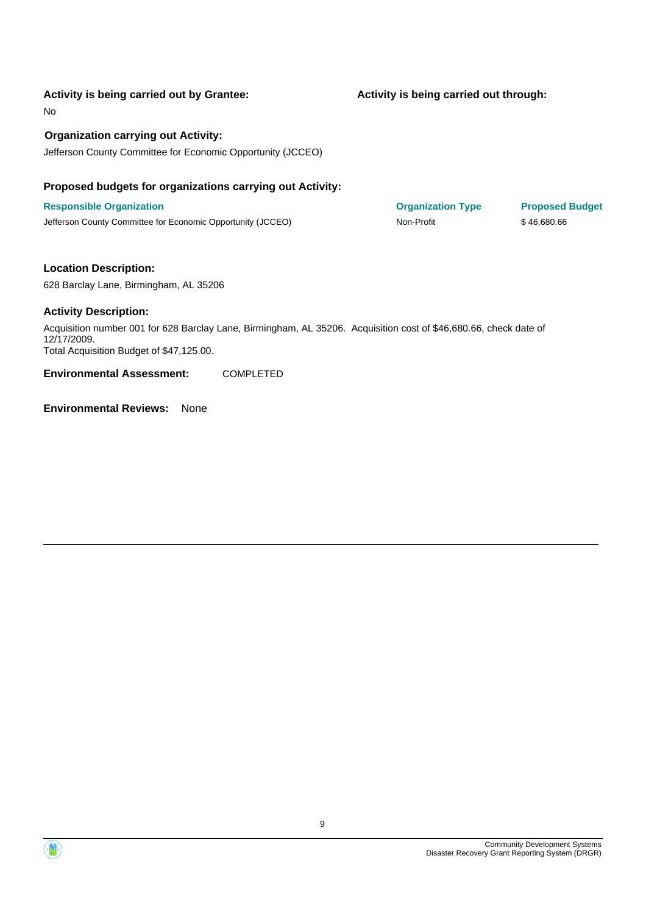#### **Activity is being carried out by Grantee:**

No

#### **Organization carrying out Activity:**

Jefferson County Committee for Economic Opportunity (JCCEO)

#### **Proposed budgets for organizations carrying out Activity:**

**Responsible Organization COVID-10 COVID-10 Organization Type Proposed Budget** Jefferson County Committee for Economic Opportunity (JCCEO) Non-Profit \$ 46,680.66

#### **Location Description:**

628 Barclay Lane, Birmingham, AL 35206

#### **Activity Description:**

Acquisition number 001 for 628 Barclay Lane, Birmingham, AL 35206. Acquisition cost of \$46,680.66, check date of 12/17/2009. Total Acquisition Budget of \$47,125.00.

**Environmental Assessment:** COMPLETED

**Environmental Reviews:** None

**Activity is being carried out through:**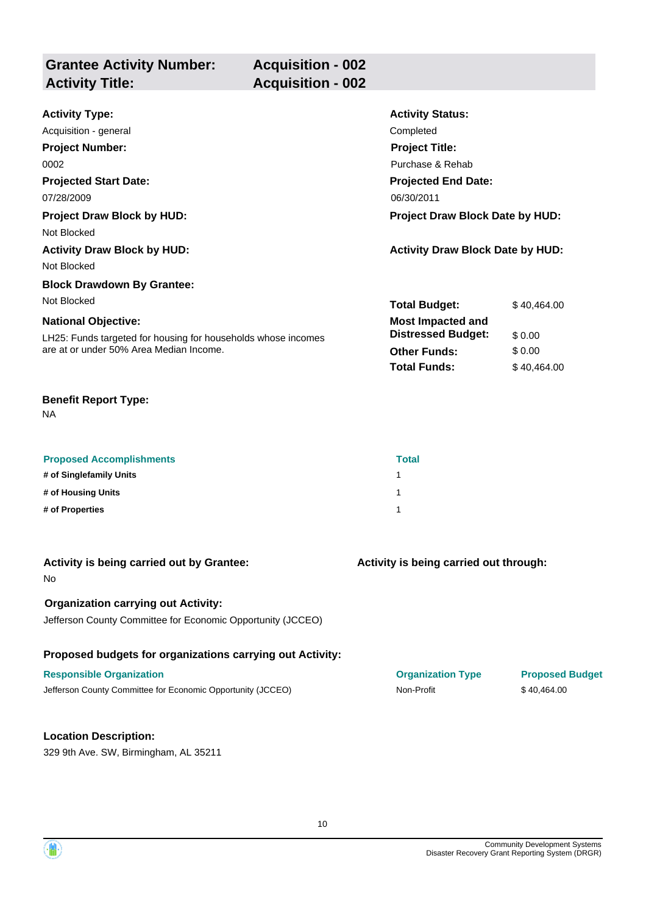| <b>Grantee Activity Number:</b> | <b>Acquisition - 002</b> |
|---------------------------------|--------------------------|
| <b>Activity Title:</b>          | <b>Acquisition - 002</b> |
|                                 |                          |

| <b>Activity Type:</b>                                         | <b>Activity Status:</b>                 |             |  |
|---------------------------------------------------------------|-----------------------------------------|-------------|--|
| Acquisition - general                                         | Completed                               |             |  |
| <b>Project Number:</b>                                        | <b>Project Title:</b>                   |             |  |
| 0002                                                          | Purchase & Rehab                        |             |  |
| <b>Projected Start Date:</b>                                  | <b>Projected End Date:</b>              |             |  |
| 07/28/2009                                                    | 06/30/2011                              |             |  |
| <b>Project Draw Block by HUD:</b>                             | <b>Project Draw Block Date by HUD:</b>  |             |  |
| Not Blocked                                                   |                                         |             |  |
| <b>Activity Draw Block by HUD:</b>                            | <b>Activity Draw Block Date by HUD:</b> |             |  |
| Not Blocked                                                   |                                         |             |  |
| <b>Block Drawdown By Grantee:</b>                             |                                         |             |  |
| Not Blocked                                                   | <b>Total Budget:</b>                    | \$40,464,00 |  |
| <b>National Objective:</b>                                    | <b>Most Impacted and</b>                |             |  |
| LH25: Funds targeted for housing for households whose incomes | <b>Distressed Budget:</b>               | \$0.00      |  |
| are at or under 50% Area Median Income.                       | <b>Other Funds:</b>                     | \$0.00      |  |
|                                                               | <b>Total Funds:</b>                     | \$40,464.00 |  |

| <b>Proposed Accomplishments</b> | <b>Total</b> |
|---------------------------------|--------------|
| # of Singlefamily Units         |              |
| # of Housing Units              |              |
| # of Properties                 |              |

| Activity is being carried out by Grantee:<br><b>No</b>      | Activity is being carried out through: |                        |
|-------------------------------------------------------------|----------------------------------------|------------------------|
| <b>Organization carrying out Activity:</b>                  |                                        |                        |
| Jefferson County Committee for Economic Opportunity (JCCEO) |                                        |                        |
| Proposed budgets for organizations carrying out Activity:   |                                        |                        |
| <b>Responsible Organization</b>                             | <b>Organization Type</b>               | <b>Proposed Budget</b> |
| Jefferson County Committee for Economic Opportunity (JCCEO) | Non-Profit                             | \$40,464.00            |
|                                                             |                                        |                        |
| <b>Location Description:</b>                                |                                        |                        |
| 329 9th Ave. SW, Birmingham, AL 35211                       |                                        |                        |

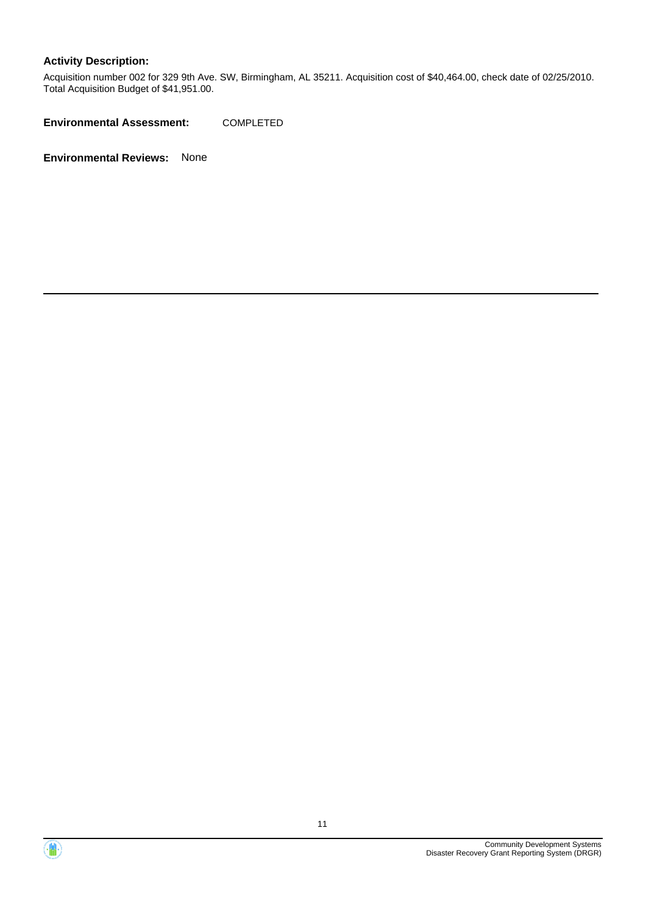Acquisition number 002 for 329 9th Ave. SW, Birmingham, AL 35211. Acquisition cost of \$40,464.00, check date of 02/25/2010. Total Acquisition Budget of \$41,951.00.

**Environmental Assessment:** COMPLETED



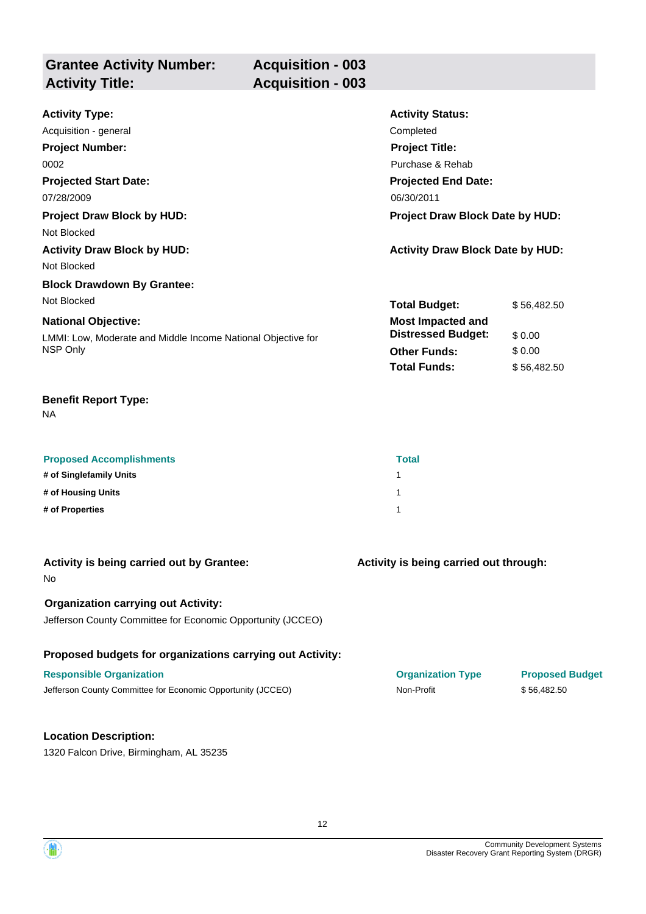| <b>Grantee Activity Number:</b> | <b>Acquisition - 003</b> |
|---------------------------------|--------------------------|
| <b>Activity Title:</b>          | <b>Acquisition - 003</b> |

| <b>Activity Type:</b>                                        | <b>Activity Status:</b>                 |             |
|--------------------------------------------------------------|-----------------------------------------|-------------|
| Acquisition - general                                        | Completed                               |             |
| <b>Project Number:</b>                                       | <b>Project Title:</b>                   |             |
| 0002                                                         | Purchase & Rehab                        |             |
| <b>Projected Start Date:</b>                                 | <b>Projected End Date:</b>              |             |
| 07/28/2009                                                   | 06/30/2011                              |             |
| <b>Project Draw Block by HUD:</b>                            | <b>Project Draw Block Date by HUD:</b>  |             |
| Not Blocked                                                  |                                         |             |
| <b>Activity Draw Block by HUD:</b>                           | <b>Activity Draw Block Date by HUD:</b> |             |
| Not Blocked                                                  |                                         |             |
| <b>Block Drawdown By Grantee:</b>                            |                                         |             |
| Not Blocked                                                  | <b>Total Budget:</b>                    | \$56,482.50 |
| <b>National Objective:</b>                                   | <b>Most Impacted and</b>                |             |
| LMMI: Low, Moderate and Middle Income National Objective for | <b>Distressed Budget:</b>               | \$0.00      |
| NSP Only                                                     | <b>Other Funds:</b>                     | \$0.00      |
|                                                              | <b>Total Funds:</b>                     | \$56,482.50 |

| <b>Proposed Accomplishments</b> | <b>Total</b> |
|---------------------------------|--------------|
| # of Singlefamily Units         |              |
| # of Housing Units              |              |
| # of Properties                 |              |

| Activity is being carried out by Grantee:<br><b>No</b>      | Activity is being carried out through: |                        |
|-------------------------------------------------------------|----------------------------------------|------------------------|
| <b>Organization carrying out Activity:</b>                  |                                        |                        |
| Jefferson County Committee for Economic Opportunity (JCCEO) |                                        |                        |
| Proposed budgets for organizations carrying out Activity:   |                                        |                        |
| <b>Responsible Organization</b>                             | <b>Organization Type</b>               | <b>Proposed Budget</b> |
| Jefferson County Committee for Economic Opportunity (JCCEO) | Non-Profit                             | \$56,482.50            |
|                                                             |                                        |                        |
| <b>Location Description:</b>                                |                                        |                        |
| 1320 Falcon Drive, Birmingham, AL 35235                     |                                        |                        |

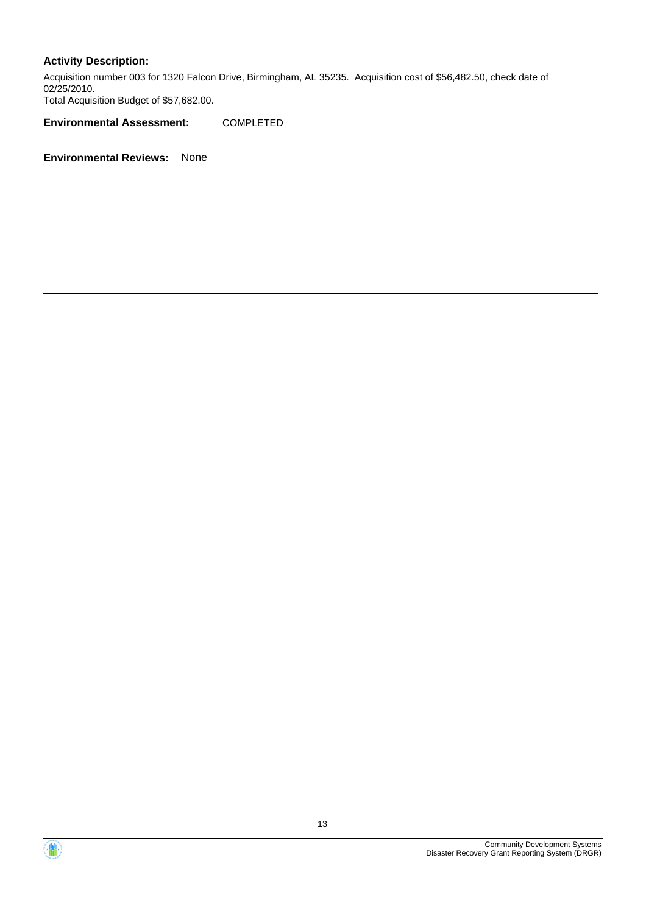Acquisition number 003 for 1320 Falcon Drive, Birmingham, AL 35235. Acquisition cost of \$56,482.50, check date of 02/25/2010. Total Acquisition Budget of \$57,682.00.

**Environmental Assessment:** COMPLETED



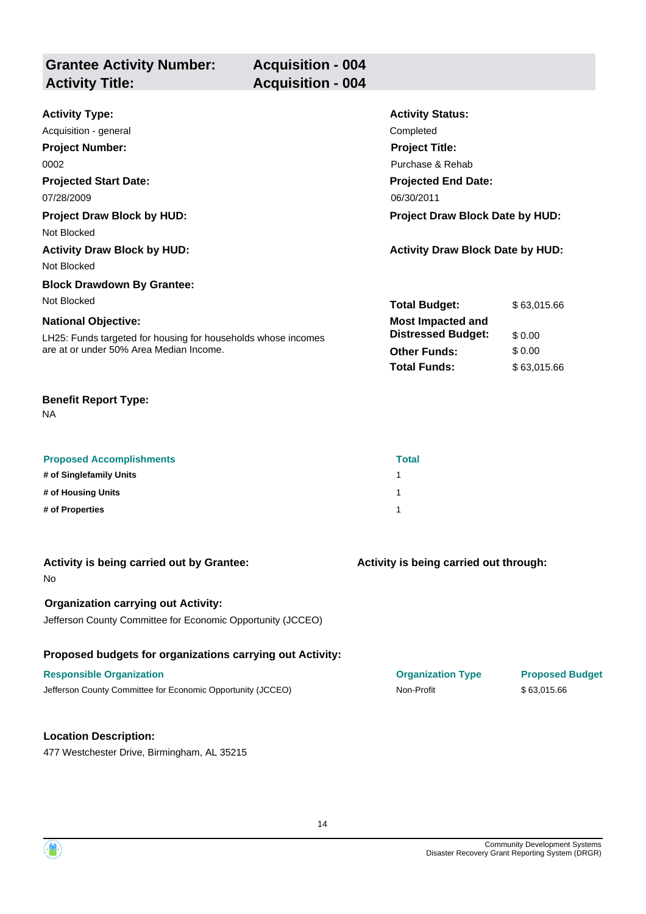| <b>Grantee Activity Number:</b> | <b>Acquisition - 004</b> |
|---------------------------------|--------------------------|
| <b>Activity Title:</b>          | <b>Acquisition - 004</b> |
|                                 |                          |

| <b>Activity Type:</b>                                         | <b>Activity Status:</b>                 |             |
|---------------------------------------------------------------|-----------------------------------------|-------------|
| Acquisition - general                                         | Completed                               |             |
| <b>Project Number:</b>                                        | <b>Project Title:</b>                   |             |
| 0002                                                          | Purchase & Rehab                        |             |
| <b>Projected Start Date:</b>                                  | <b>Projected End Date:</b>              |             |
| 07/28/2009                                                    | 06/30/2011                              |             |
| <b>Project Draw Block by HUD:</b>                             | <b>Project Draw Block Date by HUD:</b>  |             |
| Not Blocked                                                   |                                         |             |
| <b>Activity Draw Block by HUD:</b>                            | <b>Activity Draw Block Date by HUD:</b> |             |
| Not Blocked                                                   |                                         |             |
| <b>Block Drawdown By Grantee:</b>                             |                                         |             |
| Not Blocked                                                   | <b>Total Budget:</b>                    | \$63,015.66 |
| <b>National Objective:</b>                                    | <b>Most Impacted and</b>                |             |
| LH25: Funds targeted for housing for households whose incomes | <b>Distressed Budget:</b>               | \$0.00      |
| are at or under 50% Area Median Income.                       | <b>Other Funds:</b>                     | \$0.00      |
|                                                               | <b>Total Funds:</b>                     | \$63,015.66 |

| <b>Proposed Accomplishments</b> | <b>Total</b> |
|---------------------------------|--------------|
| # of Singlefamily Units         |              |
| # of Housing Units              |              |
| # of Properties                 |              |

| Activity is being carried out by Grantee:<br>No.                                                          | Activity is being carried out through: |                        |
|-----------------------------------------------------------------------------------------------------------|----------------------------------------|------------------------|
| <b>Organization carrying out Activity:</b><br>Jefferson County Committee for Economic Opportunity (JCCEO) |                                        |                        |
| Proposed budgets for organizations carrying out Activity:                                                 |                                        |                        |
| <b>Responsible Organization</b>                                                                           | <b>Organization Type</b>               | <b>Proposed Budget</b> |
| Jefferson County Committee for Economic Opportunity (JCCEO)                                               | Non-Profit                             | \$63,015.66            |
|                                                                                                           |                                        |                        |
| <b>Location Description:</b>                                                                              |                                        |                        |
| 477 Westchester Drive, Birmingham, AL 35215                                                               |                                        |                        |

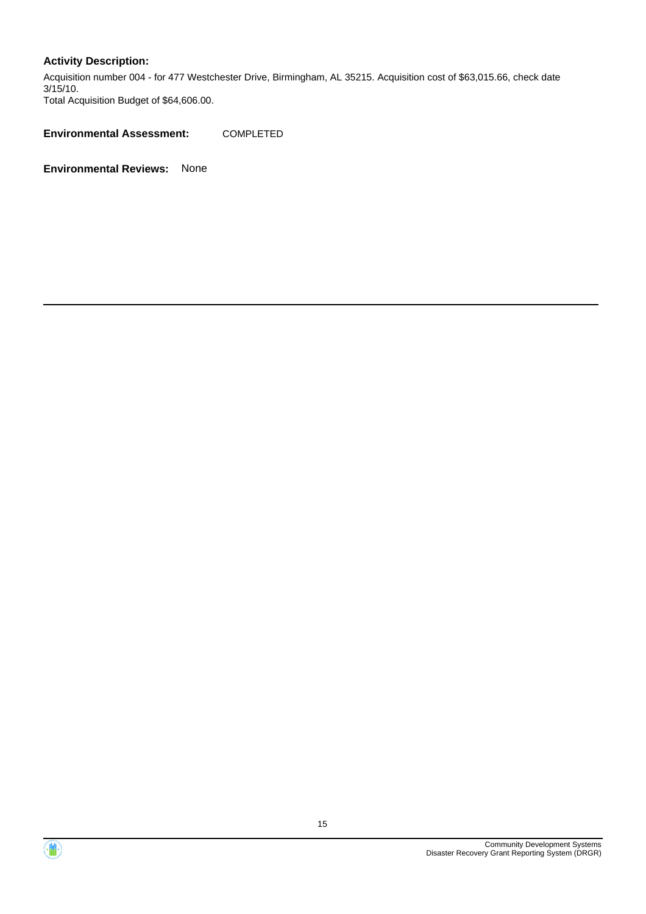Acquisition number 004 - for 477 Westchester Drive, Birmingham, AL 35215. Acquisition cost of \$63,015.66, check date 3/15/10. Total Acquisition Budget of \$64,606.00.

**Environmental Assessment:** COMPLETED



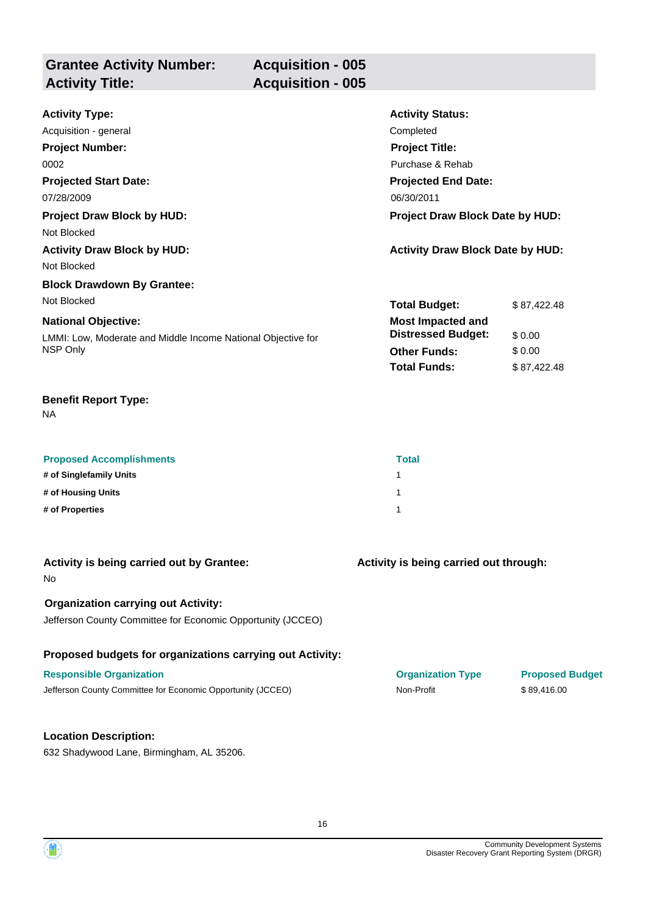| <b>Grantee Activity Number:</b> | <b>Acquisition - 005</b> |
|---------------------------------|--------------------------|
| <b>Activity Title:</b>          | <b>Acquisition - 005</b> |

| <b>Activity Type:</b>                                        | <b>Activity Status:</b>                 |             |
|--------------------------------------------------------------|-----------------------------------------|-------------|
| Acquisition - general                                        | Completed                               |             |
| <b>Project Number:</b>                                       | <b>Project Title:</b>                   |             |
| 0002                                                         | Purchase & Rehab                        |             |
| <b>Projected Start Date:</b>                                 | <b>Projected End Date:</b>              |             |
| 07/28/2009                                                   | 06/30/2011                              |             |
| <b>Project Draw Block by HUD:</b>                            | Project Draw Block Date by HUD:         |             |
| Not Blocked                                                  |                                         |             |
| <b>Activity Draw Block by HUD:</b>                           | <b>Activity Draw Block Date by HUD:</b> |             |
| Not Blocked                                                  |                                         |             |
| <b>Block Drawdown By Grantee:</b>                            |                                         |             |
| Not Blocked                                                  | <b>Total Budget:</b>                    | \$87,422.48 |
| <b>National Objective:</b>                                   | <b>Most Impacted and</b>                |             |
| LMMI: Low, Moderate and Middle Income National Objective for | <b>Distressed Budget:</b>               | \$0.00      |
| NSP Only                                                     | <b>Other Funds:</b>                     | \$0.00      |
|                                                              | <b>Total Funds:</b>                     | \$87,422.48 |

NA

| <b>Proposed Accomplishments</b> | <b>Total</b> |
|---------------------------------|--------------|
| # of Singlefamily Units         |              |
| # of Housing Units              |              |
| # of Properties                 |              |

| Activity is being carried out by Grantee:<br>No.                                                          | Activity is being carried out through: |                        |
|-----------------------------------------------------------------------------------------------------------|----------------------------------------|------------------------|
| <b>Organization carrying out Activity:</b><br>Jefferson County Committee for Economic Opportunity (JCCEO) |                                        |                        |
| Proposed budgets for organizations carrying out Activity:                                                 |                                        |                        |
| <b>Responsible Organization</b>                                                                           | <b>Organization Type</b>               | <b>Proposed Budget</b> |
| Jefferson County Committee for Economic Opportunity (JCCEO)                                               | Non-Profit                             | \$89,416.00            |
| <b>Location Description:</b>                                                                              |                                        |                        |
| 632 Shadywood Lane, Birmingham, AL 35206.                                                                 |                                        |                        |

16

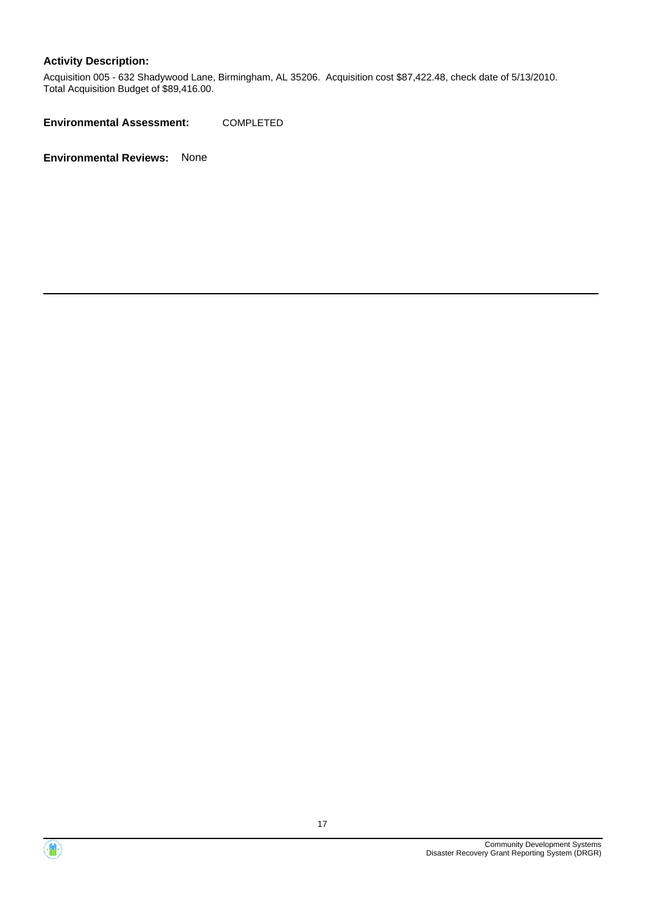Acquisition 005 - 632 Shadywood Lane, Birmingham, AL 35206. Acquisition cost \$87,422.48, check date of 5/13/2010. Total Acquisition Budget of \$89,416.00.

**Environmental Assessment:** COMPLETED



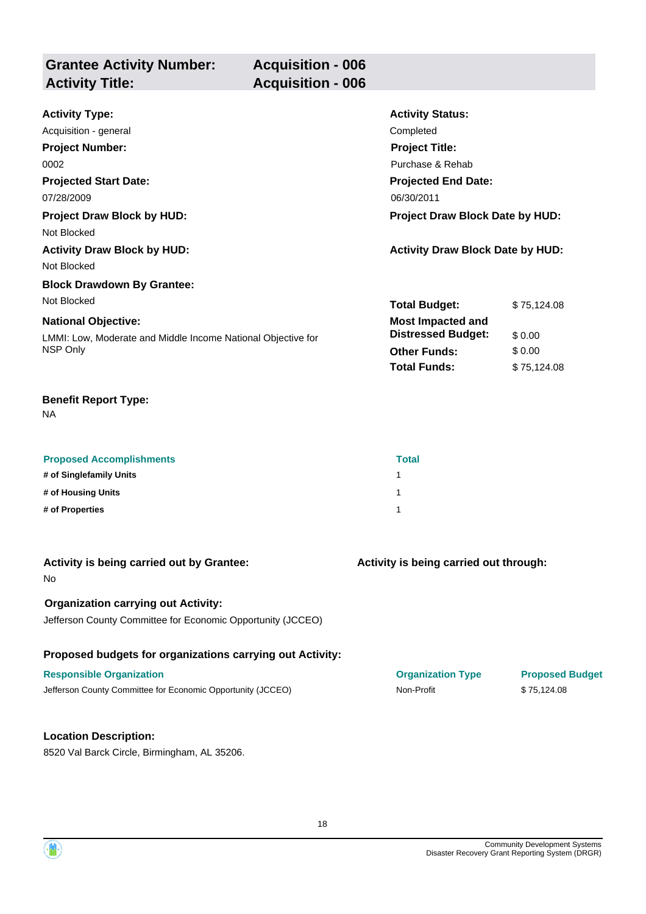| <b>Grantee Activity Number:</b> | <b>Acquisition - 006</b> |
|---------------------------------|--------------------------|
| <b>Activity Title:</b>          | <b>Acquisition - 006</b> |

| <b>Activity Type:</b>                                        | <b>Activity Status:</b>                 |             |
|--------------------------------------------------------------|-----------------------------------------|-------------|
| Acquisition - general                                        | Completed                               |             |
| <b>Project Number:</b>                                       | <b>Project Title:</b>                   |             |
| 0002                                                         | Purchase & Rehab                        |             |
| <b>Projected Start Date:</b>                                 | <b>Projected End Date:</b>              |             |
| 07/28/2009                                                   | 06/30/2011                              |             |
| <b>Project Draw Block by HUD:</b>                            | Project Draw Block Date by HUD:         |             |
| Not Blocked                                                  |                                         |             |
| <b>Activity Draw Block by HUD:</b>                           | <b>Activity Draw Block Date by HUD:</b> |             |
| Not Blocked                                                  |                                         |             |
| <b>Block Drawdown By Grantee:</b>                            |                                         |             |
| Not Blocked                                                  | <b>Total Budget:</b>                    | \$75,124.08 |
| <b>National Objective:</b>                                   | <b>Most Impacted and</b>                |             |
| LMMI: Low, Moderate and Middle Income National Objective for | <b>Distressed Budget:</b>               | \$0.00      |
| NSP Only                                                     | <b>Other Funds:</b>                     | \$0.00      |
|                                                              | <b>Total Funds:</b>                     | \$75,124.08 |

NA

| <b>Proposed Accomplishments</b> | <b>Total</b> |
|---------------------------------|--------------|
| # of Singlefamily Units         |              |
| # of Housing Units              |              |
| # of Properties                 |              |

| Activity is being carried out by Grantee:<br><b>No</b>      | Activity is being carried out through: |                        |
|-------------------------------------------------------------|----------------------------------------|------------------------|
| <b>Organization carrying out Activity:</b>                  |                                        |                        |
| Jefferson County Committee for Economic Opportunity (JCCEO) |                                        |                        |
| Proposed budgets for organizations carrying out Activity:   |                                        |                        |
| <b>Responsible Organization</b>                             | <b>Organization Type</b>               | <b>Proposed Budget</b> |
| Jefferson County Committee for Economic Opportunity (JCCEO) | Non-Profit                             | \$75,124.08            |
|                                                             |                                        |                        |
| <b>Location Description:</b>                                |                                        |                        |

8520 Val Barck Circle, Birmingham, AL 35206.

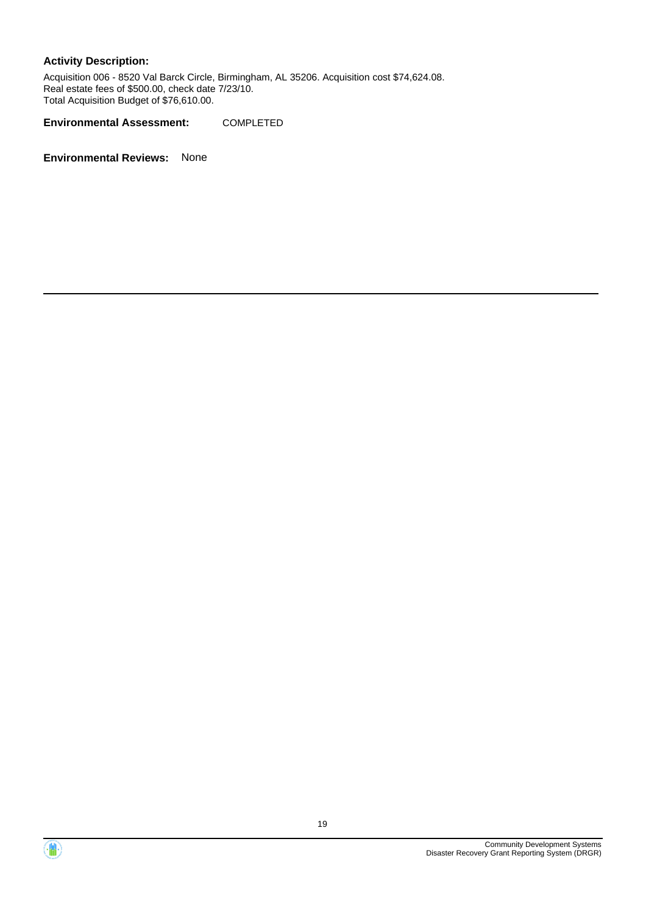Acquisition 006 - 8520 Val Barck Circle, Birmingham, AL 35206. Acquisition cost \$74,624.08. Real estate fees of \$500.00, check date 7/23/10. Total Acquisition Budget of \$76,610.00.

**Environmental Assessment:** COMPLETED



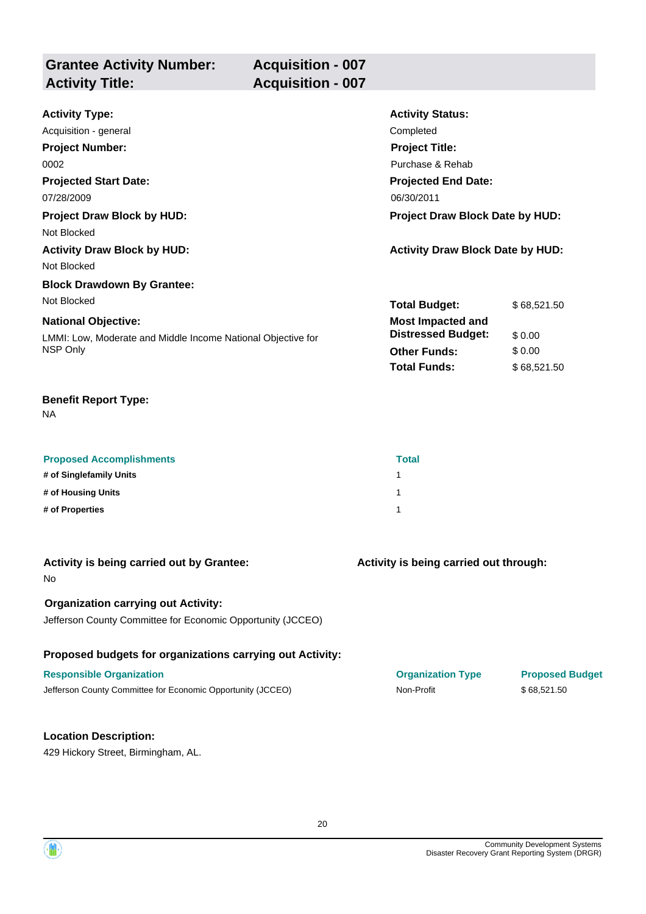| <b>Grantee Activity Number:</b> | <b>Acquisition - 007</b> |
|---------------------------------|--------------------------|
| <b>Activity Title:</b>          | <b>Acquisition - 007</b> |

| <b>Activity Type:</b>                                        | <b>Activity Status:</b>                 |             |
|--------------------------------------------------------------|-----------------------------------------|-------------|
| Acquisition - general                                        | Completed                               |             |
| <b>Project Number:</b>                                       | <b>Project Title:</b>                   |             |
| 0002                                                         | Purchase & Rehab                        |             |
| <b>Projected Start Date:</b>                                 | <b>Projected End Date:</b>              |             |
| 07/28/2009                                                   | 06/30/2011                              |             |
| <b>Project Draw Block by HUD:</b>                            | <b>Project Draw Block Date by HUD:</b>  |             |
| Not Blocked                                                  |                                         |             |
| <b>Activity Draw Block by HUD:</b>                           | <b>Activity Draw Block Date by HUD:</b> |             |
| Not Blocked                                                  |                                         |             |
| <b>Block Drawdown By Grantee:</b>                            |                                         |             |
| Not Blocked                                                  | <b>Total Budget:</b>                    | \$68,521.50 |
| <b>National Objective:</b>                                   | <b>Most Impacted and</b>                |             |
| LMMI: Low, Moderate and Middle Income National Objective for | <b>Distressed Budget:</b>               | \$0.00      |
| NSP Only                                                     | <b>Other Funds:</b>                     | \$0.00      |
|                                                              | <b>Total Funds:</b>                     | \$68,521.50 |

NA

| <b>Proposed Accomplishments</b> | Total |
|---------------------------------|-------|
| # of Singlefamily Units         |       |
| # of Housing Units              |       |
| # of Properties                 |       |

| Activity is being carried out by Grantee:<br>No.                                                          | Activity is being carried out through: |                        |
|-----------------------------------------------------------------------------------------------------------|----------------------------------------|------------------------|
| <b>Organization carrying out Activity:</b><br>Jefferson County Committee for Economic Opportunity (JCCEO) |                                        |                        |
| Proposed budgets for organizations carrying out Activity:                                                 |                                        |                        |
| <b>Responsible Organization</b>                                                                           | <b>Organization Type</b>               | <b>Proposed Budget</b> |
| Jefferson County Committee for Economic Opportunity (JCCEO)                                               | Non-Profit                             | \$68,521.50            |
|                                                                                                           |                                        |                        |
| <b>Location Description:</b>                                                                              |                                        |                        |

20



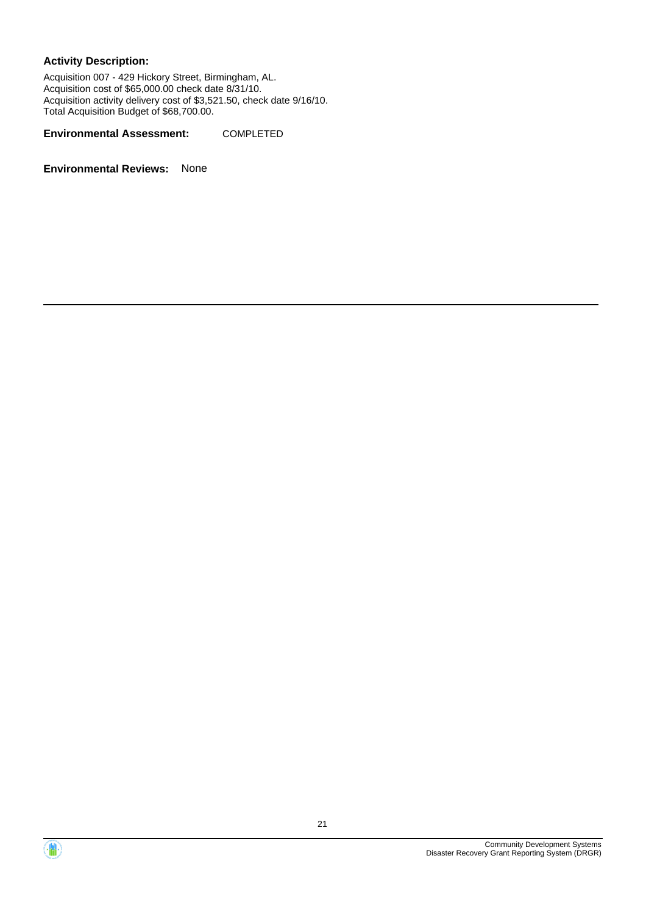Acquisition 007 - 429 Hickory Street, Birmingham, AL. Acquisition cost of \$65,000.00 check date 8/31/10. Acquisition activity delivery cost of \$3,521.50, check date 9/16/10. Total Acquisition Budget of \$68,700.00.

**Environmental Assessment:** COMPLETED



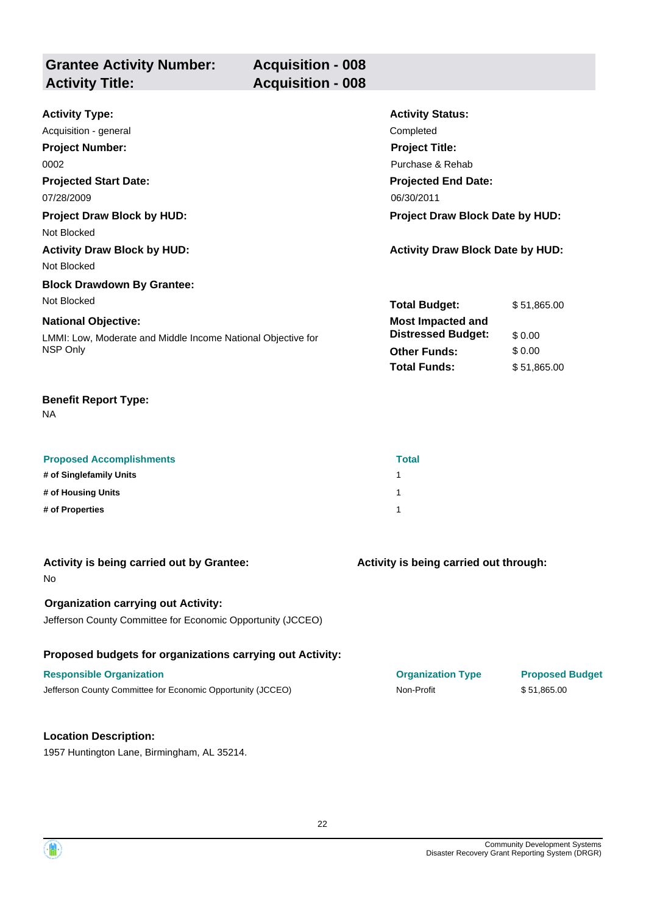| <b>Grantee Activity Number:</b> |  |
|---------------------------------|--|
| <b>Activity Title:</b>          |  |

**Acquisition - 008 Acquisition - 008** 

| <b>Activity Type:</b>                                        | <b>Activity Status:</b>                 |             |
|--------------------------------------------------------------|-----------------------------------------|-------------|
| Acquisition - general                                        | Completed                               |             |
| <b>Project Number:</b>                                       | <b>Project Title:</b>                   |             |
| 0002                                                         | Purchase & Rehab                        |             |
| <b>Projected Start Date:</b>                                 | <b>Projected End Date:</b>              |             |
| 07/28/2009                                                   | 06/30/2011                              |             |
| <b>Project Draw Block by HUD:</b>                            | <b>Project Draw Block Date by HUD:</b>  |             |
| Not Blocked                                                  |                                         |             |
| <b>Activity Draw Block by HUD:</b>                           | <b>Activity Draw Block Date by HUD:</b> |             |
| Not Blocked                                                  |                                         |             |
| <b>Block Drawdown By Grantee:</b>                            |                                         |             |
| Not Blocked                                                  | <b>Total Budget:</b>                    | \$51,865.00 |
| <b>National Objective:</b>                                   | <b>Most Impacted and</b>                |             |
| LMMI: Low, Moderate and Middle Income National Objective for | <b>Distressed Budget:</b>               | \$0.00      |
| NSP Only                                                     | <b>Other Funds:</b>                     | \$0.00      |
|                                                              | <b>Total Funds:</b>                     | \$51,865.00 |

## **Benefit Report Type:**

NA

| <b>Proposed Accomplishments</b> | <b>Total</b> |
|---------------------------------|--------------|
| # of Singlefamily Units         |              |
| # of Housing Units              |              |
| # of Properties                 |              |

| Activity is being carried out by Grantee:<br>No.                                                          | Activity is being carried out through: |                        |
|-----------------------------------------------------------------------------------------------------------|----------------------------------------|------------------------|
| <b>Organization carrying out Activity:</b><br>Jefferson County Committee for Economic Opportunity (JCCEO) |                                        |                        |
| Proposed budgets for organizations carrying out Activity:                                                 |                                        |                        |
| <b>Responsible Organization</b>                                                                           | <b>Organization Type</b>               | <b>Proposed Budget</b> |
| Jefferson County Committee for Economic Opportunity (JCCEO)                                               | Non-Profit                             | \$51,865.00            |
|                                                                                                           |                                        |                        |
| <b>Location Description:</b>                                                                              |                                        |                        |

1957 Huntington Lane, Birmingham, AL 35214.

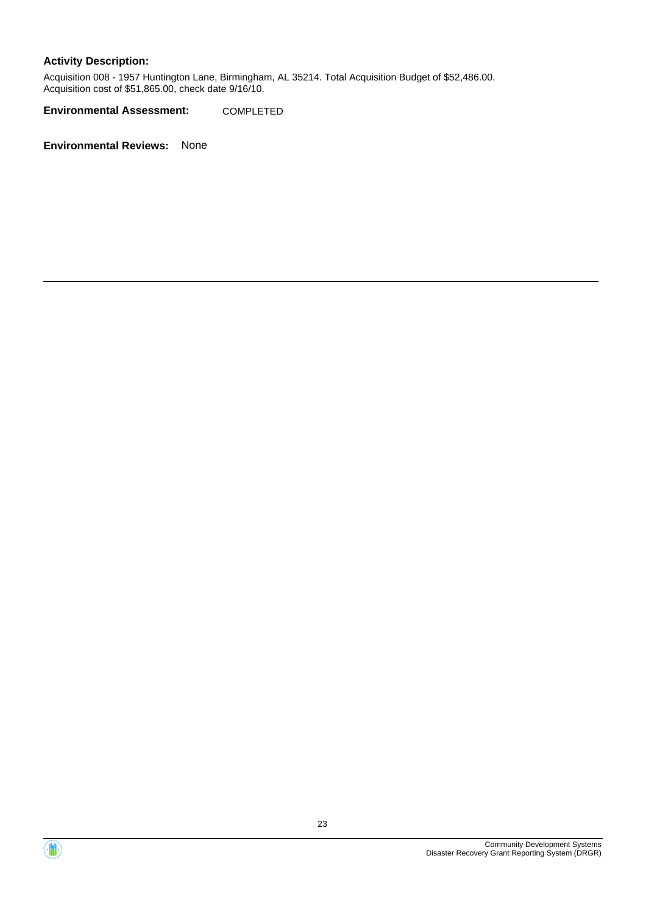Acquisition 008 - 1957 Huntington Lane, Birmingham, AL 35214. Total Acquisition Budget of \$52,486.00. Acquisition cost of \$51,865.00, check date 9/16/10.

**Environmental Assessment:** COMPLETED



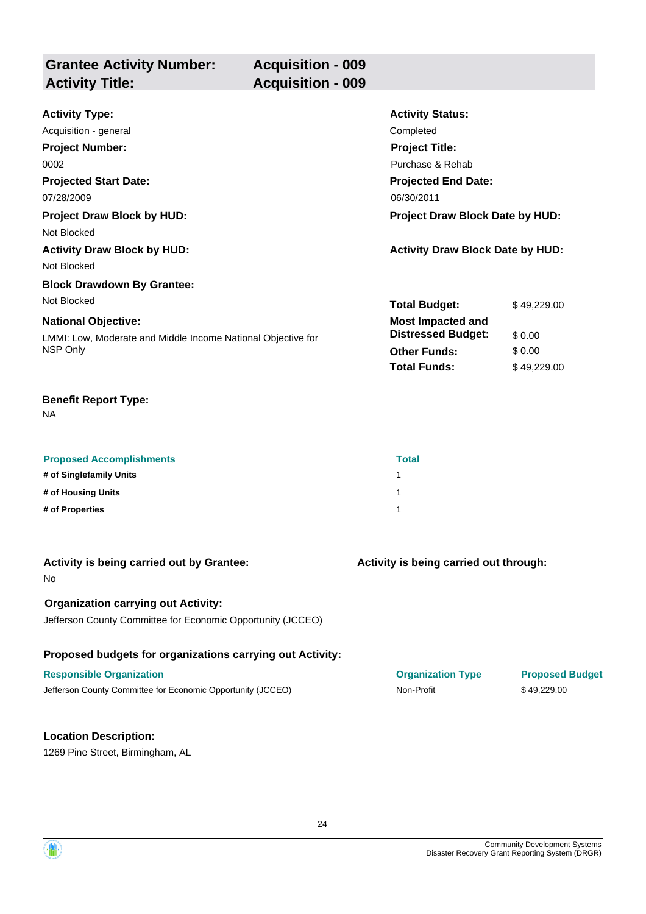| <b>Grantee Activity Number:</b> | <b>Acquisition - 009</b> |
|---------------------------------|--------------------------|
| <b>Activity Title:</b>          | <b>Acquisition - 009</b> |

| <b>Activity Type:</b>                                        | <b>Activity Status:</b>                 |             |
|--------------------------------------------------------------|-----------------------------------------|-------------|
| Acquisition - general                                        | Completed                               |             |
| <b>Project Number:</b>                                       | <b>Project Title:</b>                   |             |
| 0002                                                         | Purchase & Rehab                        |             |
| <b>Projected Start Date:</b>                                 | <b>Projected End Date:</b>              |             |
| 07/28/2009                                                   | 06/30/2011                              |             |
| <b>Project Draw Block by HUD:</b>                            | Project Draw Block Date by HUD:         |             |
| Not Blocked                                                  |                                         |             |
| <b>Activity Draw Block by HUD:</b>                           | <b>Activity Draw Block Date by HUD:</b> |             |
| Not Blocked                                                  |                                         |             |
| <b>Block Drawdown By Grantee:</b>                            |                                         |             |
| Not Blocked                                                  | <b>Total Budget:</b>                    | \$49,229.00 |
| <b>National Objective:</b>                                   | <b>Most Impacted and</b>                |             |
| LMMI: Low, Moderate and Middle Income National Objective for | <b>Distressed Budget:</b>               | \$0.00      |
| NSP Only                                                     | <b>Other Funds:</b>                     | \$0.00      |
|                                                              | <b>Total Funds:</b>                     | \$49,229.00 |

| <b>Proposed Accomplishments</b> | <b>Total</b> |
|---------------------------------|--------------|
| # of Singlefamily Units         |              |
| # of Housing Units              |              |
| # of Properties                 |              |

| Activity is being carried out by Grantee:<br>No.                                                          | Activity is being carried out through: |                        |
|-----------------------------------------------------------------------------------------------------------|----------------------------------------|------------------------|
| <b>Organization carrying out Activity:</b><br>Jefferson County Committee for Economic Opportunity (JCCEO) |                                        |                        |
| Proposed budgets for organizations carrying out Activity:                                                 |                                        |                        |
| <b>Responsible Organization</b>                                                                           | <b>Organization Type</b>               | <b>Proposed Budget</b> |
| Jefferson County Committee for Economic Opportunity (JCCEO)                                               | Non-Profit                             | \$49,229.00            |
|                                                                                                           |                                        |                        |
| <b>Location Description:</b>                                                                              |                                        |                        |
| 1269 Pine Street, Birmingham, AL                                                                          |                                        |                        |

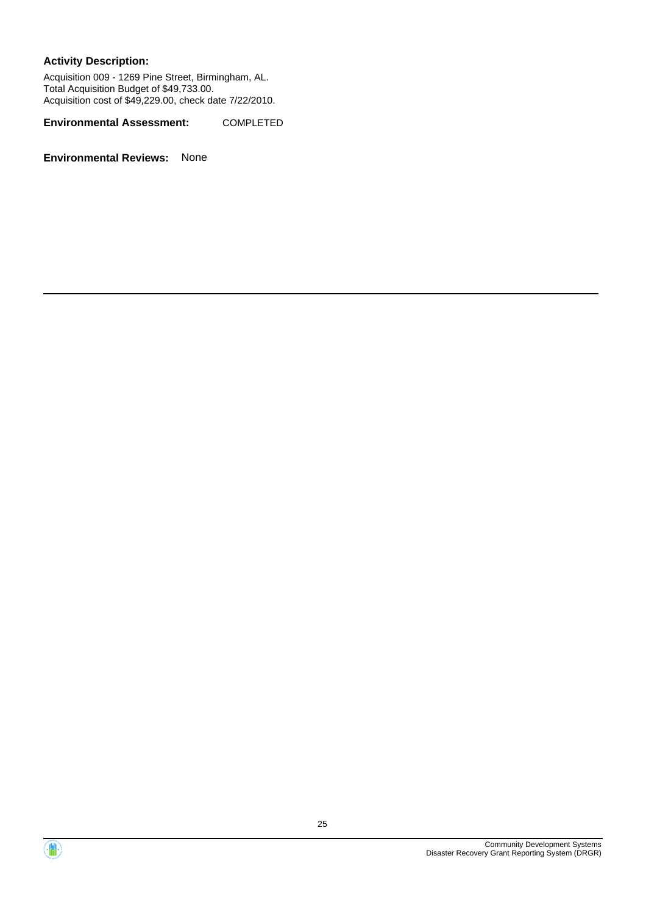Acquisition 009 - 1269 Pine Street, Birmingham, AL. Total Acquisition Budget of \$49,733.00. Acquisition cost of \$49,229.00, check date 7/22/2010.

**Environmental Assessment:** COMPLETED



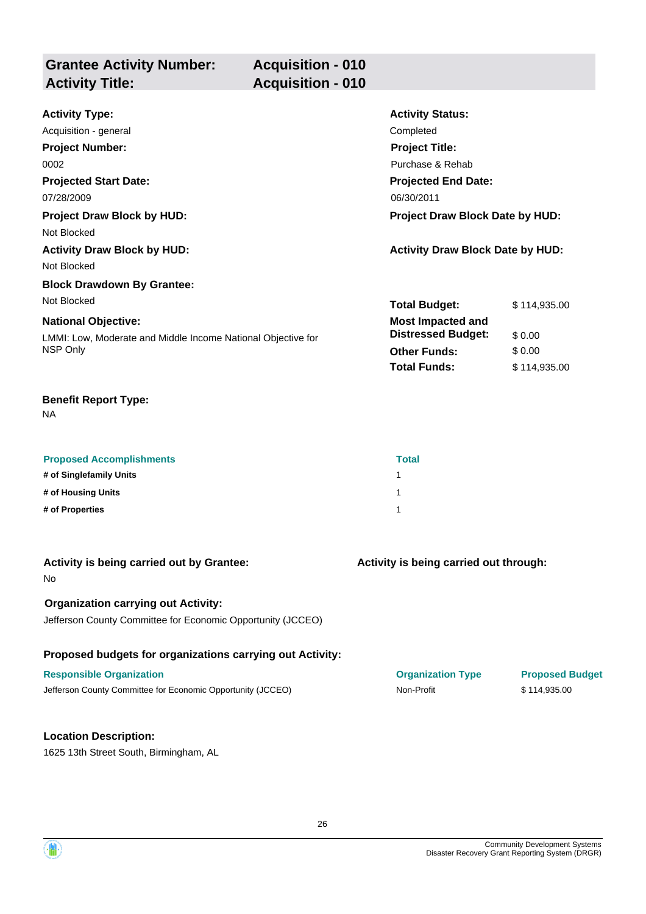| <b>Grantee Activity Number:</b> | <b>Acquisition - 010</b> |
|---------------------------------|--------------------------|
| <b>Activity Title:</b>          | <b>Acquisition - 010</b> |
|                                 |                          |

| <b>Activity Type:</b>                                        | <b>Activity Status:</b>                 |              |
|--------------------------------------------------------------|-----------------------------------------|--------------|
| Acquisition - general                                        | Completed                               |              |
| <b>Project Number:</b>                                       | <b>Project Title:</b>                   |              |
| 0002                                                         | Purchase & Rehab                        |              |
| <b>Projected Start Date:</b>                                 | <b>Projected End Date:</b>              |              |
| 07/28/2009                                                   | 06/30/2011                              |              |
| <b>Project Draw Block by HUD:</b>                            | Project Draw Block Date by HUD:         |              |
| Not Blocked                                                  |                                         |              |
| <b>Activity Draw Block by HUD:</b>                           | <b>Activity Draw Block Date by HUD:</b> |              |
| Not Blocked                                                  |                                         |              |
| <b>Block Drawdown By Grantee:</b>                            |                                         |              |
| Not Blocked                                                  | <b>Total Budget:</b>                    | \$114,935.00 |
| <b>National Objective:</b>                                   | <b>Most Impacted and</b>                |              |
| LMMI: Low, Moderate and Middle Income National Objective for | <b>Distressed Budget:</b>               | \$0.00       |
| NSP Only                                                     | <b>Other Funds:</b>                     | \$0.00       |
|                                                              | <b>Total Funds:</b>                     | \$114,935.00 |

| <b>Proposed Accomplishments</b> | <b>Total</b> |
|---------------------------------|--------------|
| # of Singlefamily Units         |              |
| # of Housing Units              |              |
| # of Properties                 |              |

| Activity is being carried out by Grantee:<br>No.            | Activity is being carried out through: |                        |
|-------------------------------------------------------------|----------------------------------------|------------------------|
| <b>Organization carrying out Activity:</b>                  |                                        |                        |
| Jefferson County Committee for Economic Opportunity (JCCEO) |                                        |                        |
| Proposed budgets for organizations carrying out Activity:   |                                        |                        |
| <b>Responsible Organization</b>                             | <b>Organization Type</b>               | <b>Proposed Budget</b> |
| Jefferson County Committee for Economic Opportunity (JCCEO) | Non-Profit                             | \$114,935.00           |
|                                                             |                                        |                        |
| <b>Location Description:</b>                                |                                        |                        |
| 1625 13th Street South, Birmingham, AL                      |                                        |                        |

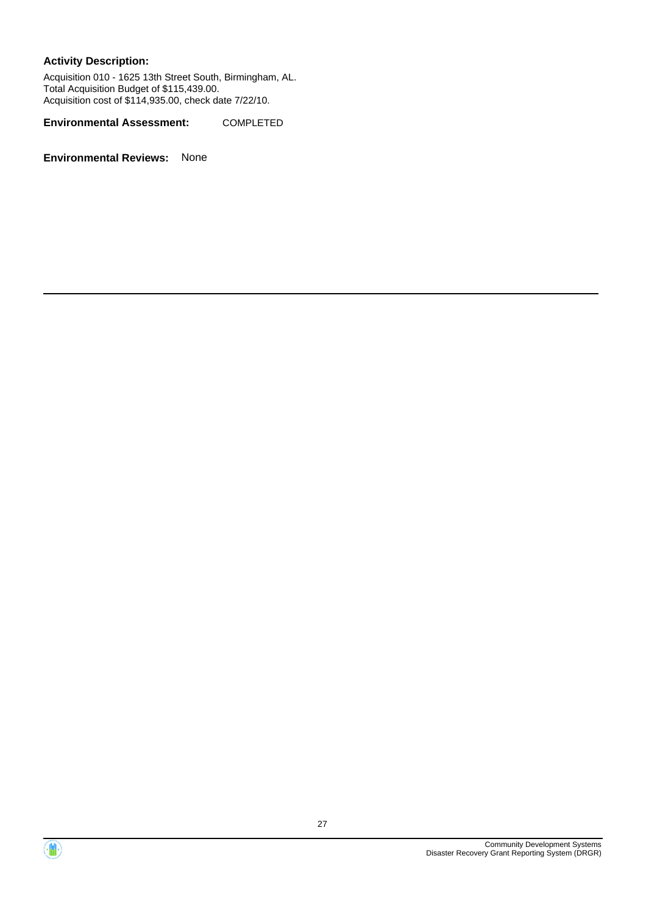Acquisition 010 - 1625 13th Street South, Birmingham, AL. Total Acquisition Budget of \$115,439.00. Acquisition cost of \$114,935.00, check date 7/22/10.

**Environmental Assessment:** COMPLETED



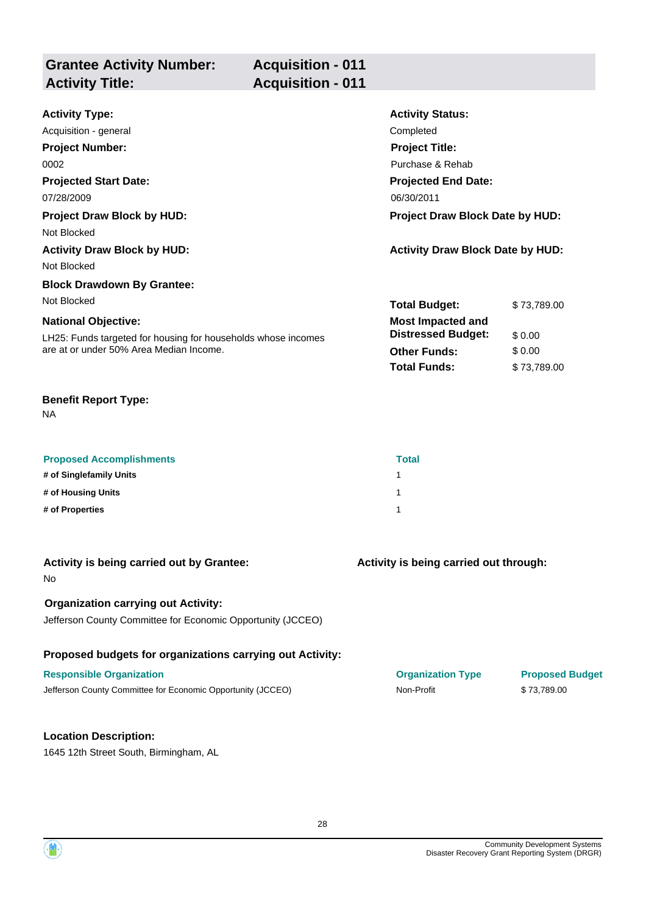| <b>Grantee Activity Number:</b><br><b>Activity Title:</b> | <b>Acquisition - 011</b><br><b>Acquisition - 011</b> |   |
|-----------------------------------------------------------|------------------------------------------------------|---|
| .                                                         |                                                      | . |

| <b>Activity Type:</b>                                         | <b>Activity Status:</b>                 |             |
|---------------------------------------------------------------|-----------------------------------------|-------------|
| Acquisition - general                                         | Completed                               |             |
| <b>Project Number:</b>                                        | <b>Project Title:</b>                   |             |
| 0002                                                          | Purchase & Rehab                        |             |
| <b>Projected Start Date:</b>                                  | <b>Projected End Date:</b>              |             |
| 07/28/2009                                                    | 06/30/2011                              |             |
| <b>Project Draw Block by HUD:</b>                             | <b>Project Draw Block Date by HUD:</b>  |             |
| Not Blocked                                                   |                                         |             |
| <b>Activity Draw Block by HUD:</b>                            | <b>Activity Draw Block Date by HUD:</b> |             |
| Not Blocked                                                   |                                         |             |
| <b>Block Drawdown By Grantee:</b>                             |                                         |             |
| Not Blocked                                                   | <b>Total Budget:</b>                    | \$73,789.00 |
| <b>National Objective:</b>                                    | <b>Most Impacted and</b>                |             |
| LH25: Funds targeted for housing for households whose incomes | <b>Distressed Budget:</b>               | \$0.00      |
| are at or under 50% Area Median Income.                       | <b>Other Funds:</b>                     | \$0.00      |
|                                                               | <b>Total Funds:</b>                     | \$73,789.00 |

| <b>Proposed Accomplishments</b> | <b>Total</b> |
|---------------------------------|--------------|
| # of Singlefamily Units         |              |
| # of Housing Units              |              |
| # of Properties                 |              |

| Activity is being carried out by Grantee:<br>No.            | Activity is being carried out through: |                        |
|-------------------------------------------------------------|----------------------------------------|------------------------|
| <b>Organization carrying out Activity:</b>                  |                                        |                        |
| Jefferson County Committee for Economic Opportunity (JCCEO) |                                        |                        |
| Proposed budgets for organizations carrying out Activity:   |                                        |                        |
| <b>Responsible Organization</b>                             | <b>Organization Type</b>               | <b>Proposed Budget</b> |
| Jefferson County Committee for Economic Opportunity (JCCEO) | Non-Profit                             | \$73,789.00            |
|                                                             |                                        |                        |
| <b>Location Description:</b>                                |                                        |                        |
| 1645 12th Street South, Birmingham, AL                      |                                        |                        |

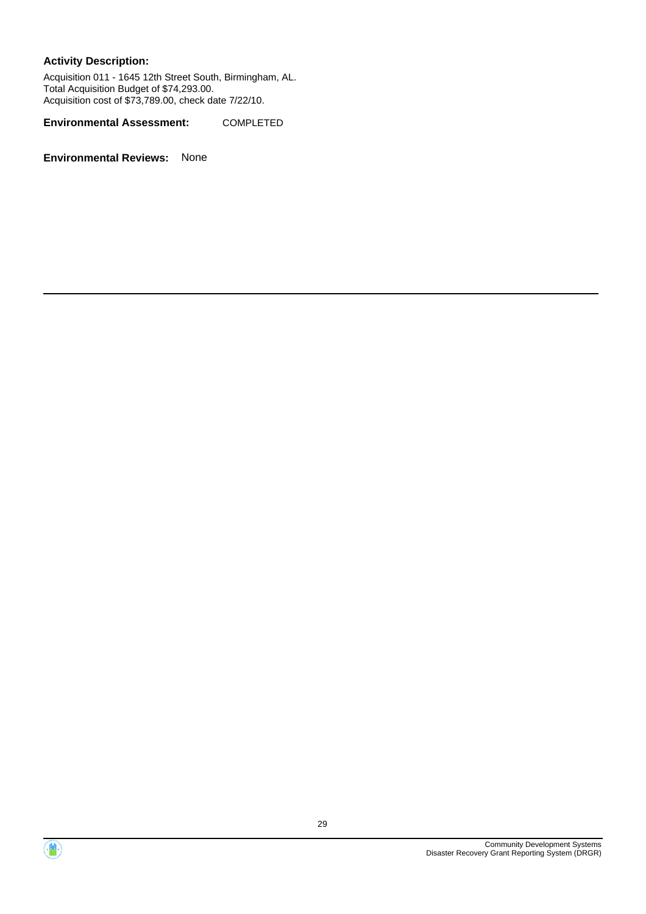Acquisition 011 - 1645 12th Street South, Birmingham, AL. Total Acquisition Budget of \$74,293.00. Acquisition cost of \$73,789.00, check date 7/22/10.

**Environmental Assessment:** COMPLETED



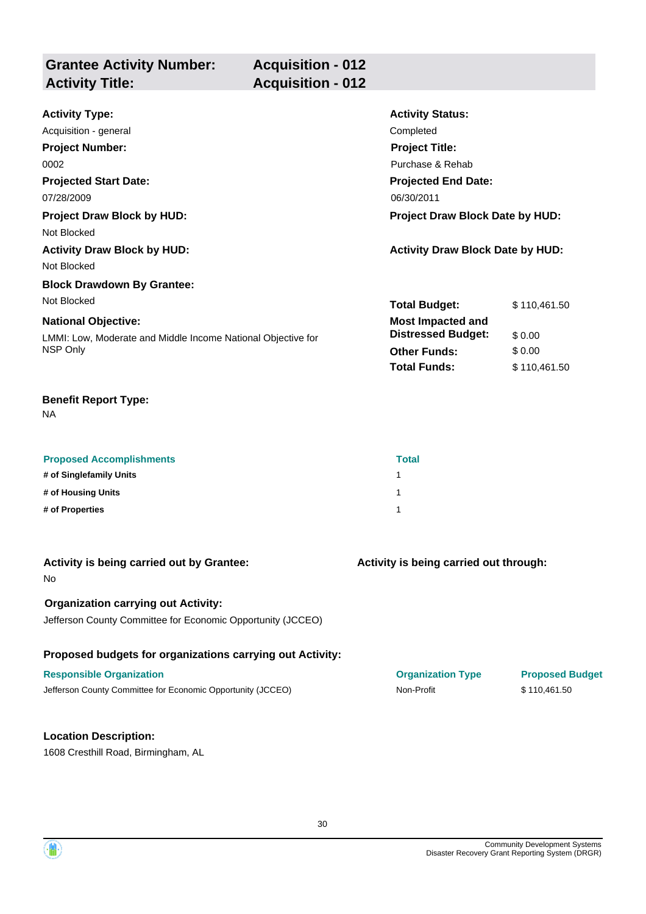| <b>Grantee Activity Number:</b><br><b>Activity Title:</b> | <b>Acquisition - 012</b><br><b>Acquisition - 012</b> |                         |
|-----------------------------------------------------------|------------------------------------------------------|-------------------------|
| <b>Activity Type:</b>                                     |                                                      | <b>Activity Status:</b> |
| Acquisition - general                                     |                                                      | Completed               |
| <b>Project Number:</b>                                    |                                                      | <b>Project Title:</b>   |
| 0002                                                      |                                                      | Purchase & Rehab        |

**Projected End Date:**

**Most Impacted and**

**Total Budget:** \$ 110,461.50

**Total Funds:** \$ 110,461.50

**Other Funds:** \$ 0.00

**Distressed Budget:** \$ 0.00

## **Projected Start Date:** 07/28/2009 06/30/2011

**Project Draw Block by HUD: Project Draw Block Date by HUD:**

Not Blocked

# **Activity Draw Block by HUD: Activity Draw Block Date by HUD:**

Not Blocked

#### **Block Drawdown By Grantee:** Not Blocked

#### **National Objective:**

LMMI: Low, Moderate and Middle Income National Objective for NSP Only

#### **Benefit Report Type:**

NA

| <b>Proposed Accomplishments</b> | <b>Total</b> |
|---------------------------------|--------------|
| # of Singlefamily Units         |              |
| # of Housing Units              |              |
| # of Properties                 |              |

| Activity is being carried out by Grantee:<br>No.            | Activity is being carried out through: |                        |
|-------------------------------------------------------------|----------------------------------------|------------------------|
| <b>Organization carrying out Activity:</b>                  |                                        |                        |
| Jefferson County Committee for Economic Opportunity (JCCEO) |                                        |                        |
| Proposed budgets for organizations carrying out Activity:   |                                        |                        |
| <b>Responsible Organization</b>                             | <b>Organization Type</b>               | <b>Proposed Budget</b> |
| Jefferson County Committee for Economic Opportunity (JCCEO) | Non-Profit                             | \$110.461.50           |

#### **Location Description:**

1608 Cresthill Road, Birmingham, AL

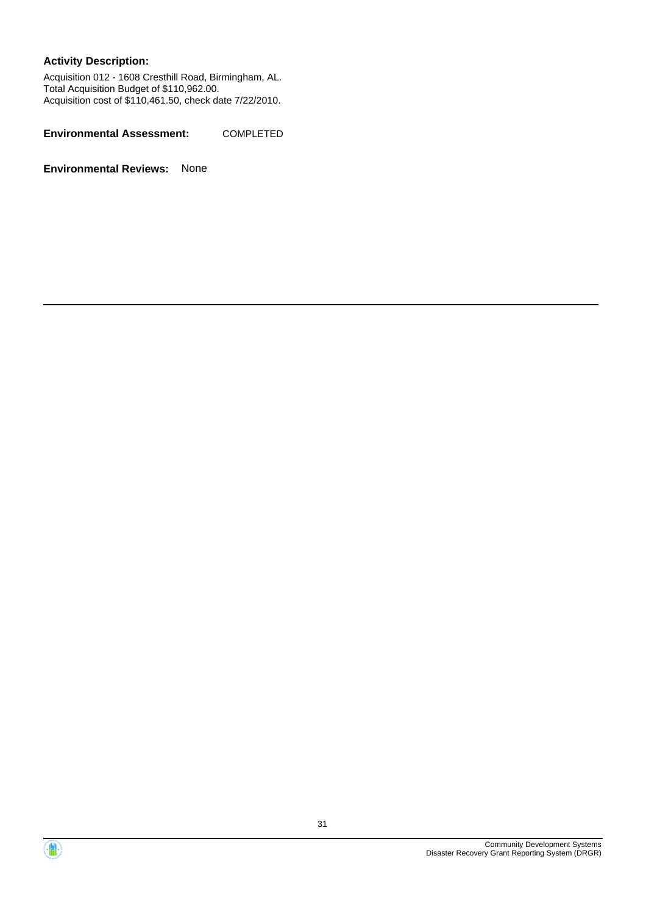Acquisition 012 - 1608 Cresthill Road, Birmingham, AL. Total Acquisition Budget of \$110,962.00. Acquisition cost of \$110,461.50, check date 7/22/2010.

**Environmental Assessment:** COMPLETED



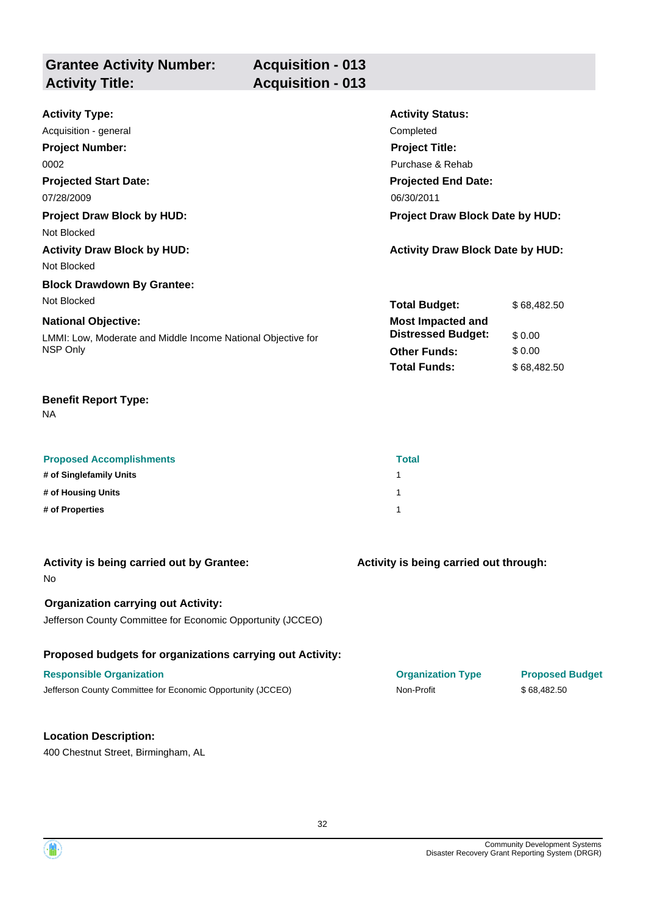| <b>Grantee Activity Number:</b><br><b>Activity Title:</b> | <b>Acquisition - 013</b><br><b>Acquisition - 013</b> |                         |
|-----------------------------------------------------------|------------------------------------------------------|-------------------------|
| Activity Type:                                            |                                                      | <b>Activity Status:</b> |

| Acquisition - general                                        | Completed                               |             |  |
|--------------------------------------------------------------|-----------------------------------------|-------------|--|
| <b>Project Number:</b>                                       | <b>Project Title:</b>                   |             |  |
| 0002                                                         | Purchase & Rehab                        |             |  |
| <b>Projected Start Date:</b>                                 | <b>Projected End Date:</b>              |             |  |
| 07/28/2009                                                   | 06/30/2011                              |             |  |
| <b>Project Draw Block by HUD:</b>                            | Project Draw Block Date by HUD:         |             |  |
| Not Blocked                                                  |                                         |             |  |
| <b>Activity Draw Block by HUD:</b>                           | <b>Activity Draw Block Date by HUD:</b> |             |  |
| Not Blocked                                                  |                                         |             |  |
| <b>Block Drawdown By Grantee:</b>                            |                                         |             |  |
| Not Blocked                                                  | <b>Total Budget:</b>                    | \$68,482.50 |  |
| <b>National Objective:</b>                                   | <b>Most Impacted and</b>                |             |  |
| LMMI: Low, Moderate and Middle Income National Objective for | <b>Distressed Budget:</b>               | \$0.00      |  |
| NSP Only                                                     | <b>Other Funds:</b>                     | \$0.00      |  |
|                                                              | <b>Total Funds:</b>                     | \$68,482.50 |  |

NA

| <b>Proposed Accomplishments</b> | <b>Total</b> |
|---------------------------------|--------------|
| # of Singlefamily Units         |              |
| # of Housing Units              |              |
| # of Properties                 |              |

| Activity is being carried out by Grantee:<br>No.            | Activity is being carried out through: |                        |
|-------------------------------------------------------------|----------------------------------------|------------------------|
|                                                             |                                        |                        |
| <b>Organization carrying out Activity:</b>                  |                                        |                        |
| Jefferson County Committee for Economic Opportunity (JCCEO) |                                        |                        |
|                                                             |                                        |                        |
| Proposed budgets for organizations carrying out Activity:   |                                        |                        |
| <b>Responsible Organization</b>                             | <b>Organization Type</b>               | <b>Proposed Budget</b> |
| Jefferson County Committee for Economic Opportunity (JCCEO) | Non-Profit                             | \$68,482.50            |
|                                                             |                                        |                        |
| <b>Location Description:</b>                                |                                        |                        |
|                                                             |                                        |                        |

400 Chestnut Street, Birmingham, AL



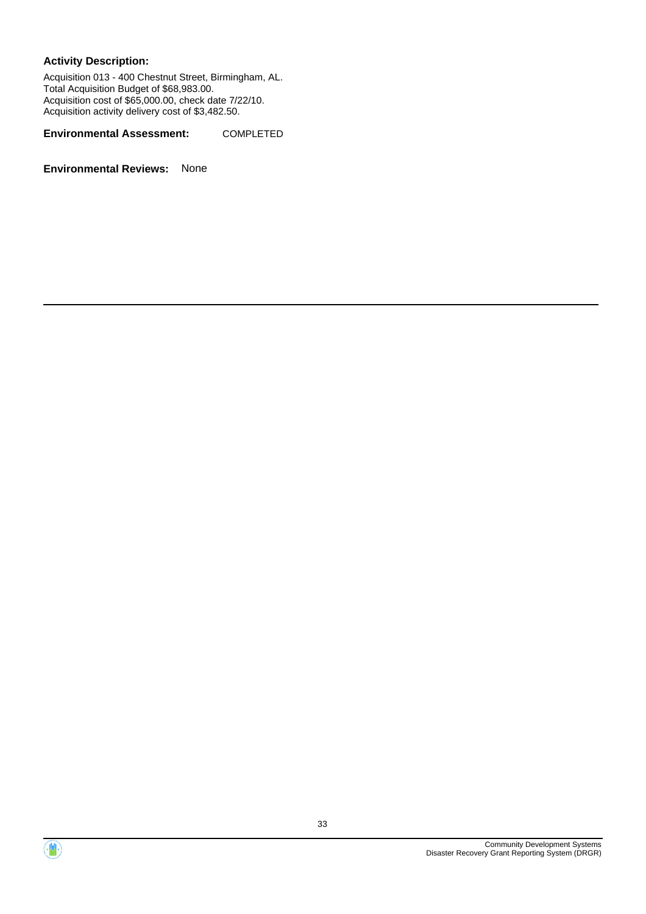Acquisition 013 - 400 Chestnut Street, Birmingham, AL. Total Acquisition Budget of \$68,983.00. Acquisition cost of \$65,000.00, check date 7/22/10. Acquisition activity delivery cost of \$3,482.50.

**Environmental Assessment:** COMPLETED



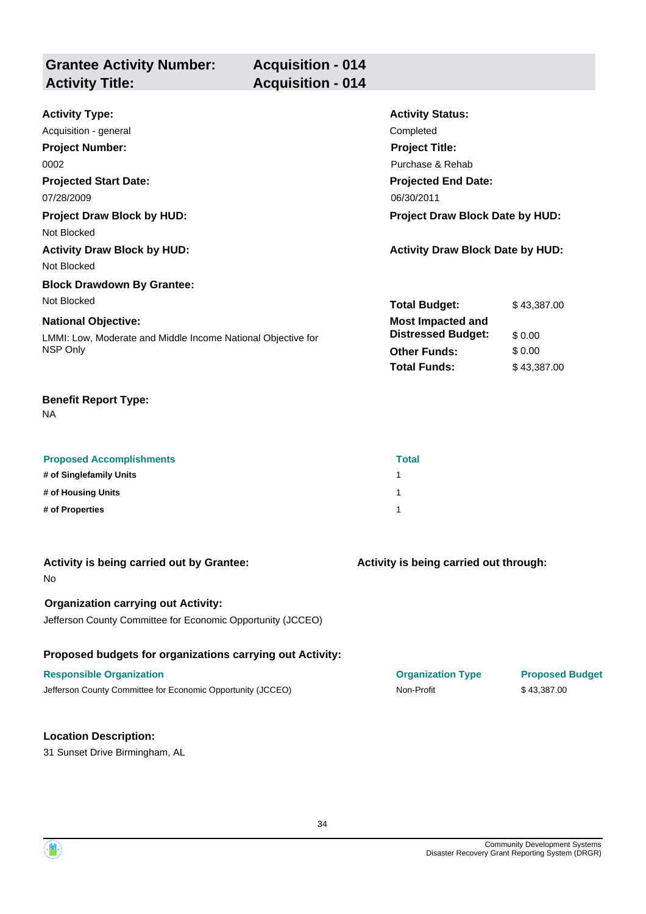| <b>Grantee Activity Number:</b><br><b>Activity Title:</b> | <b>Acquisition - 014</b><br><b>Acquisition - 014</b> |  |
|-----------------------------------------------------------|------------------------------------------------------|--|
| .                                                         | .                                                    |  |

| <b>Activity Type:</b>                                        | <b>Activity Status:</b>                 |             |
|--------------------------------------------------------------|-----------------------------------------|-------------|
| Acquisition - general                                        | Completed                               |             |
| <b>Project Number:</b>                                       | <b>Project Title:</b>                   |             |
| 0002                                                         | Purchase & Rehab                        |             |
| <b>Projected Start Date:</b>                                 | <b>Projected End Date:</b>              |             |
| 07/28/2009                                                   | 06/30/2011                              |             |
| <b>Project Draw Block by HUD:</b>                            | <b>Project Draw Block Date by HUD:</b>  |             |
| Not Blocked                                                  |                                         |             |
| <b>Activity Draw Block by HUD:</b>                           | <b>Activity Draw Block Date by HUD:</b> |             |
| Not Blocked                                                  |                                         |             |
| <b>Block Drawdown By Grantee:</b>                            |                                         |             |
| Not Blocked                                                  | <b>Total Budget:</b>                    | \$43,387.00 |
| <b>National Objective:</b>                                   | <b>Most Impacted and</b>                |             |
| LMMI: Low, Moderate and Middle Income National Objective for | <b>Distressed Budget:</b>               | \$0.00      |
| NSP Only                                                     | <b>Other Funds:</b>                     | \$0.00      |
|                                                              | <b>Total Funds:</b>                     | \$43,387.00 |

| <b>Proposed Accomplishments</b> | Total |
|---------------------------------|-------|
| # of Singlefamily Units         |       |
| # of Housing Units              |       |
| # of Properties                 |       |

| Activity is being carried out by Grantee:<br>No.                                                          | Activity is being carried out through: |                        |
|-----------------------------------------------------------------------------------------------------------|----------------------------------------|------------------------|
| <b>Organization carrying out Activity:</b><br>Jefferson County Committee for Economic Opportunity (JCCEO) |                                        |                        |
| Proposed budgets for organizations carrying out Activity:                                                 |                                        |                        |
| <b>Responsible Organization</b>                                                                           | <b>Organization Type</b>               | <b>Proposed Budget</b> |
| Jefferson County Committee for Economic Opportunity (JCCEO)                                               | Non-Profit                             | \$43,387.00            |
|                                                                                                           |                                        |                        |
| <b>Location Description:</b>                                                                              |                                        |                        |
| 31 Sunset Drive Birmingham, AL                                                                            |                                        |                        |

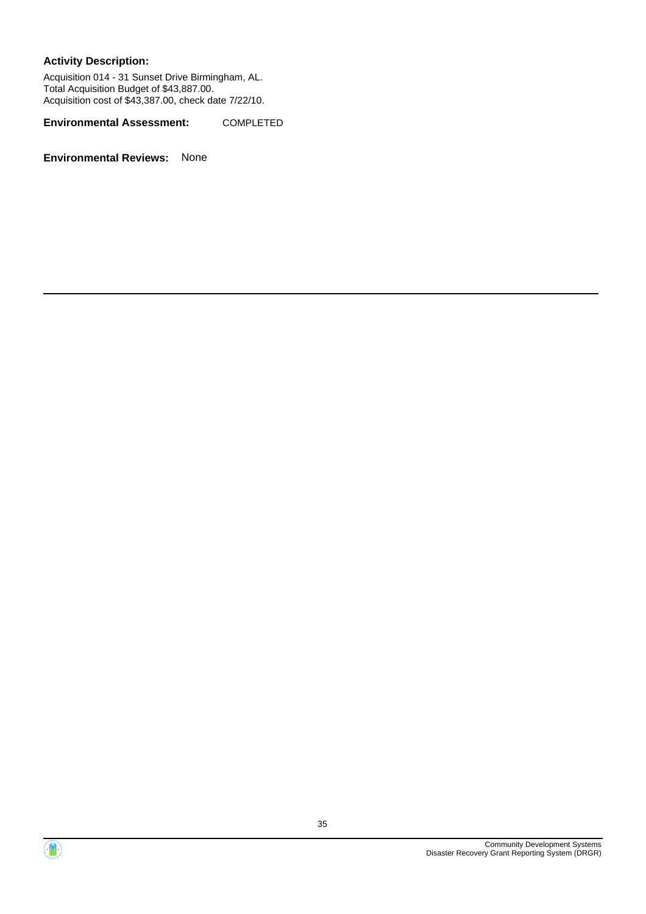Acquisition 014 - 31 Sunset Drive Birmingham, AL. Total Acquisition Budget of \$43,887.00. Acquisition cost of \$43,387.00, check date 7/22/10.

**Environmental Assessment:** COMPLETED



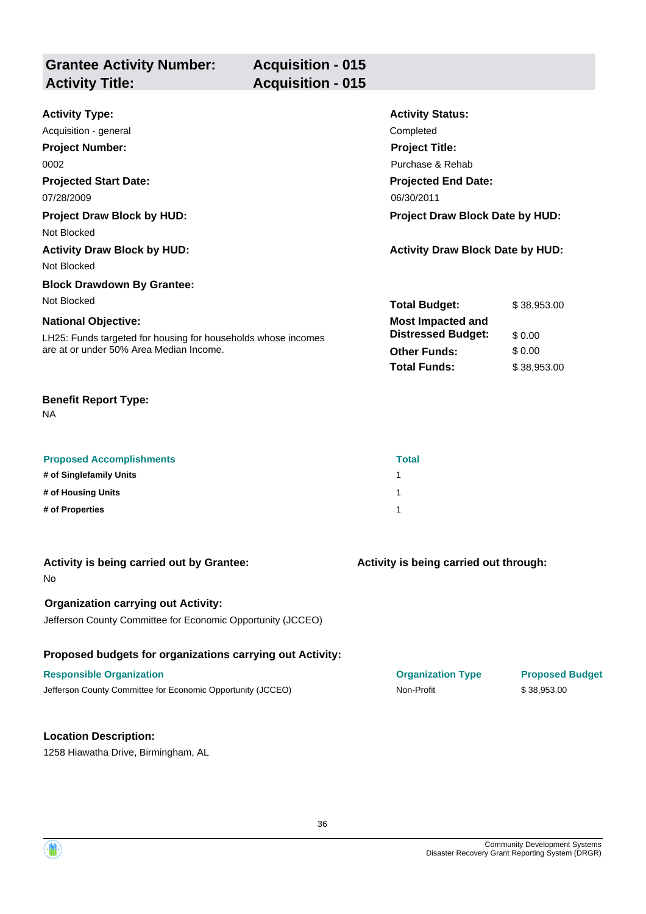| <b>Grantee Activity Number:</b><br><b>Activity Title:</b> | <b>Acquisition - 015</b><br><b>Acquisition - 015</b> |                         |
|-----------------------------------------------------------|------------------------------------------------------|-------------------------|
| <b>Activity Type:</b>                                     |                                                      | <b>Activity Status:</b> |

| Acquisition - general                                         | Completed                               |             |
|---------------------------------------------------------------|-----------------------------------------|-------------|
| <b>Project Number:</b>                                        | <b>Project Title:</b>                   |             |
| 0002                                                          | Purchase & Rehab                        |             |
| <b>Projected Start Date:</b>                                  | <b>Projected End Date:</b>              |             |
| 07/28/2009                                                    | 06/30/2011                              |             |
| <b>Project Draw Block by HUD:</b>                             | Project Draw Block Date by HUD:         |             |
| Not Blocked                                                   |                                         |             |
| <b>Activity Draw Block by HUD:</b>                            | <b>Activity Draw Block Date by HUD:</b> |             |
| Not Blocked                                                   |                                         |             |
| <b>Block Drawdown By Grantee:</b>                             |                                         |             |
| Not Blocked                                                   | <b>Total Budget:</b>                    | \$38,953.00 |
| <b>National Objective:</b>                                    | <b>Most Impacted and</b>                |             |
| LH25: Funds targeted for housing for households whose incomes | <b>Distressed Budget:</b>               | \$0.00      |
| are at or under 50% Area Median Income.                       | <b>Other Funds:</b>                     | \$0.00      |
|                                                               | <b>Total Funds:</b>                     | \$38,953.00 |

| <b>Proposed Accomplishments</b> | Total |
|---------------------------------|-------|
| # of Singlefamily Units         |       |
| # of Housing Units              |       |
| # of Properties                 |       |

| Activity is being carried out by Grantee:<br>No.            | Activity is being carried out through: |                        |
|-------------------------------------------------------------|----------------------------------------|------------------------|
| <b>Organization carrying out Activity:</b>                  |                                        |                        |
| Jefferson County Committee for Economic Opportunity (JCCEO) |                                        |                        |
| Proposed budgets for organizations carrying out Activity:   |                                        |                        |
| <b>Responsible Organization</b>                             | <b>Organization Type</b>               | <b>Proposed Budget</b> |
| Jefferson County Committee for Economic Opportunity (JCCEO) | Non-Profit                             | \$38,953.00            |
|                                                             |                                        |                        |
| <b>Location Description:</b>                                |                                        |                        |
| 1258 Hiawatha Drive, Birmingham, AL                         |                                        |                        |

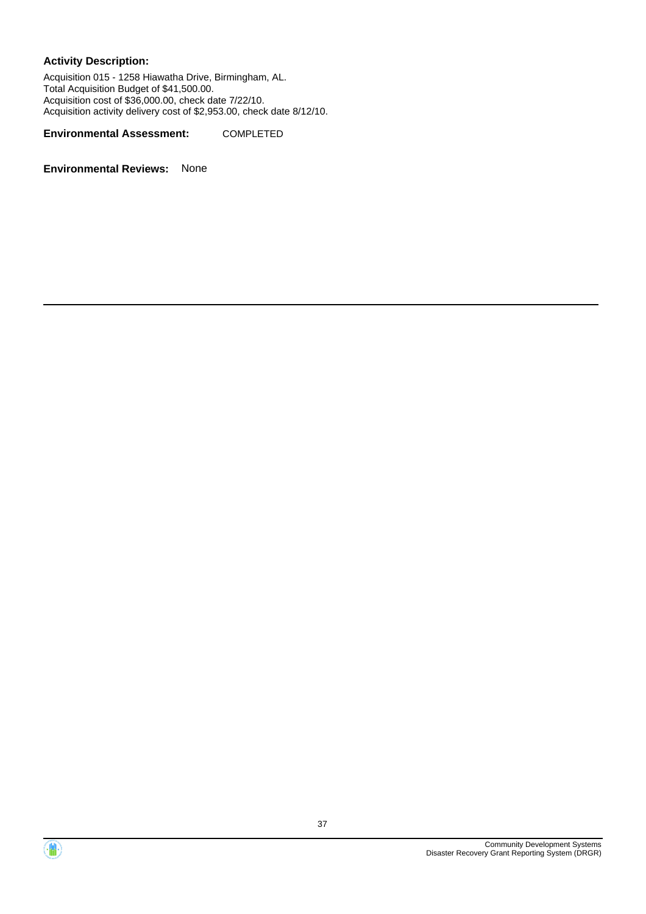Acquisition 015 - 1258 Hiawatha Drive, Birmingham, AL. Total Acquisition Budget of \$41,500.00. Acquisition cost of \$36,000.00, check date 7/22/10. Acquisition activity delivery cost of \$2,953.00, check date 8/12/10.

**Environmental Assessment:** COMPLETED



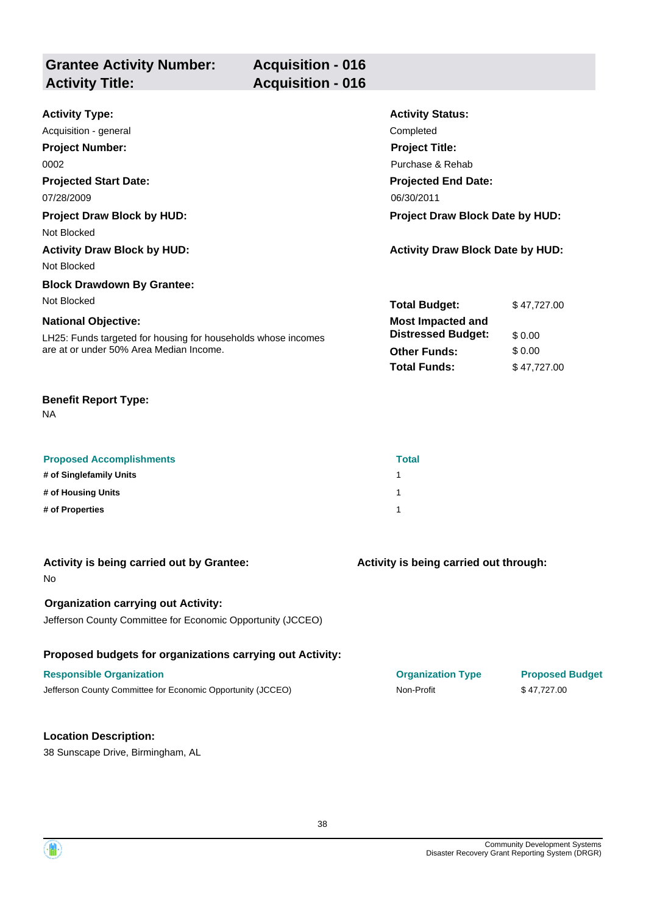| <b>Grantee Activity Number:</b> | <b>Acquisition - 016</b> |
|---------------------------------|--------------------------|
| <b>Activity Title:</b>          | <b>Acquisition - 016</b> |
|                                 |                          |

| <b>Activity Type:</b>                                         | <b>Activity Status:</b>                 |             |
|---------------------------------------------------------------|-----------------------------------------|-------------|
| Acquisition - general                                         | Completed                               |             |
| <b>Project Number:</b>                                        | <b>Project Title:</b>                   |             |
| 0002                                                          | Purchase & Rehab                        |             |
| <b>Projected Start Date:</b>                                  | <b>Projected End Date:</b>              |             |
| 07/28/2009                                                    | 06/30/2011                              |             |
| <b>Project Draw Block by HUD:</b>                             | <b>Project Draw Block Date by HUD:</b>  |             |
| Not Blocked                                                   |                                         |             |
| <b>Activity Draw Block by HUD:</b>                            | <b>Activity Draw Block Date by HUD:</b> |             |
| Not Blocked                                                   |                                         |             |
| <b>Block Drawdown By Grantee:</b>                             |                                         |             |
| Not Blocked                                                   | <b>Total Budget:</b>                    | \$47,727.00 |
| <b>National Objective:</b>                                    | <b>Most Impacted and</b>                |             |
| LH25: Funds targeted for housing for households whose incomes | <b>Distressed Budget:</b>               | \$0.00      |
| are at or under 50% Area Median Income.                       | <b>Other Funds:</b>                     | \$0.00      |
|                                                               | <b>Total Funds:</b>                     | \$47,727.00 |

NA

| <b>Proposed Accomplishments</b> | <b>Total</b> |
|---------------------------------|--------------|
| # of Singlefamily Units         |              |
| # of Housing Units              |              |
| # of Properties                 |              |

| Activity is being carried out by Grantee:<br>No.                                                          | Activity is being carried out through: |                        |
|-----------------------------------------------------------------------------------------------------------|----------------------------------------|------------------------|
| <b>Organization carrying out Activity:</b><br>Jefferson County Committee for Economic Opportunity (JCCEO) |                                        |                        |
| Proposed budgets for organizations carrying out Activity:                                                 |                                        |                        |
| <b>Responsible Organization</b>                                                                           | <b>Organization Type</b>               | <b>Proposed Budget</b> |
| Jefferson County Committee for Economic Opportunity (JCCEO)                                               | Non-Profit                             | \$47,727.00            |
|                                                                                                           |                                        |                        |
| <b>Location Description:</b>                                                                              |                                        |                        |
| 38 Sunscape Drive, Birmingham, AL                                                                         |                                        |                        |

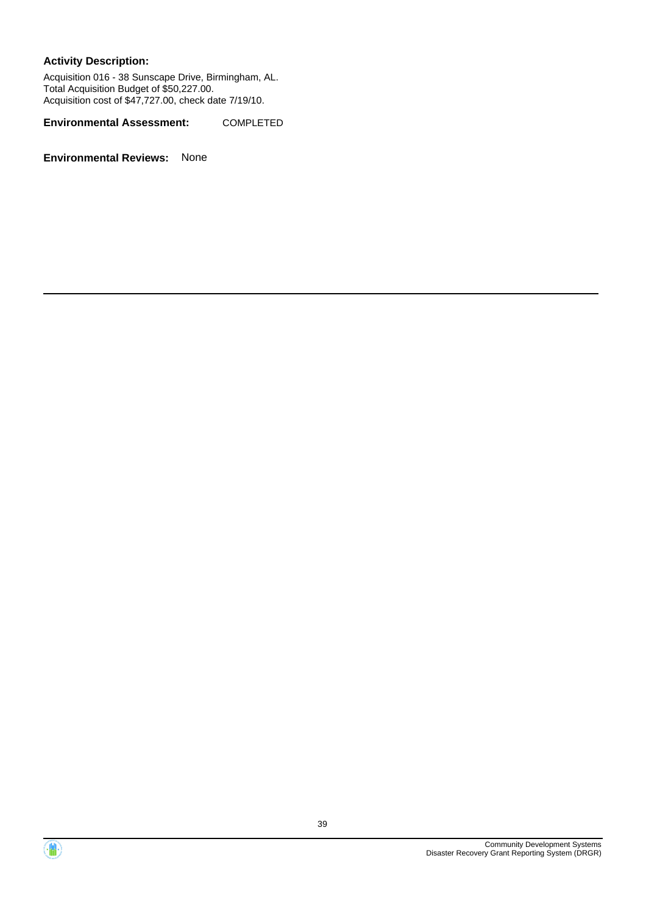Acquisition 016 - 38 Sunscape Drive, Birmingham, AL. Total Acquisition Budget of \$50,227.00. Acquisition cost of \$47,727.00, check date 7/19/10.

**Environmental Assessment:** COMPLETED



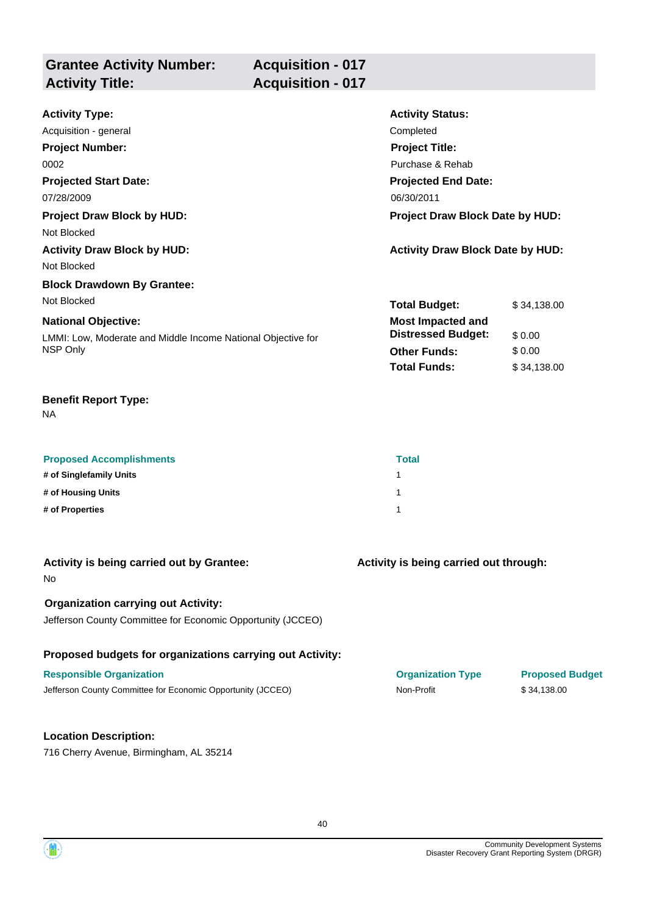| <b>Grantee Activity Number:</b><br><b>Activity Title:</b>                          | <b>Acquisition - 017</b><br><b>Acquisition - 017</b> |  |
|------------------------------------------------------------------------------------|------------------------------------------------------|--|
| Andrett and the company of the second service of the service of the service of the |                                                      |  |

| <b>Activity Type:</b>                                        | <b>Activity Status:</b>                 |             |
|--------------------------------------------------------------|-----------------------------------------|-------------|
| Acquisition - general                                        | Completed                               |             |
| <b>Project Number:</b>                                       | <b>Project Title:</b>                   |             |
| 0002                                                         | Purchase & Rehab                        |             |
| <b>Projected Start Date:</b>                                 | <b>Projected End Date:</b>              |             |
| 07/28/2009                                                   | 06/30/2011                              |             |
| <b>Project Draw Block by HUD:</b>                            | <b>Project Draw Block Date by HUD:</b>  |             |
| Not Blocked                                                  |                                         |             |
| <b>Activity Draw Block by HUD:</b>                           | <b>Activity Draw Block Date by HUD:</b> |             |
| Not Blocked                                                  |                                         |             |
| <b>Block Drawdown By Grantee:</b>                            |                                         |             |
| Not Blocked                                                  | <b>Total Budget:</b>                    | \$34,138.00 |
| <b>National Objective:</b>                                   | <b>Most Impacted and</b>                |             |
| LMMI: Low, Moderate and Middle Income National Objective for | <b>Distressed Budget:</b>               | \$0.00      |
| NSP Only                                                     | <b>Other Funds:</b>                     | \$0.00      |
|                                                              | <b>Total Funds:</b>                     | \$34,138.00 |

NA

| <b>Proposed Accomplishments</b> | Total |
|---------------------------------|-------|
| # of Singlefamily Units         |       |
| # of Housing Units              |       |
| # of Properties                 |       |

| Activity is being carried out by Grantee:<br>No.                                                          | Activity is being carried out through: |                        |
|-----------------------------------------------------------------------------------------------------------|----------------------------------------|------------------------|
| <b>Organization carrying out Activity:</b><br>Jefferson County Committee for Economic Opportunity (JCCEO) |                                        |                        |
| Proposed budgets for organizations carrying out Activity:                                                 |                                        |                        |
| <b>Responsible Organization</b>                                                                           | <b>Organization Type</b>               | <b>Proposed Budget</b> |
| Jefferson County Committee for Economic Opportunity (JCCEO)                                               | Non-Profit                             | \$34,138.00            |
|                                                                                                           |                                        |                        |
| <b>Location Description:</b>                                                                              |                                        |                        |
| 716 Cherry Avenue, Birmingham, AL 35214                                                                   |                                        |                        |

40

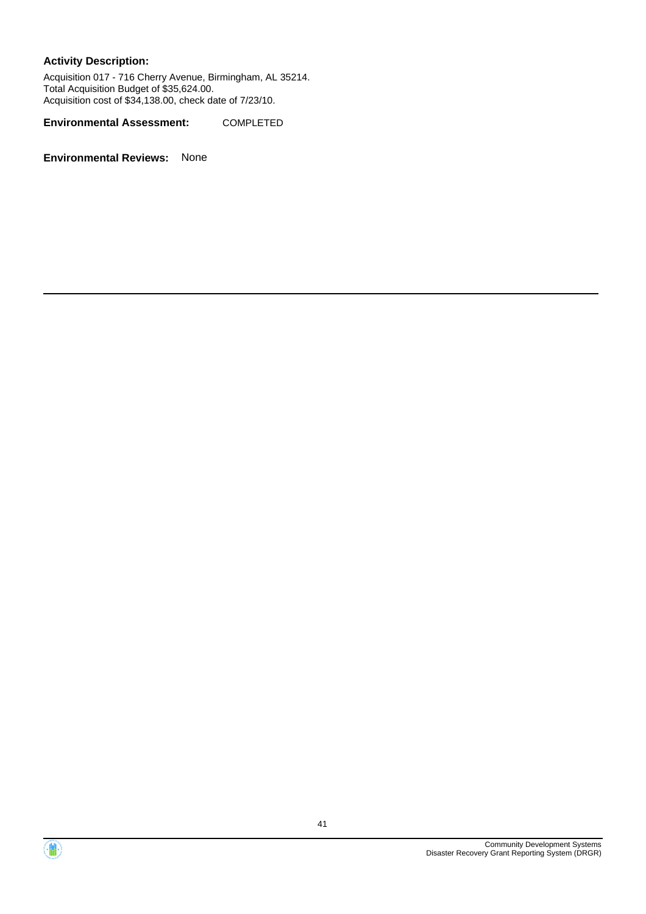Acquisition 017 - 716 Cherry Avenue, Birmingham, AL 35214. Total Acquisition Budget of \$35,624.00. Acquisition cost of \$34,138.00, check date of 7/23/10.

**Environmental Assessment:** COMPLETED



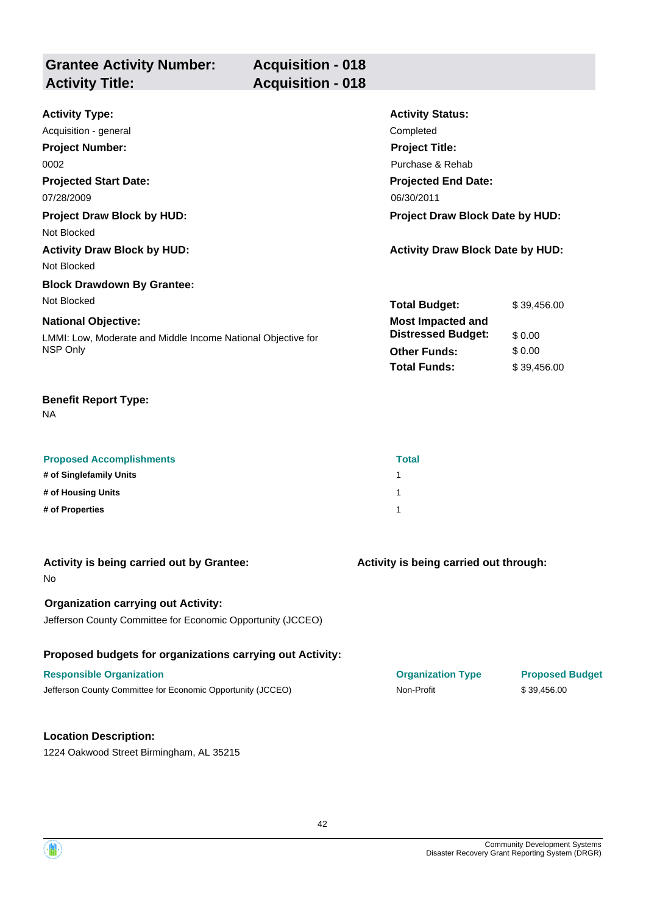| <b>Grantee Activity Number:</b> | <b>Acquisition - 018</b> |
|---------------------------------|--------------------------|
| <b>Activity Title:</b>          | <b>Acquisition - 018</b> |
|                                 |                          |

| <b>Activity Type:</b>                                        | <b>Activity Status:</b>                 |             |
|--------------------------------------------------------------|-----------------------------------------|-------------|
| Acquisition - general                                        | Completed                               |             |
| <b>Project Number:</b>                                       | <b>Project Title:</b>                   |             |
| 0002                                                         | Purchase & Rehab                        |             |
| <b>Projected Start Date:</b>                                 | <b>Projected End Date:</b>              |             |
| 07/28/2009                                                   | 06/30/2011                              |             |
| <b>Project Draw Block by HUD:</b>                            | <b>Project Draw Block Date by HUD:</b>  |             |
| Not Blocked                                                  |                                         |             |
| <b>Activity Draw Block by HUD:</b>                           | <b>Activity Draw Block Date by HUD:</b> |             |
| Not Blocked                                                  |                                         |             |
| <b>Block Drawdown By Grantee:</b>                            |                                         |             |
| Not Blocked                                                  | <b>Total Budget:</b>                    | \$39,456.00 |
| <b>National Objective:</b>                                   | <b>Most Impacted and</b>                |             |
| LMMI: Low, Moderate and Middle Income National Objective for | <b>Distressed Budget:</b>               | \$0.00      |
| NSP Only                                                     | <b>Other Funds:</b>                     | \$0.00      |
|                                                              | <b>Total Funds:</b>                     | \$39,456.00 |

NA

| <b>Proposed Accomplishments</b> | <b>Total</b> |
|---------------------------------|--------------|
| # of Singlefamily Units         |              |
| # of Housing Units              |              |
| # of Properties                 |              |

| Activity is being carried out by Grantee:                                                                 | Activity is being carried out through: |                        |
|-----------------------------------------------------------------------------------------------------------|----------------------------------------|------------------------|
| No.                                                                                                       |                                        |                        |
| <b>Organization carrying out Activity:</b><br>Jefferson County Committee for Economic Opportunity (JCCEO) |                                        |                        |
| Proposed budgets for organizations carrying out Activity:                                                 |                                        |                        |
| <b>Responsible Organization</b>                                                                           | <b>Organization Type</b>               | <b>Proposed Budget</b> |
| Jefferson County Committee for Economic Opportunity (JCCEO)                                               | Non-Profit                             | \$39,456.00            |
|                                                                                                           |                                        |                        |
| <b>Location Description:</b>                                                                              |                                        |                        |

1224 Oakwood Street Birmingham, AL 35215

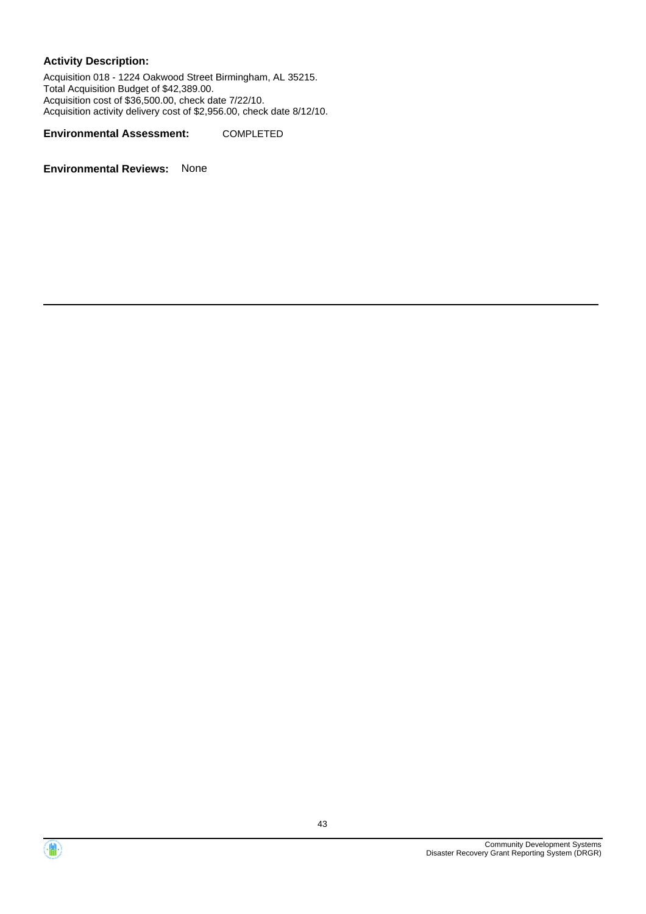Acquisition 018 - 1224 Oakwood Street Birmingham, AL 35215. Total Acquisition Budget of \$42,389.00. Acquisition cost of \$36,500.00, check date 7/22/10. Acquisition activity delivery cost of \$2,956.00, check date 8/12/10.

**Environmental Assessment:** COMPLETED



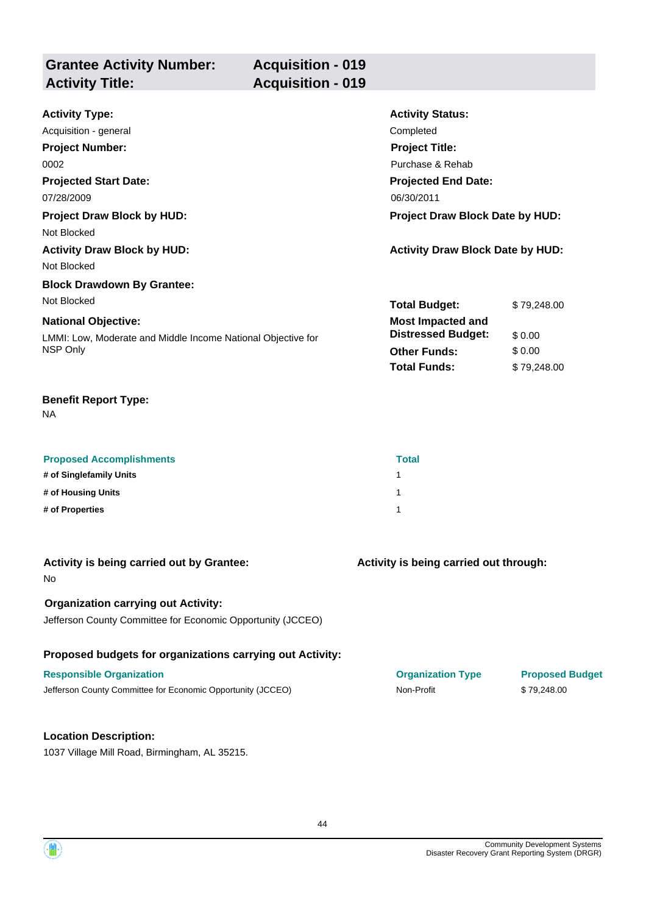| <b>Grantee Activity Number:</b> | <b>Acquisition - 019</b> |
|---------------------------------|--------------------------|
| <b>Activity Title:</b>          | <b>Acquisition - 019</b> |
|                                 |                          |

| <b>Activity Type:</b>                                        | <b>Activity Status:</b>                 |             |
|--------------------------------------------------------------|-----------------------------------------|-------------|
| Acquisition - general                                        | Completed                               |             |
| <b>Project Number:</b>                                       | <b>Project Title:</b>                   |             |
| 0002                                                         | Purchase & Rehab                        |             |
| <b>Projected Start Date:</b>                                 | <b>Projected End Date:</b>              |             |
| 07/28/2009                                                   | 06/30/2011                              |             |
| <b>Project Draw Block by HUD:</b>                            | <b>Project Draw Block Date by HUD:</b>  |             |
| Not Blocked                                                  |                                         |             |
| <b>Activity Draw Block by HUD:</b>                           | <b>Activity Draw Block Date by HUD:</b> |             |
| Not Blocked                                                  |                                         |             |
| <b>Block Drawdown By Grantee:</b>                            |                                         |             |
| Not Blocked                                                  | <b>Total Budget:</b>                    | \$79,248.00 |
| <b>National Objective:</b>                                   | <b>Most Impacted and</b>                |             |
| LMMI: Low, Moderate and Middle Income National Objective for | <b>Distressed Budget:</b>               | \$0.00      |
| NSP Only                                                     | <b>Other Funds:</b>                     | \$0.00      |
|                                                              | <b>Total Funds:</b>                     | \$79,248.00 |

NA

| <b>Proposed Accomplishments</b> | <b>Total</b> |
|---------------------------------|--------------|
| # of Singlefamily Units         |              |
| # of Housing Units              |              |
| # of Properties                 |              |

| Activity is being carried out by Grantee:<br><b>No</b>                                                    | Activity is being carried out through: |                        |
|-----------------------------------------------------------------------------------------------------------|----------------------------------------|------------------------|
| <b>Organization carrying out Activity:</b><br>Jefferson County Committee for Economic Opportunity (JCCEO) |                                        |                        |
| Proposed budgets for organizations carrying out Activity:                                                 |                                        |                        |
| <b>Responsible Organization</b>                                                                           | <b>Organization Type</b>               | <b>Proposed Budget</b> |
| Jefferson County Committee for Economic Opportunity (JCCEO)                                               | Non-Profit                             | \$79,248,00            |
|                                                                                                           |                                        |                        |
| <b>Location Description:</b>                                                                              |                                        |                        |

1037 Village Mill Road, Birmingham, AL 35215.

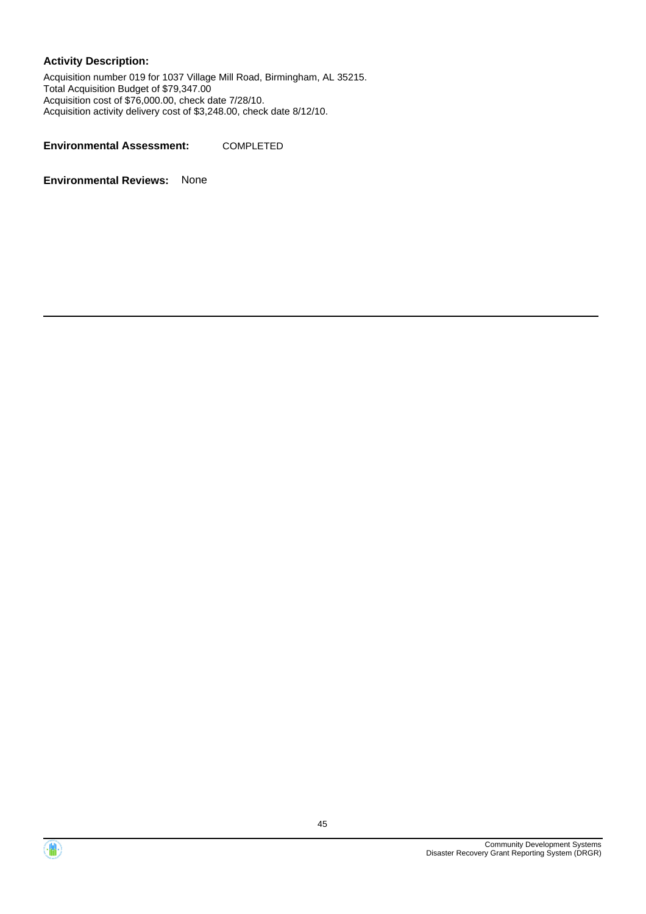Acquisition number 019 for 1037 Village Mill Road, Birmingham, AL 35215. Total Acquisition Budget of \$79,347.00 Acquisition cost of \$76,000.00, check date 7/28/10. Acquisition activity delivery cost of \$3,248.00, check date 8/12/10.

**Environmental Assessment:** COMPLETED



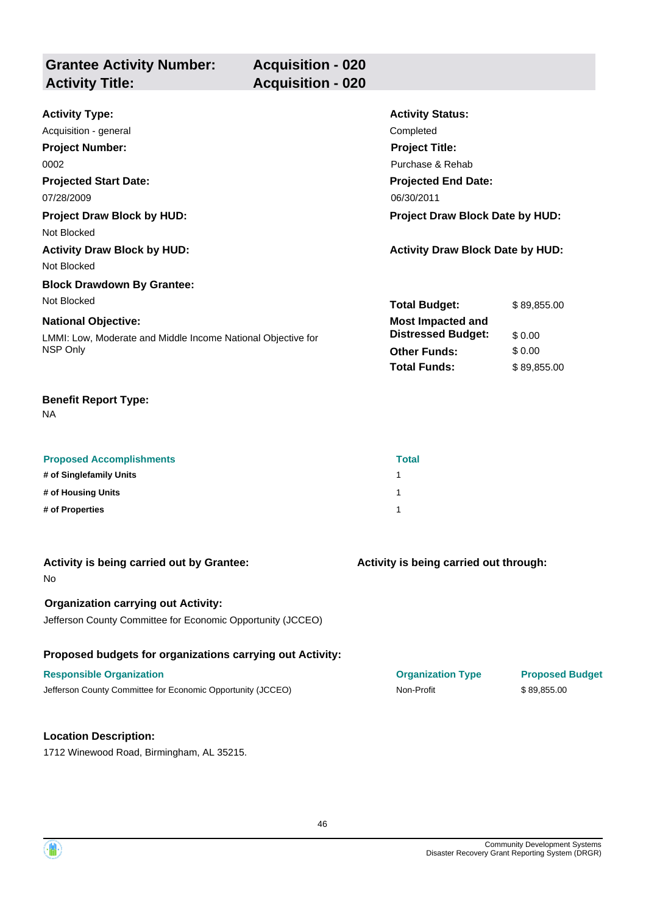| <b>Grantee Activity Number:</b> | <b>Acquisition - 020</b> |
|---------------------------------|--------------------------|
| <b>Activity Title:</b>          | <b>Acquisition - 020</b> |
|                                 |                          |

| <b>Activity Type:</b>                                        | <b>Activity Status:</b>                 |             |
|--------------------------------------------------------------|-----------------------------------------|-------------|
| Acquisition - general                                        | Completed                               |             |
| <b>Project Number:</b>                                       | <b>Project Title:</b>                   |             |
| 0002                                                         | Purchase & Rehab                        |             |
| <b>Projected Start Date:</b>                                 | <b>Projected End Date:</b>              |             |
| 07/28/2009                                                   | 06/30/2011                              |             |
| <b>Project Draw Block by HUD:</b>                            | <b>Project Draw Block Date by HUD:</b>  |             |
| Not Blocked                                                  |                                         |             |
| <b>Activity Draw Block by HUD:</b>                           | <b>Activity Draw Block Date by HUD:</b> |             |
| Not Blocked                                                  |                                         |             |
| <b>Block Drawdown By Grantee:</b>                            |                                         |             |
| Not Blocked                                                  | <b>Total Budget:</b>                    | \$89,855.00 |
| <b>National Objective:</b>                                   | <b>Most Impacted and</b>                |             |
| LMMI: Low, Moderate and Middle Income National Objective for | <b>Distressed Budget:</b>               | \$0.00      |
| NSP Only                                                     | <b>Other Funds:</b>                     | \$0.00      |
|                                                              | <b>Total Funds:</b>                     | \$89,855.00 |

NA

| <b>Proposed Accomplishments</b> | <b>Total</b> |
|---------------------------------|--------------|
| # of Singlefamily Units         |              |
| # of Housing Units              |              |
| # of Properties                 |              |

| Activity is being carried out by Grantee:<br>No.                                                          | Activity is being carried out through: |                        |
|-----------------------------------------------------------------------------------------------------------|----------------------------------------|------------------------|
| <b>Organization carrying out Activity:</b><br>Jefferson County Committee for Economic Opportunity (JCCEO) |                                        |                        |
| Proposed budgets for organizations carrying out Activity:                                                 |                                        |                        |
| <b>Responsible Organization</b>                                                                           | <b>Organization Type</b>               | <b>Proposed Budget</b> |
| Jefferson County Committee for Economic Opportunity (JCCEO)                                               | Non-Profit                             | \$89,855.00            |
|                                                                                                           |                                        |                        |
| <b>Location Description:</b>                                                                              |                                        |                        |

1712 Winewood Road, Birmingham, AL 35215.

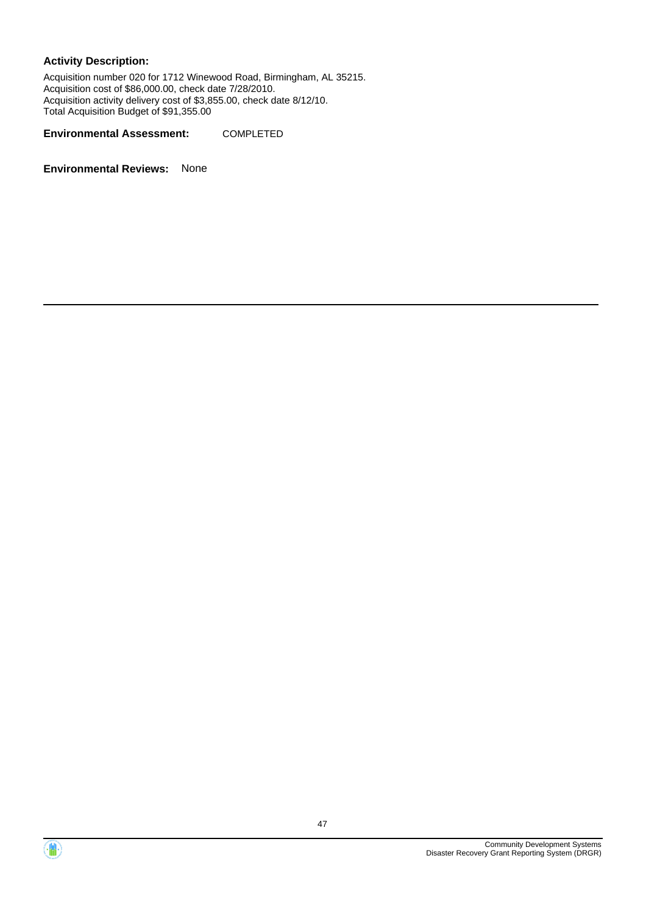Acquisition number 020 for 1712 Winewood Road, Birmingham, AL 35215. Acquisition cost of \$86,000.00, check date 7/28/2010. Acquisition activity delivery cost of \$3,855.00, check date 8/12/10. Total Acquisition Budget of \$91,355.00

**Environmental Assessment:** COMPLETED



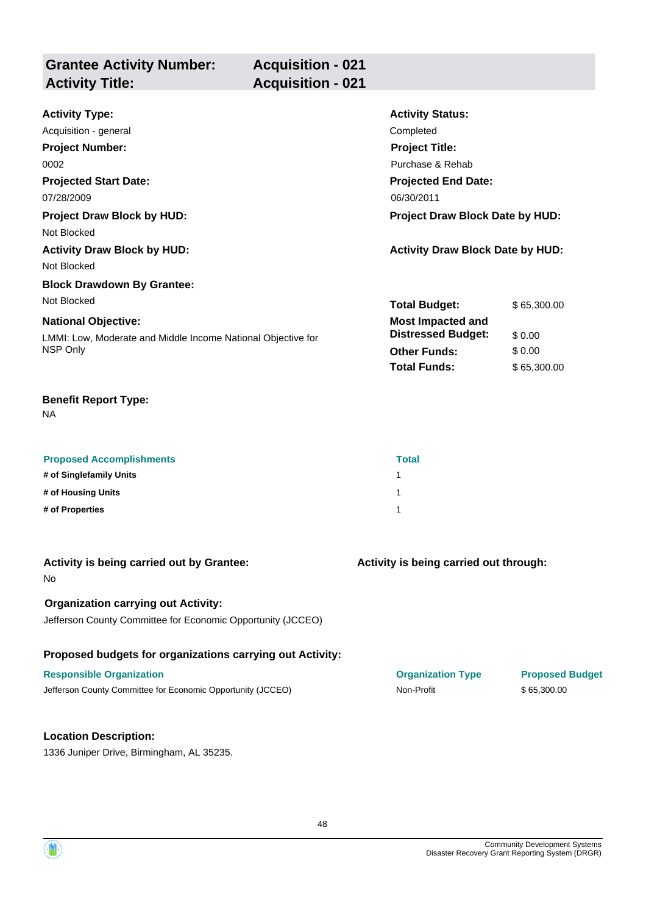| <b>Grantee Activity Number:</b> | <b>Acquisition - 021</b> |
|---------------------------------|--------------------------|
| <b>Activity Title:</b>          | <b>Acquisition - 021</b> |
|                                 |                          |

| <b>Activity Type:</b>                                        | <b>Activity Status:</b>                 |             |
|--------------------------------------------------------------|-----------------------------------------|-------------|
| Acquisition - general                                        | Completed                               |             |
| <b>Project Number:</b>                                       | <b>Project Title:</b>                   |             |
| 0002                                                         | Purchase & Rehab                        |             |
| <b>Projected Start Date:</b>                                 | <b>Projected End Date:</b>              |             |
| 07/28/2009                                                   | 06/30/2011                              |             |
| <b>Project Draw Block by HUD:</b>                            | Project Draw Block Date by HUD:         |             |
| Not Blocked                                                  |                                         |             |
| <b>Activity Draw Block by HUD:</b>                           | <b>Activity Draw Block Date by HUD:</b> |             |
| Not Blocked                                                  |                                         |             |
| <b>Block Drawdown By Grantee:</b>                            |                                         |             |
| Not Blocked                                                  | <b>Total Budget:</b>                    | \$65,300.00 |
| <b>National Objective:</b>                                   | <b>Most Impacted and</b>                |             |
| LMMI: Low, Moderate and Middle Income National Objective for | <b>Distressed Budget:</b>               | \$0.00      |
| NSP Only                                                     | <b>Other Funds:</b>                     | \$0.00      |
|                                                              | <b>Total Funds:</b>                     | \$65,300.00 |

NA

| <b>Proposed Accomplishments</b> | <b>Total</b> |
|---------------------------------|--------------|
| # of Singlefamily Units         |              |
| # of Housing Units              |              |
| # of Properties                 |              |

| Activity is being carried out by Grantee:<br>No.                                                          | Activity is being carried out through: |                        |
|-----------------------------------------------------------------------------------------------------------|----------------------------------------|------------------------|
| <b>Organization carrying out Activity:</b><br>Jefferson County Committee for Economic Opportunity (JCCEO) |                                        |                        |
| Proposed budgets for organizations carrying out Activity:                                                 |                                        |                        |
| <b>Responsible Organization</b>                                                                           | <b>Organization Type</b>               | <b>Proposed Budget</b> |
| Jefferson County Committee for Economic Opportunity (JCCEO)                                               | Non-Profit                             | \$65,300.00            |
| <b>Location Description:</b>                                                                              |                                        |                        |
| 1336 Juniper Drive, Birmingham, AL 35235.                                                                 |                                        |                        |

48

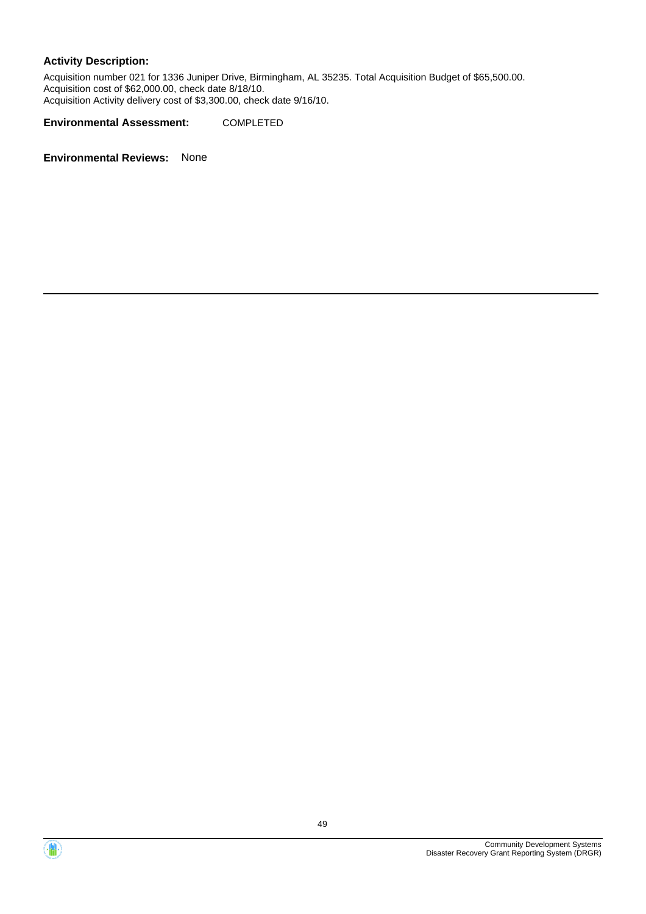Acquisition number 021 for 1336 Juniper Drive, Birmingham, AL 35235. Total Acquisition Budget of \$65,500.00. Acquisition cost of \$62,000.00, check date 8/18/10. Acquisition Activity delivery cost of \$3,300.00, check date 9/16/10.

**Environmental Assessment:** COMPLETED



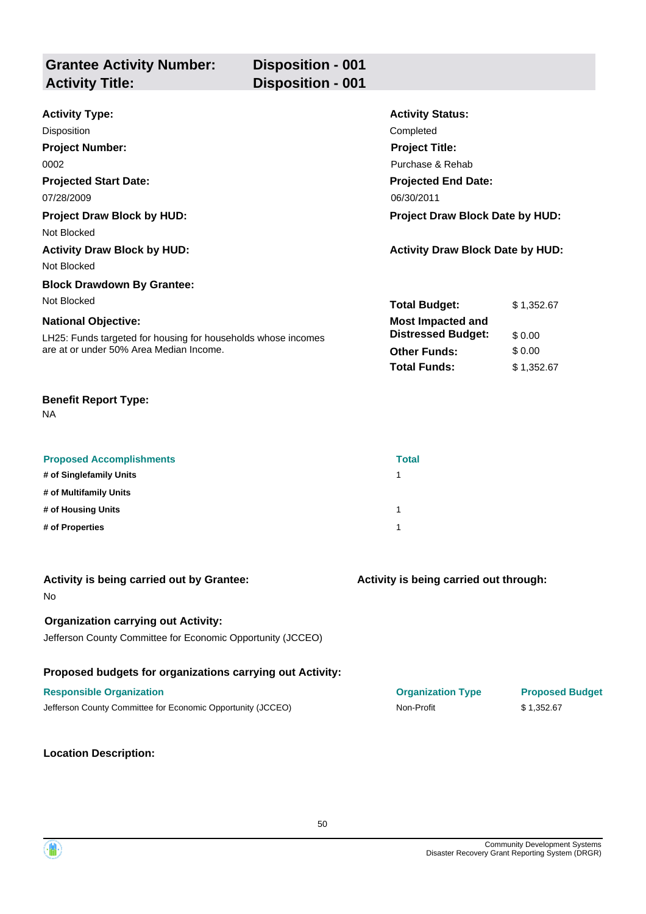| <b>Grantee Activity Number:</b><br><b>Activity Title:</b> | <b>Disposition - 001</b><br><b>Disposition - 001</b> |                  |
|-----------------------------------------------------------|------------------------------------------------------|------------------|
| 8 a thrithr Thread                                        |                                                      | Antivity Clatus. |

| <b>Activity Type:</b>                                         | <b>Activity Status:</b>                 |            |
|---------------------------------------------------------------|-----------------------------------------|------------|
| Disposition                                                   | Completed                               |            |
| <b>Project Number:</b>                                        | <b>Project Title:</b>                   |            |
| 0002                                                          | Purchase & Rehab                        |            |
| <b>Projected Start Date:</b>                                  | <b>Projected End Date:</b>              |            |
| 07/28/2009                                                    | 06/30/2011                              |            |
| <b>Project Draw Block by HUD:</b>                             | <b>Project Draw Block Date by HUD:</b>  |            |
| Not Blocked                                                   |                                         |            |
| <b>Activity Draw Block by HUD:</b>                            | <b>Activity Draw Block Date by HUD:</b> |            |
| Not Blocked                                                   |                                         |            |
| <b>Block Drawdown By Grantee:</b>                             |                                         |            |
| Not Blocked                                                   | <b>Total Budget:</b>                    | \$1,352.67 |
| <b>National Objective:</b>                                    | <b>Most Impacted and</b>                |            |
| LH25: Funds targeted for housing for households whose incomes | <b>Distressed Budget:</b>               | \$0.00     |
| are at or under 50% Area Median Income.                       | <b>Other Funds:</b>                     | \$0.00     |
|                                                               | <b>Total Funds:</b>                     | \$1,352.67 |

NA

| <b>Proposed Accomplishments</b> | <b>Total</b> |
|---------------------------------|--------------|
| # of Singlefamily Units         |              |
| # of Multifamily Units          |              |
| # of Housing Units              |              |
| # of Properties                 |              |

| Activity is being carried out by Grantee:<br>No.                                                          | Activity is being carried out through: |                        |
|-----------------------------------------------------------------------------------------------------------|----------------------------------------|------------------------|
| <b>Organization carrying out Activity:</b><br>Jefferson County Committee for Economic Opportunity (JCCEO) |                                        |                        |
| Proposed budgets for organizations carrying out Activity:                                                 |                                        |                        |
| <b>Responsible Organization</b>                                                                           | <b>Organization Type</b>               | <b>Proposed Budget</b> |
| Jefferson County Committee for Economic Opportunity (JCCEO)                                               | Non-Profit                             | \$1,352.67             |
|                                                                                                           |                                        |                        |

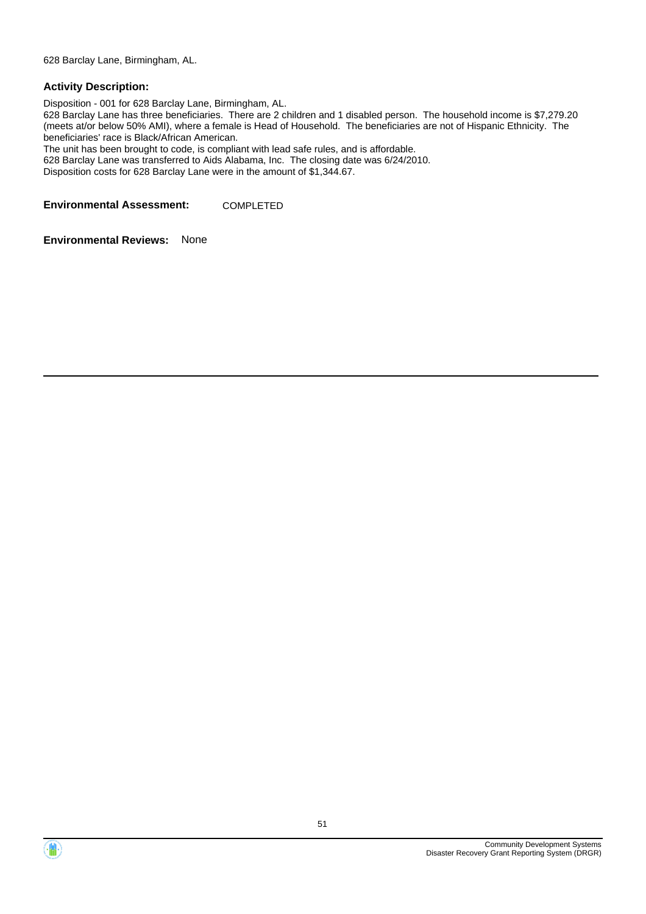628 Barclay Lane, Birmingham, AL.

#### **Activity Description:**

Disposition - 001 for 628 Barclay Lane, Birmingham, AL. 628 Barclay Lane has three beneficiaries. There are 2 children and 1 disabled person. The household income is \$7,279.20 (meets at/or below 50% AMI), where a female is Head of Household. The beneficiaries are not of Hispanic Ethnicity. The beneficiaries' race is Black/African American. The unit has been brought to code, is compliant with lead safe rules, and is affordable. 628 Barclay Lane was transferred to Aids Alabama, Inc. The closing date was 6/24/2010. Disposition costs for 628 Barclay Lane were in the amount of \$1,344.67.

**Environmental Assessment:** COMPLETED



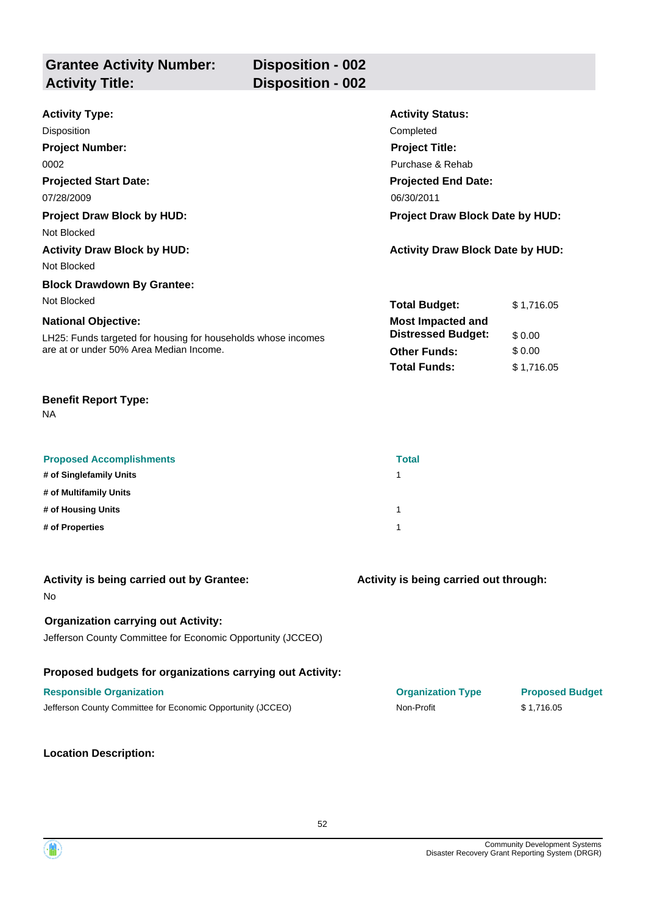| <b>Grantee Activity Number:</b><br><b>Activity Title:</b> | <b>Disposition - 002</b><br>Disposition - 002 |                  |
|-----------------------------------------------------------|-----------------------------------------------|------------------|
| 0.04iwi4w Twaa                                            |                                               | Antivity Ctatues |

| <b>Activity Type:</b>                                         | <b>Activity Status:</b>                 |            |
|---------------------------------------------------------------|-----------------------------------------|------------|
| Disposition                                                   | Completed                               |            |
| <b>Project Number:</b>                                        | <b>Project Title:</b>                   |            |
| 0002                                                          | Purchase & Rehab                        |            |
| <b>Projected Start Date:</b>                                  | <b>Projected End Date:</b>              |            |
| 07/28/2009                                                    | 06/30/2011                              |            |
| <b>Project Draw Block by HUD:</b>                             | <b>Project Draw Block Date by HUD:</b>  |            |
| Not Blocked                                                   |                                         |            |
| <b>Activity Draw Block by HUD:</b>                            | <b>Activity Draw Block Date by HUD:</b> |            |
| Not Blocked                                                   |                                         |            |
| <b>Block Drawdown By Grantee:</b>                             |                                         |            |
| Not Blocked                                                   | <b>Total Budget:</b>                    | \$1,716.05 |
| <b>National Objective:</b>                                    | <b>Most Impacted and</b>                |            |
| LH25: Funds targeted for housing for households whose incomes | <b>Distressed Budget:</b>               | \$0.00     |
| are at or under 50% Area Median Income.                       | <b>Other Funds:</b>                     | \$0.00     |
|                                                               | <b>Total Funds:</b>                     | \$1,716.05 |

NA

| <b>Proposed Accomplishments</b> | <b>Total</b> |
|---------------------------------|--------------|
| # of Singlefamily Units         |              |
| # of Multifamily Units          |              |
| # of Housing Units              |              |
| # of Properties                 |              |

| Activity is being carried out by Grantee:<br><b>No</b>                                                    | Activity is being carried out through: |                        |
|-----------------------------------------------------------------------------------------------------------|----------------------------------------|------------------------|
| <b>Organization carrying out Activity:</b><br>Jefferson County Committee for Economic Opportunity (JCCEO) |                                        |                        |
| Proposed budgets for organizations carrying out Activity:                                                 |                                        |                        |
| <b>Responsible Organization</b>                                                                           | <b>Organization Type</b>               | <b>Proposed Budget</b> |
| Jefferson County Committee for Economic Opportunity (JCCEO)                                               | Non-Profit                             | \$1.716.05             |

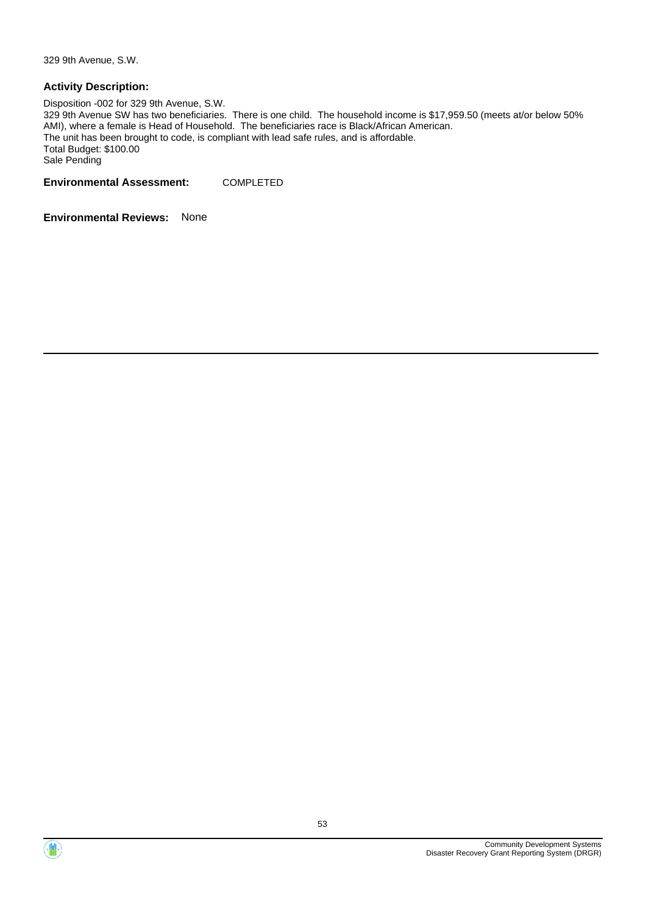329 9th Avenue, S.W.

#### **Activity Description:**

Disposition -002 for 329 9th Avenue, S.W. 329 9th Avenue SW has two beneficiaries. There is one child. The household income is \$17,959.50 (meets at/or below 50% AMI), where a female is Head of Household. The beneficiaries race is Black/African American. The unit has been brought to code, is compliant with lead safe rules, and is affordable. Total Budget: \$100.00 Sale Pending

**Environmental Assessment:** COMPLETED

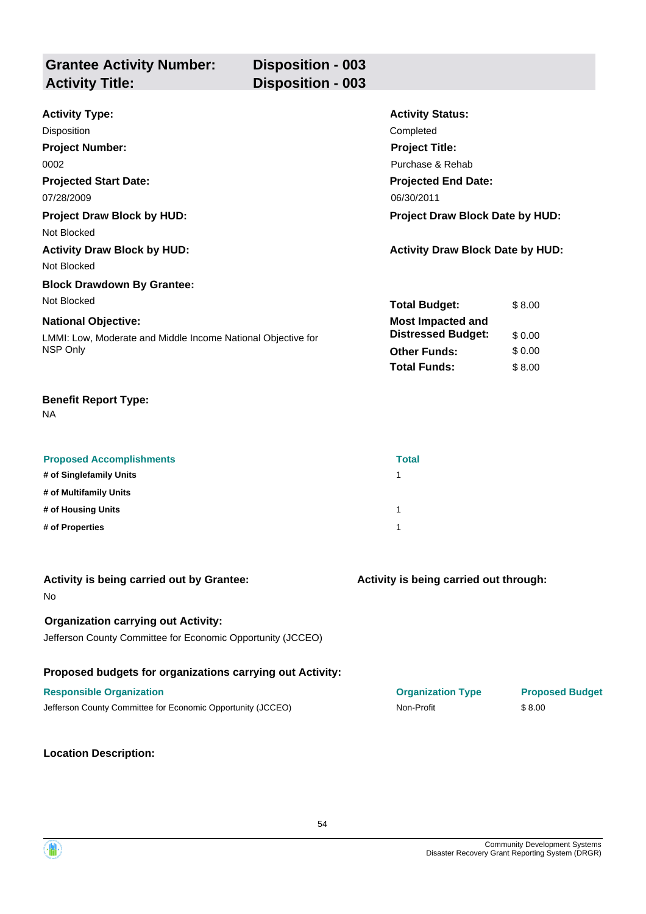| <b>Grantee Activity Number:</b> | <b>Disposition - 003</b> |
|---------------------------------|--------------------------|
| <b>Activity Title:</b>          | <b>Disposition - 003</b> |
|                                 |                          |

| <b>Activity Type:</b>                                        | <b>Activity Status:</b>                 |        |  |
|--------------------------------------------------------------|-----------------------------------------|--------|--|
| Disposition                                                  | Completed                               |        |  |
| <b>Project Number:</b>                                       | <b>Project Title:</b>                   |        |  |
| 0002                                                         | Purchase & Rehab                        |        |  |
| <b>Projected Start Date:</b>                                 | <b>Projected End Date:</b>              |        |  |
| 07/28/2009                                                   | 06/30/2011                              |        |  |
| <b>Project Draw Block by HUD:</b>                            | <b>Project Draw Block Date by HUD:</b>  |        |  |
| Not Blocked                                                  |                                         |        |  |
| <b>Activity Draw Block by HUD:</b>                           | <b>Activity Draw Block Date by HUD:</b> |        |  |
| Not Blocked                                                  |                                         |        |  |
| <b>Block Drawdown By Grantee:</b>                            |                                         |        |  |
| Not Blocked                                                  | <b>Total Budget:</b>                    | \$8.00 |  |
| <b>National Objective:</b>                                   | <b>Most Impacted and</b>                |        |  |
| LMMI: Low, Moderate and Middle Income National Objective for | <b>Distressed Budget:</b>               | \$0.00 |  |
| NSP Only                                                     | <b>Other Funds:</b>                     | \$0.00 |  |
|                                                              | <b>Total Funds:</b>                     | \$8.00 |  |

NA

| <b>Proposed Accomplishments</b> | <b>Total</b> |
|---------------------------------|--------------|
| # of Singlefamily Units         |              |
| # of Multifamily Units          |              |
| # of Housing Units              |              |
| # of Properties                 |              |

| Activity is being carried out by Grantee:<br><b>No</b>                                                    | Activity is being carried out through: |                        |
|-----------------------------------------------------------------------------------------------------------|----------------------------------------|------------------------|
| <b>Organization carrying out Activity:</b><br>Jefferson County Committee for Economic Opportunity (JCCEO) |                                        |                        |
| Proposed budgets for organizations carrying out Activity:                                                 |                                        |                        |
| <b>Responsible Organization</b>                                                                           | <b>Organization Type</b>               | <b>Proposed Budget</b> |
| Jefferson County Committee for Economic Opportunity (JCCEO)                                               | Non-Profit                             | \$8.00                 |

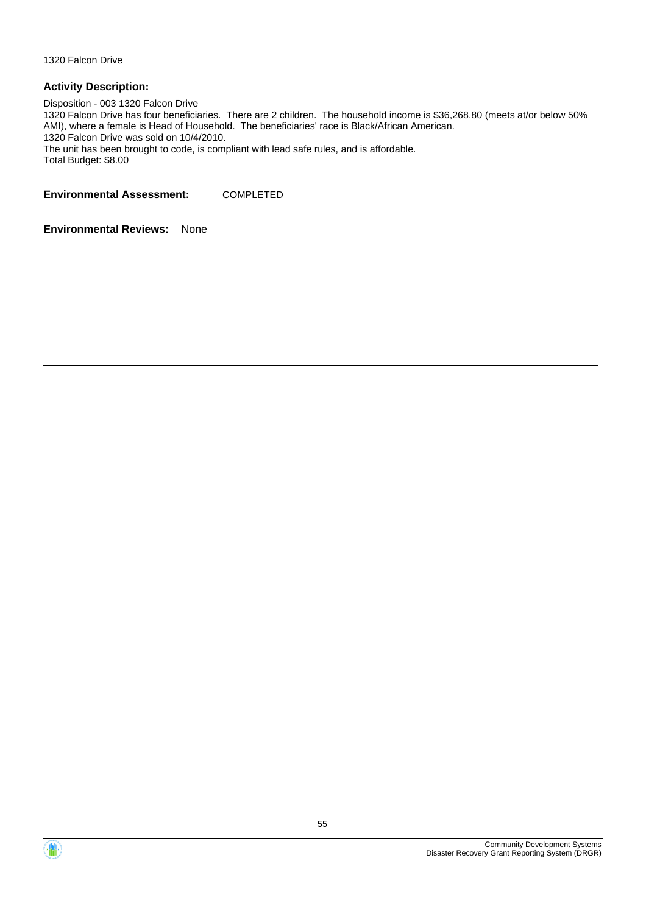1320 Falcon Drive

#### **Activity Description:**

Disposition - 003 1320 Falcon Drive 1320 Falcon Drive has four beneficiaries. There are 2 children. The household income is \$36,268.80 (meets at/or below 50% AMI), where a female is Head of Household. The beneficiaries' race is Black/African American. 1320 Falcon Drive was sold on 10/4/2010. The unit has been brought to code, is compliant with lead safe rules, and is affordable. Total Budget: \$8.00

**Environmental Assessment:** COMPLETED



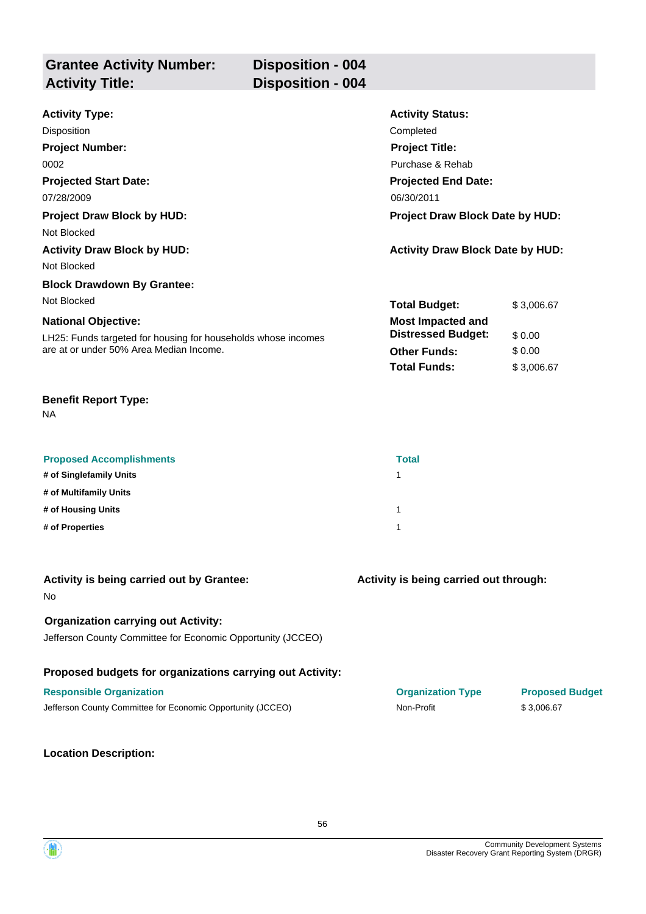| <b>Grantee Activity Number:</b> | Disposition - 004        |
|---------------------------------|--------------------------|
| <b>Activity Title:</b>          | <b>Disposition - 004</b> |
|                                 |                          |

| <b>Activity Type:</b>                                                                                    | <b>Activity Status:</b>                 |            |
|----------------------------------------------------------------------------------------------------------|-----------------------------------------|------------|
| Disposition                                                                                              | Completed                               |            |
| <b>Project Number:</b>                                                                                   | <b>Project Title:</b>                   |            |
| 0002                                                                                                     | Purchase & Rehab                        |            |
| <b>Projected Start Date:</b>                                                                             | <b>Projected End Date:</b>              |            |
| 07/28/2009                                                                                               | 06/30/2011                              |            |
| <b>Project Draw Block by HUD:</b>                                                                        | <b>Project Draw Block Date by HUD:</b>  |            |
| Not Blocked                                                                                              |                                         |            |
| <b>Activity Draw Block by HUD:</b>                                                                       | <b>Activity Draw Block Date by HUD:</b> |            |
| Not Blocked                                                                                              |                                         |            |
| <b>Block Drawdown By Grantee:</b>                                                                        |                                         |            |
| Not Blocked                                                                                              | <b>Total Budget:</b>                    | \$3,006.67 |
| <b>National Objective:</b>                                                                               | <b>Most Impacted and</b>                |            |
| LH25: Funds targeted for housing for households whose incomes<br>are at or under 50% Area Median Income. | <b>Distressed Budget:</b>               | \$0.00     |
|                                                                                                          | <b>Other Funds:</b>                     | \$0.00     |
|                                                                                                          | <b>Total Funds:</b>                     | \$3,006.67 |

NA

| <b>Proposed Accomplishments</b> | <b>Total</b> |
|---------------------------------|--------------|
| # of Singlefamily Units         |              |
| # of Multifamily Units          |              |
| # of Housing Units              |              |
| # of Properties                 |              |

| Activity is being carried out by Grantee:<br><b>No</b>                                                    | Activity is being carried out through: |                        |
|-----------------------------------------------------------------------------------------------------------|----------------------------------------|------------------------|
| <b>Organization carrying out Activity:</b><br>Jefferson County Committee for Economic Opportunity (JCCEO) |                                        |                        |
| Proposed budgets for organizations carrying out Activity:                                                 |                                        |                        |
| <b>Responsible Organization</b>                                                                           | <b>Organization Type</b>               | <b>Proposed Budget</b> |
| Jefferson County Committee for Economic Opportunity (JCCEO)                                               | Non-Profit                             | \$3.006.67             |
|                                                                                                           |                                        |                        |

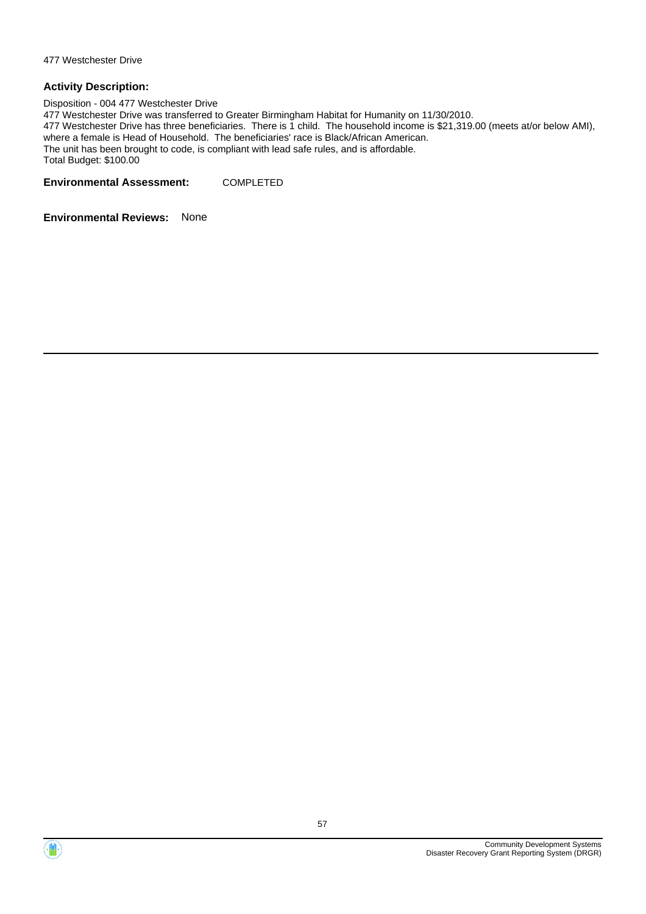Disposition - 004 477 Westchester Drive 477 Westchester Drive was transferred to Greater Birmingham Habitat for Humanity on 11/30/2010. 477 Westchester Drive has three beneficiaries. There is 1 child. The household income is \$21,319.00 (meets at/or below AMI), where a female is Head of Household. The beneficiaries' race is Black/African American. The unit has been brought to code, is compliant with lead safe rules, and is affordable. Total Budget: \$100.00

**Environmental Assessment:** COMPLETED



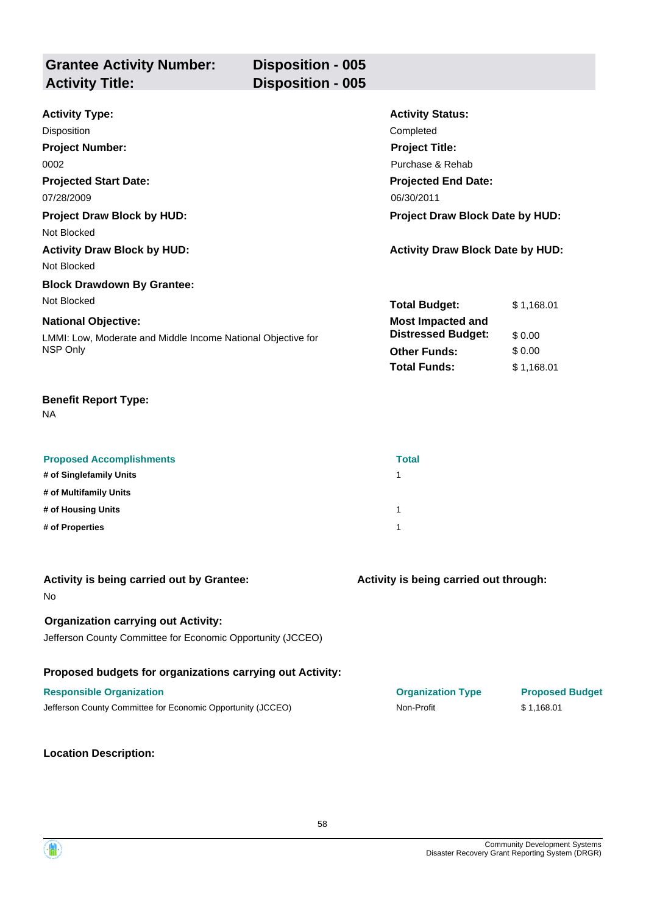| <b>Grantee Activity Number:</b> | <b>Disposition - 005</b> |
|---------------------------------|--------------------------|
| <b>Activity Title:</b>          | <b>Disposition - 005</b> |
|                                 |                          |

| <b>Activity Type:</b>                                        | <b>Activity Status:</b>                 |            |  |
|--------------------------------------------------------------|-----------------------------------------|------------|--|
| Disposition                                                  | Completed                               |            |  |
| <b>Project Number:</b>                                       | <b>Project Title:</b>                   |            |  |
| 0002                                                         | Purchase & Rehab                        |            |  |
| <b>Projected Start Date:</b>                                 | <b>Projected End Date:</b>              |            |  |
| 07/28/2009                                                   | 06/30/2011                              |            |  |
| <b>Project Draw Block by HUD:</b>                            | Project Draw Block Date by HUD:         |            |  |
| Not Blocked                                                  |                                         |            |  |
| <b>Activity Draw Block by HUD:</b>                           | <b>Activity Draw Block Date by HUD:</b> |            |  |
| Not Blocked                                                  |                                         |            |  |
| <b>Block Drawdown By Grantee:</b>                            |                                         |            |  |
| Not Blocked                                                  | <b>Total Budget:</b>                    | \$1,168.01 |  |
| <b>National Objective:</b>                                   | <b>Most Impacted and</b>                |            |  |
| LMMI: Low, Moderate and Middle Income National Objective for | <b>Distressed Budget:</b>               | \$0.00     |  |
| NSP Only                                                     | <b>Other Funds:</b>                     | \$0.00     |  |
|                                                              | <b>Total Funds:</b>                     | \$1,168.01 |  |

NA

| <b>Proposed Accomplishments</b> | <b>Total</b> |
|---------------------------------|--------------|
| # of Singlefamily Units         |              |
| # of Multifamily Units          |              |
| # of Housing Units              | 1            |
| # of Properties                 |              |

| Activity is being carried out by Grantee:<br><b>No</b>                                                    | Activity is being carried out through: |                        |
|-----------------------------------------------------------------------------------------------------------|----------------------------------------|------------------------|
| <b>Organization carrying out Activity:</b><br>Jefferson County Committee for Economic Opportunity (JCCEO) |                                        |                        |
| Proposed budgets for organizations carrying out Activity:                                                 |                                        |                        |
| <b>Responsible Organization</b>                                                                           | <b>Organization Type</b>               | <b>Proposed Budget</b> |
| Jefferson County Committee for Economic Opportunity (JCCEO)                                               | Non-Profit                             | \$1.168.01             |

**Location Description:**

Community Development Systems

Disaster Recovery Grant Reporting System (DRGR)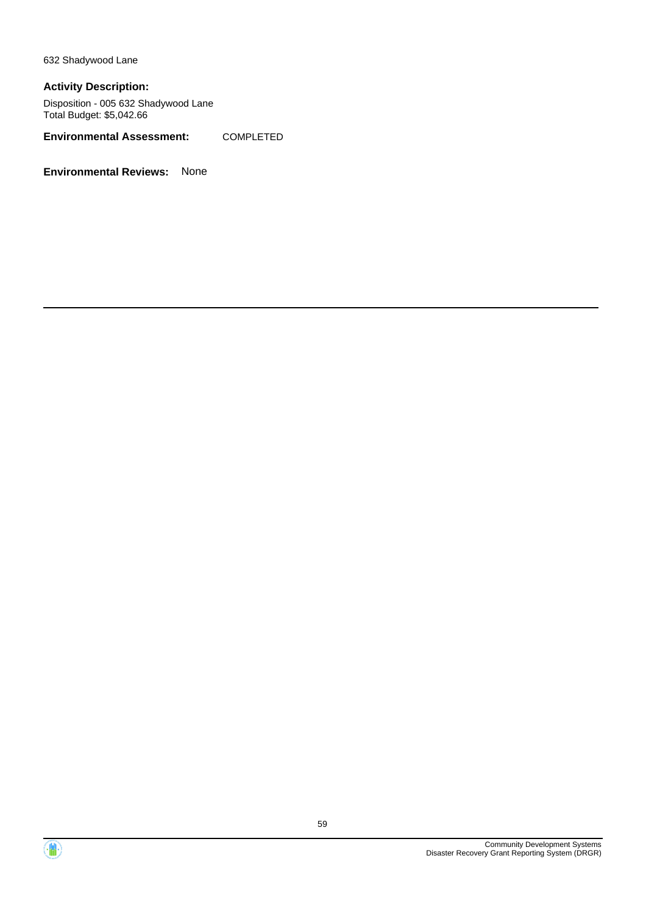632 Shadywood Lane

#### **Activity Description:**

Disposition - 005 632 Shadywood Lane Total Budget: \$5,042.66

**Environmental Assessment:** COMPLETED



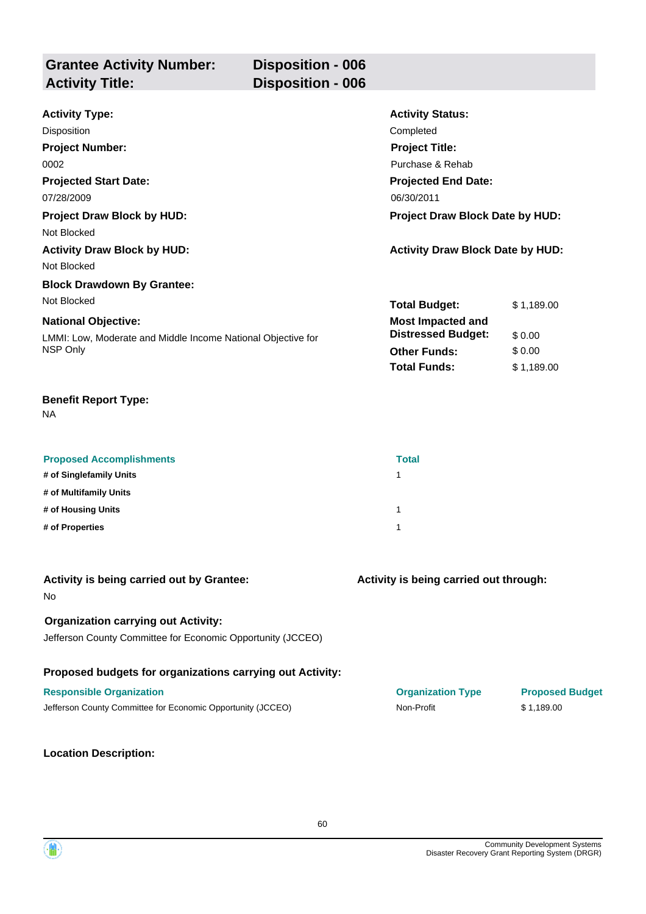| <b>Grantee Activity Number:</b> | <b>Disposition - 006</b> |
|---------------------------------|--------------------------|
| <b>Activity Title:</b>          | <b>Disposition - 006</b> |
|                                 |                          |

| <b>Activity Type:</b>                                        | <b>Activity Status:</b>                 |            |
|--------------------------------------------------------------|-----------------------------------------|------------|
| <b>Disposition</b>                                           | Completed                               |            |
| <b>Project Number:</b>                                       | <b>Project Title:</b>                   |            |
| 0002                                                         | Purchase & Rehab                        |            |
| <b>Projected Start Date:</b>                                 | <b>Projected End Date:</b>              |            |
| 07/28/2009                                                   | 06/30/2011                              |            |
| <b>Project Draw Block by HUD:</b>                            | <b>Project Draw Block Date by HUD:</b>  |            |
| Not Blocked                                                  |                                         |            |
| <b>Activity Draw Block by HUD:</b>                           | <b>Activity Draw Block Date by HUD:</b> |            |
| Not Blocked                                                  |                                         |            |
| <b>Block Drawdown By Grantee:</b>                            |                                         |            |
| Not Blocked                                                  | <b>Total Budget:</b>                    | \$1,189.00 |
| <b>National Objective:</b>                                   | <b>Most Impacted and</b>                |            |
| LMMI: Low, Moderate and Middle Income National Objective for | <b>Distressed Budget:</b>               | \$0.00     |
| NSP Only                                                     | <b>Other Funds:</b>                     | \$0.00     |
|                                                              | <b>Total Funds:</b>                     | \$1,189.00 |

NA

| <b>Proposed Accomplishments</b> | <b>Total</b> |
|---------------------------------|--------------|
| # of Singlefamily Units         |              |
| # of Multifamily Units          |              |
| # of Housing Units              | 1            |
| # of Properties                 |              |

| Activity is being carried out by Grantee:<br>No.                                                          | Activity is being carried out through: |                        |
|-----------------------------------------------------------------------------------------------------------|----------------------------------------|------------------------|
| <b>Organization carrying out Activity:</b><br>Jefferson County Committee for Economic Opportunity (JCCEO) |                                        |                        |
| Proposed budgets for organizations carrying out Activity:                                                 |                                        |                        |
| <b>Responsible Organization</b>                                                                           | <b>Organization Type</b>               | <b>Proposed Budget</b> |
| Jefferson County Committee for Economic Opportunity (JCCEO)                                               | Non-Profit                             | \$1.189.00             |
|                                                                                                           |                                        |                        |

**Location Description:**

Community Development Systems Disaster Recovery Grant Reporting System (DRGR)

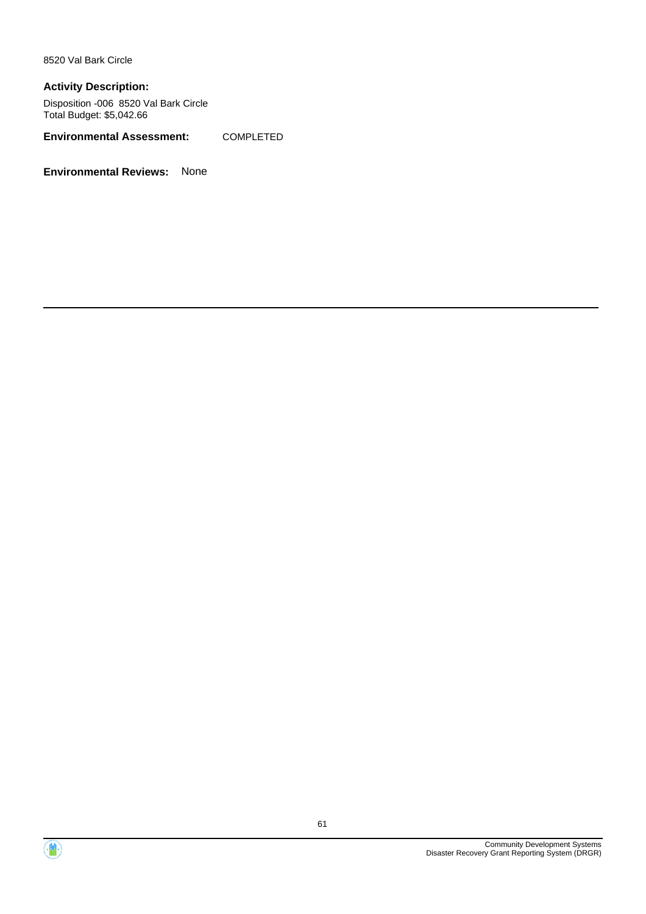8520 Val Bark Circle

#### **Activity Description:**

Disposition -006 8520 Val Bark Circle Total Budget: \$5,042.66

**Environmental Assessment:** COMPLETED



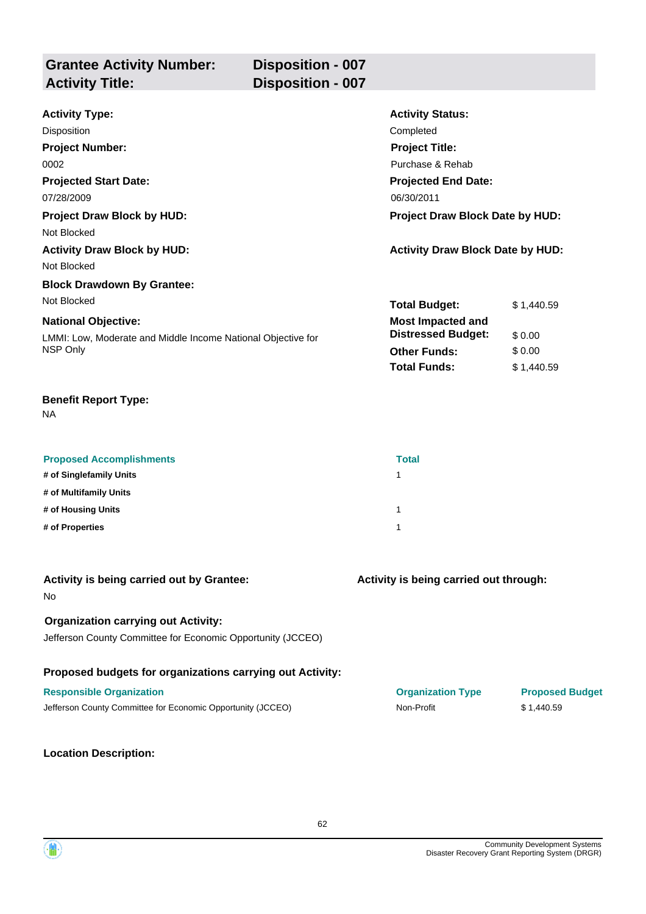| <b>Grantee Activity Number:</b> | <b>Disposition - 007</b> |
|---------------------------------|--------------------------|
| <b>Activity Title:</b>          | <b>Disposition - 007</b> |
|                                 |                          |

| <b>Activity Type:</b>                                        | <b>Activity Status:</b>                 |            |
|--------------------------------------------------------------|-----------------------------------------|------------|
| Disposition                                                  | Completed                               |            |
| <b>Project Number:</b>                                       | <b>Project Title:</b>                   |            |
| 0002                                                         | Purchase & Rehab                        |            |
| <b>Projected Start Date:</b>                                 | <b>Projected End Date:</b>              |            |
| 07/28/2009                                                   | 06/30/2011                              |            |
| <b>Project Draw Block by HUD:</b>                            | <b>Project Draw Block Date by HUD:</b>  |            |
| Not Blocked                                                  |                                         |            |
| <b>Activity Draw Block by HUD:</b>                           | <b>Activity Draw Block Date by HUD:</b> |            |
| Not Blocked                                                  |                                         |            |
| <b>Block Drawdown By Grantee:</b>                            |                                         |            |
| Not Blocked                                                  | <b>Total Budget:</b>                    | \$1,440.59 |
| <b>National Objective:</b>                                   | <b>Most Impacted and</b>                |            |
| LMMI: Low, Moderate and Middle Income National Objective for | <b>Distressed Budget:</b>               | \$0.00     |
| NSP Only                                                     | <b>Other Funds:</b>                     | \$0.00     |
|                                                              | <b>Total Funds:</b>                     | \$1,440.59 |

NA

| <b>Proposed Accomplishments</b> | <b>Total</b> |
|---------------------------------|--------------|
| # of Singlefamily Units         |              |
| # of Multifamily Units          |              |
| # of Housing Units              | 1            |
| # of Properties                 |              |

| Activity is being carried out by Grantee:<br><b>No</b>                                                    | Activity is being carried out through: |                        |
|-----------------------------------------------------------------------------------------------------------|----------------------------------------|------------------------|
| <b>Organization carrying out Activity:</b><br>Jefferson County Committee for Economic Opportunity (JCCEO) |                                        |                        |
| Proposed budgets for organizations carrying out Activity:                                                 |                                        |                        |
| <b>Responsible Organization</b>                                                                           | <b>Organization Type</b>               | <b>Proposed Budget</b> |
| Jefferson County Committee for Economic Opportunity (JCCEO)                                               | Non-Profit                             | \$1.440.59             |

**Location Description:**

Community Development Systems

Disaster Recovery Grant Reporting System (DRGR)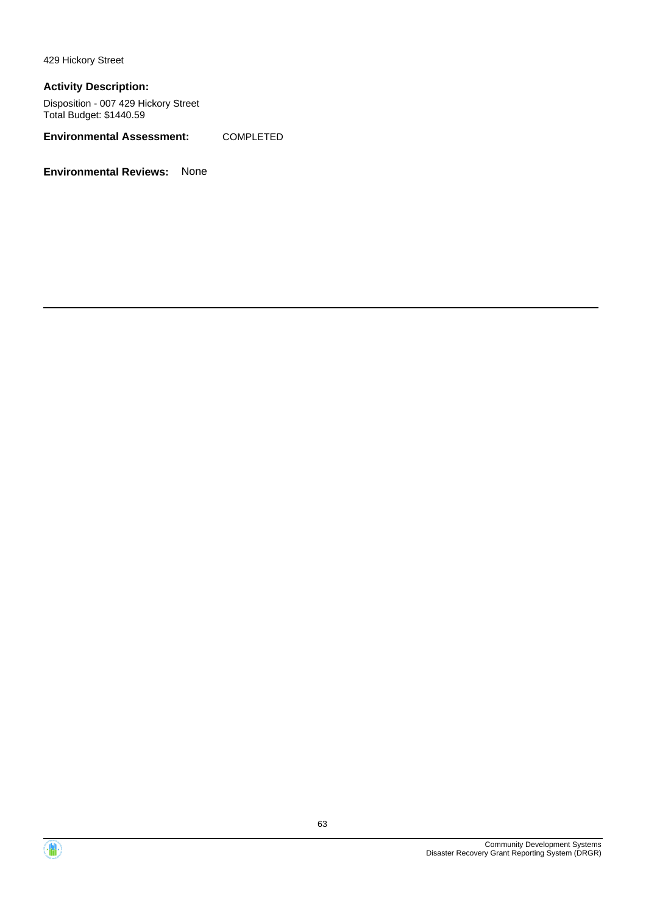429 Hickory Street

#### **Activity Description:**

Disposition - 007 429 Hickory Street Total Budget: \$1440.59

**Environmental Assessment:** COMPLETED



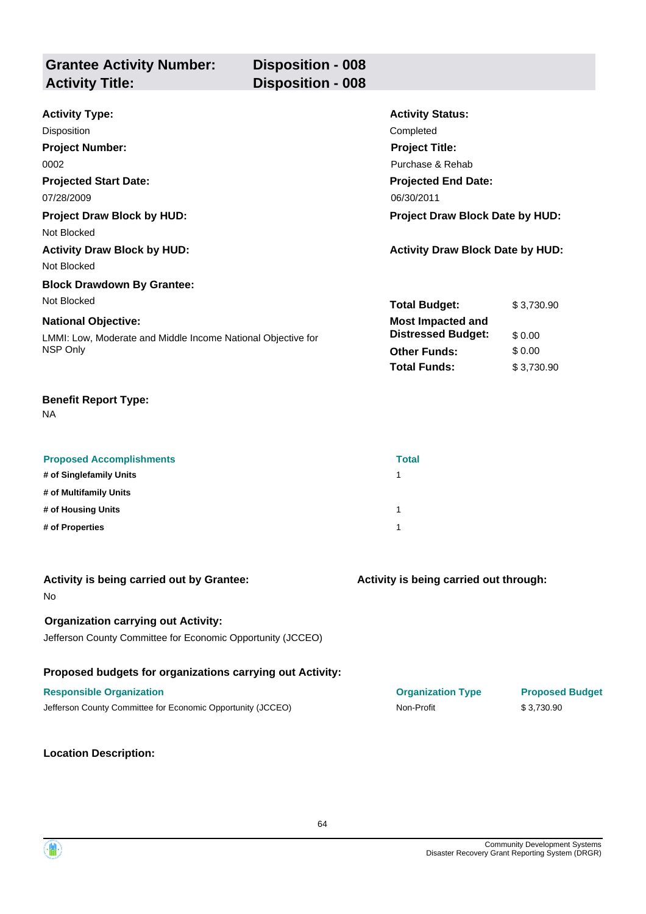| <b>Grantee Activity Number:</b> | <b>Disposition - 008</b> |
|---------------------------------|--------------------------|
| <b>Activity Title:</b>          | <b>Disposition - 008</b> |
|                                 |                          |

| <b>Activity Type:</b>                                        | <b>Activity Status:</b>                 |            |
|--------------------------------------------------------------|-----------------------------------------|------------|
| Disposition                                                  | Completed                               |            |
| <b>Project Number:</b>                                       | <b>Project Title:</b>                   |            |
| 0002                                                         | Purchase & Rehab                        |            |
| <b>Projected Start Date:</b>                                 | <b>Projected End Date:</b>              |            |
| 07/28/2009                                                   | 06/30/2011                              |            |
| <b>Project Draw Block by HUD:</b>                            | <b>Project Draw Block Date by HUD:</b>  |            |
| Not Blocked                                                  |                                         |            |
| <b>Activity Draw Block by HUD:</b>                           | <b>Activity Draw Block Date by HUD:</b> |            |
| Not Blocked                                                  |                                         |            |
| <b>Block Drawdown By Grantee:</b>                            |                                         |            |
| Not Blocked                                                  | <b>Total Budget:</b>                    | \$3,730.90 |
| <b>National Objective:</b>                                   | <b>Most Impacted and</b>                |            |
| LMMI: Low, Moderate and Middle Income National Objective for | <b>Distressed Budget:</b>               | \$0.00     |
| NSP Only                                                     | <b>Other Funds:</b>                     | \$0.00     |
|                                                              | <b>Total Funds:</b>                     | \$3,730.90 |

NA

| <b>Proposed Accomplishments</b> | <b>Total</b> |
|---------------------------------|--------------|
| # of Singlefamily Units         |              |
| # of Multifamily Units          |              |
| # of Housing Units              |              |
| # of Properties                 |              |

| Activity is being carried out by Grantee:<br><b>No</b>                                                    | Activity is being carried out through: |                        |
|-----------------------------------------------------------------------------------------------------------|----------------------------------------|------------------------|
| <b>Organization carrying out Activity:</b><br>Jefferson County Committee for Economic Opportunity (JCCEO) |                                        |                        |
| Proposed budgets for organizations carrying out Activity:                                                 |                                        |                        |
| <b>Responsible Organization</b>                                                                           | <b>Organization Type</b>               | <b>Proposed Budget</b> |
| Jefferson County Committee for Economic Opportunity (JCCEO)                                               | Non-Profit                             | \$3.730.90             |

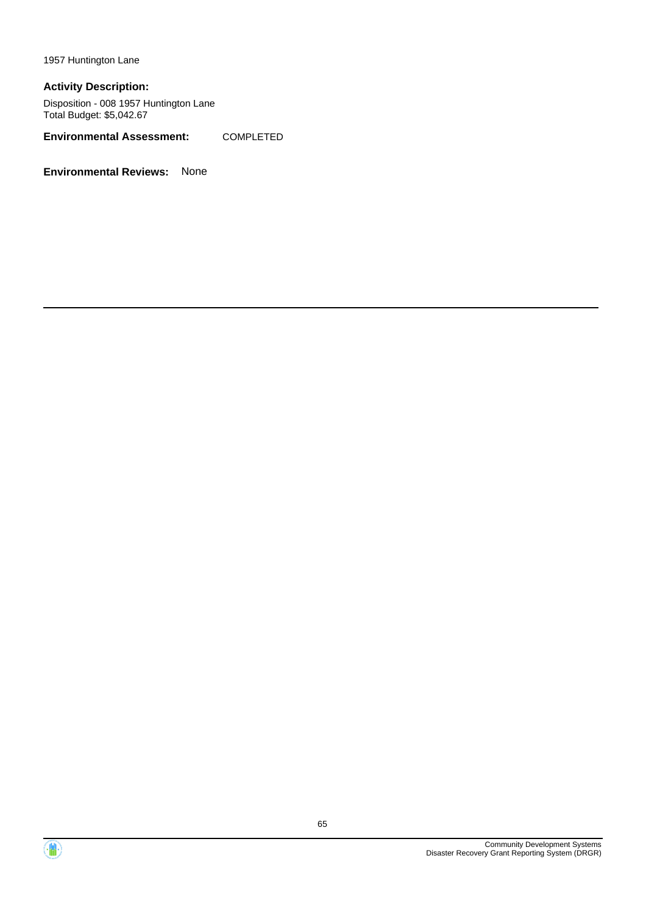1957 Huntington Lane

#### **Activity Description:**

Disposition - 008 1957 Huntington Lane Total Budget: \$5,042.67

**Environmental Assessment:** COMPLETED



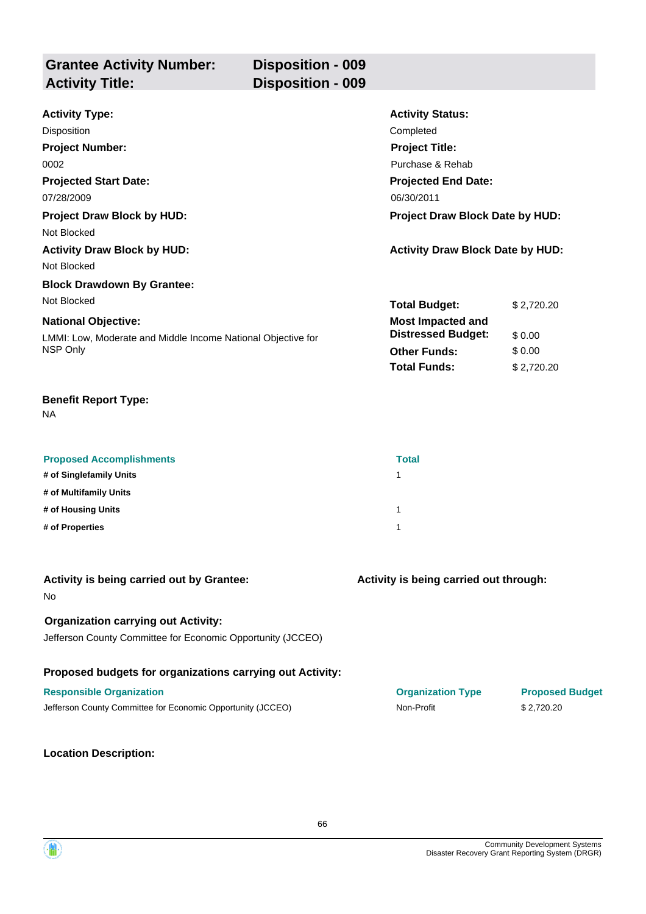| <b>Grantee Activity Number:</b> | <b>Disposition - 009</b> |
|---------------------------------|--------------------------|
| <b>Activity Title:</b>          | <b>Disposition - 009</b> |
|                                 |                          |

| <b>Activity Type:</b>                                        | <b>Activity Status:</b>                 |            |
|--------------------------------------------------------------|-----------------------------------------|------------|
| Disposition                                                  | Completed                               |            |
| <b>Project Number:</b>                                       | <b>Project Title:</b>                   |            |
| 0002                                                         | Purchase & Rehab                        |            |
| <b>Projected Start Date:</b>                                 | <b>Projected End Date:</b>              |            |
| 07/28/2009                                                   | 06/30/2011                              |            |
| <b>Project Draw Block by HUD:</b>                            | <b>Project Draw Block Date by HUD:</b>  |            |
| Not Blocked                                                  |                                         |            |
| <b>Activity Draw Block by HUD:</b>                           | <b>Activity Draw Block Date by HUD:</b> |            |
| Not Blocked                                                  |                                         |            |
| <b>Block Drawdown By Grantee:</b>                            |                                         |            |
| Not Blocked                                                  | <b>Total Budget:</b>                    | \$2,720.20 |
| <b>National Objective:</b>                                   | <b>Most Impacted and</b>                |            |
| LMMI: Low, Moderate and Middle Income National Objective for | <b>Distressed Budget:</b>               | \$0.00     |
| NSP Only                                                     | <b>Other Funds:</b>                     | \$0.00     |
|                                                              | <b>Total Funds:</b>                     | \$2,720.20 |

NA

| <b>Proposed Accomplishments</b> | <b>Total</b> |
|---------------------------------|--------------|
| # of Singlefamily Units         |              |
| # of Multifamily Units          |              |
| # of Housing Units              |              |
| # of Properties                 |              |

| Activity is being carried out by Grantee:<br><b>No</b>      | Activity is being carried out through: |                        |
|-------------------------------------------------------------|----------------------------------------|------------------------|
| <b>Organization carrying out Activity:</b>                  |                                        |                        |
| Jefferson County Committee for Economic Opportunity (JCCEO) |                                        |                        |
| Proposed budgets for organizations carrying out Activity:   |                                        |                        |
| <b>Responsible Organization</b>                             | <b>Organization Type</b>               | <b>Proposed Budget</b> |
| Jefferson County Committee for Economic Opportunity (JCCEO) | Non-Profit                             | \$2.720.20             |
|                                                             |                                        |                        |

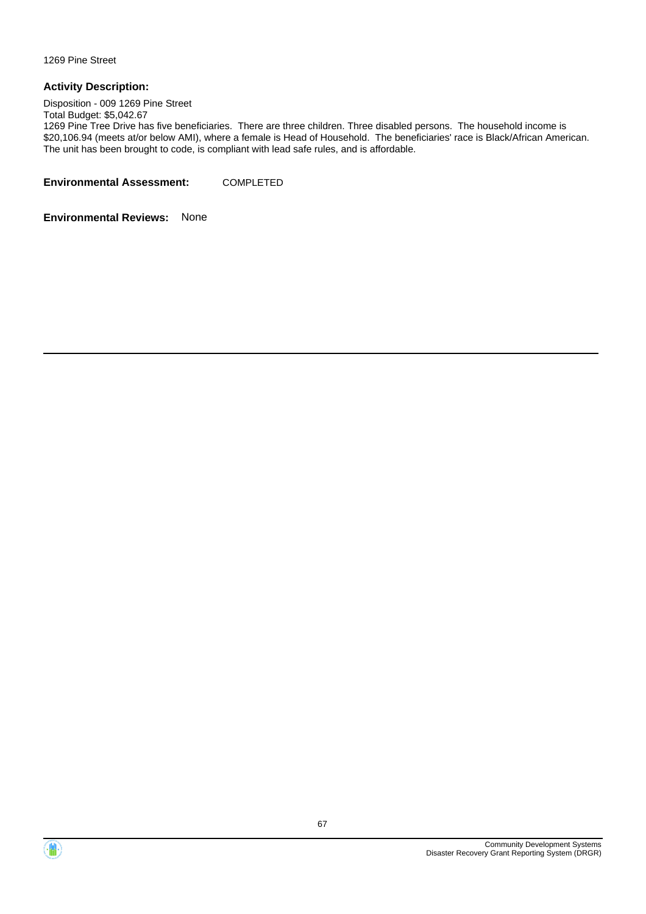1269 Pine Street

#### **Activity Description:**

Disposition - 009 1269 Pine Street

Total Budget: \$5,042.67

1269 Pine Tree Drive has five beneficiaries. There are three children. Three disabled persons. The household income is \$20,106.94 (meets at/or below AMI), where a female is Head of Household. The beneficiaries' race is Black/African American. The unit has been brought to code, is compliant with lead safe rules, and is affordable.

**Environmental Assessment:** COMPLETED



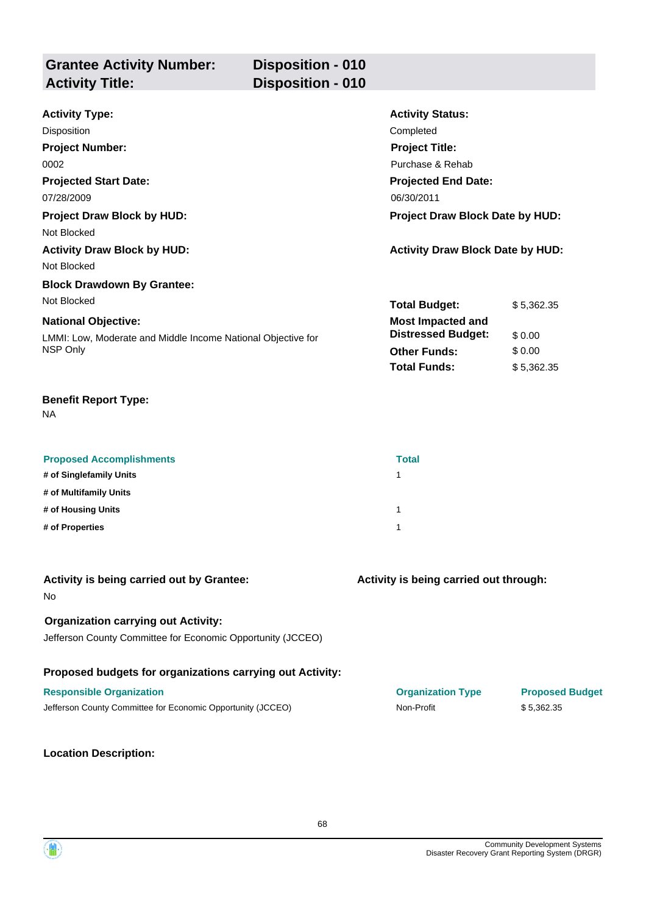| <b>Grantee Activity Number:</b> | <b>Disposition - 010</b> |                         |  |
|---------------------------------|--------------------------|-------------------------|--|
| <b>Activity Title:</b>          | Disposition - 010        |                         |  |
| Activity Type:                  |                          | <b>Activity Status:</b> |  |

| ACTIVITY TYPE.                                               | <b>ACTIVITY STATUS.</b>                 |            |
|--------------------------------------------------------------|-----------------------------------------|------------|
| Disposition                                                  | Completed                               |            |
| <b>Project Number:</b>                                       | <b>Project Title:</b>                   |            |
| 0002                                                         | Purchase & Rehab                        |            |
| <b>Projected Start Date:</b>                                 | <b>Projected End Date:</b>              |            |
| 07/28/2009                                                   | 06/30/2011                              |            |
| <b>Project Draw Block by HUD:</b>                            | <b>Project Draw Block Date by HUD:</b>  |            |
| Not Blocked                                                  |                                         |            |
| <b>Activity Draw Block by HUD:</b>                           | <b>Activity Draw Block Date by HUD:</b> |            |
| Not Blocked                                                  |                                         |            |
| <b>Block Drawdown By Grantee:</b>                            |                                         |            |
| Not Blocked                                                  | <b>Total Budget:</b>                    | \$5,362.35 |
| <b>National Objective:</b>                                   | <b>Most Impacted and</b>                |            |
| LMMI: Low, Moderate and Middle Income National Objective for | <b>Distressed Budget:</b>               | \$0.00     |
| NSP Only                                                     | <b>Other Funds:</b>                     | \$0.00     |
|                                                              | <b>Total Funds:</b>                     | \$5,362.35 |

NA

| <b>Proposed Accomplishments</b> | <b>Total</b> |
|---------------------------------|--------------|
| # of Singlefamily Units         |              |
| # of Multifamily Units          |              |
| # of Housing Units              |              |
| # of Properties                 |              |

| Activity is being carried out by Grantee:<br><b>No</b>      | Activity is being carried out through: |                        |
|-------------------------------------------------------------|----------------------------------------|------------------------|
| <b>Organization carrying out Activity:</b>                  |                                        |                        |
| Jefferson County Committee for Economic Opportunity (JCCEO) |                                        |                        |
| Proposed budgets for organizations carrying out Activity:   |                                        |                        |
| <b>Responsible Organization</b>                             | <b>Organization Type</b>               | <b>Proposed Budget</b> |
| Jefferson County Committee for Economic Opportunity (JCCEO) | Non-Profit                             | \$5.362.35             |
|                                                             |                                        |                        |

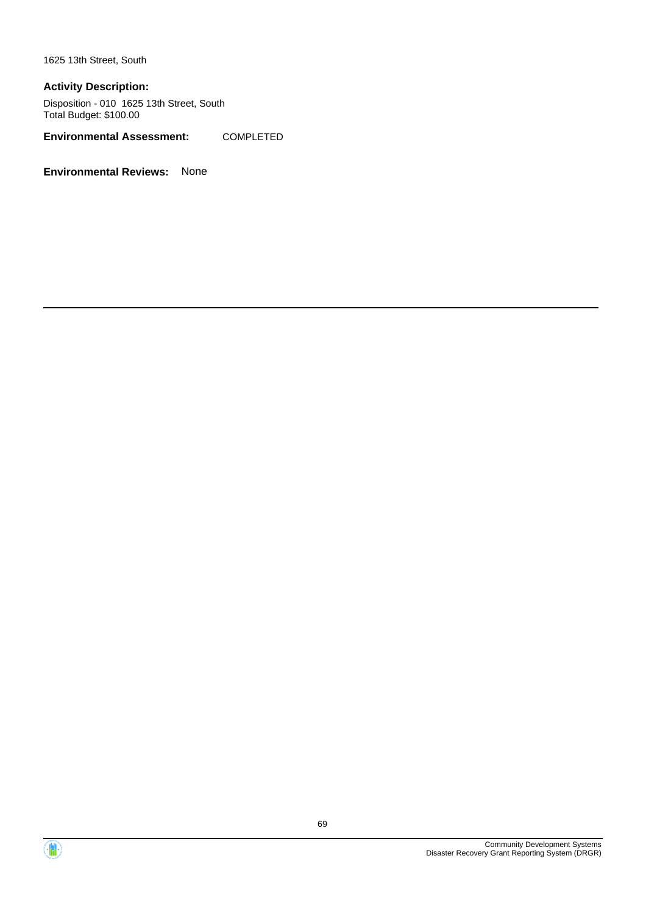1625 13th Street, South

#### **Activity Description:**

Disposition - 010 1625 13th Street, South Total Budget: \$100.00

**Environmental Assessment:** COMPLETED



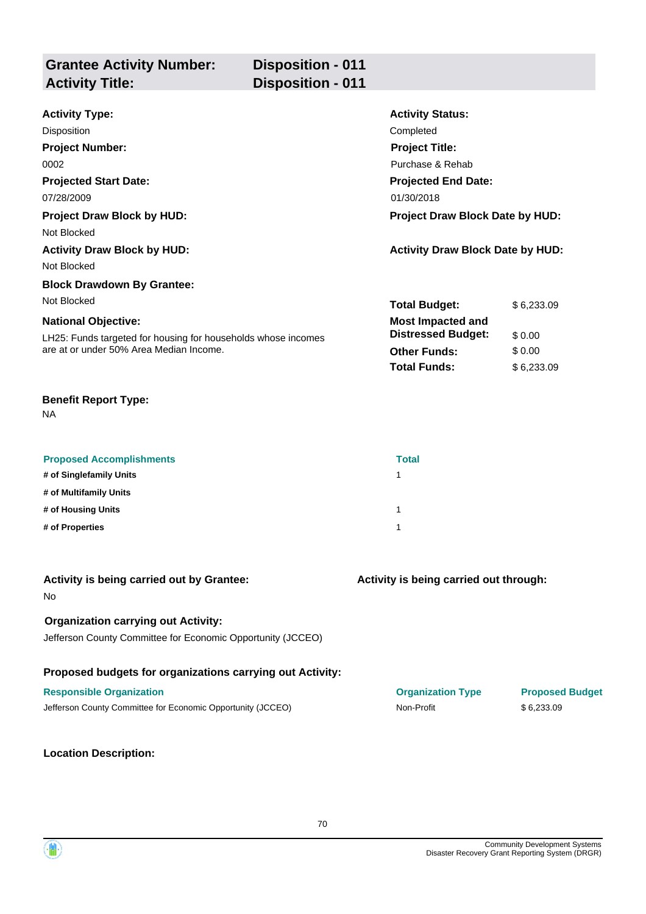| <b>Grantee Activity Number:</b><br><b>Activity Title:</b> | <b>Disposition - 011</b><br><b>Disposition - 011</b> |                         |
|-----------------------------------------------------------|------------------------------------------------------|-------------------------|
| <b>Activity Type:</b>                                     |                                                      | <b>Activity Status:</b> |

| AULIVILY JIALUS.           |                                                                                   |
|----------------------------|-----------------------------------------------------------------------------------|
| Completed                  |                                                                                   |
| <b>Project Title:</b>      |                                                                                   |
| Purchase & Rehab           |                                                                                   |
| <b>Projected End Date:</b> |                                                                                   |
| 01/30/2018                 |                                                                                   |
|                            |                                                                                   |
|                            |                                                                                   |
|                            |                                                                                   |
|                            |                                                                                   |
|                            |                                                                                   |
| <b>Total Budget:</b>       | \$6,233.09                                                                        |
| <b>Most Impacted and</b>   |                                                                                   |
| <b>Distressed Budget:</b>  | \$0.00                                                                            |
| <b>Other Funds:</b>        | \$0.00                                                                            |
| <b>Total Funds:</b>        | \$6,233.09                                                                        |
|                            | <b>Project Draw Block Date by HUD:</b><br><b>Activity Draw Block Date by HUD:</b> |

NA

| <b>Proposed Accomplishments</b> | <b>Total</b> |
|---------------------------------|--------------|
| # of Singlefamily Units         |              |
| # of Multifamily Units          |              |
| # of Housing Units              |              |
| # of Properties                 |              |

| Activity is being carried out by Grantee:<br><b>No</b>                                                    | Activity is being carried out through: |                        |
|-----------------------------------------------------------------------------------------------------------|----------------------------------------|------------------------|
| <b>Organization carrying out Activity:</b><br>Jefferson County Committee for Economic Opportunity (JCCEO) |                                        |                        |
| Proposed budgets for organizations carrying out Activity:                                                 |                                        |                        |
| <b>Responsible Organization</b>                                                                           | <b>Organization Type</b>               | <b>Proposed Budget</b> |
| Jefferson County Committee for Economic Opportunity (JCCEO)                                               | Non-Profit                             | \$6.233.09             |
|                                                                                                           |                                        |                        |

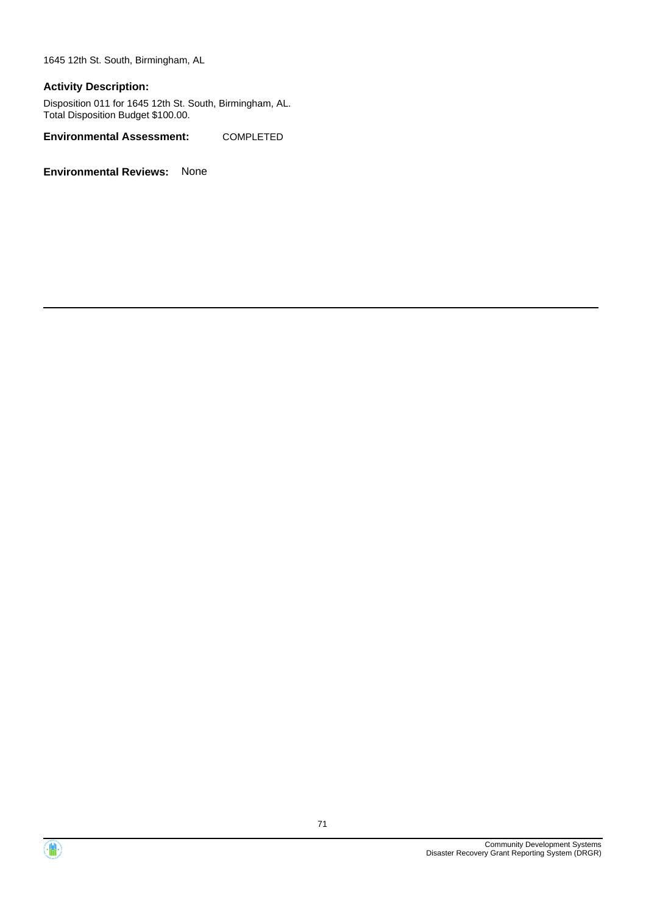1645 12th St. South, Birmingham, AL

#### **Activity Description:**

Disposition 011 for 1645 12th St. South, Birmingham, AL. Total Disposition Budget \$100.00.

**Environmental Assessment:** COMPLETED



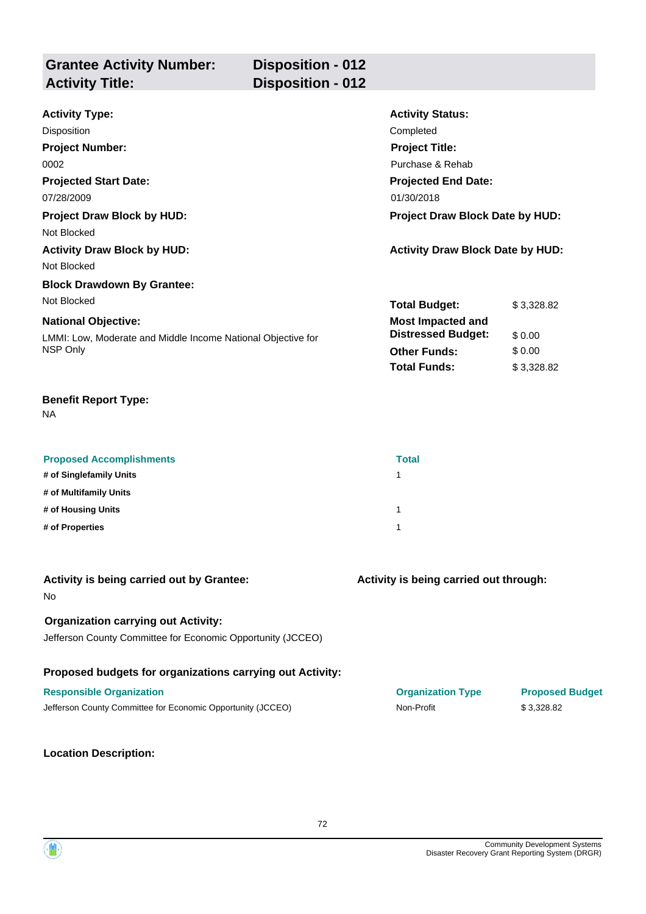| <b>Grantee Activity Number:</b><br><b>Activity Title:</b> | <b>Disposition - 012</b><br><b>Disposition - 012</b> |                                         |
|-----------------------------------------------------------|------------------------------------------------------|-----------------------------------------|
|                                                           |                                                      |                                         |
| <b>Activity Type:</b>                                     |                                                      | <b>Activity Status:</b>                 |
| Disposition                                               |                                                      | Completed                               |
| <b>Project Number:</b>                                    |                                                      | <b>Project Title:</b>                   |
| 0002                                                      |                                                      | Purchase & Rehab                        |
| <b>Projected Start Date:</b>                              |                                                      | <b>Projected End Date:</b>              |
| 07/28/2009                                                |                                                      | 01/30/2018                              |
| <b>Project Draw Block by HUD:</b>                         |                                                      | Project Draw Block Date by HUD:         |
| Not Blocked                                               |                                                      |                                         |
| <b>Activity Draw Block by HUD:</b>                        |                                                      | <b>Activity Draw Block Date by HUD:</b> |
| Not Blocked                                               |                                                      |                                         |
| <b>Block Drawdown By Grantee:</b>                         |                                                      |                                         |

| <b>National Objective:</b>                                               |
|--------------------------------------------------------------------------|
| LMMI: Low, Moderate and Middle Income National Objective for<br>NSP Only |

NA

Not Blocked

| <b>Proposed Accomplishments</b> | <b>Total</b> |
|---------------------------------|--------------|
| # of Singlefamily Units         |              |
| # of Multifamily Units          |              |
| # of Housing Units              |              |
| # of Properties                 |              |

| Activity is being carried out by Grantee:<br><b>No</b>                                                    | Activity is being carried out through: |                        |
|-----------------------------------------------------------------------------------------------------------|----------------------------------------|------------------------|
| <b>Organization carrying out Activity:</b><br>Jefferson County Committee for Economic Opportunity (JCCEO) |                                        |                        |
| Proposed budgets for organizations carrying out Activity:                                                 |                                        |                        |
| <b>Responsible Organization</b>                                                                           | <b>Organization Type</b>               | <b>Proposed Budget</b> |
| Jefferson County Committee for Economic Opportunity (JCCEO)                                               | Non-Profit                             | \$3,328.82             |

#### **Location Description:**

**Total Budget:** \$ 3,328.82

**Other Funds:** \$ 0.00 **Total Funds:** \$ 3,328.82

**Distressed Budget:** \$0.00

**Most Impacted and**

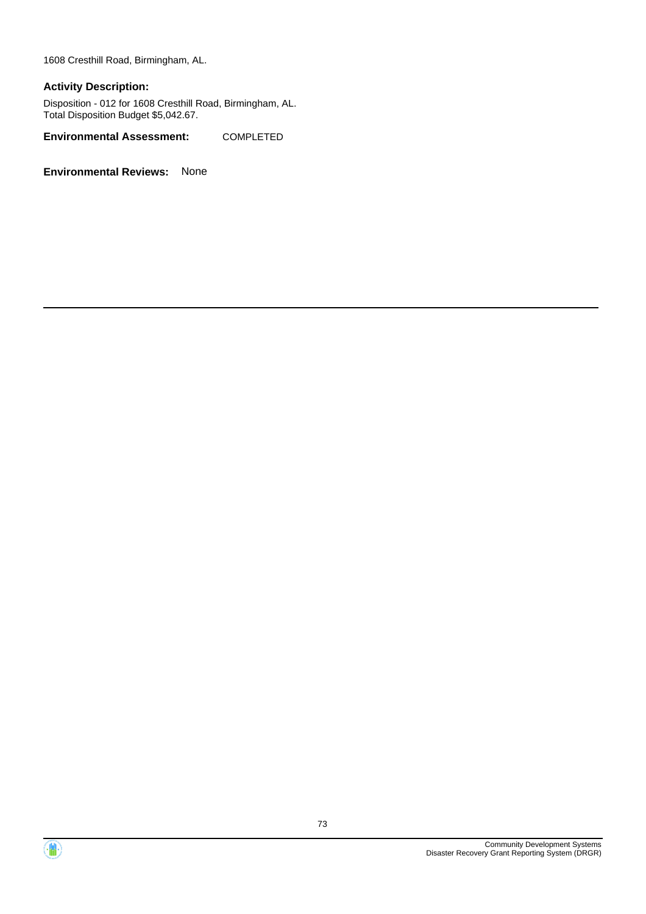1608 Cresthill Road, Birmingham, AL.

#### **Activity Description:**

Disposition - 012 for 1608 Cresthill Road, Birmingham, AL. Total Disposition Budget \$5,042.67.

**Environmental Assessment:** COMPLETED



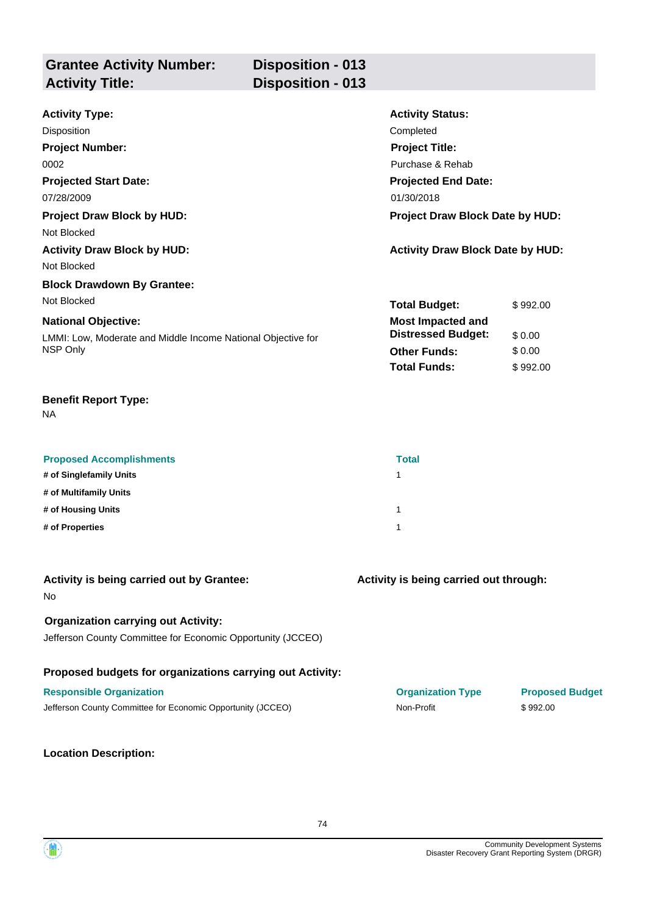| <b>Grantee Activity Number:</b><br><b>Activity Title:</b> | <b>Disposition - 013</b><br><b>Disposition - 013</b> |                         |  |
|-----------------------------------------------------------|------------------------------------------------------|-------------------------|--|
| <b>Activity Type:</b>                                     |                                                      | <b>Activity Status:</b> |  |
| <b>Disposition</b>                                        |                                                      | Completed               |  |
| <b>Project Number:</b>                                    |                                                      | <b>Project Title:</b>   |  |
| 0002                                                      |                                                      | Purchase & Rehab        |  |

**Projected End Date:**

**Most Impacted and**

**Total Budget:** \$992.00

**Other Funds:** \$ 0.00 **Total Funds:** \$992.00

**Distressed Budget:** \$ 0.00

**Projected Start Date:**

**Project Draw Block by HUD: Project Draw Block Date by HUD:**

Not Blocked

**Activity Draw Block by HUD: Activity Draw Block Date by HUD:**

Not Blocked

#### **Block Drawdown By Grantee:** Not Blocked

### **National Objective:**

LMMI: Low, Moderate and Middle Income National Objective for NSP Only

#### **Benefit Report Type:**

NA

| <b>Proposed Accomplishments</b> | <b>Total</b> |
|---------------------------------|--------------|
| # of Singlefamily Units         |              |
| # of Multifamily Units          |              |
| # of Housing Units              | 1            |
| # of Properties                 |              |

07/28/2009 01/30/2018

| Activity is being carried out by Grantee:<br>N <sub>o</sub> | Activity is being carried out through: |                        |
|-------------------------------------------------------------|----------------------------------------|------------------------|
| <b>Organization carrying out Activity:</b>                  |                                        |                        |
| Jefferson County Committee for Economic Opportunity (JCCEO) |                                        |                        |
| Proposed budgets for organizations carrying out Activity:   |                                        |                        |
| <b>Responsible Organization</b>                             | <b>Organization Type</b>               | <b>Proposed Budget</b> |
| Jefferson County Committee for Economic Opportunity (JCCEO) | Non-Profit                             | \$992.00               |

**Location Description:**

Community Development Systems Disaster Recovery Grant Reporting System (DRGR)

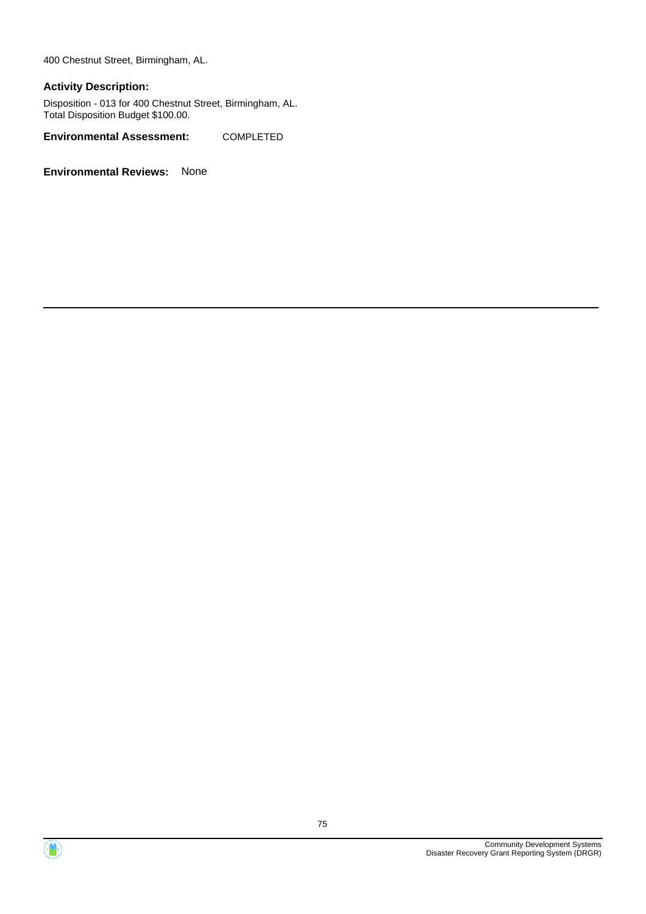400 Chestnut Street, Birmingham, AL.

#### **Activity Description:**

Disposition - 013 for 400 Chestnut Street, Birmingham, AL. Total Disposition Budget \$100.00.

**Environmental Assessment:** COMPLETED



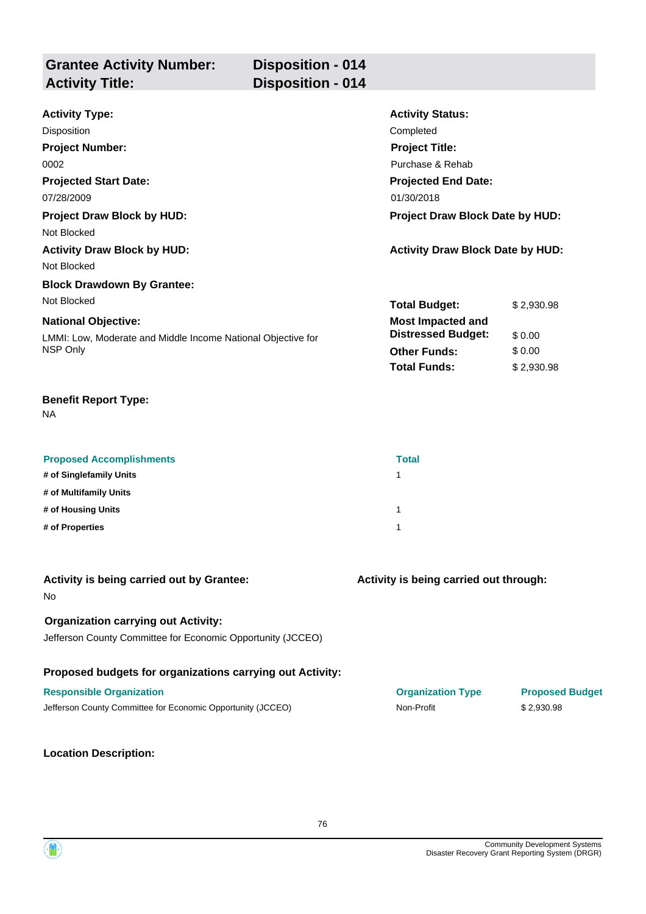| <b>Grantee Activity Number:</b><br><b>Activity Title:</b> | <b>Disposition - 014</b><br><b>Disposition - 014</b> |                            |  |
|-----------------------------------------------------------|------------------------------------------------------|----------------------------|--|
| <b>Activity Type:</b>                                     |                                                      | <b>Activity Status:</b>    |  |
| <b>Disposition</b>                                        |                                                      | Completed                  |  |
| <b>Project Number:</b>                                    |                                                      | <b>Project Title:</b>      |  |
| 0002                                                      |                                                      | Purchase & Rehab           |  |
| <b>Projected Start Date:</b>                              |                                                      | <b>Projected End Date:</b> |  |
| 07/28/2009                                                |                                                      | 01/30/2018                 |  |

**Project Draw Block by HUD: Project Draw Block Date by HUD:**

Not Blocked

**Activity Draw Block by HUD: Activity Draw Block Date by HUD:**

Not Blocked

#### **Block Drawdown By Grantee:** Not Blocked

#### **National Objective:**

LMMI: Low, Moderate and Middle Income National Objective for NSP Only

#### **Benefit Report Type:**

NA

| <b>Proposed Accomplishments</b> | <b>Total</b> |
|---------------------------------|--------------|
| # of Singlefamily Units         |              |
| # of Multifamily Units          |              |
| # of Housing Units              |              |
| # of Properties                 |              |

| Activity is being carried out by Grantee:<br><b>No</b>                                                    | Activity is being carried out through: |                        |
|-----------------------------------------------------------------------------------------------------------|----------------------------------------|------------------------|
| <b>Organization carrying out Activity:</b><br>Jefferson County Committee for Economic Opportunity (JCCEO) |                                        |                        |
| Proposed budgets for organizations carrying out Activity:                                                 |                                        |                        |
| <b>Responsible Organization</b>                                                                           | <b>Organization Type</b>               | <b>Proposed Budget</b> |
| Jefferson County Committee for Economic Opportunity (JCCEO)                                               | Non-Profit                             | \$2.930.98             |

#### **Location Description:**

**Total Budget:** \$ 2,930.98

**Other Funds:** \$ 0.00 **Total Funds:** \$ 2,930.98

**Distressed Budget:** \$ 0.00

**Most Impacted and**

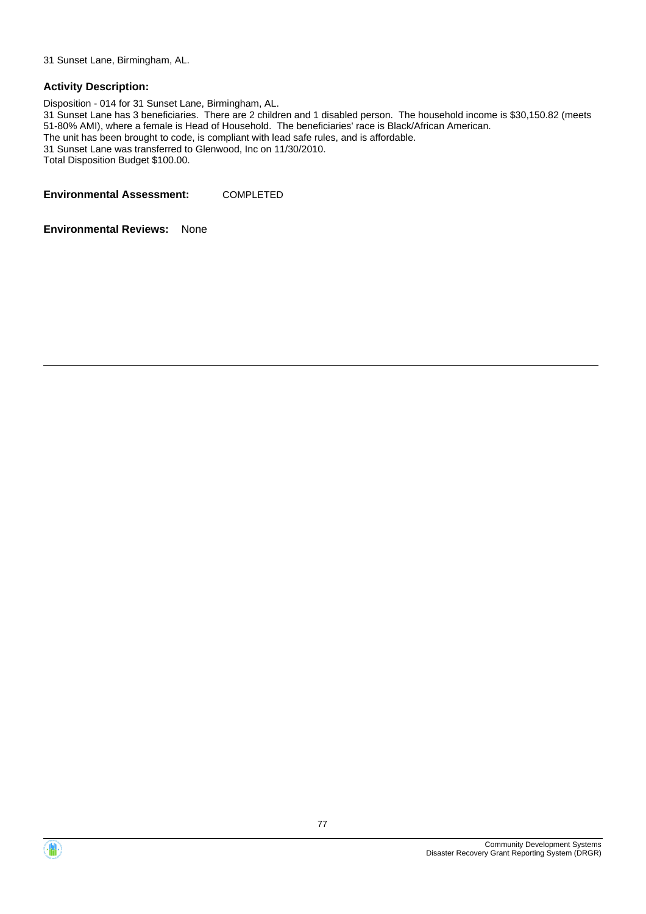31 Sunset Lane, Birmingham, AL.

#### **Activity Description:**

Disposition - 014 for 31 Sunset Lane, Birmingham, AL. 31 Sunset Lane has 3 beneficiaries. There are 2 children and 1 disabled person. The household income is \$30,150.82 (meets 51-80% AMI), where a female is Head of Household. The beneficiaries' race is Black/African American. The unit has been brought to code, is compliant with lead safe rules, and is affordable. 31 Sunset Lane was transferred to Glenwood, Inc on 11/30/2010. Total Disposition Budget \$100.00.

**Environmental Assessment:** COMPLETED



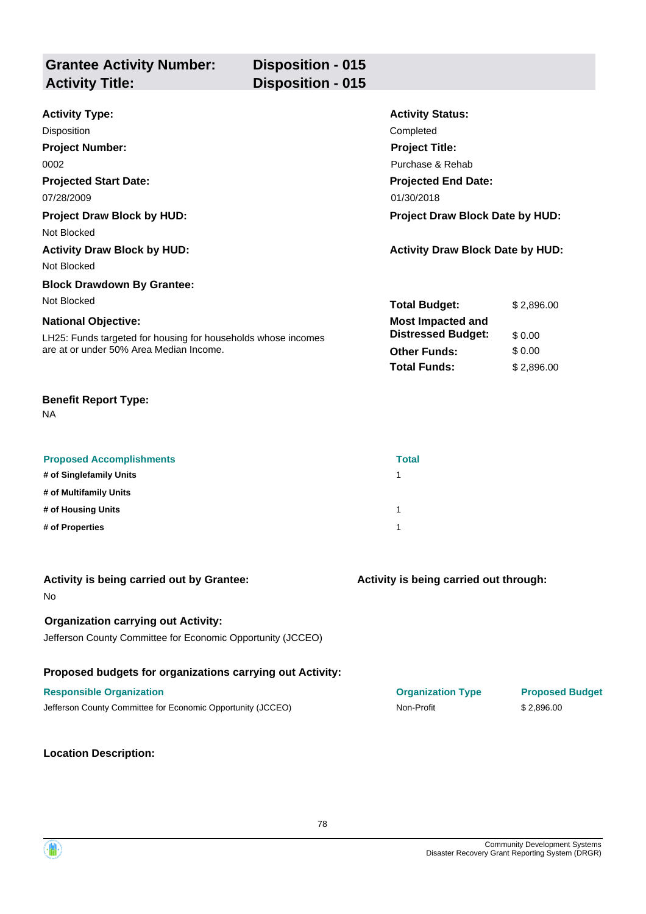| <b>Grantee Activity Number:</b><br><b>Activity Title:</b> | <b>Disposition - 015</b><br><b>Disposition - 015</b> |                            |  |
|-----------------------------------------------------------|------------------------------------------------------|----------------------------|--|
|                                                           |                                                      |                            |  |
| <b>Activity Type:</b>                                     |                                                      | <b>Activity Status:</b>    |  |
| Disposition                                               |                                                      | Completed                  |  |
| <b>Project Number:</b>                                    |                                                      | <b>Project Title:</b>      |  |
| 0002                                                      |                                                      | Purchase & Rehab           |  |
| <b>Projected Start Date:</b>                              |                                                      | <b>Projected End Date:</b> |  |
| 07/28/2009                                                |                                                      | 01/30/2018                 |  |

**Project Draw Block by HUD: Project Draw Block Date by HUD:**

Not Blocked

**Activity Draw Block by HUD: Activity Draw Block Date by HUD:**

Not Blocked

# **Block Drawdown By Grantee:**

Not Blocked

#### **National Objective:**

LH25: Funds targeted for housing for households whose incomes are at or under 50% Area Median Income.

#### **Benefit Report Type:**

NA

| <b>Proposed Accomplishments</b> | <b>Total</b> |
|---------------------------------|--------------|
| # of Singlefamily Units         |              |
| # of Multifamily Units          |              |
| # of Housing Units              |              |
| # of Properties                 |              |

| Activity is being carried out by Grantee:<br>N <sub>o</sub>                                               | Activity is being carried out through: |                                      |
|-----------------------------------------------------------------------------------------------------------|----------------------------------------|--------------------------------------|
| <b>Organization carrying out Activity:</b><br>Jefferson County Committee for Economic Opportunity (JCCEO) |                                        |                                      |
| Proposed budgets for organizations carrying out Activity:                                                 |                                        |                                      |
| <b>Responsible Organization</b><br>Jefferson County Committee for Economic Opportunity (JCCEO)            | <b>Organization Type</b><br>Non-Profit | <b>Proposed Budget</b><br>\$2.896.00 |

#### **Location Description:**

**Total Budget:** \$ 2,896.00

**Other Funds:** \$ 0.00 **Total Funds:** \$ 2,896.00

**Distressed Budget:** \$ 0.00

**Most Impacted and**

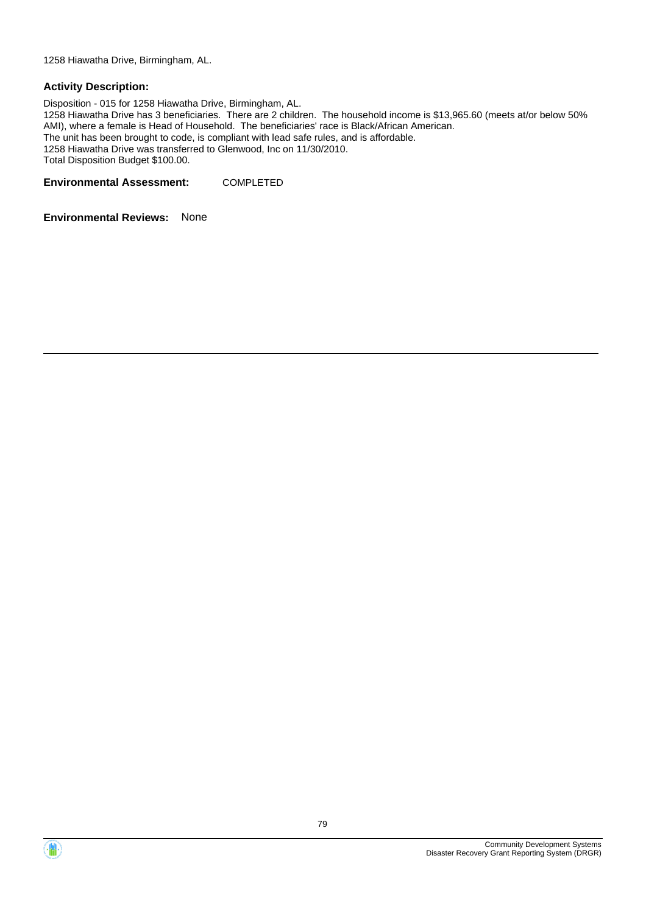1258 Hiawatha Drive, Birmingham, AL.

#### **Activity Description:**

Disposition - 015 for 1258 Hiawatha Drive, Birmingham, AL. 1258 Hiawatha Drive has 3 beneficiaries. There are 2 children. The household income is \$13,965.60 (meets at/or below 50% AMI), where a female is Head of Household. The beneficiaries' race is Black/African American. The unit has been brought to code, is compliant with lead safe rules, and is affordable. 1258 Hiawatha Drive was transferred to Glenwood, Inc on 11/30/2010. Total Disposition Budget \$100.00.

**Environmental Assessment:** COMPLETED



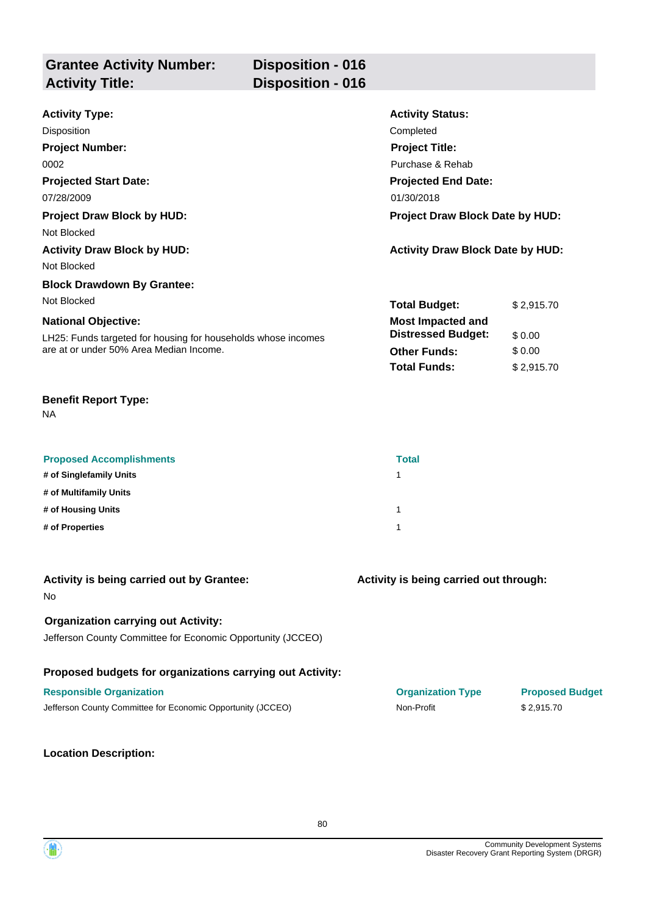| <b>Grantee Activity Number:</b><br><b>Activity Title:</b> | <b>Disposition - 016</b><br><b>Disposition - 016</b> |                  |
|-----------------------------------------------------------|------------------------------------------------------|------------------|
| Activity Type:                                            |                                                      | Activity Ctatue: |

| <b>Activity Type:</b>                                         | <b>Activity Status:</b>                 |            |
|---------------------------------------------------------------|-----------------------------------------|------------|
| Disposition                                                   | Completed                               |            |
| <b>Project Number:</b>                                        | <b>Project Title:</b>                   |            |
| 0002                                                          | Purchase & Rehab                        |            |
| <b>Projected Start Date:</b>                                  | <b>Projected End Date:</b>              |            |
| 07/28/2009                                                    | 01/30/2018                              |            |
| <b>Project Draw Block by HUD:</b>                             | <b>Project Draw Block Date by HUD:</b>  |            |
| Not Blocked                                                   |                                         |            |
| <b>Activity Draw Block by HUD:</b>                            | <b>Activity Draw Block Date by HUD:</b> |            |
| Not Blocked                                                   |                                         |            |
| <b>Block Drawdown By Grantee:</b>                             |                                         |            |
| Not Blocked                                                   | <b>Total Budget:</b>                    | \$2,915.70 |
| <b>National Objective:</b>                                    | <b>Most Impacted and</b>                |            |
| LH25: Funds targeted for housing for households whose incomes | <b>Distressed Budget:</b>               | \$0.00     |
| are at or under 50% Area Median Income.                       | <b>Other Funds:</b>                     | \$0.00     |
|                                                               | <b>Total Funds:</b>                     | \$2,915.70 |

NA

| <b>Proposed Accomplishments</b> | <b>Total</b> |
|---------------------------------|--------------|
| # of Singlefamily Units         |              |
| # of Multifamily Units          |              |
| # of Housing Units              |              |
| # of Properties                 |              |

| Activity is being carried out by Grantee:<br><b>No</b>                                                    | Activity is being carried out through: |                        |
|-----------------------------------------------------------------------------------------------------------|----------------------------------------|------------------------|
| <b>Organization carrying out Activity:</b><br>Jefferson County Committee for Economic Opportunity (JCCEO) |                                        |                        |
| Proposed budgets for organizations carrying out Activity:                                                 |                                        |                        |
| <b>Responsible Organization</b>                                                                           | <b>Organization Type</b>               | <b>Proposed Budget</b> |
| Jefferson County Committee for Economic Opportunity (JCCEO)                                               | Non-Profit                             | \$2.915.70             |
|                                                                                                           |                                        |                        |

**Location Description:**

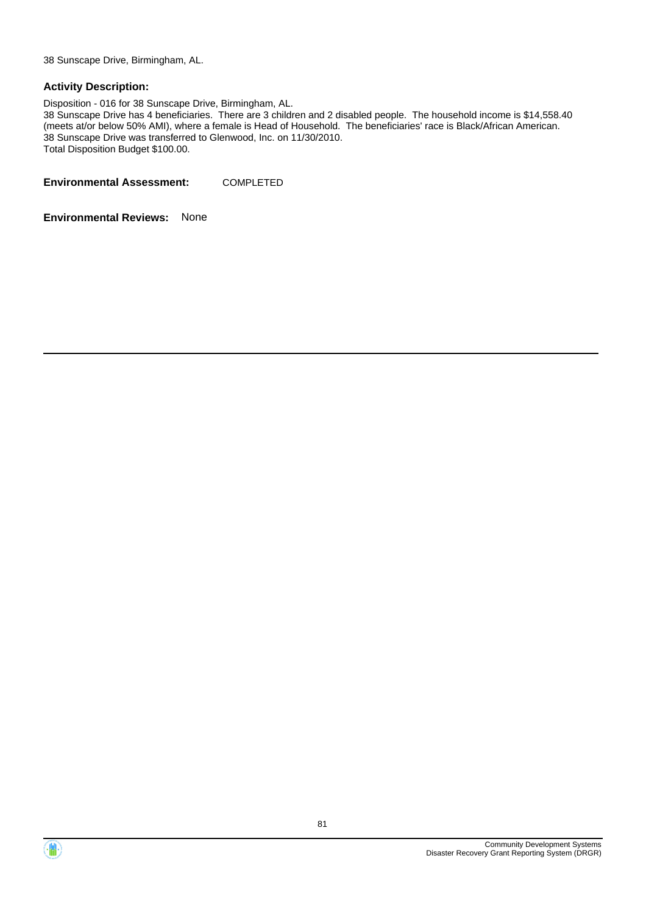38 Sunscape Drive, Birmingham, AL.

#### **Activity Description:**

Disposition - 016 for 38 Sunscape Drive, Birmingham, AL.

38 Sunscape Drive has 4 beneficiaries. There are 3 children and 2 disabled people. The household income is \$14,558.40 (meets at/or below 50% AMI), where a female is Head of Household. The beneficiaries' race is Black/African American. 38 Sunscape Drive was transferred to Glenwood, Inc. on 11/30/2010. Total Disposition Budget \$100.00.

**Environmental Assessment:** COMPLETED



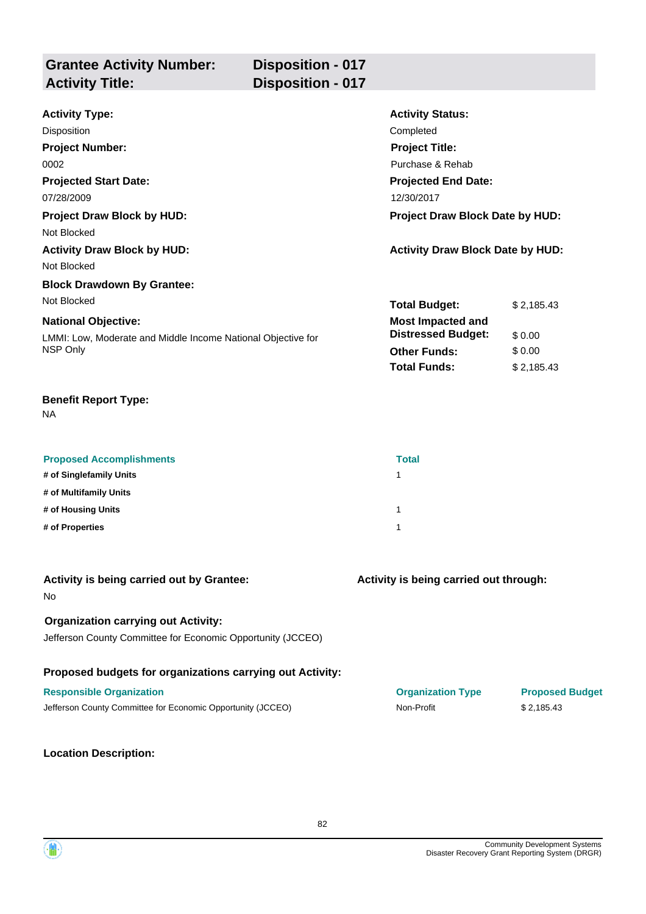| <b>Grantee Activity Number:</b><br><b>Activity Title:</b> | <b>Disposition - 017</b><br><b>Disposition - 017</b> |                         |  |
|-----------------------------------------------------------|------------------------------------------------------|-------------------------|--|
| <b>Activity Type:</b>                                     |                                                      | <b>Activity Status:</b> |  |
| Disposition                                               |                                                      | Completed               |  |

| <b>DISPOSITION</b>                                           | Completed                               |            |  |
|--------------------------------------------------------------|-----------------------------------------|------------|--|
| <b>Project Number:</b>                                       | <b>Project Title:</b>                   |            |  |
| 0002                                                         | Purchase & Rehab                        |            |  |
| <b>Projected Start Date:</b>                                 | <b>Projected End Date:</b>              |            |  |
| 07/28/2009                                                   | 12/30/2017                              |            |  |
| <b>Project Draw Block by HUD:</b>                            | Project Draw Block Date by HUD:         |            |  |
| Not Blocked                                                  |                                         |            |  |
| <b>Activity Draw Block by HUD:</b>                           | <b>Activity Draw Block Date by HUD:</b> |            |  |
| Not Blocked                                                  |                                         |            |  |
| <b>Block Drawdown By Grantee:</b>                            |                                         |            |  |
| Not Blocked                                                  | <b>Total Budget:</b>                    | \$2,185.43 |  |
| <b>National Objective:</b>                                   | <b>Most Impacted and</b>                |            |  |
| LMMI: Low, Moderate and Middle Income National Objective for | <b>Distressed Budget:</b>               | \$0.00     |  |
| NSP Only                                                     | <b>Other Funds:</b>                     | \$0.00     |  |
|                                                              | <b>Total Funds:</b>                     | \$2,185.43 |  |

NA

| <b>Proposed Accomplishments</b> | <b>Total</b> |
|---------------------------------|--------------|
| # of Singlefamily Units         |              |
| # of Multifamily Units          |              |
| # of Housing Units              |              |
| # of Properties                 |              |

| Activity is being carried out by Grantee:<br><b>No</b>                                                    | Activity is being carried out through: |                        |
|-----------------------------------------------------------------------------------------------------------|----------------------------------------|------------------------|
| <b>Organization carrying out Activity:</b><br>Jefferson County Committee for Economic Opportunity (JCCEO) |                                        |                        |
| Proposed budgets for organizations carrying out Activity:                                                 |                                        |                        |
| <b>Responsible Organization</b>                                                                           | <b>Organization Type</b>               | <b>Proposed Budget</b> |
| Jefferson County Committee for Economic Opportunity (JCCEO)                                               | Non-Profit                             | \$2.185.43             |

## **Location Description:**

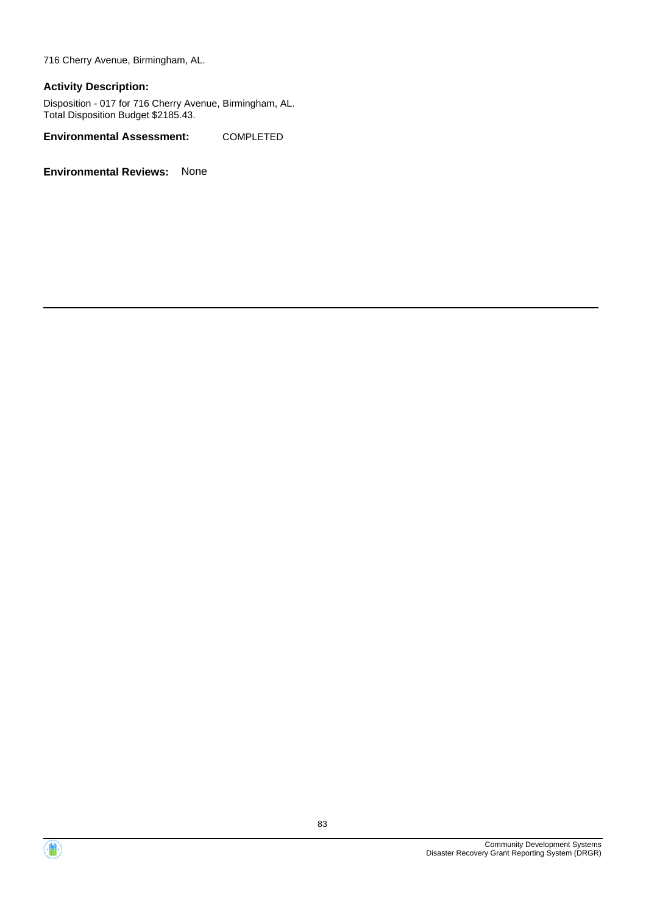716 Cherry Avenue, Birmingham, AL.

#### **Activity Description:**

Disposition - 017 for 716 Cherry Avenue, Birmingham, AL. Total Disposition Budget \$2185.43.

**Environmental Assessment:** COMPLETED



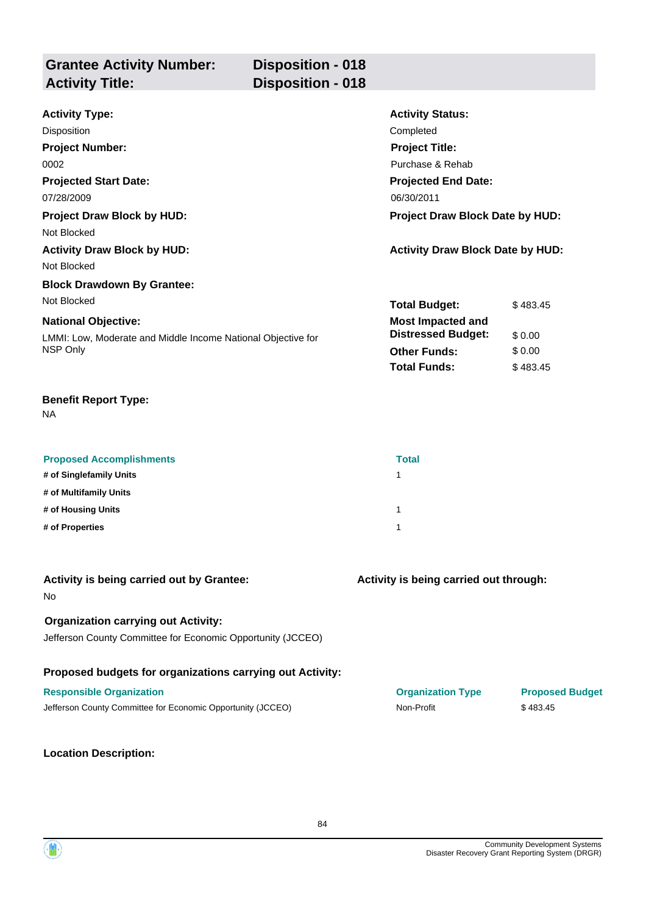| <b>Grantee Activity Number:</b> | Disposition - 018        |
|---------------------------------|--------------------------|
| <b>Activity Title:</b>          | <b>Disposition - 018</b> |
|                                 |                          |

| <b>Activity Type:</b>                                        | <b>Activity Status:</b>                 |          |  |
|--------------------------------------------------------------|-----------------------------------------|----------|--|
| Disposition                                                  | Completed                               |          |  |
| <b>Project Number:</b>                                       | <b>Project Title:</b>                   |          |  |
| 0002                                                         | Purchase & Rehab                        |          |  |
| <b>Projected Start Date:</b>                                 | <b>Projected End Date:</b>              |          |  |
| 07/28/2009                                                   | 06/30/2011                              |          |  |
| Project Draw Block by HUD:                                   | Project Draw Block Date by HUD:         |          |  |
| Not Blocked                                                  |                                         |          |  |
| <b>Activity Draw Block by HUD:</b>                           | <b>Activity Draw Block Date by HUD:</b> |          |  |
| Not Blocked                                                  |                                         |          |  |
| <b>Block Drawdown By Grantee:</b>                            |                                         |          |  |
| Not Blocked                                                  | <b>Total Budget:</b>                    | \$483.45 |  |
| <b>National Objective:</b>                                   | <b>Most Impacted and</b>                |          |  |
| LMMI: Low, Moderate and Middle Income National Objective for | <b>Distressed Budget:</b>               | \$0.00   |  |
| NSP Only                                                     | <b>Other Funds:</b>                     | \$0.00   |  |
|                                                              | <b>Total Funds:</b>                     | \$483.45 |  |

NA

| <b>Proposed Accomplishments</b> | <b>Total</b> |
|---------------------------------|--------------|
| # of Singlefamily Units         |              |
| # of Multifamily Units          |              |
| # of Housing Units              |              |
| # of Properties                 |              |

| Activity is being carried out by Grantee:<br><b>No</b>                                                    | Activity is being carried out through: |                                    |
|-----------------------------------------------------------------------------------------------------------|----------------------------------------|------------------------------------|
| <b>Organization carrying out Activity:</b><br>Jefferson County Committee for Economic Opportunity (JCCEO) |                                        |                                    |
| Proposed budgets for organizations carrying out Activity:                                                 |                                        |                                    |
| <b>Responsible Organization</b><br>Jefferson County Committee for Economic Opportunity (JCCEO)            | <b>Organization Type</b><br>Non-Profit | <b>Proposed Budget</b><br>\$483.45 |
|                                                                                                           |                                        |                                    |

84

**Location Description:**

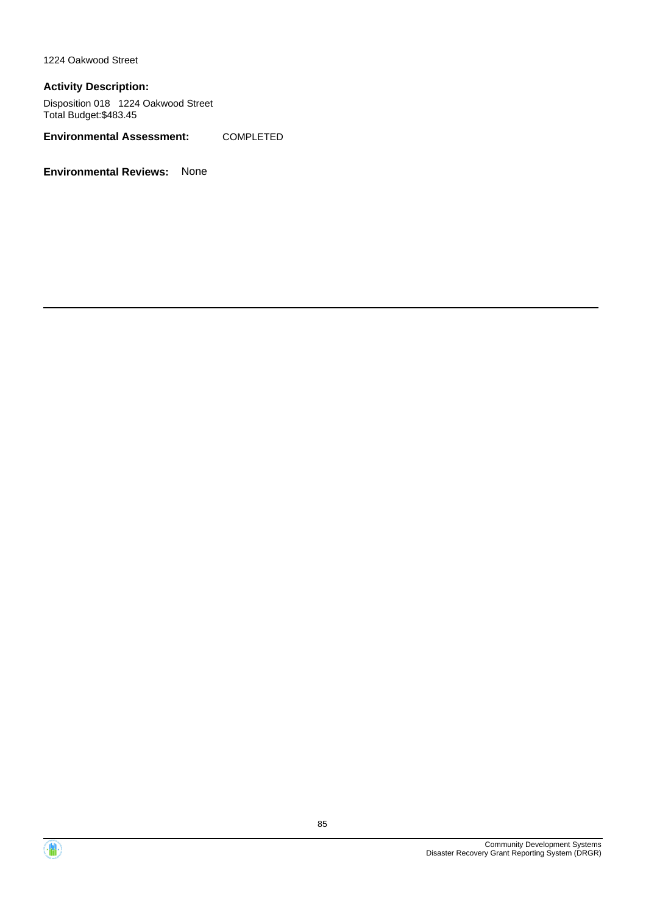1224 Oakwood Street

#### **Activity Description:**

Disposition 018 1224 Oakwood Street Total Budget:\$483.45

**Environmental Assessment:** COMPLETED



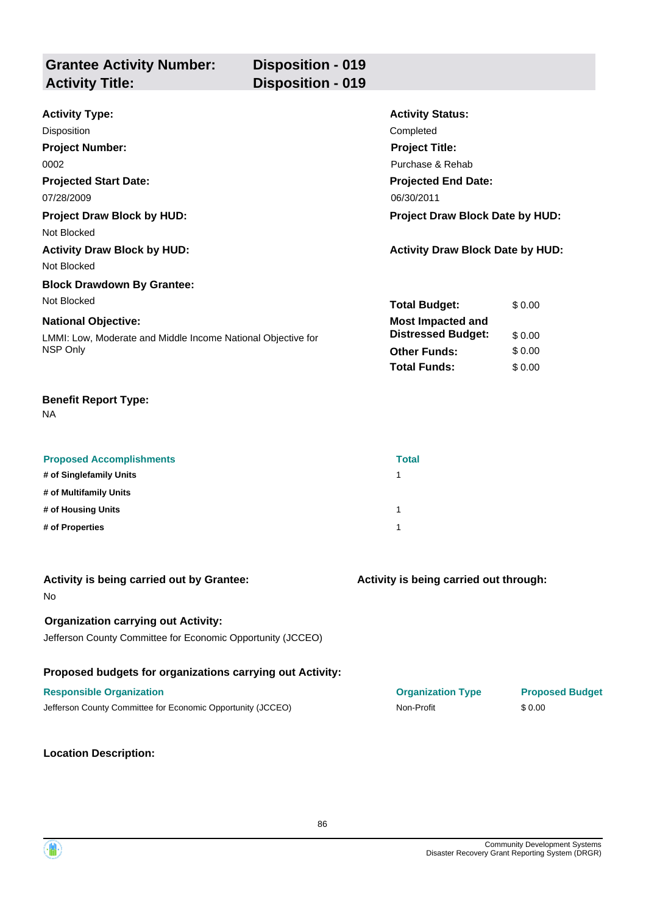| <b>Grantee Activity Number:</b> | <b>Disposition - 019</b> |
|---------------------------------|--------------------------|
| <b>Activity Title:</b>          | Disposition - 019        |
|                                 |                          |

| <b>Activity Type:</b>                                        | <b>Activity Status:</b>                 |        |  |
|--------------------------------------------------------------|-----------------------------------------|--------|--|
| Disposition                                                  | Completed                               |        |  |
| <b>Project Number:</b>                                       | <b>Project Title:</b>                   |        |  |
| 0002                                                         | Purchase & Rehab                        |        |  |
| <b>Projected Start Date:</b>                                 | <b>Projected End Date:</b>              |        |  |
| 07/28/2009                                                   | 06/30/2011                              |        |  |
| <b>Project Draw Block by HUD:</b>                            | <b>Project Draw Block Date by HUD:</b>  |        |  |
| Not Blocked                                                  |                                         |        |  |
| <b>Activity Draw Block by HUD:</b>                           | <b>Activity Draw Block Date by HUD:</b> |        |  |
| Not Blocked                                                  |                                         |        |  |
| <b>Block Drawdown By Grantee:</b>                            |                                         |        |  |
| Not Blocked                                                  | <b>Total Budget:</b>                    | \$0.00 |  |
| <b>National Objective:</b>                                   | <b>Most Impacted and</b>                |        |  |
| LMMI: Low, Moderate and Middle Income National Objective for | <b>Distressed Budget:</b>               | \$0.00 |  |
| NSP Only                                                     | <b>Other Funds:</b>                     | \$0.00 |  |
|                                                              | <b>Total Funds:</b>                     | \$0.00 |  |

NA

| <b>Proposed Accomplishments</b> | <b>Total</b> |
|---------------------------------|--------------|
| # of Singlefamily Units         |              |
| # of Multifamily Units          |              |
| # of Housing Units              |              |
| # of Properties                 |              |

| Activity is being carried out by Grantee:<br><b>No</b>                                                    | Activity is being carried out through: |                        |
|-----------------------------------------------------------------------------------------------------------|----------------------------------------|------------------------|
| <b>Organization carrying out Activity:</b><br>Jefferson County Committee for Economic Opportunity (JCCEO) |                                        |                        |
| Proposed budgets for organizations carrying out Activity:                                                 |                                        |                        |
| <b>Responsible Organization</b>                                                                           | <b>Organization Type</b>               | <b>Proposed Budget</b> |
| Jefferson County Committee for Economic Opportunity (JCCEO)                                               | Non-Profit                             | \$0.00                 |

# **Location Description:**

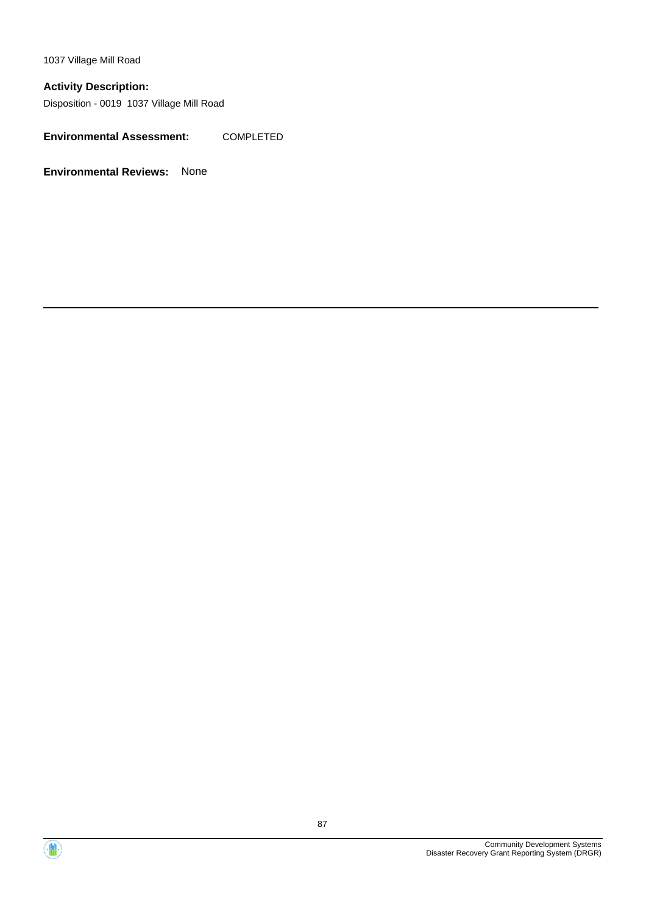1037 Village Mill Road

# **Activity Description:**

Disposition - 0019 1037 Village Mill Road

**Environmental Assessment:** COMPLETED



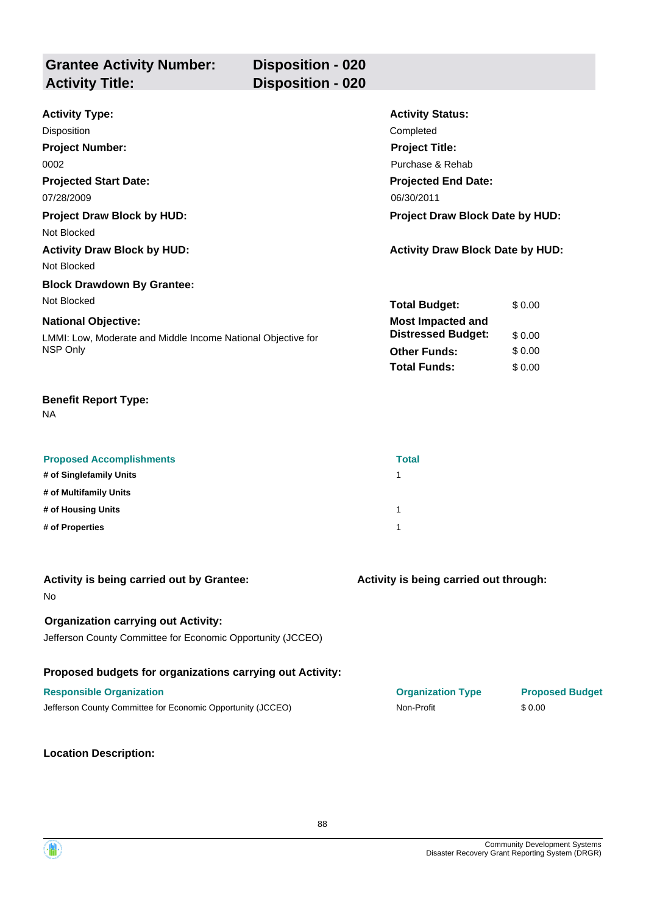| <b>Grantee Activity Number:</b> | Disposition - 020        |
|---------------------------------|--------------------------|
| <b>Activity Title:</b>          | <b>Disposition - 020</b> |
|                                 |                          |

| <b>Activity Type:</b>                                        | <b>Activity Status:</b>                 |        |
|--------------------------------------------------------------|-----------------------------------------|--------|
| Disposition                                                  | Completed                               |        |
| <b>Project Number:</b>                                       | <b>Project Title:</b>                   |        |
| 0002                                                         | Purchase & Rehab                        |        |
| <b>Projected Start Date:</b>                                 | <b>Projected End Date:</b>              |        |
| 07/28/2009                                                   | 06/30/2011                              |        |
| <b>Project Draw Block by HUD:</b>                            | <b>Project Draw Block Date by HUD:</b>  |        |
| Not Blocked                                                  |                                         |        |
| <b>Activity Draw Block by HUD:</b>                           | <b>Activity Draw Block Date by HUD:</b> |        |
| Not Blocked                                                  |                                         |        |
| <b>Block Drawdown By Grantee:</b>                            |                                         |        |
| Not Blocked                                                  | <b>Total Budget:</b>                    | \$0.00 |
| <b>National Objective:</b>                                   | <b>Most Impacted and</b>                |        |
| LMMI: Low, Moderate and Middle Income National Objective for | <b>Distressed Budget:</b>               | \$0.00 |
| NSP Only                                                     | <b>Other Funds:</b>                     | \$0.00 |
|                                                              | <b>Total Funds:</b>                     | \$0.00 |

NA

| <b>Proposed Accomplishments</b> | <b>Total</b> |
|---------------------------------|--------------|
| # of Singlefamily Units         |              |
| # of Multifamily Units          |              |
| # of Housing Units              |              |
| # of Properties                 |              |

| Activity is being carried out by Grantee:<br><b>No</b>                                                    | Activity is being carried out through: |                        |
|-----------------------------------------------------------------------------------------------------------|----------------------------------------|------------------------|
| <b>Organization carrying out Activity:</b><br>Jefferson County Committee for Economic Opportunity (JCCEO) |                                        |                        |
| Proposed budgets for organizations carrying out Activity:                                                 |                                        |                        |
| <b>Responsible Organization</b>                                                                           | <b>Organization Type</b>               | <b>Proposed Budget</b> |
| Jefferson County Committee for Economic Opportunity (JCCEO)                                               | Non-Profit                             | \$0.00                 |

## **Location Description:**

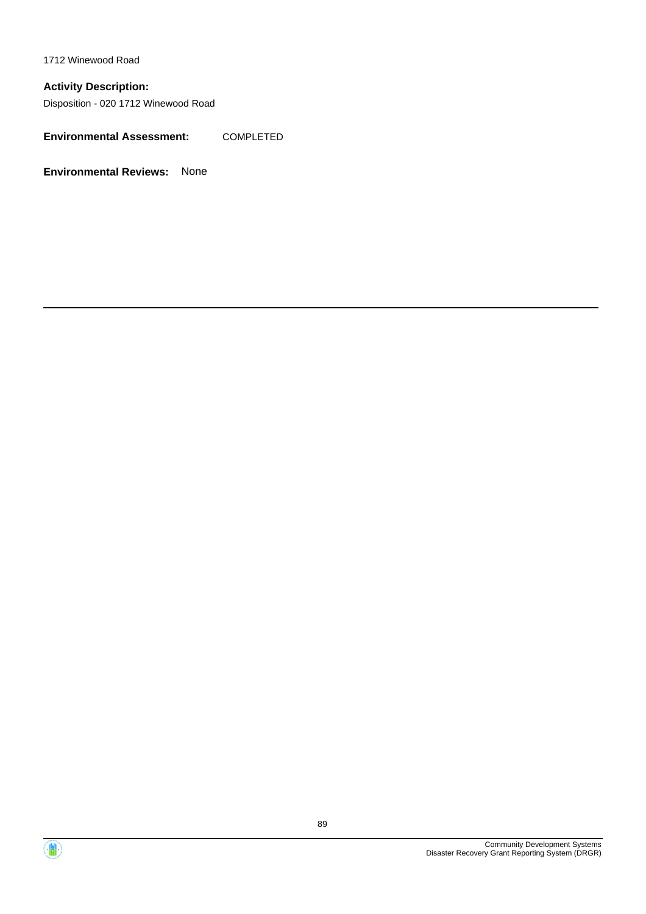1712 Winewood Road

# **Activity Description:**

Disposition - 020 1712 Winewood Road

**Environmental Assessment:** COMPLETED



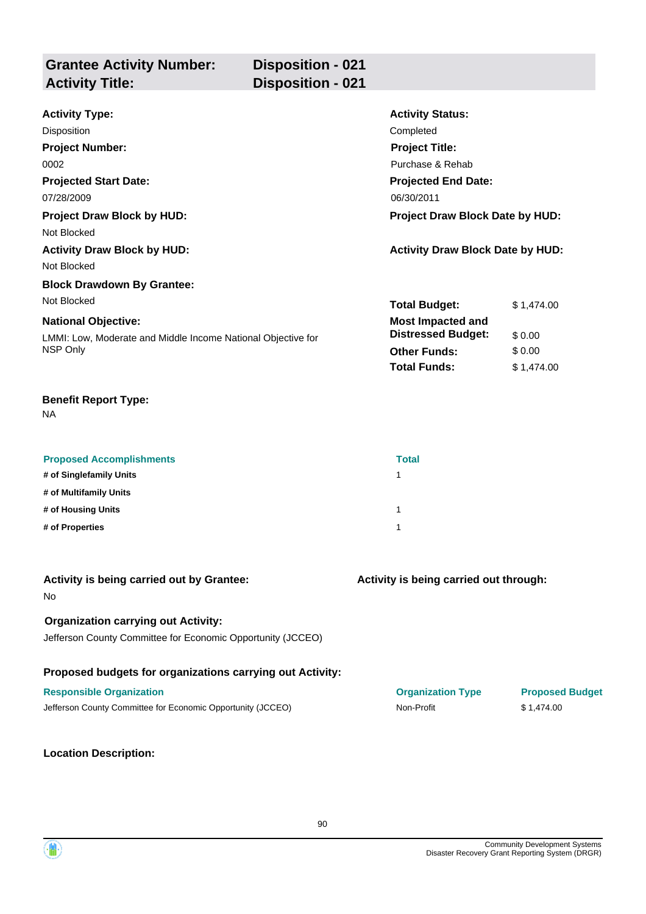| <b>Grantee Activity Number:</b><br><b>Activity Title:</b> | <b>Disposition - 021</b><br>Disposition - 021 |                         |
|-----------------------------------------------------------|-----------------------------------------------|-------------------------|
| <b>Activity Type:</b>                                     |                                               | <b>Activity Status:</b> |

| <b>Disposition</b>                                           | Completed                               |            |
|--------------------------------------------------------------|-----------------------------------------|------------|
| <b>Project Number:</b>                                       | <b>Project Title:</b>                   |            |
| 0002                                                         | Purchase & Rehab                        |            |
| <b>Projected Start Date:</b>                                 | <b>Projected End Date:</b>              |            |
| 07/28/2009                                                   | 06/30/2011                              |            |
| <b>Project Draw Block by HUD:</b>                            | Project Draw Block Date by HUD:         |            |
| Not Blocked                                                  |                                         |            |
| <b>Activity Draw Block by HUD:</b>                           | <b>Activity Draw Block Date by HUD:</b> |            |
| Not Blocked                                                  |                                         |            |
| <b>Block Drawdown By Grantee:</b>                            |                                         |            |
| Not Blocked                                                  | <b>Total Budget:</b>                    | \$1,474.00 |
| <b>National Objective:</b>                                   | <b>Most Impacted and</b>                |            |
| LMMI: Low, Moderate and Middle Income National Objective for | <b>Distressed Budget:</b>               | \$0.00     |
| NSP Only                                                     | <b>Other Funds:</b>                     | \$0.00     |
|                                                              | <b>Total Funds:</b>                     | \$1,474.00 |

NA

| <b>Proposed Accomplishments</b> | <b>Total</b> |
|---------------------------------|--------------|
| # of Singlefamily Units         |              |
| # of Multifamily Units          |              |
| # of Housing Units              | 1            |
| # of Properties                 |              |

| Activity is being carried out by Grantee:<br><b>No</b>      | Activity is being carried out through: |                        |
|-------------------------------------------------------------|----------------------------------------|------------------------|
| <b>Organization carrying out Activity:</b>                  |                                        |                        |
| Jefferson County Committee for Economic Opportunity (JCCEO) |                                        |                        |
| Proposed budgets for organizations carrying out Activity:   |                                        |                        |
| <b>Responsible Organization</b>                             | <b>Organization Type</b>               | <b>Proposed Budget</b> |
| Jefferson County Committee for Economic Opportunity (JCCEO) | Non-Profit                             | \$1.474.00             |
|                                                             |                                        |                        |

## **Location Description:**

90

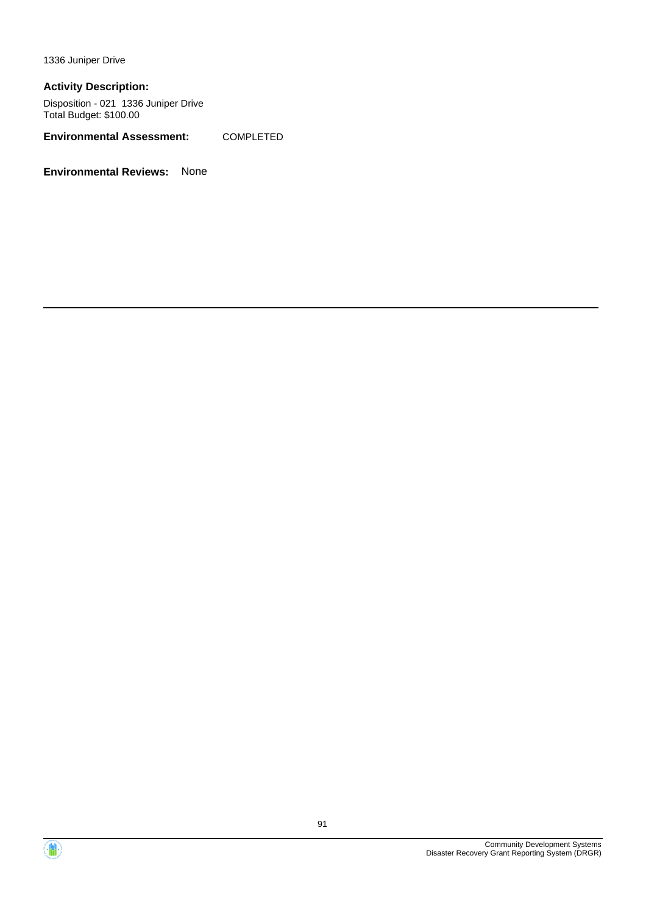1336 Juniper Drive

#### **Activity Description:**

Disposition - 021 1336 Juniper Drive Total Budget: \$100.00

**Environmental Assessment:** COMPLETED



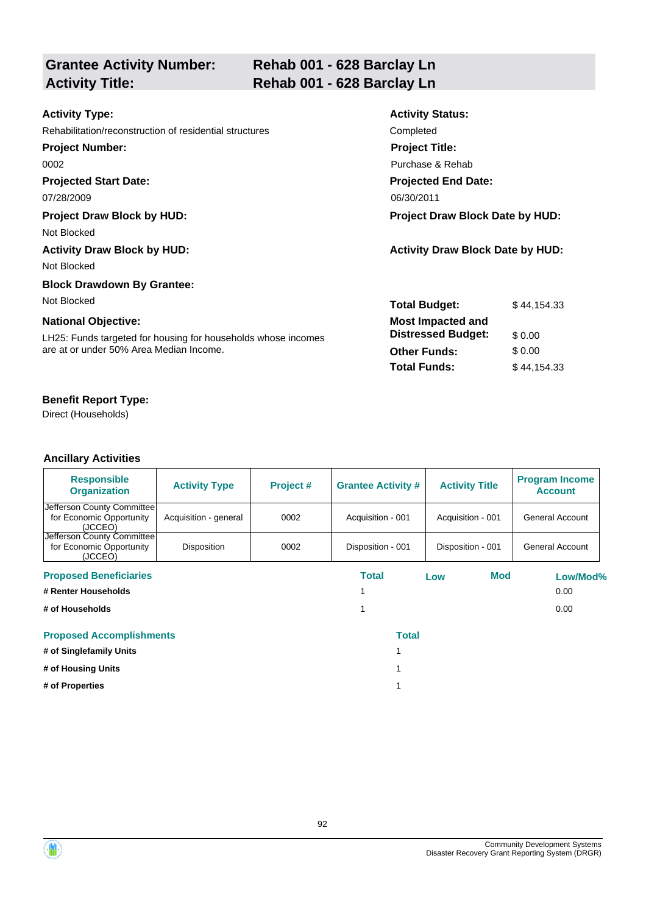| <b>Grantee Activity Number:</b><br><b>Activity Title:</b>                                                                              | Rehab 001 - 628 Barclay Ln<br>Rehab 001 - 628 Barclay Ln                                            |                                 |
|----------------------------------------------------------------------------------------------------------------------------------------|-----------------------------------------------------------------------------------------------------|---------------------------------|
| <b>Activity Type:</b><br>Rehabilitation/reconstruction of residential structures<br><b>Project Number:</b>                             | <b>Activity Status:</b><br>Completed<br><b>Project Title:</b>                                       |                                 |
| 0002<br><b>Projected Start Date:</b><br>07/28/2009                                                                                     | Purchase & Rehab<br><b>Projected End Date:</b><br>06/30/2011                                        |                                 |
| <b>Project Draw Block by HUD:</b><br>Not Blocked<br><b>Activity Draw Block by HUD:</b>                                                 | Project Draw Block Date by HUD:<br><b>Activity Draw Block Date by HUD:</b>                          |                                 |
| Not Blocked<br><b>Block Drawdown By Grantee:</b><br>Not Blocked                                                                        | <b>Total Budget:</b>                                                                                | \$44,154.33                     |
| <b>National Objective:</b><br>LH25: Funds targeted for housing for households whose incomes<br>are at or under 50% Area Median Income. | <b>Most Impacted and</b><br><b>Distressed Budget:</b><br><b>Other Funds:</b><br><b>Total Funds:</b> | \$0.00<br>\$0.00<br>\$44,154.33 |

Direct (Households)

| <b>Responsible</b><br><b>Organization</b>                         | <b>Activity Type</b>  | Project # | <b>Grantee Activity #</b> | <b>Activity Title</b> | <b>Program Income</b><br><b>Account</b> |
|-------------------------------------------------------------------|-----------------------|-----------|---------------------------|-----------------------|-----------------------------------------|
| Jefferson County Committee<br>for Economic Opportunity<br>(JCCEO) | Acquisition - general | 0002      | Acquisition - 001         | Acquisition - 001     | General Account                         |
| Jefferson County Committee<br>for Economic Opportunity<br>(JCCEO) | Disposition           | 0002      | Disposition - 001         | Disposition - 001     | General Account                         |
| <b>Proposed Beneficiaries</b>                                     |                       |           | Total                     | Mod<br>Low            | Low/Mod%                                |
| # Renter Households                                               |                       |           |                           |                       | 0.00                                    |
| # of Households                                                   |                       |           |                           |                       | 0.00                                    |
| <b>Proposed Accomplishments</b>                                   |                       |           | <b>Total</b>              |                       |                                         |
| # of Singlefamily Units                                           |                       |           |                           |                       |                                         |
| # of Housing Units                                                |                       |           |                           |                       |                                         |
| # of Properties                                                   |                       |           |                           |                       |                                         |



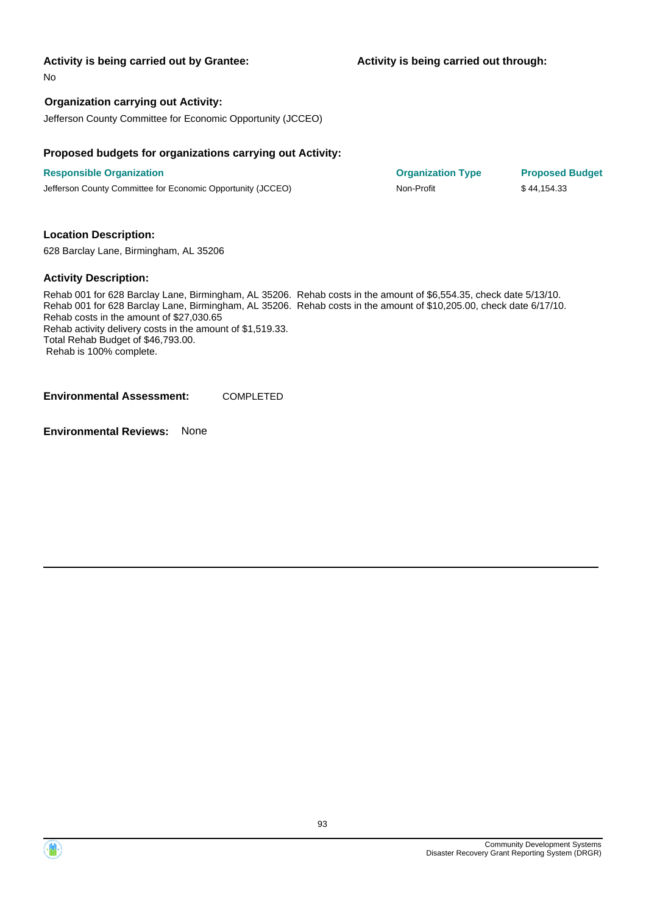No

### **Organization carrying out Activity:**

Jefferson County Committee for Economic Opportunity (JCCEO)

#### **Proposed budgets for organizations carrying out Activity:**

**Responsible Organization Organization Type Proposed Budget** Jefferson County Committee for Economic Opportunity (JCCEO) Non-Profit \$ 44,154.33

#### **Location Description:**

628 Barclay Lane, Birmingham, AL 35206

#### **Activity Description:**

Rehab 001 for 628 Barclay Lane, Birmingham, AL 35206. Rehab costs in the amount of \$6,554.35, check date 5/13/10. Rehab 001 for 628 Barclay Lane, Birmingham, AL 35206. Rehab costs in the amount of \$10,205.00, check date 6/17/10. Rehab costs in the amount of \$27,030.65 Rehab activity delivery costs in the amount of \$1,519.33. Total Rehab Budget of \$46,793.00. Rehab is 100% complete.

**Environmental Assessment:** COMPLETED



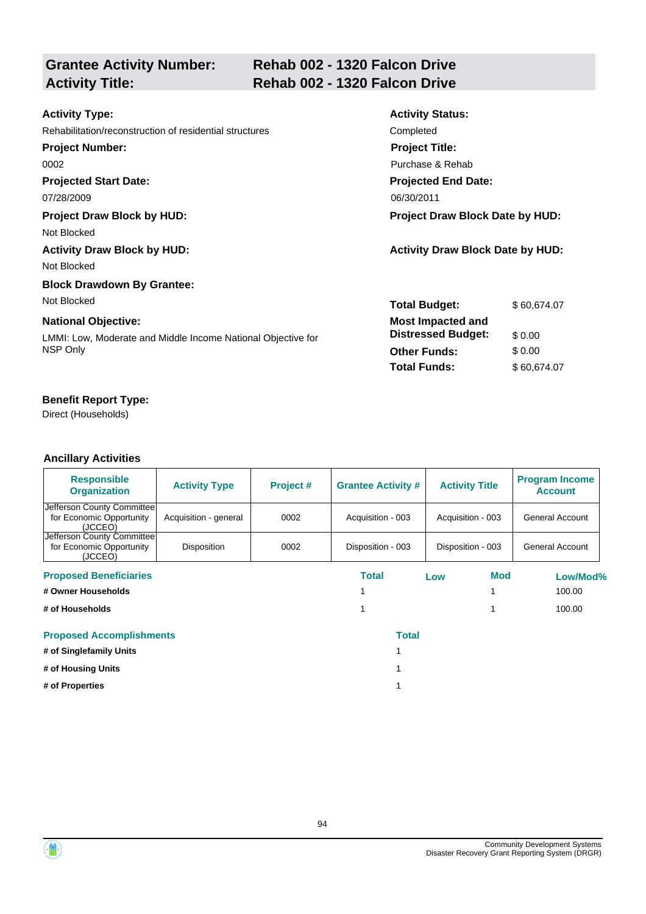|                        | <b>Grantee Activity Number:</b> |
|------------------------|---------------------------------|
| <b>Activity Title:</b> |                                 |

# **Rehab 002 - 1320 Falcon Drive Activity Title: Rehab 002 - 1320 Falcon Drive**

| <b>Activity Type:</b>                                        | <b>Activity Status:</b>                 |             |  |
|--------------------------------------------------------------|-----------------------------------------|-------------|--|
| Rehabilitation/reconstruction of residential structures      | Completed                               |             |  |
| <b>Project Number:</b>                                       | <b>Project Title:</b>                   |             |  |
| 0002                                                         | Purchase & Rehab                        |             |  |
| <b>Projected Start Date:</b>                                 | <b>Projected End Date:</b>              |             |  |
| 07/28/2009                                                   | 06/30/2011                              |             |  |
| <b>Project Draw Block by HUD:</b>                            | <b>Project Draw Block Date by HUD:</b>  |             |  |
| Not Blocked                                                  |                                         |             |  |
| <b>Activity Draw Block by HUD:</b>                           | <b>Activity Draw Block Date by HUD:</b> |             |  |
| Not Blocked                                                  |                                         |             |  |
| <b>Block Drawdown By Grantee:</b>                            |                                         |             |  |
| Not Blocked                                                  | <b>Total Budget:</b>                    | \$60,674.07 |  |
| <b>National Objective:</b>                                   | <b>Most Impacted and</b>                |             |  |
| LMMI: Low, Moderate and Middle Income National Objective for | <b>Distressed Budget:</b>               | \$0.00      |  |
| NSP Only                                                     | <b>Other Funds:</b>                     | \$0.00      |  |
|                                                              | <b>Total Funds:</b>                     | \$60,674.07 |  |

# **Benefit Report Type:**

Direct (Households)

| <b>Responsible</b><br><b>Organization</b>                          | <b>Activity Type</b>  | Project# | <b>Grantee Activity #</b> |     | <b>Activity Title</b> | <b>Program Income</b><br><b>Account</b> |
|--------------------------------------------------------------------|-----------------------|----------|---------------------------|-----|-----------------------|-----------------------------------------|
| Jefferson County Committee <br>for Economic Opportunity<br>(JCCEO) | Acquisition - general | 0002     | Acquisition - 003         |     | Acquisition - 003     | General Account                         |
| Jefferson County Committee<br>for Economic Opportunity<br>(JCCEO)  | <b>Disposition</b>    | 0002     | Disposition - 003         |     | Disposition - 003     | General Account                         |
| <b>Proposed Beneficiaries</b>                                      |                       |          | Total                     | Low | <b>Mod</b>            | Low/Mod%                                |
| # Owner Households                                                 |                       |          |                           |     |                       | 100.00                                  |
| # of Households                                                    |                       |          |                           |     |                       | 100.00                                  |
| <b>Proposed Accomplishments</b>                                    |                       |          | <b>Total</b>              |     |                       |                                         |
| # of Singlefamily Units                                            |                       |          |                           |     |                       |                                         |
| # of Housing Units                                                 |                       |          |                           |     |                       |                                         |
| # of Properties                                                    |                       |          |                           |     |                       |                                         |



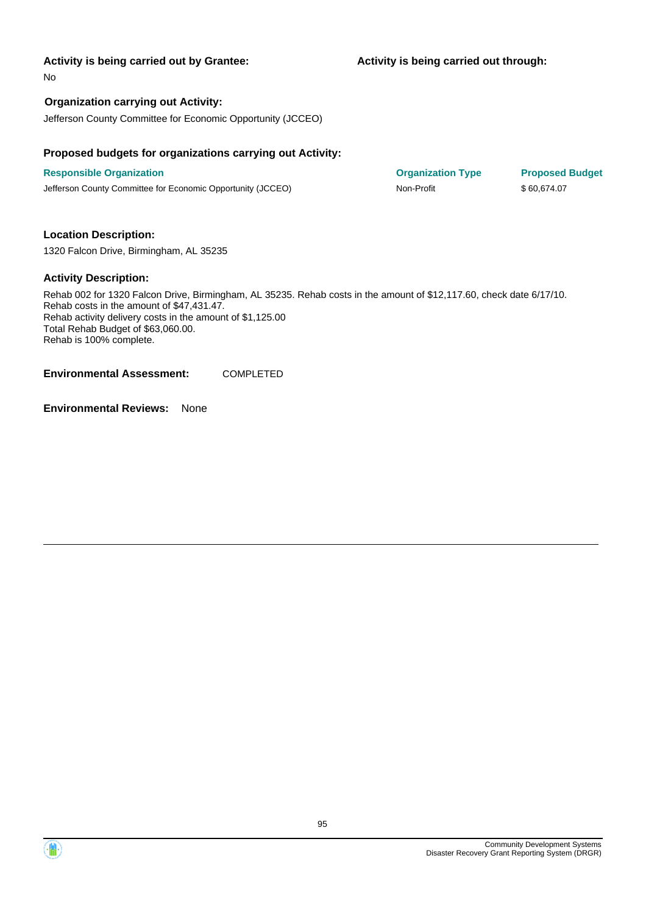**Activity is being carried out through:**

No

## **Organization carrying out Activity:**

Jefferson County Committee for Economic Opportunity (JCCEO)

#### **Proposed budgets for organizations carrying out Activity:**

**Responsible Organization COVID-10 COVID-10 Organization Type Proposed Budget** Jefferson County Committee for Economic Opportunity (JCCEO) Non-Profit \$ 60,674.07

#### **Location Description:**

1320 Falcon Drive, Birmingham, AL 35235

#### **Activity Description:**

Rehab 002 for 1320 Falcon Drive, Birmingham, AL 35235. Rehab costs in the amount of \$12,117.60, check date 6/17/10. Rehab costs in the amount of \$47,431.47. Rehab activity delivery costs in the amount of \$1,125.00 Total Rehab Budget of \$63,060.00. Rehab is 100% complete.

**Environmental Assessment:** COMPLETED

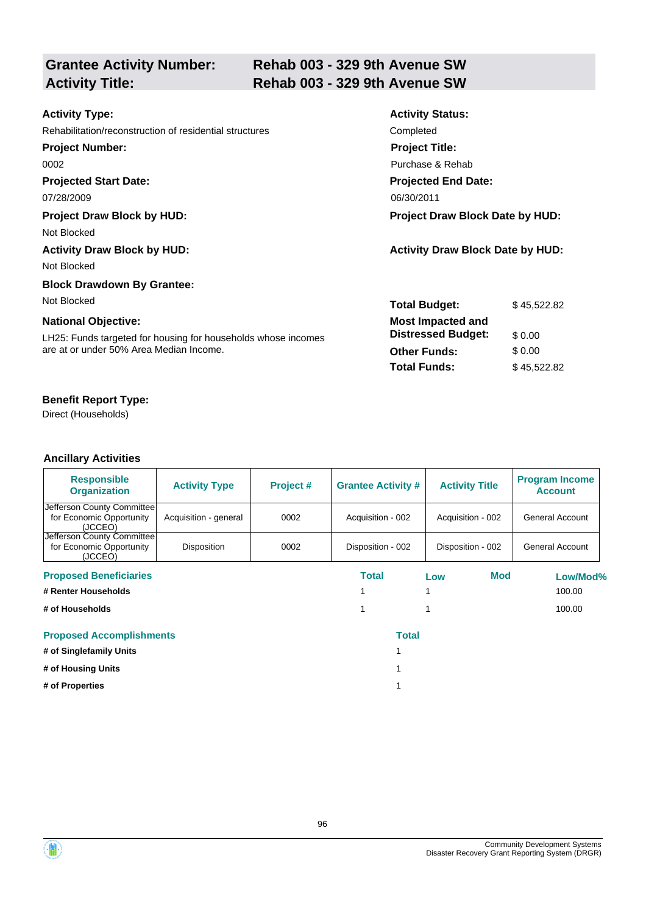| <b>Grantee Activity Number:</b> |  |
|---------------------------------|--|
| <b>Activity Title:</b>          |  |

# **Rehab 003 - 329 9th Avenue SW Activity Title: Rehab 003 - 329 9th Avenue SW**

| <b>Activity Type:</b>                                         | <b>Activity Status:</b>                 |             |  |
|---------------------------------------------------------------|-----------------------------------------|-------------|--|
| Rehabilitation/reconstruction of residential structures       | Completed                               |             |  |
| <b>Project Number:</b>                                        | <b>Project Title:</b>                   |             |  |
| 0002                                                          | Purchase & Rehab                        |             |  |
| <b>Projected Start Date:</b>                                  | <b>Projected End Date:</b>              |             |  |
| 07/28/2009                                                    | 06/30/2011                              |             |  |
| <b>Project Draw Block by HUD:</b>                             | <b>Project Draw Block Date by HUD:</b>  |             |  |
| Not Blocked                                                   |                                         |             |  |
| <b>Activity Draw Block by HUD:</b>                            | <b>Activity Draw Block Date by HUD:</b> |             |  |
| Not Blocked                                                   |                                         |             |  |
| <b>Block Drawdown By Grantee:</b>                             |                                         |             |  |
| Not Blocked                                                   | <b>Total Budget:</b>                    | \$45,522.82 |  |
| <b>National Objective:</b>                                    | <b>Most Impacted and</b>                |             |  |
| LH25: Funds targeted for housing for households whose incomes | <b>Distressed Budget:</b>               | \$0.00      |  |
| are at or under 50% Area Median Income.                       | <b>Other Funds:</b>                     | \$0.00      |  |
|                                                               | <b>Total Funds:</b>                     | \$45,522.82 |  |
|                                                               |                                         |             |  |

# **Benefit Report Type:**

Direct (Households)

| <b>Responsible</b><br><b>Organization</b>                         | <b>Activity Type</b>  | Project # | <b>Grantee Activity #</b> | <b>Activity Title</b> | <b>Program Income</b><br><b>Account</b> |
|-------------------------------------------------------------------|-----------------------|-----------|---------------------------|-----------------------|-----------------------------------------|
| Jefferson County Committee<br>for Economic Opportunity<br>(JCCEO) | Acquisition - general | 0002      | Acquisition - 002         | Acquisition - 002     | General Account                         |
| Jefferson County Committee<br>for Economic Opportunity<br>(JCCEO) | Disposition           | 0002      | Disposition - 002         | Disposition - 002     | General Account                         |
| <b>Proposed Beneficiaries</b>                                     |                       |           | Total                     | Mod<br>Low            | Low/Mod%                                |
| # Renter Households                                               |                       |           |                           |                       | 100.00                                  |
| # of Households                                                   |                       |           |                           |                       | 100.00                                  |
| <b>Proposed Accomplishments</b>                                   |                       |           | <b>Total</b>              |                       |                                         |
| # of Singlefamily Units                                           |                       |           |                           |                       |                                         |
| # of Housing Units                                                |                       |           |                           |                       |                                         |
| # of Properties                                                   |                       |           |                           |                       |                                         |



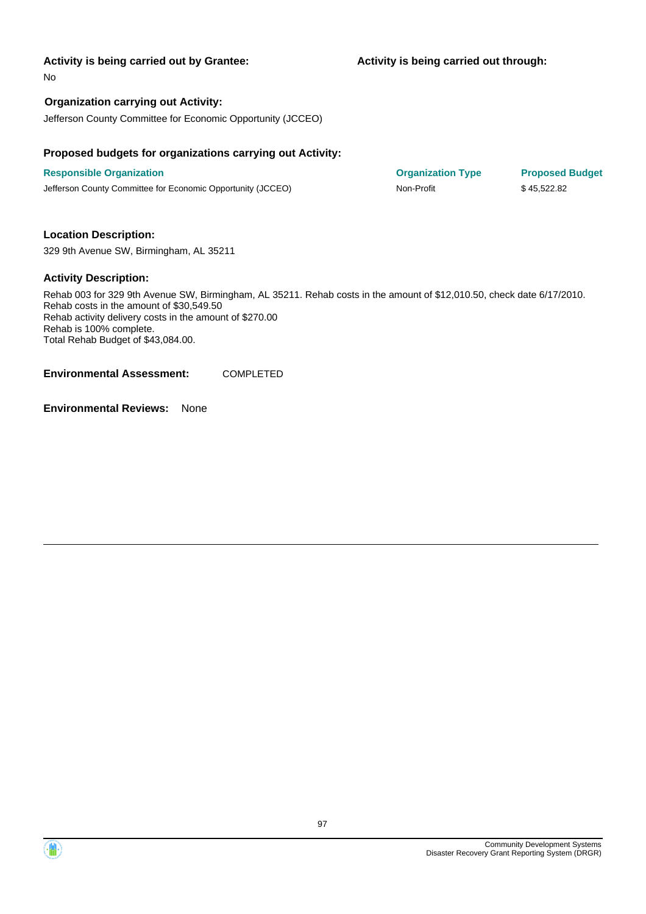**Activity is being carried out through:**

No

#### **Organization carrying out Activity:**

Jefferson County Committee for Economic Opportunity (JCCEO)

#### **Proposed budgets for organizations carrying out Activity:**

**Responsible Organization COVID-10 COVID-10 Organization Type Proposed Budget** Jefferson County Committee for Economic Opportunity (JCCEO) Non-Profit \$ 45,522.82

#### **Location Description:**

329 9th Avenue SW, Birmingham, AL 35211

#### **Activity Description:**

Rehab 003 for 329 9th Avenue SW, Birmingham, AL 35211. Rehab costs in the amount of \$12,010.50, check date 6/17/2010. Rehab costs in the amount of \$30,549.50 Rehab activity delivery costs in the amount of \$270.00 Rehab is 100% complete. Total Rehab Budget of \$43,084.00.

**Environmental Assessment:** COMPLETED

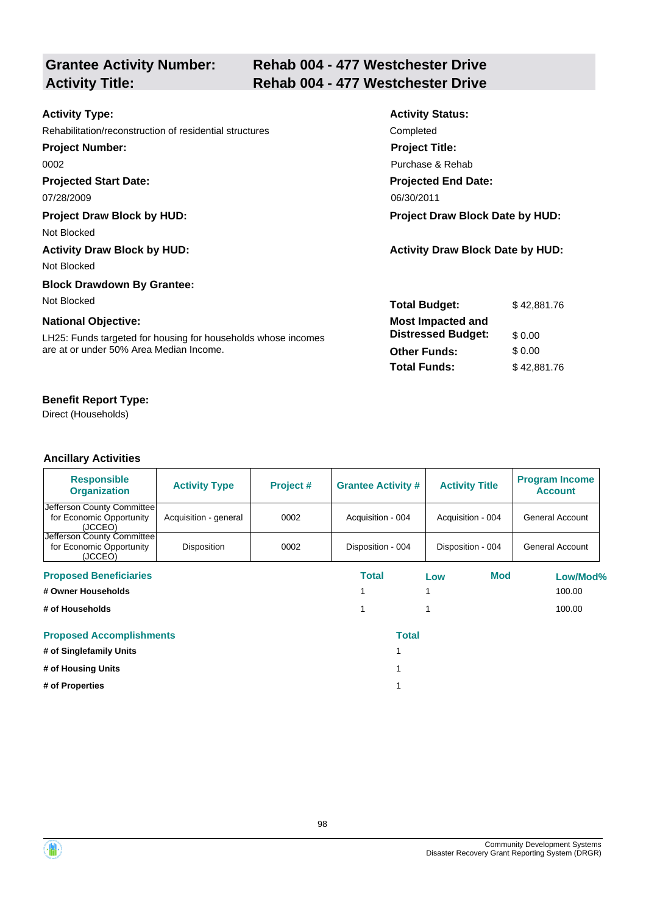# **Grantee Activity Number:**

# **Rehab 004 - 477 Westchester Drive Activity Title: Rehab 004 - 477 Westchester Drive**

| <b>Activity Type:</b>                                         | <b>Activity Status:</b>                 |             |  |
|---------------------------------------------------------------|-----------------------------------------|-------------|--|
| Rehabilitation/reconstruction of residential structures       | Completed                               |             |  |
| <b>Project Number:</b>                                        | <b>Project Title:</b>                   |             |  |
| 0002                                                          | Purchase & Rehab                        |             |  |
| <b>Projected Start Date:</b>                                  | <b>Projected End Date:</b>              |             |  |
| 07/28/2009                                                    | 06/30/2011                              |             |  |
| <b>Project Draw Block by HUD:</b>                             | Project Draw Block Date by HUD:         |             |  |
| Not Blocked                                                   |                                         |             |  |
| <b>Activity Draw Block by HUD:</b>                            | <b>Activity Draw Block Date by HUD:</b> |             |  |
| Not Blocked                                                   |                                         |             |  |
| <b>Block Drawdown By Grantee:</b>                             |                                         |             |  |
| Not Blocked                                                   | <b>Total Budget:</b>                    | \$42,881.76 |  |
| <b>National Objective:</b>                                    | <b>Most Impacted and</b>                |             |  |
| LH25: Funds targeted for housing for households whose incomes | <b>Distressed Budget:</b>               | \$0.00      |  |
| are at or under 50% Area Median Income.                       | <b>Other Funds:</b>                     | \$0.00      |  |
|                                                               | <b>Total Funds:</b>                     | \$42,881.76 |  |
|                                                               |                                         |             |  |

# **Benefit Report Type:**

Direct (Households)

| <b>Responsible</b><br><b>Organization</b>                         | <b>Activity Type</b>  | Project # | <b>Grantee Activity #</b> | <b>Activity Title</b> | <b>Program Income</b><br><b>Account</b> |
|-------------------------------------------------------------------|-----------------------|-----------|---------------------------|-----------------------|-----------------------------------------|
| Jefferson County Committee<br>for Economic Opportunity<br>(JCCEO) | Acquisition - general | 0002      | Acquisition - 004         | Acquisition - 004     | General Account                         |
| Jefferson County Committee<br>for Economic Opportunity<br>(JCCEO) | Disposition           | 0002      | Disposition - 004         | Disposition - 004     | General Account                         |
| <b>Proposed Beneficiaries</b>                                     |                       |           | Total                     | <b>Mod</b><br>Low     | Low/Mod%                                |
| # Owner Households                                                |                       |           |                           |                       | 100.00                                  |
| # of Households                                                   |                       |           |                           |                       | 100.00                                  |
| <b>Proposed Accomplishments</b>                                   |                       |           | <b>Total</b>              |                       |                                         |
| # of Singlefamily Units                                           |                       |           |                           |                       |                                         |
| # of Housing Units                                                |                       |           |                           |                       |                                         |
| # of Properties                                                   |                       |           |                           |                       |                                         |

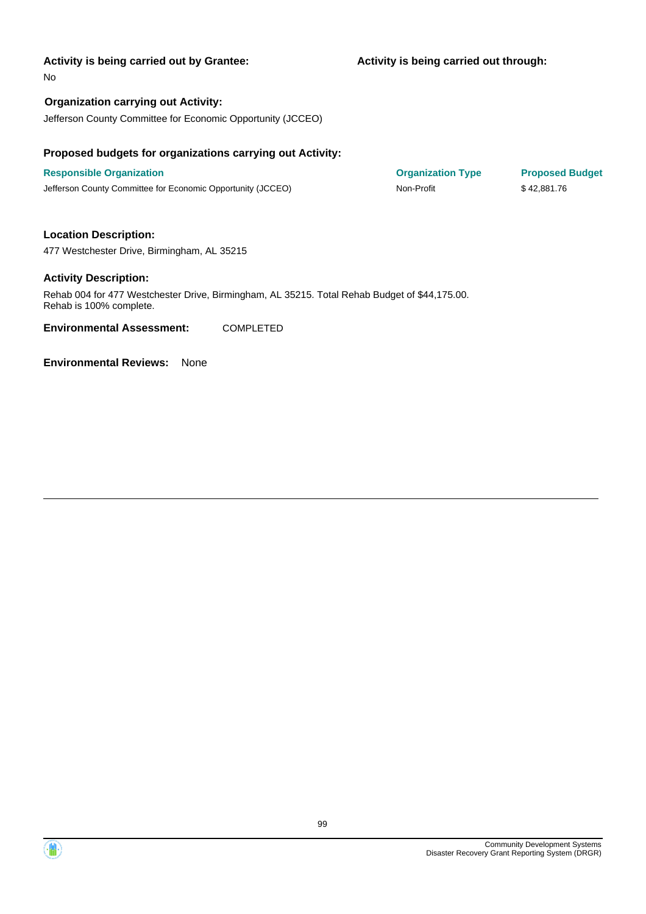#### **Activity is being carried out through:**

No

### **Organization carrying out Activity:**

Jefferson County Committee for Economic Opportunity (JCCEO)

#### **Proposed budgets for organizations carrying out Activity:**

**Responsible Organization COVID-10 COVID-10 Organization Type Proposed Budget** Jefferson County Committee for Economic Opportunity (JCCEO) Non-Profit \$ 42,881.76

**Location Description:** 477 Westchester Drive, Birmingham, AL 35215

#### **Activity Description:**

Rehab 004 for 477 Westchester Drive, Birmingham, AL 35215. Total Rehab Budget of \$44,175.00. Rehab is 100% complete.

**Environmental Assessment:** COMPLETED



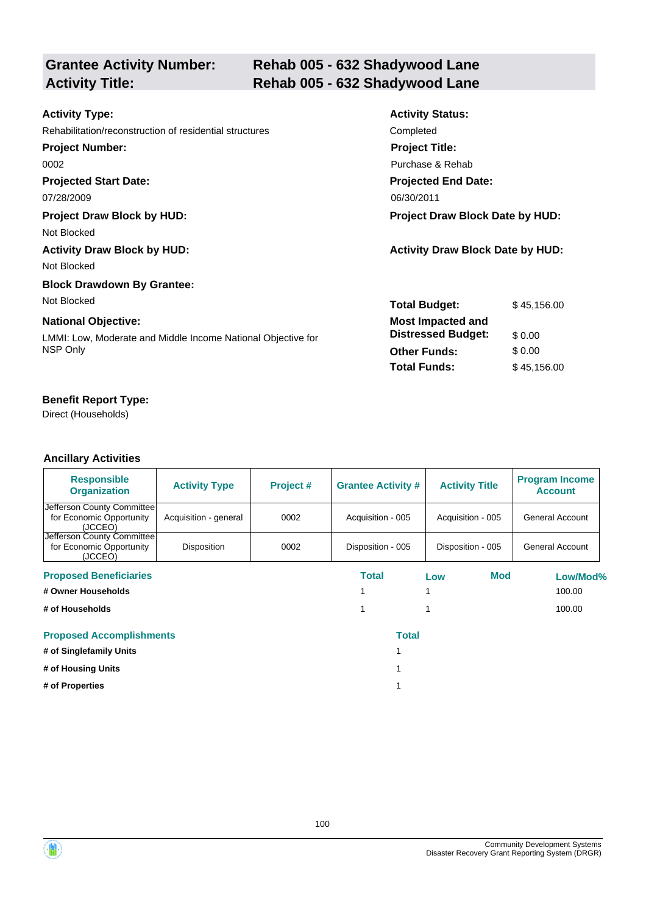| <b>Grantee Activity Number:</b> |  |
|---------------------------------|--|
| <b>Activity Title:</b>          |  |

# **Rehab 005 - 632 Shadywood Lane Activity Title: Rehab 005 - 632 Shadywood Lane**

| <b>Activity Status:</b>                 |  |  |
|-----------------------------------------|--|--|
| Completed                               |  |  |
| <b>Project Title:</b>                   |  |  |
| Purchase & Rehab                        |  |  |
| <b>Projected End Date:</b>              |  |  |
| 06/30/2011                              |  |  |
| <b>Project Draw Block Date by HUD:</b>  |  |  |
|                                         |  |  |
| <b>Activity Draw Block Date by HUD:</b> |  |  |
|                                         |  |  |
|                                         |  |  |
| <b>Total Budget:</b><br>\$45,156,00     |  |  |
| <b>Most Impacted and</b>                |  |  |
| <b>Distressed Budget:</b><br>\$0.00     |  |  |
| \$0.00<br><b>Other Funds:</b>           |  |  |
| <b>Total Funds:</b><br>\$45,156.00      |  |  |
|                                         |  |  |

## **Benefit Report Type:**

Direct (Households)

| <b>Responsible</b><br><b>Organization</b>                         | <b>Activity Type</b>  | Project # | <b>Grantee Activity #</b> | <b>Activity Title</b> | <b>Program Income</b><br><b>Account</b> |
|-------------------------------------------------------------------|-----------------------|-----------|---------------------------|-----------------------|-----------------------------------------|
| Jefferson County Committee<br>for Economic Opportunity<br>(JCCEO) | Acquisition - general | 0002      | Acquisition - 005         | Acquisition - 005     | General Account                         |
| Jefferson County Committee<br>for Economic Opportunity<br>(JCCEO) | Disposition           | 0002      | Disposition - 005         | Disposition - 005     | General Account                         |
| <b>Proposed Beneficiaries</b>                                     |                       |           | Total                     | Mod<br>Low            | Low/Mod%                                |
| # Owner Households                                                |                       |           |                           |                       | 100.00                                  |
| # of Households                                                   |                       |           |                           |                       | 100.00                                  |
| <b>Proposed Accomplishments</b>                                   |                       |           | <b>Total</b>              |                       |                                         |
| # of Singlefamily Units                                           |                       |           |                           |                       |                                         |
| # of Housing Units                                                |                       |           |                           |                       |                                         |
| # of Properties                                                   |                       |           |                           |                       |                                         |



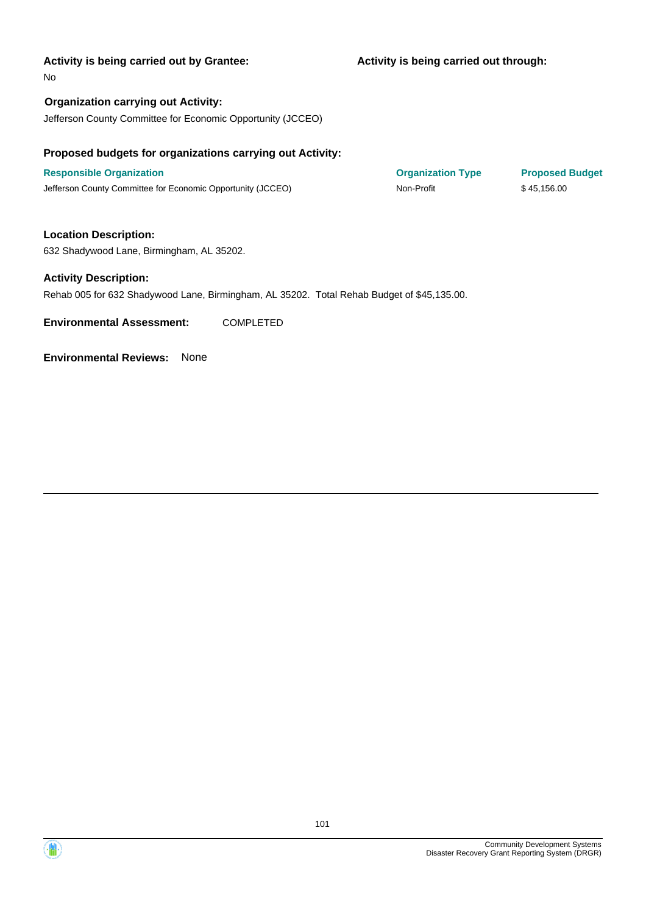#### **Activity is being carried out through:**

No

**Organization carrying out Activity:** Jefferson County Committee for Economic Opportunity (JCCEO)

#### **Proposed budgets for organizations carrying out Activity:**

**Responsible Organization COVID-10 COVID-10 Organization Type Proposed Budget** Jefferson County Committee for Economic Opportunity (JCCEO) Non-Profit \$ 45,156.00

**Location Description:** 632 Shadywood Lane, Birmingham, AL 35202.

#### **Activity Description:**

Rehab 005 for 632 Shadywood Lane, Birmingham, AL 35202. Total Rehab Budget of \$45,135.00.

**Environmental Assessment:** COMPLETED

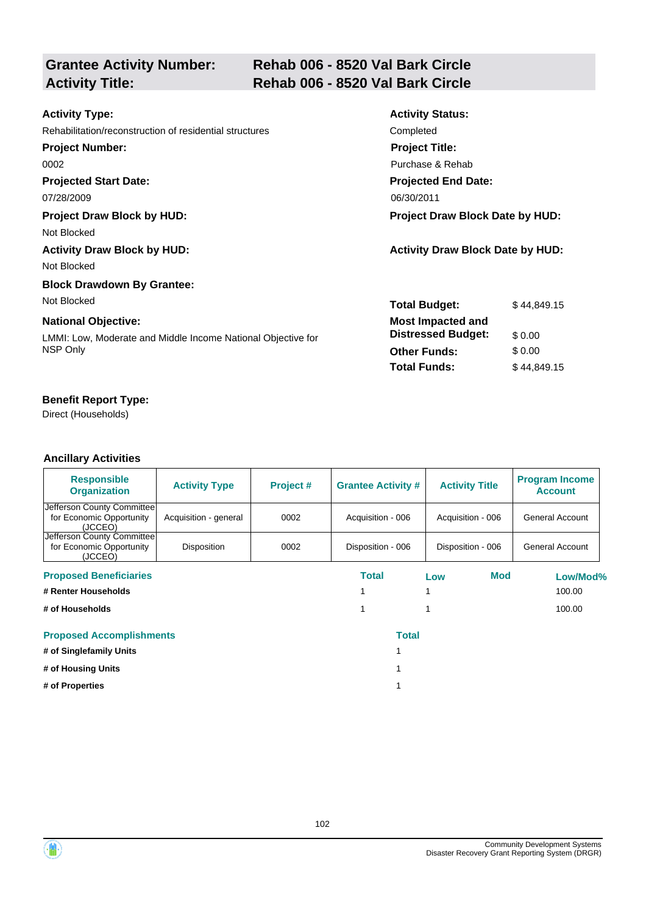# **Grantee Activity Number:**

# **Rehab 006 - 8520 Val Bark Circle Activity Title: Rehab 006 - 8520 Val Bark Circle**

| <b>Activity Type:</b>                                        | <b>Activity Status:</b>                 |             |  |
|--------------------------------------------------------------|-----------------------------------------|-------------|--|
| Rehabilitation/reconstruction of residential structures      | Completed                               |             |  |
| <b>Project Number:</b>                                       | <b>Project Title:</b>                   |             |  |
| 0002                                                         | Purchase & Rehab                        |             |  |
| <b>Projected Start Date:</b>                                 | <b>Projected End Date:</b>              |             |  |
| 07/28/2009                                                   | 06/30/2011                              |             |  |
| <b>Project Draw Block by HUD:</b>                            | <b>Project Draw Block Date by HUD:</b>  |             |  |
| Not Blocked                                                  |                                         |             |  |
| <b>Activity Draw Block by HUD:</b>                           | <b>Activity Draw Block Date by HUD:</b> |             |  |
| Not Blocked                                                  |                                         |             |  |
| <b>Block Drawdown By Grantee:</b>                            |                                         |             |  |
| Not Blocked                                                  | <b>Total Budget:</b>                    | \$44.849.15 |  |
| <b>National Objective:</b>                                   | <b>Most Impacted and</b>                |             |  |
| LMMI: Low, Moderate and Middle Income National Objective for | <b>Distressed Budget:</b>               | \$0.00      |  |
| NSP Only                                                     | <b>Other Funds:</b>                     | \$0.00      |  |
|                                                              | <b>Total Funds:</b>                     | \$44,849.15 |  |

## **Benefit Report Type:**

Direct (Households)

| <b>Responsible</b><br><b>Organization</b>                         | <b>Activity Type</b>  | Project # | <b>Grantee Activity #</b> | <b>Activity Title</b> | <b>Program Income</b><br><b>Account</b> |
|-------------------------------------------------------------------|-----------------------|-----------|---------------------------|-----------------------|-----------------------------------------|
| Jefferson County Committee<br>for Economic Opportunity<br>(JCCEO) | Acquisition - general | 0002      | Acquisition - 006         | Acquisition - 006     | General Account                         |
| Jefferson County Committee<br>for Economic Opportunity<br>(JCCEO) | Disposition           | 0002      | Disposition - 006         | Disposition - 006     | General Account                         |
| <b>Proposed Beneficiaries</b>                                     |                       |           | Total                     | <b>Mod</b><br>Low     | Low/Mod%                                |
| # Renter Households                                               |                       |           |                           |                       | 100.00                                  |
| # of Households                                                   |                       |           |                           |                       | 100.00                                  |
| <b>Proposed Accomplishments</b>                                   |                       |           | <b>Total</b>              |                       |                                         |
| # of Singlefamily Units                                           |                       |           |                           |                       |                                         |
| # of Housing Units                                                |                       |           |                           |                       |                                         |
| # of Properties                                                   |                       |           |                           |                       |                                         |

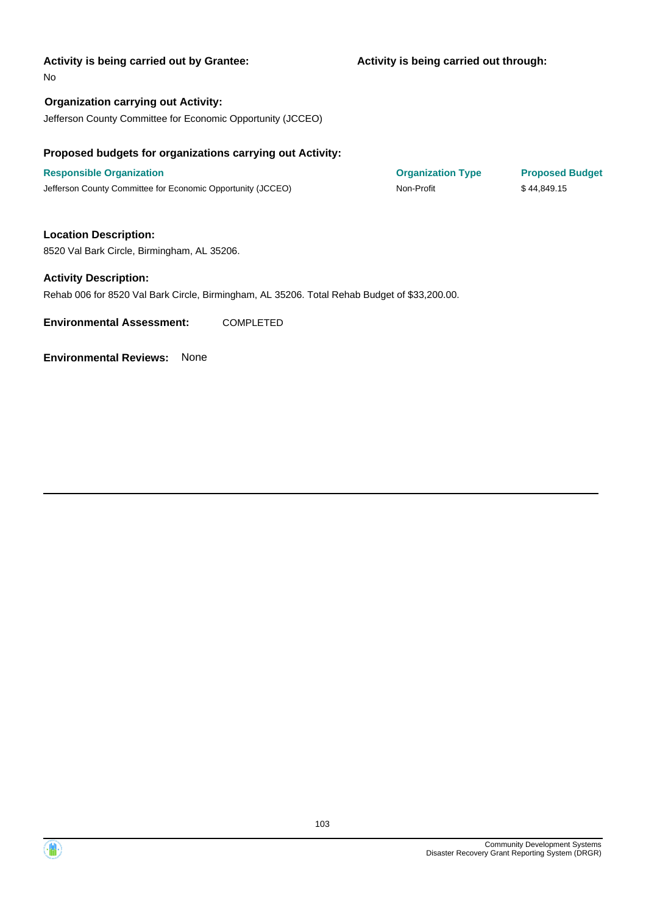#### **Activity is being carried out through:**

No

**Organization carrying out Activity:** Jefferson County Committee for Economic Opportunity (JCCEO)

# **Proposed budgets for organizations carrying out Activity:**

**Responsible Organization COVID-10 COVID-10 Organization Type Proposed Budget** Jefferson County Committee for Economic Opportunity (JCCEO) Non-Profit \$ 44,849.15

**Location Description:** 8520 Val Bark Circle, Birmingham, AL 35206.

#### **Activity Description:**

Rehab 006 for 8520 Val Bark Circle, Birmingham, AL 35206. Total Rehab Budget of \$33,200.00.

**Environmental Assessment:** COMPLETED

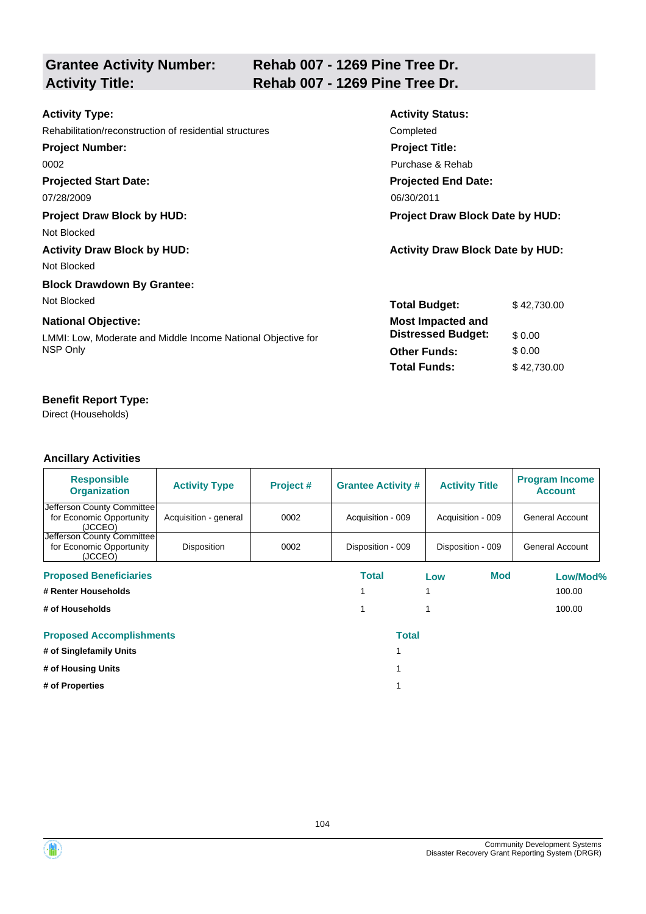| <b>Grantee Activity Number:</b><br><b>Activity Title:</b>    | Rehab 007 - 1269 Pine Tree Dr.<br>Rehab 007 - 1269 Pine Tree Dr. |                                         |             |  |  |
|--------------------------------------------------------------|------------------------------------------------------------------|-----------------------------------------|-------------|--|--|
|                                                              |                                                                  |                                         |             |  |  |
| <b>Activity Type:</b>                                        |                                                                  | <b>Activity Status:</b>                 |             |  |  |
| Rehabilitation/reconstruction of residential structures      |                                                                  | Completed                               |             |  |  |
| <b>Project Number:</b>                                       |                                                                  | <b>Project Title:</b>                   |             |  |  |
| 0002                                                         |                                                                  | Purchase & Rehab                        |             |  |  |
| <b>Projected Start Date:</b>                                 |                                                                  | <b>Projected End Date:</b>              |             |  |  |
| 07/28/2009                                                   |                                                                  | 06/30/2011                              |             |  |  |
| <b>Project Draw Block by HUD:</b>                            |                                                                  | <b>Project Draw Block Date by HUD:</b>  |             |  |  |
| Not Blocked                                                  |                                                                  |                                         |             |  |  |
| <b>Activity Draw Block by HUD:</b>                           |                                                                  | <b>Activity Draw Block Date by HUD:</b> |             |  |  |
| Not Blocked                                                  |                                                                  |                                         |             |  |  |
| <b>Block Drawdown By Grantee:</b>                            |                                                                  |                                         |             |  |  |
| Not Blocked                                                  |                                                                  | <b>Total Budget:</b>                    | \$42,730.00 |  |  |
| <b>National Objective:</b>                                   |                                                                  | <b>Most Impacted and</b>                |             |  |  |
| LMMI: Low, Moderate and Middle Income National Objective for |                                                                  | <b>Distressed Budget:</b>               | \$0.00      |  |  |
| NSP Only                                                     |                                                                  | <b>Other Funds:</b>                     | \$0.00      |  |  |
|                                                              |                                                                  | <b>Total Funds:</b>                     | \$42,730.00 |  |  |

Direct (Households)

| <b>Responsible</b><br><b>Organization</b>                          | <b>Activity Type</b>  | Project # | <b>Grantee Activity #</b> | <b>Activity Title</b> | <b>Program Income</b><br><b>Account</b> |
|--------------------------------------------------------------------|-----------------------|-----------|---------------------------|-----------------------|-----------------------------------------|
| Jefferson County Committee <br>for Economic Opportunity<br>(JCCEO) | Acquisition - general | 0002      | Acquisition - 009         | Acquisition - 009     | General Account                         |
| Jefferson County Committee<br>for Economic Opportunity<br>(JCCEO)  | <b>Disposition</b>    | 0002      | Disposition - 009         | Disposition - 009     | General Account                         |
| <b>Proposed Beneficiaries</b>                                      |                       |           | Total                     | Mod<br>Low            | Low/Mod%                                |
| # Renter Households                                                |                       |           |                           |                       | 100.00                                  |
| # of Households                                                    |                       |           |                           |                       | 100.00                                  |
| <b>Proposed Accomplishments</b>                                    |                       |           | <b>Total</b>              |                       |                                         |
| # of Singlefamily Units                                            |                       |           |                           |                       |                                         |
| # of Housing Units                                                 |                       |           |                           |                       |                                         |
| # of Properties                                                    |                       |           |                           |                       |                                         |



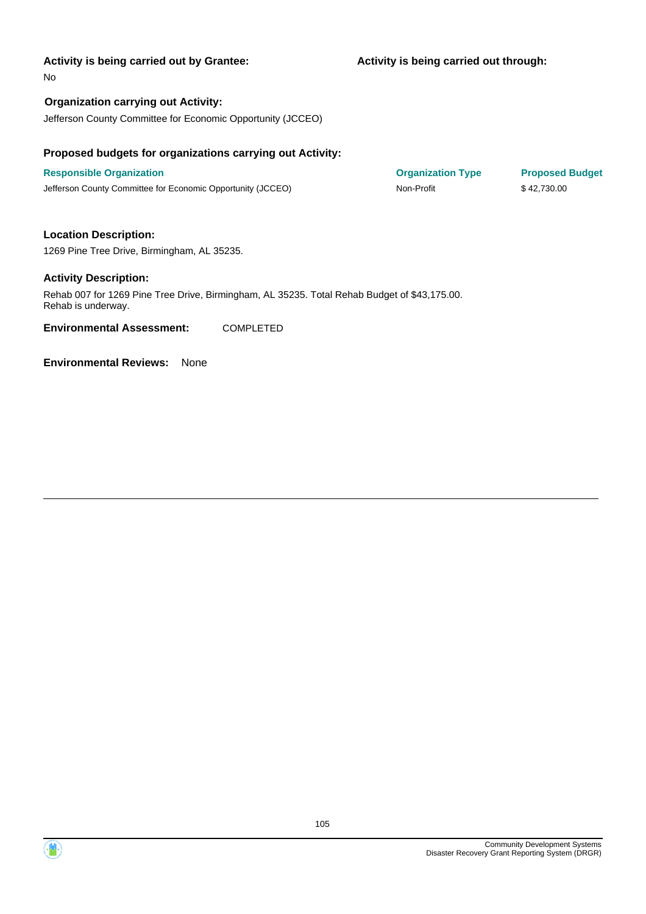#### **Activity is being carried out through:**

No

#### **Organization carrying out Activity:**

Jefferson County Committee for Economic Opportunity (JCCEO)

#### **Proposed budgets for organizations carrying out Activity:**

**Responsible Organization COVID-10 COVID-10 Organization Type Proposed Budget** Jefferson County Committee for Economic Opportunity (JCCEO) Non-Profit \$ 42,730.00

# **Location Description:**

1269 Pine Tree Drive, Birmingham, AL 35235.

#### **Activity Description:**

Rehab 007 for 1269 Pine Tree Drive, Birmingham, AL 35235. Total Rehab Budget of \$43,175.00. Rehab is underway.

**Environmental Assessment:** COMPLETED



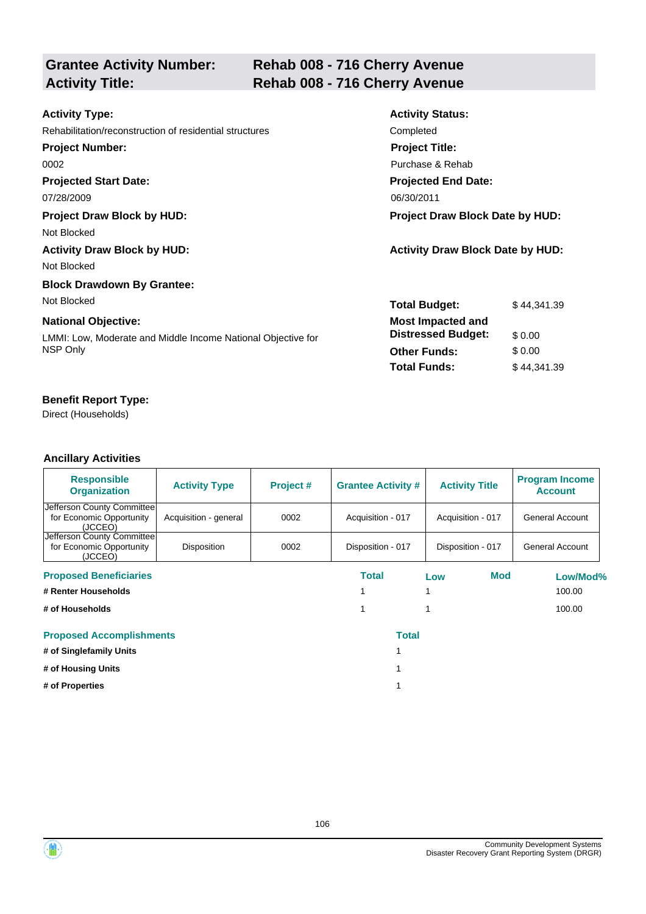# **Grantee Activity Number:**

# **Rehab 008 - 716 Cherry Avenue Activity Title: Rehab 008 - 716 Cherry Avenue**

| <b>Activity Type:</b>                                        | <b>Activity Status:</b>                 |             |
|--------------------------------------------------------------|-----------------------------------------|-------------|
| Rehabilitation/reconstruction of residential structures      | Completed                               |             |
| <b>Project Number:</b>                                       | <b>Project Title:</b>                   |             |
| 0002                                                         | Purchase & Rehab                        |             |
| <b>Projected Start Date:</b>                                 | <b>Projected End Date:</b>              |             |
| 07/28/2009                                                   | 06/30/2011                              |             |
| <b>Project Draw Block by HUD:</b>                            | <b>Project Draw Block Date by HUD:</b>  |             |
| Not Blocked                                                  |                                         |             |
| <b>Activity Draw Block by HUD:</b>                           | <b>Activity Draw Block Date by HUD:</b> |             |
| Not Blocked                                                  |                                         |             |
| <b>Block Drawdown By Grantee:</b>                            |                                         |             |
| Not Blocked                                                  | <b>Total Budget:</b>                    | \$44,341.39 |
| <b>National Objective:</b>                                   | <b>Most Impacted and</b>                |             |
| LMMI: Low, Moderate and Middle Income National Objective for | <b>Distressed Budget:</b>               | \$0.00      |
| NSP Only                                                     | <b>Other Funds:</b>                     | \$0.00      |
|                                                              | <b>Total Funds:</b>                     | \$44,341.39 |

# **Benefit Report Type:**

Direct (Households)

| <b>Responsible</b><br><b>Organization</b>                         | <b>Activity Type</b>  | Project # | <b>Grantee Activity #</b> | <b>Activity Title</b> | <b>Program Income</b><br><b>Account</b> |
|-------------------------------------------------------------------|-----------------------|-----------|---------------------------|-----------------------|-----------------------------------------|
| Jefferson County Committee<br>for Economic Opportunity<br>(JCCEO) | Acquisition - general | 0002      | Acquisition - 017         | Acquisition - 017     | General Account                         |
| Jefferson County Committee<br>for Economic Opportunity<br>(JCCEO) | Disposition           | 0002      | Disposition - 017         | Disposition - 017     | General Account                         |
| <b>Proposed Beneficiaries</b>                                     |                       |           | Total                     | Mod<br>Low            | Low/Mod%                                |
| # Renter Households                                               |                       |           |                           |                       | 100.00                                  |
| # of Households                                                   |                       |           |                           |                       | 100.00                                  |
| <b>Proposed Accomplishments</b>                                   |                       |           | <b>Total</b>              |                       |                                         |
| # of Singlefamily Units                                           |                       |           |                           |                       |                                         |
| # of Housing Units                                                |                       |           |                           |                       |                                         |
| # of Properties                                                   |                       |           |                           |                       |                                         |

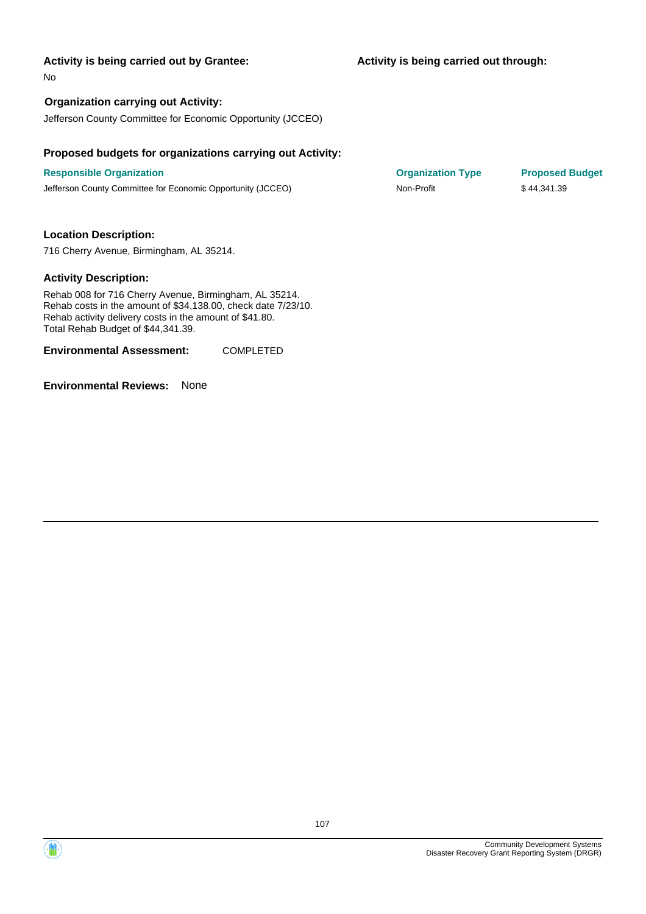**Activity is being carried out through:**

No

#### **Organization carrying out Activity:**

Jefferson County Committee for Economic Opportunity (JCCEO)

#### **Proposed budgets for organizations carrying out Activity:**

**Responsible Organization COVID-10 COVID-10 Organization Type Proposed Budget** Jefferson County Committee for Economic Opportunity (JCCEO) Non-Profit \$ 44,341.39

#### **Location Description:**

716 Cherry Avenue, Birmingham, AL 35214.

#### **Activity Description:**

Rehab 008 for 716 Cherry Avenue, Birmingham, AL 35214. Rehab costs in the amount of \$34,138.00, check date 7/23/10. Rehab activity delivery costs in the amount of \$41.80. Total Rehab Budget of \$44,341.39.

**Environmental Assessment:** COMPLETED



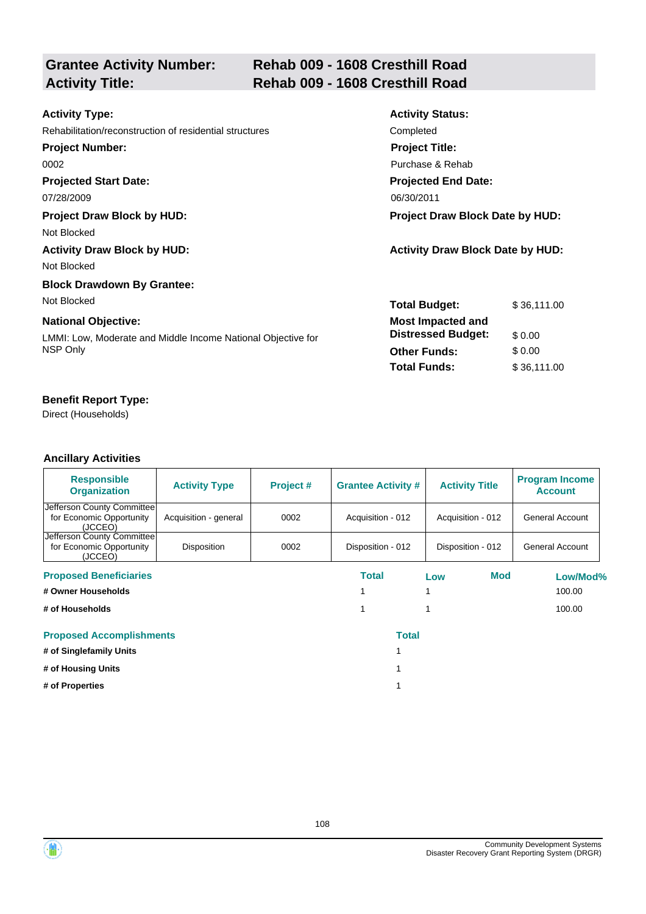|                        | <b>Grantee Activity Number:</b> |
|------------------------|---------------------------------|
| <b>Activity Title:</b> |                                 |

# **Rehab 009 - 1608 Cresthill Road Activity Title: Rehab 009 - 1608 Cresthill Road**

| <b>Activity Type:</b>                                        | <b>Activity Status:</b>                 |             |  |
|--------------------------------------------------------------|-----------------------------------------|-------------|--|
| Rehabilitation/reconstruction of residential structures      | Completed                               |             |  |
| <b>Project Number:</b>                                       | <b>Project Title:</b>                   |             |  |
| 0002                                                         | Purchase & Rehab                        |             |  |
| <b>Projected Start Date:</b>                                 | <b>Projected End Date:</b>              |             |  |
| 07/28/2009                                                   | 06/30/2011                              |             |  |
| <b>Project Draw Block by HUD:</b>                            | <b>Project Draw Block Date by HUD:</b>  |             |  |
| Not Blocked                                                  |                                         |             |  |
| <b>Activity Draw Block by HUD:</b>                           | <b>Activity Draw Block Date by HUD:</b> |             |  |
| Not Blocked                                                  |                                         |             |  |
| <b>Block Drawdown By Grantee:</b>                            |                                         |             |  |
| Not Blocked                                                  | <b>Total Budget:</b>                    | \$36,111.00 |  |
| <b>National Objective:</b>                                   | <b>Most Impacted and</b>                |             |  |
| LMMI: Low, Moderate and Middle Income National Objective for | <b>Distressed Budget:</b>               | \$0.00      |  |
| NSP Only                                                     | <b>Other Funds:</b>                     | \$0.00      |  |
|                                                              | <b>Total Funds:</b>                     | \$36,111.00 |  |

# **Benefit Report Type:**

Direct (Households)

| <b>Responsible</b><br><b>Organization</b>                         | <b>Activity Type</b>  | Project # | <b>Grantee Activity #</b> | <b>Activity Title</b> | <b>Program Income</b><br><b>Account</b> |
|-------------------------------------------------------------------|-----------------------|-----------|---------------------------|-----------------------|-----------------------------------------|
| Jefferson County Committee<br>for Economic Opportunity<br>(JCCEO) | Acquisition - general | 0002      | Acquisition - 012         | Acquisition - 012     | General Account                         |
| Jefferson County Committee<br>for Economic Opportunity<br>(JCCEO) | Disposition           | 0002      | Disposition - 012         | Disposition - 012     | General Account                         |
| <b>Proposed Beneficiaries</b>                                     |                       |           | Total                     | Mod<br>Low            | Low/Mod%                                |
| # Owner Households                                                |                       |           |                           |                       | 100.00                                  |
| # of Households                                                   |                       |           |                           |                       | 100.00                                  |
| <b>Proposed Accomplishments</b>                                   |                       |           | <b>Total</b>              |                       |                                         |
| # of Singlefamily Units                                           |                       |           |                           |                       |                                         |
| # of Housing Units                                                |                       |           |                           |                       |                                         |
| # of Properties                                                   |                       |           |                           |                       |                                         |

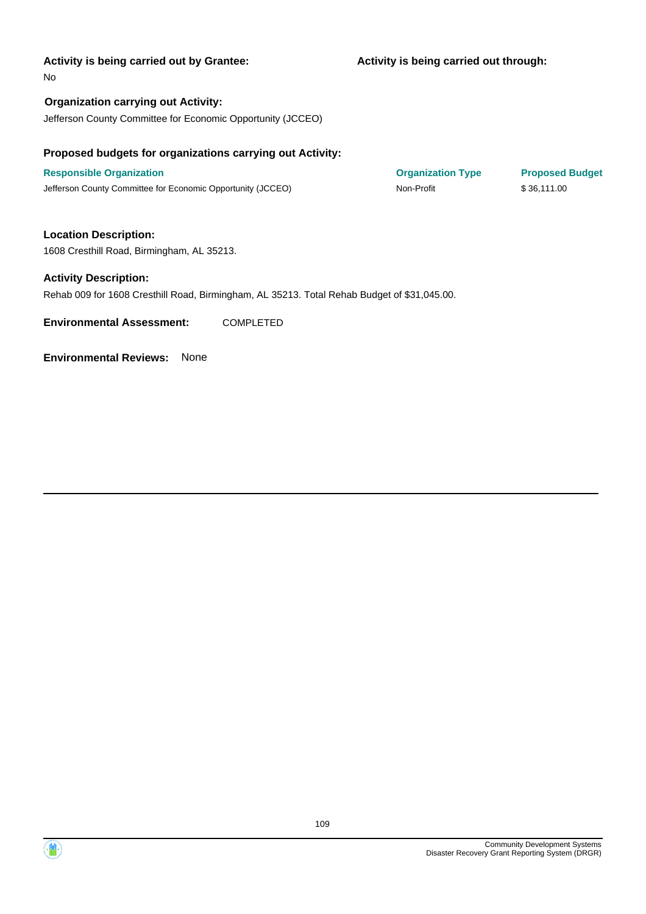### **Activity is being carried out through:**

No

**Organization carrying out Activity:** Jefferson County Committee for Economic Opportunity (JCCEO)

# **Proposed budgets for organizations carrying out Activity:**

**Responsible Organization COVID-10 COVID-10 Organization Type Proposed Budget** Jefferson County Committee for Economic Opportunity (JCCEO) Non-Profit \$ 36,111.00

**Location Description:** 1608 Cresthill Road, Birmingham, AL 35213.

#### **Activity Description:**

Rehab 009 for 1608 Cresthill Road, Birmingham, AL 35213. Total Rehab Budget of \$31,045.00.

**Environmental Assessment:** COMPLETED

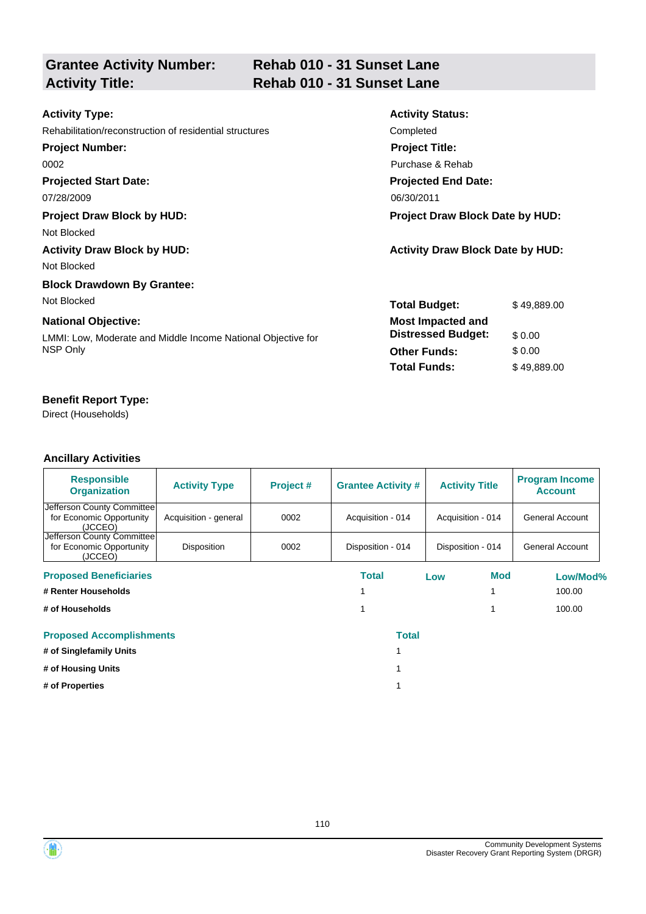# **Grantee Activity Number:**

# **Rehab 010 - 31 Sunset Lane Activity Title: Rehab 010 - 31 Sunset Lane**

| <b>Activity Type:</b>                                        | <b>Activity Status:</b>                 |             |  |
|--------------------------------------------------------------|-----------------------------------------|-------------|--|
| Rehabilitation/reconstruction of residential structures      | Completed                               |             |  |
| <b>Project Number:</b>                                       | <b>Project Title:</b>                   |             |  |
| 0002                                                         | Purchase & Rehab                        |             |  |
| <b>Projected Start Date:</b>                                 | <b>Projected End Date:</b>              |             |  |
| 07/28/2009                                                   | 06/30/2011                              |             |  |
| <b>Project Draw Block by HUD:</b>                            | Project Draw Block Date by HUD:         |             |  |
| Not Blocked                                                  |                                         |             |  |
| <b>Activity Draw Block by HUD:</b>                           | <b>Activity Draw Block Date by HUD:</b> |             |  |
| Not Blocked                                                  |                                         |             |  |
| <b>Block Drawdown By Grantee:</b>                            |                                         |             |  |
| Not Blocked                                                  | <b>Total Budget:</b>                    | \$49,889.00 |  |
| <b>National Objective:</b>                                   | <b>Most Impacted and</b>                |             |  |
| LMMI: Low, Moderate and Middle Income National Objective for | <b>Distressed Budget:</b>               | \$0.00      |  |
| NSP Only                                                     | <b>Other Funds:</b>                     | \$0.00      |  |
|                                                              | <b>Total Funds:</b>                     | \$49,889.00 |  |

# **Benefit Report Type:**

Direct (Households)

| <b>Responsible</b><br><b>Organization</b>                         | <b>Activity Type</b>  | Project # | <b>Grantee Activity #</b> |     | <b>Activity Title</b> | <b>Program Income</b><br><b>Account</b> |
|-------------------------------------------------------------------|-----------------------|-----------|---------------------------|-----|-----------------------|-----------------------------------------|
| Jefferson County Committee<br>for Economic Opportunity<br>(JCCEO) | Acquisition - general | 0002      | Acquisition - 014         |     | Acquisition - 014     | <b>General Account</b>                  |
| Jefferson County Committee<br>for Economic Opportunity<br>(JCCEO) | Disposition           | 0002      | Disposition - 014         |     | Disposition - 014     | <b>General Account</b>                  |
| <b>Proposed Beneficiaries</b>                                     |                       |           | Total                     | Low | Mod                   | Low/Mod%                                |
| # Renter Households                                               |                       |           |                           |     |                       | 100.00                                  |
| # of Households                                                   |                       |           |                           |     |                       | 100.00                                  |
| <b>Proposed Accomplishments</b>                                   |                       |           | <b>Total</b>              |     |                       |                                         |
| # of Singlefamily Units                                           |                       |           |                           |     |                       |                                         |
| # of Housing Units                                                |                       |           |                           |     |                       |                                         |
| # of Properties                                                   |                       |           |                           |     |                       |                                         |

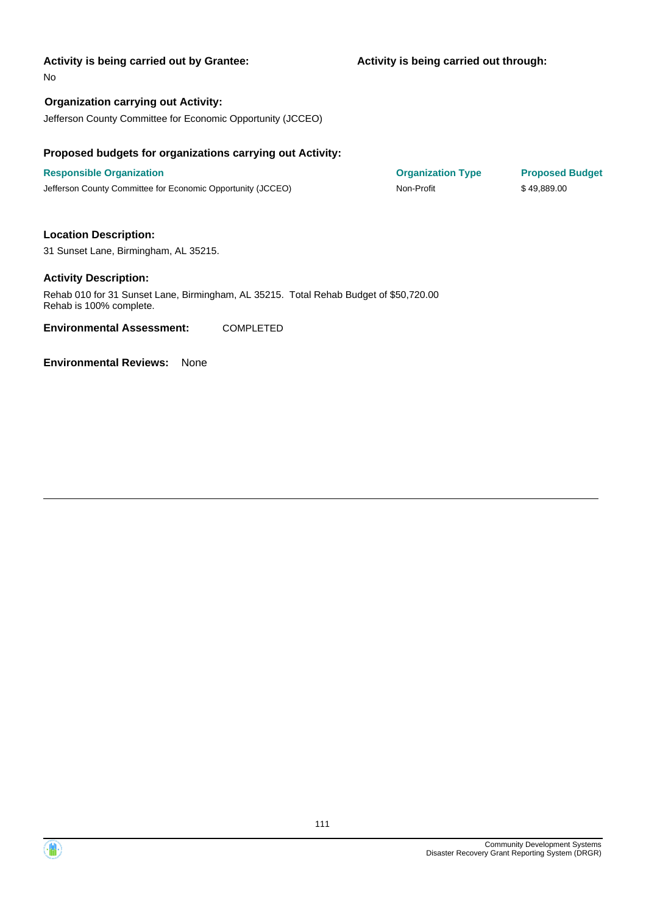### **Activity is being carried out through:**

No

# **Organization carrying out Activity:**

Jefferson County Committee for Economic Opportunity (JCCEO)

### **Proposed budgets for organizations carrying out Activity:**

**Responsible Organization COVID-10 COVID-10 Organization Type Proposed Budget** Jefferson County Committee for Economic Opportunity (JCCEO) Non-Profit \$ 49,889.00

## **Location Description:**

31 Sunset Lane, Birmingham, AL 35215.

### **Activity Description:**

Rehab 010 for 31 Sunset Lane, Birmingham, AL 35215. Total Rehab Budget of \$50,720.00 Rehab is 100% complete.

**Environmental Assessment:** COMPLETED

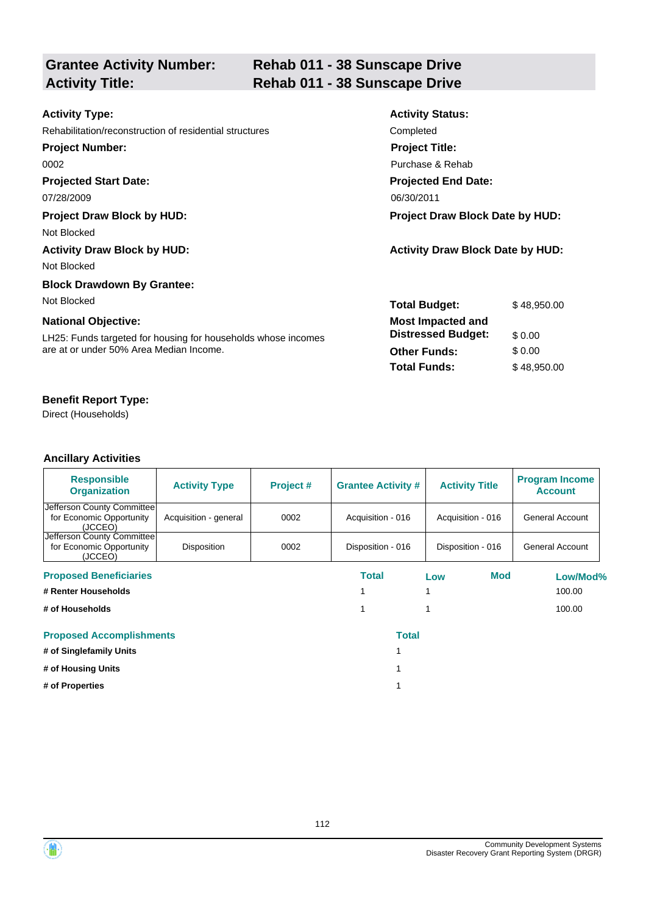| <b>Grantee Activity Number:</b> |  |
|---------------------------------|--|
| <b>Activity Title:</b>          |  |

# **Rehab 011 - 38 Sunscape Drive Activity Title: Rehab 011 - 38 Sunscape Drive**

| <b>Activity Type:</b>                                         | <b>Activity Status:</b>                 |             |  |
|---------------------------------------------------------------|-----------------------------------------|-------------|--|
| Rehabilitation/reconstruction of residential structures       | Completed                               |             |  |
| <b>Project Number:</b>                                        | <b>Project Title:</b>                   |             |  |
| 0002                                                          | Purchase & Rehab                        |             |  |
| <b>Projected Start Date:</b>                                  | <b>Projected End Date:</b>              |             |  |
| 07/28/2009                                                    | 06/30/2011                              |             |  |
| <b>Project Draw Block by HUD:</b>                             | <b>Project Draw Block Date by HUD:</b>  |             |  |
| Not Blocked                                                   |                                         |             |  |
| <b>Activity Draw Block by HUD:</b>                            | <b>Activity Draw Block Date by HUD:</b> |             |  |
| Not Blocked                                                   |                                         |             |  |
| <b>Block Drawdown By Grantee:</b>                             |                                         |             |  |
| Not Blocked                                                   | <b>Total Budget:</b>                    | \$48,950.00 |  |
| <b>National Objective:</b>                                    | <b>Most Impacted and</b>                |             |  |
| LH25: Funds targeted for housing for households whose incomes | <b>Distressed Budget:</b>               | \$0.00      |  |
| are at or under 50% Area Median Income.                       | <b>Other Funds:</b>                     | \$0.00      |  |
|                                                               | <b>Total Funds:</b>                     | \$48,950.00 |  |
|                                                               |                                         |             |  |

# **Benefit Report Type:**

Direct (Households)

| <b>Responsible</b><br><b>Organization</b>                         | <b>Activity Type</b>  | Project # | <b>Grantee Activity #</b> |     | <b>Activity Title</b> | <b>Program Income</b><br><b>Account</b> |
|-------------------------------------------------------------------|-----------------------|-----------|---------------------------|-----|-----------------------|-----------------------------------------|
| Jefferson County Committee<br>for Economic Opportunity<br>(JCCEO) | Acquisition - general | 0002      | Acquisition - 016         |     | Acquisition - 016     | <b>General Account</b>                  |
| Jefferson County Committee<br>for Economic Opportunity<br>(JCCEO) | Disposition           | 0002      | Disposition - 016         |     | Disposition - 016     | General Account                         |
| <b>Proposed Beneficiaries</b>                                     |                       |           | Total                     | Low | Mod                   | Low/Mod%                                |
| # Renter Households                                               |                       |           |                           |     |                       | 100.00                                  |
| # of Households                                                   |                       |           | 1                         |     |                       | 100.00                                  |
| <b>Proposed Accomplishments</b>                                   |                       |           | <b>Total</b>              |     |                       |                                         |
| # of Singlefamily Units                                           |                       |           |                           |     |                       |                                         |
| # of Housing Units                                                |                       |           |                           |     |                       |                                         |
| # of Properties                                                   |                       |           |                           |     |                       |                                         |

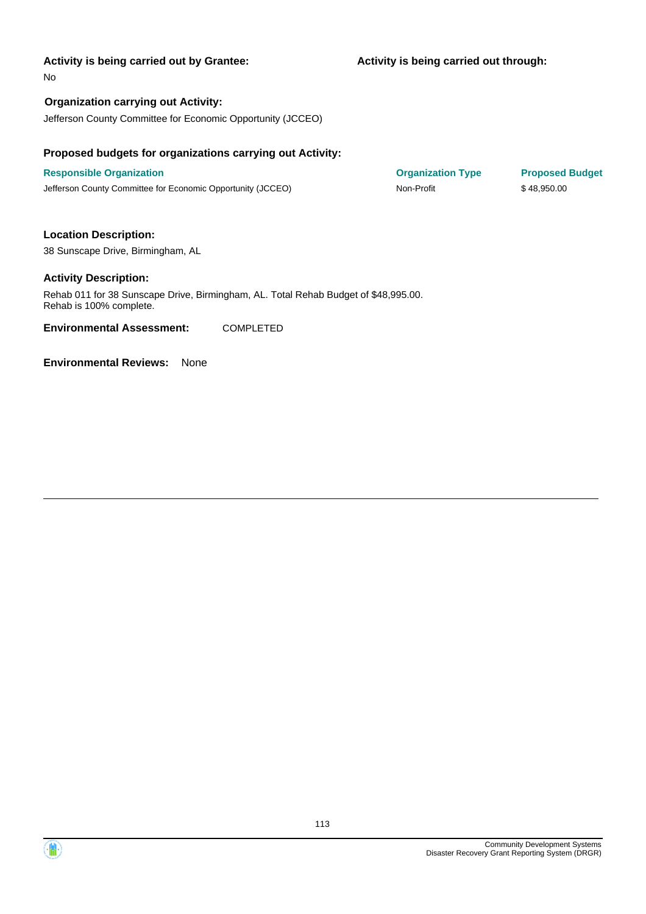### **Activity is being carried out through:**

No

# **Organization carrying out Activity:**

Jefferson County Committee for Economic Opportunity (JCCEO)

## **Proposed budgets for organizations carrying out Activity:**

**Responsible Organization COVID-10 COVID-10 Organization Type Proposed Budget** Jefferson County Committee for Economic Opportunity (JCCEO) Non-Profit \$ 48,950.00

## **Location Description:**

38 Sunscape Drive, Birmingham, AL

### **Activity Description:**

Rehab 011 for 38 Sunscape Drive, Birmingham, AL. Total Rehab Budget of \$48,995.00. Rehab is 100% complete.

**Environmental Assessment:** COMPLETED

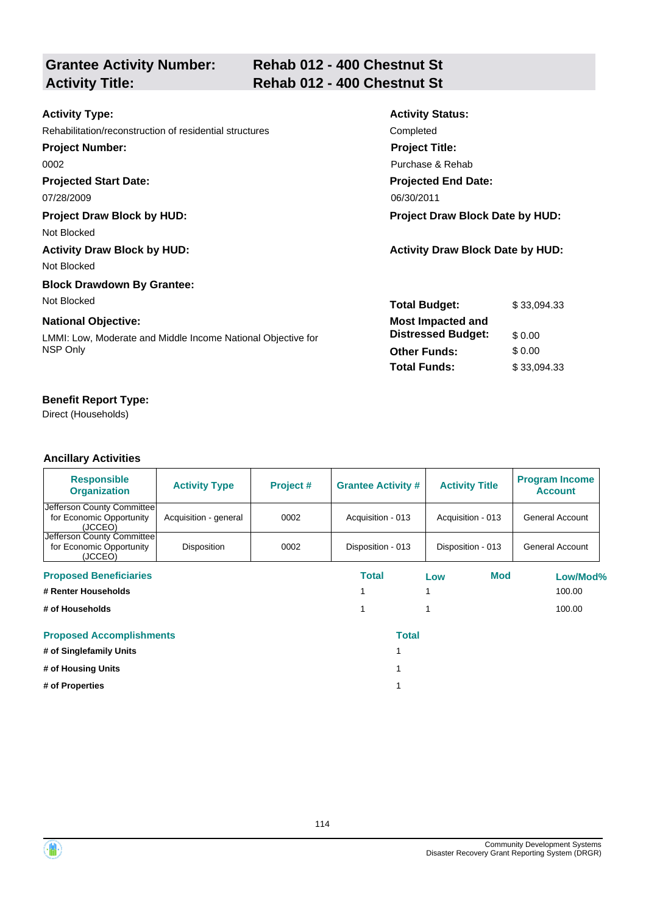| <b>Grantee Activity Number:</b> |  |
|---------------------------------|--|
| <b>Activity Title:</b>          |  |

# **Rehab 012 - 400 Chestnut St Activity Title: Rehab 012 - 400 Chestnut St**

| <b>Activity Type:</b>                                        | <b>Activity Status:</b>                 |             |  |
|--------------------------------------------------------------|-----------------------------------------|-------------|--|
| Rehabilitation/reconstruction of residential structures      | Completed                               |             |  |
| <b>Project Number:</b>                                       | <b>Project Title:</b>                   |             |  |
| 0002                                                         | Purchase & Rehab                        |             |  |
| <b>Projected Start Date:</b>                                 | <b>Projected End Date:</b>              |             |  |
| 07/28/2009                                                   | 06/30/2011                              |             |  |
| <b>Project Draw Block by HUD:</b>                            | <b>Project Draw Block Date by HUD:</b>  |             |  |
| Not Blocked                                                  |                                         |             |  |
| <b>Activity Draw Block by HUD:</b>                           | <b>Activity Draw Block Date by HUD:</b> |             |  |
| Not Blocked                                                  |                                         |             |  |
| <b>Block Drawdown By Grantee:</b>                            |                                         |             |  |
| Not Blocked                                                  | <b>Total Budget:</b>                    | \$33,094.33 |  |
| <b>National Objective:</b>                                   | <b>Most Impacted and</b>                |             |  |
| LMMI: Low, Moderate and Middle Income National Objective for | <b>Distressed Budget:</b>               | \$0.00      |  |
| NSP Only                                                     | <b>Other Funds:</b>                     | \$0.00      |  |
|                                                              | <b>Total Funds:</b>                     | \$33,094.33 |  |
|                                                              |                                         |             |  |

# **Benefit Report Type:**

Direct (Households)

| <b>Responsible</b><br><b>Organization</b>                         | <b>Activity Type</b>  | Project # | <b>Grantee Activity #</b> |     | <b>Activity Title</b> | <b>Program Income</b><br><b>Account</b> |
|-------------------------------------------------------------------|-----------------------|-----------|---------------------------|-----|-----------------------|-----------------------------------------|
| Jefferson County Committee                                        |                       |           |                           |     |                       |                                         |
| for Economic Opportunity<br>(JCCEO)                               | Acquisition - general | 0002      | Acquisition - 013         |     | Acquisition - 013     | <b>General Account</b>                  |
| Jefferson County Committee<br>for Economic Opportunity<br>(JCCEO) | <b>Disposition</b>    | 0002      | Disposition - 013         |     | Disposition - 013     | <b>General Account</b>                  |
| <b>Proposed Beneficiaries</b>                                     |                       |           | Total                     | Low | Mod                   | Low/Mod%                                |
| # Renter Households                                               |                       |           |                           |     |                       | 100.00                                  |
| # of Households                                                   |                       |           | 1                         |     |                       | 100.00                                  |
| <b>Proposed Accomplishments</b>                                   |                       |           | <b>Total</b>              |     |                       |                                         |
| # of Singlefamily Units                                           |                       |           |                           |     |                       |                                         |
| # of Housing Units                                                |                       |           |                           |     |                       |                                         |
| # of Properties                                                   |                       |           |                           |     |                       |                                         |

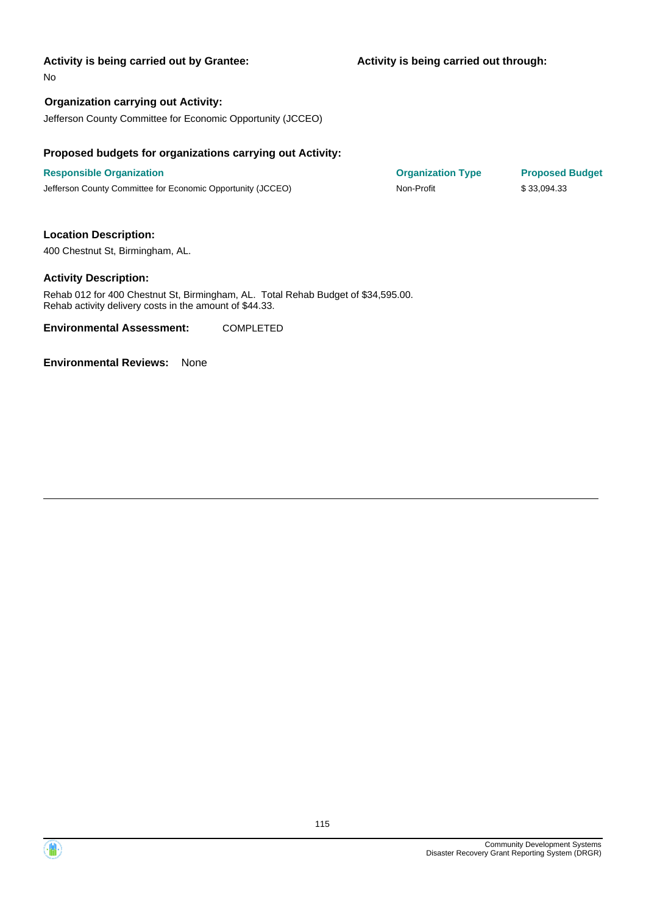No

# **Organization carrying out Activity:**

Jefferson County Committee for Economic Opportunity (JCCEO)

### **Proposed budgets for organizations carrying out Activity:**

**Responsible Organization COVID-10 COVID-10 Organization Type Proposed Budget** Jefferson County Committee for Economic Opportunity (JCCEO) Non-Profit \$ 33,094.33

# **Location Description:**

400 Chestnut St, Birmingham, AL.

### **Activity Description:**

Rehab 012 for 400 Chestnut St, Birmingham, AL. Total Rehab Budget of \$34,595.00. Rehab activity delivery costs in the amount of \$44.33.

**Environmental Assessment:** COMPLETED

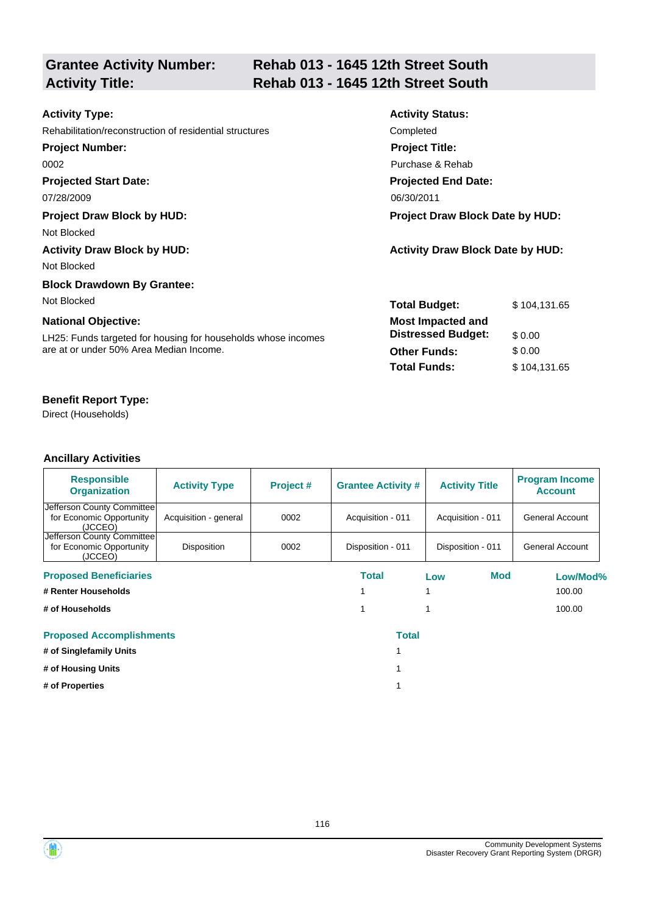| <b>Grantee Activity Number:</b> |  |
|---------------------------------|--|
| <b>Activity Title:</b>          |  |

# **Rehab 013 - 1645 12th Street South Activity Title: Rehab 013 - 1645 12th Street South**

| <b>Activity Type:</b>                                         | <b>Activity Status:</b>                 |              |  |
|---------------------------------------------------------------|-----------------------------------------|--------------|--|
| Rehabilitation/reconstruction of residential structures       | Completed                               |              |  |
| <b>Project Number:</b>                                        | <b>Project Title:</b>                   |              |  |
| 0002                                                          | Purchase & Rehab                        |              |  |
| <b>Projected Start Date:</b>                                  | <b>Projected End Date:</b>              |              |  |
| 07/28/2009                                                    | 06/30/2011                              |              |  |
| <b>Project Draw Block by HUD:</b>                             | Project Draw Block Date by HUD:         |              |  |
| Not Blocked                                                   |                                         |              |  |
| <b>Activity Draw Block by HUD:</b>                            | <b>Activity Draw Block Date by HUD:</b> |              |  |
| Not Blocked                                                   |                                         |              |  |
| <b>Block Drawdown By Grantee:</b>                             |                                         |              |  |
| Not Blocked                                                   | <b>Total Budget:</b>                    | \$104,131.65 |  |
| <b>National Objective:</b>                                    | <b>Most Impacted and</b>                |              |  |
| LH25: Funds targeted for housing for households whose incomes | <b>Distressed Budget:</b>               | \$0.00       |  |
| are at or under 50% Area Median Income.                       | <b>Other Funds:</b>                     | \$0.00       |  |
|                                                               | <b>Total Funds:</b>                     | \$104,131.65 |  |
|                                                               |                                         |              |  |

# **Benefit Report Type:**

Direct (Households)

| <b>Responsible</b><br><b>Organization</b>                         | <b>Activity Type</b>  | Project # | <b>Grantee Activity #</b> | <b>Activity Title</b> | <b>Program Income</b><br><b>Account</b> |
|-------------------------------------------------------------------|-----------------------|-----------|---------------------------|-----------------------|-----------------------------------------|
| Jefferson County Committee<br>for Economic Opportunity<br>(JCCEO) | Acquisition - general | 0002      | Acquisition - 011         | Acquisition - 011     | <b>General Account</b>                  |
| Jefferson County Committee<br>for Economic Opportunity<br>(JCCEO) | Disposition           | 0002      | Disposition - 011         | Disposition - 011     | <b>General Account</b>                  |
| <b>Proposed Beneficiaries</b>                                     |                       |           | Total                     | <b>Mod</b><br>Low     | Low/Mod%                                |
| # Renter Households                                               |                       |           |                           |                       | 100.00                                  |
| # of Households                                                   |                       |           |                           |                       | 100.00                                  |
| <b>Proposed Accomplishments</b>                                   |                       |           | <b>Total</b>              |                       |                                         |
| # of Singlefamily Units                                           |                       |           |                           |                       |                                         |
| # of Housing Units                                                |                       |           |                           |                       |                                         |
| # of Properties                                                   |                       |           |                           |                       |                                         |



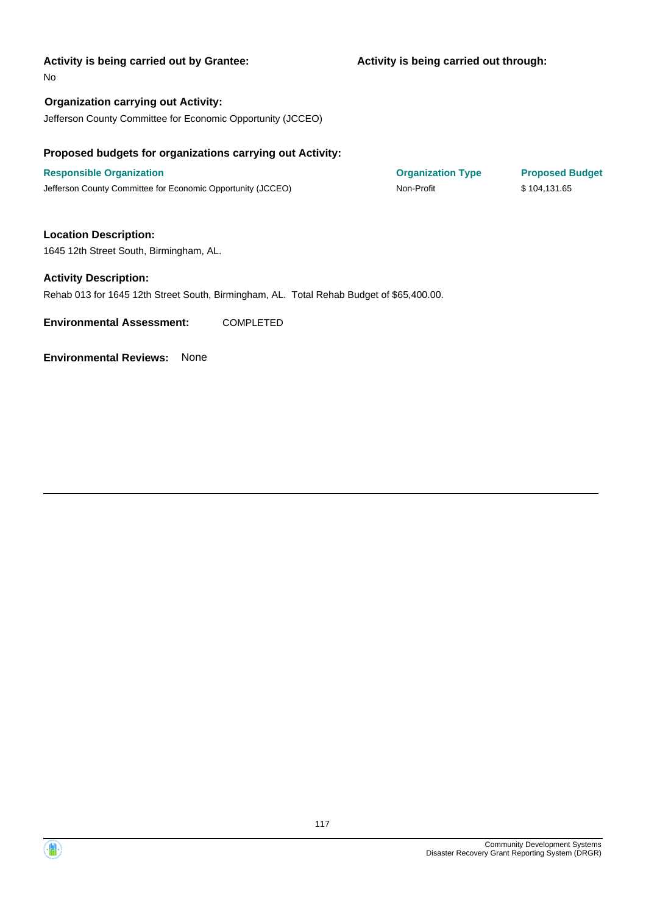### **Activity is being carried out through:**

No

**Organization carrying out Activity:** Jefferson County Committee for Economic Opportunity (JCCEO)

# **Proposed budgets for organizations carrying out Activity:**

**Responsible Organization COVID-10 COVID-10 Organization Type Proposed Budget** Jefferson County Committee for Economic Opportunity (JCCEO) Non-Profit \$ 104,131.65

**Location Description:**

1645 12th Street South, Birmingham, AL.

### **Activity Description:**

Rehab 013 for 1645 12th Street South, Birmingham, AL. Total Rehab Budget of \$65,400.00.

**Environmental Assessment:** COMPLETED

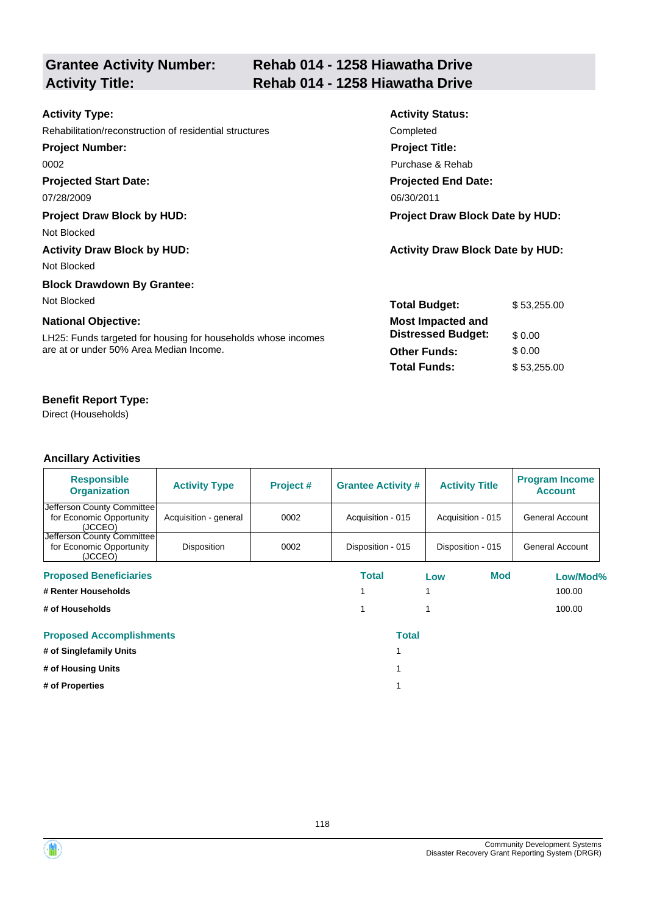| <b>Grantee Activity Number:</b> |  |
|---------------------------------|--|
| <b>Activity Title:</b>          |  |

# **Rehab 014 - 1258 Hiawatha Drive Activity Title: Rehab 014 - 1258 Hiawatha Drive**

| <b>Activity Type:</b>                                         | <b>Activity Status:</b>                 |             |  |
|---------------------------------------------------------------|-----------------------------------------|-------------|--|
| Rehabilitation/reconstruction of residential structures       | Completed                               |             |  |
| <b>Project Number:</b>                                        | <b>Project Title:</b>                   |             |  |
| 0002                                                          | Purchase & Rehab                        |             |  |
| <b>Projected Start Date:</b>                                  | <b>Projected End Date:</b>              |             |  |
| 07/28/2009                                                    | 06/30/2011                              |             |  |
| <b>Project Draw Block by HUD:</b>                             | <b>Project Draw Block Date by HUD:</b>  |             |  |
| Not Blocked                                                   |                                         |             |  |
| <b>Activity Draw Block by HUD:</b>                            | <b>Activity Draw Block Date by HUD:</b> |             |  |
| Not Blocked                                                   |                                         |             |  |
| <b>Block Drawdown By Grantee:</b>                             |                                         |             |  |
| Not Blocked                                                   | <b>Total Budget:</b>                    | \$53,255.00 |  |
| <b>National Objective:</b>                                    | <b>Most Impacted and</b>                |             |  |
| LH25: Funds targeted for housing for households whose incomes | <b>Distressed Budget:</b>               | \$0.00      |  |
| are at or under 50% Area Median Income.                       | <b>Other Funds:</b>                     | \$0.00      |  |
|                                                               | <b>Total Funds:</b>                     | \$53,255.00 |  |
|                                                               |                                         |             |  |

# **Benefit Report Type:**

Direct (Households)

| <b>Responsible</b><br><b>Organization</b>                         | <b>Activity Type</b>  | Project # | <b>Grantee Activity #</b> | <b>Activity Title</b> | <b>Program Income</b><br><b>Account</b> |
|-------------------------------------------------------------------|-----------------------|-----------|---------------------------|-----------------------|-----------------------------------------|
| Jefferson County Committee<br>for Economic Opportunity<br>(JCCEO) | Acquisition - general | 0002      | Acquisition - 015         | Acquisition - 015     | <b>General Account</b>                  |
| Jefferson County Committee<br>for Economic Opportunity<br>(JCCEO) | Disposition           | 0002      | Disposition - 015         | Disposition - 015     | General Account                         |
| <b>Proposed Beneficiaries</b>                                     |                       |           | Total                     | Mod<br>Low            | Low/Mod%                                |
| # Renter Households                                               |                       |           |                           |                       | 100.00                                  |
| # of Households                                                   |                       |           |                           |                       | 100.00                                  |
| <b>Proposed Accomplishments</b>                                   |                       |           | <b>Total</b>              |                       |                                         |
| # of Singlefamily Units                                           |                       |           |                           |                       |                                         |
| # of Housing Units                                                |                       |           |                           |                       |                                         |
| # of Properties                                                   |                       |           |                           |                       |                                         |



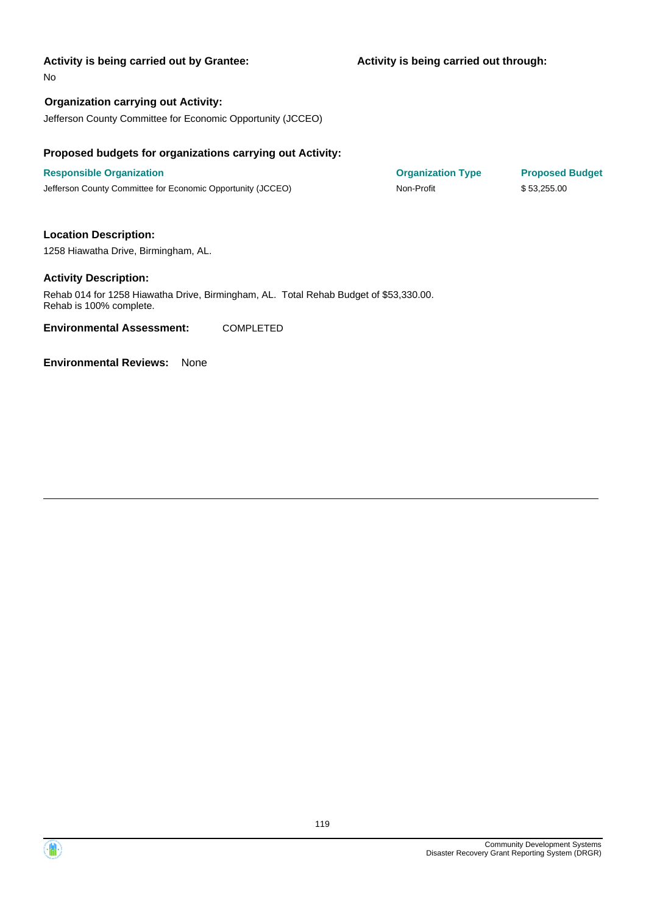### **Activity is being carried out through:**

No

# **Organization carrying out Activity:**

Jefferson County Committee for Economic Opportunity (JCCEO)

### **Proposed budgets for organizations carrying out Activity:**

**Responsible Organization COVID-10 COVID-10 Organization Type Proposed Budget** Jefferson County Committee for Economic Opportunity (JCCEO) Non-Profit \$ 53,255.00

# **Location Description:**

1258 Hiawatha Drive, Birmingham, AL.

### **Activity Description:**

Rehab 014 for 1258 Hiawatha Drive, Birmingham, AL. Total Rehab Budget of \$53,330.00. Rehab is 100% complete.

**Environmental Assessment:** COMPLETED



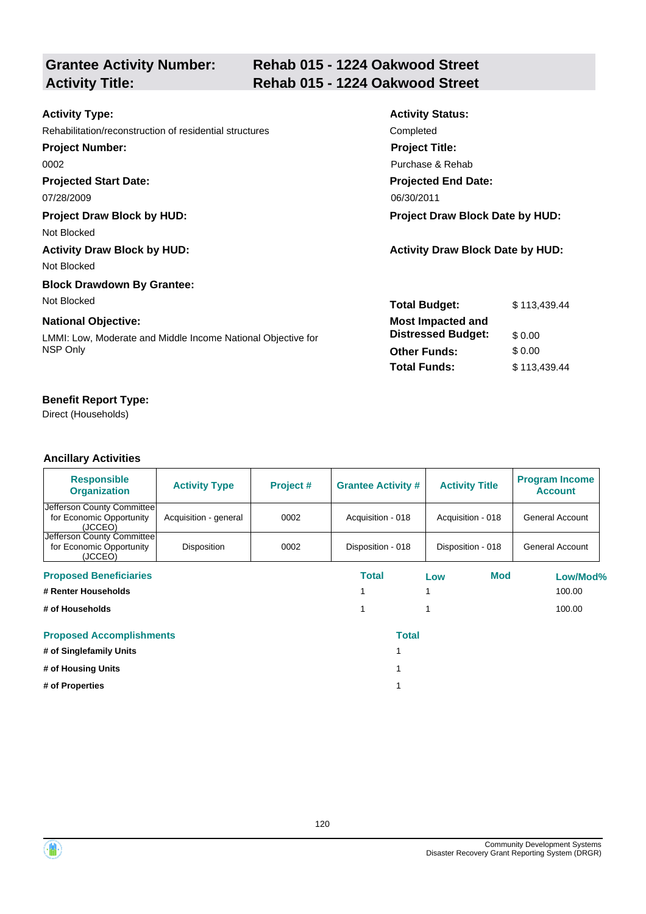| <b>Grantee Activity Number:</b> |  |
|---------------------------------|--|
| <b>Activity Title:</b>          |  |

# **Rehab 015 - 1224 Oakwood Street Activity Title: Rehab 015 - 1224 Oakwood Street**

| <b>Activity Type:</b>                                        | <b>Activity Status:</b>                 |              |  |
|--------------------------------------------------------------|-----------------------------------------|--------------|--|
| Rehabilitation/reconstruction of residential structures      | Completed                               |              |  |
| <b>Project Number:</b>                                       | <b>Project Title:</b>                   |              |  |
| 0002                                                         | Purchase & Rehab                        |              |  |
| <b>Projected Start Date:</b>                                 | <b>Projected End Date:</b>              |              |  |
| 07/28/2009                                                   | 06/30/2011                              |              |  |
| <b>Project Draw Block by HUD:</b>                            | <b>Project Draw Block Date by HUD:</b>  |              |  |
| Not Blocked                                                  |                                         |              |  |
| <b>Activity Draw Block by HUD:</b>                           | <b>Activity Draw Block Date by HUD:</b> |              |  |
| Not Blocked                                                  |                                         |              |  |
| <b>Block Drawdown By Grantee:</b>                            |                                         |              |  |
| Not Blocked                                                  | <b>Total Budget:</b>                    | \$113,439.44 |  |
| <b>National Objective:</b>                                   | <b>Most Impacted and</b>                |              |  |
| LMMI: Low, Moderate and Middle Income National Objective for | <b>Distressed Budget:</b>               | \$0.00       |  |
| NSP Only                                                     | <b>Other Funds:</b>                     | \$0.00       |  |
|                                                              | <b>Total Funds:</b>                     | \$113,439.44 |  |
|                                                              |                                         |              |  |

# **Benefit Report Type:**

Direct (Households)

| <b>Responsible</b><br><b>Organization</b>                         | <b>Activity Type</b>  | Project # | <b>Grantee Activity #</b> | <b>Activity Title</b> | <b>Program Income</b><br><b>Account</b> |
|-------------------------------------------------------------------|-----------------------|-----------|---------------------------|-----------------------|-----------------------------------------|
| Jefferson County Committee<br>for Economic Opportunity<br>(JCCEO) | Acquisition - general | 0002      | Acquisition - 018         | Acquisition - 018     | General Account                         |
| Jefferson County Committee<br>for Economic Opportunity<br>(JCCEO) | Disposition           | 0002      | Disposition - 018         | Disposition - 018     | General Account                         |
| <b>Proposed Beneficiaries</b>                                     |                       |           | Total                     | Mod<br>Low            | Low/Mod%                                |
| # Renter Households                                               |                       |           |                           |                       | 100.00                                  |
| # of Households                                                   |                       |           |                           |                       | 100.00                                  |
| <b>Proposed Accomplishments</b>                                   |                       |           | <b>Total</b>              |                       |                                         |
| # of Singlefamily Units                                           |                       |           |                           |                       |                                         |
| # of Housing Units                                                |                       |           |                           |                       |                                         |
| # of Properties                                                   |                       |           |                           |                       |                                         |

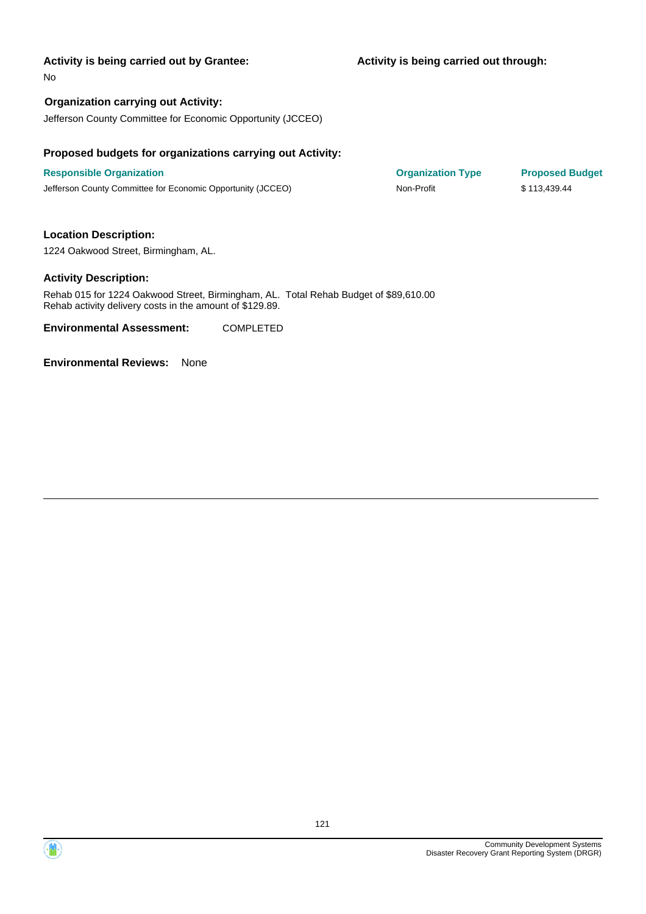No

# **Organization carrying out Activity:**

Jefferson County Committee for Economic Opportunity (JCCEO)

### **Proposed budgets for organizations carrying out Activity:**

**Responsible Organization COVID-10 COVID-10 Organization Type Proposed Budget** Jefferson County Committee for Economic Opportunity (JCCEO) Non-Profit \$ 113,439.44

### **Location Description:**

1224 Oakwood Street, Birmingham, AL.

### **Activity Description:**

Rehab 015 for 1224 Oakwood Street, Birmingham, AL. Total Rehab Budget of \$89,610.00 Rehab activity delivery costs in the amount of \$129.89.

**Environmental Assessment:** COMPLETED



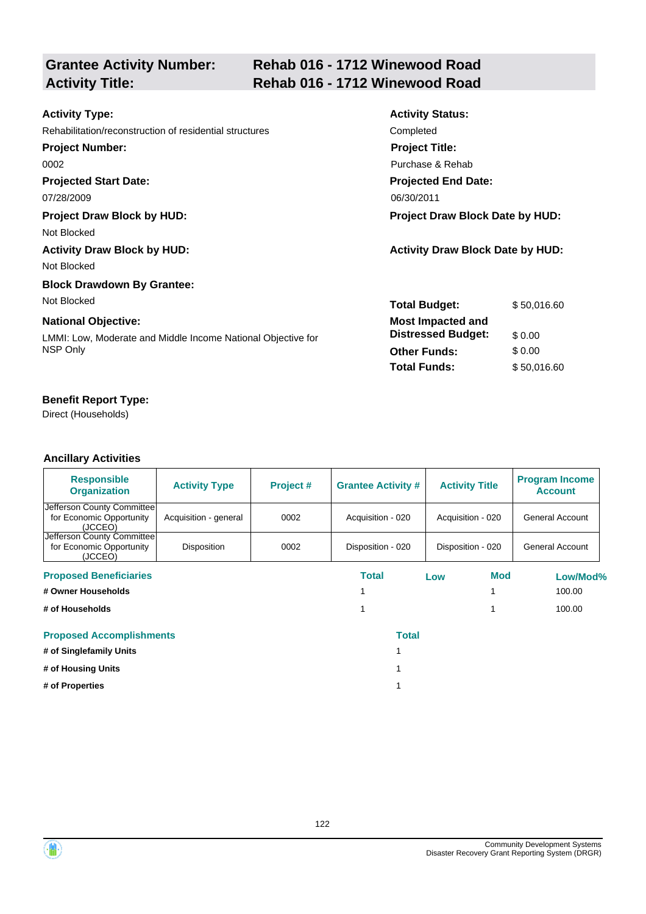# **Grantee Activity Number:**

# **Rehab 016 - 1712 Winewood Road Activity Title: Rehab 016 - 1712 Winewood Road**

| <b>Activity Type:</b>                                        | <b>Activity Status:</b>                 |             |  |
|--------------------------------------------------------------|-----------------------------------------|-------------|--|
| Rehabilitation/reconstruction of residential structures      | Completed                               |             |  |
| <b>Project Number:</b>                                       | <b>Project Title:</b>                   |             |  |
| 0002                                                         | Purchase & Rehab                        |             |  |
| <b>Projected Start Date:</b>                                 | <b>Projected End Date:</b>              |             |  |
| 07/28/2009                                                   | 06/30/2011                              |             |  |
| <b>Project Draw Block by HUD:</b>                            | <b>Project Draw Block Date by HUD:</b>  |             |  |
| Not Blocked                                                  |                                         |             |  |
| <b>Activity Draw Block by HUD:</b>                           | <b>Activity Draw Block Date by HUD:</b> |             |  |
| Not Blocked                                                  |                                         |             |  |
| <b>Block Drawdown By Grantee:</b>                            |                                         |             |  |
| Not Blocked                                                  | <b>Total Budget:</b>                    | \$50,016.60 |  |
| <b>National Objective:</b>                                   | <b>Most Impacted and</b>                |             |  |
| LMMI: Low, Moderate and Middle Income National Objective for | <b>Distressed Budget:</b>               | \$0.00      |  |
| NSP Only                                                     | <b>Other Funds:</b>                     | \$0.00      |  |
|                                                              | <b>Total Funds:</b>                     | \$50,016.60 |  |
|                                                              |                                         |             |  |

# **Benefit Report Type:**

Direct (Households)

| <b>Responsible</b><br><b>Organization</b>                         | <b>Activity Type</b>  | Project # | <b>Grantee Activity #</b> |     | <b>Activity Title</b> | <b>Program Income</b><br><b>Account</b> |
|-------------------------------------------------------------------|-----------------------|-----------|---------------------------|-----|-----------------------|-----------------------------------------|
| Jefferson County Committee<br>for Economic Opportunity<br>(JCCEO) | Acquisition - general | 0002      | Acquisition - 020         |     | Acquisition - 020     | General Account                         |
| Jefferson County Committee<br>for Economic Opportunity<br>(JCCEO) | Disposition           | 0002      | Disposition - 020         |     | Disposition - 020     | General Account                         |
| <b>Proposed Beneficiaries</b>                                     |                       |           | Total                     | Low | Mod                   | Low/Mod%                                |
| # Owner Households                                                |                       |           |                           |     |                       | 100.00                                  |
| # of Households                                                   |                       |           |                           |     |                       | 100.00                                  |
| <b>Proposed Accomplishments</b>                                   |                       |           | <b>Total</b>              |     |                       |                                         |
| # of Singlefamily Units                                           |                       |           |                           |     |                       |                                         |
| # of Housing Units                                                |                       |           |                           |     |                       |                                         |
| # of Properties                                                   |                       |           |                           |     |                       |                                         |

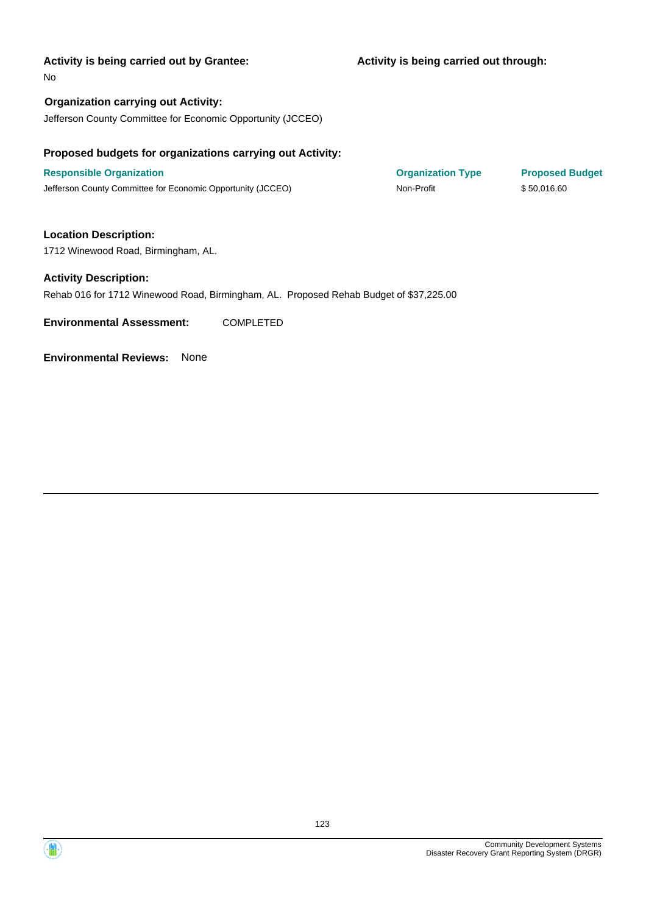### **Activity is being carried out through:**

No

**Organization carrying out Activity:** Jefferson County Committee for Economic Opportunity (JCCEO)

# **Proposed budgets for organizations carrying out Activity:**

**Responsible Organization COVID-10 COVID-10 Organization Type Proposed Budget** Jefferson County Committee for Economic Opportunity (JCCEO) Non-Profit \$ 50,016.60

**Location Description:**

1712 Winewood Road, Birmingham, AL.

### **Activity Description:**

Rehab 016 for 1712 Winewood Road, Birmingham, AL. Proposed Rehab Budget of \$37,225.00

**Environmental Assessment:** COMPLETED

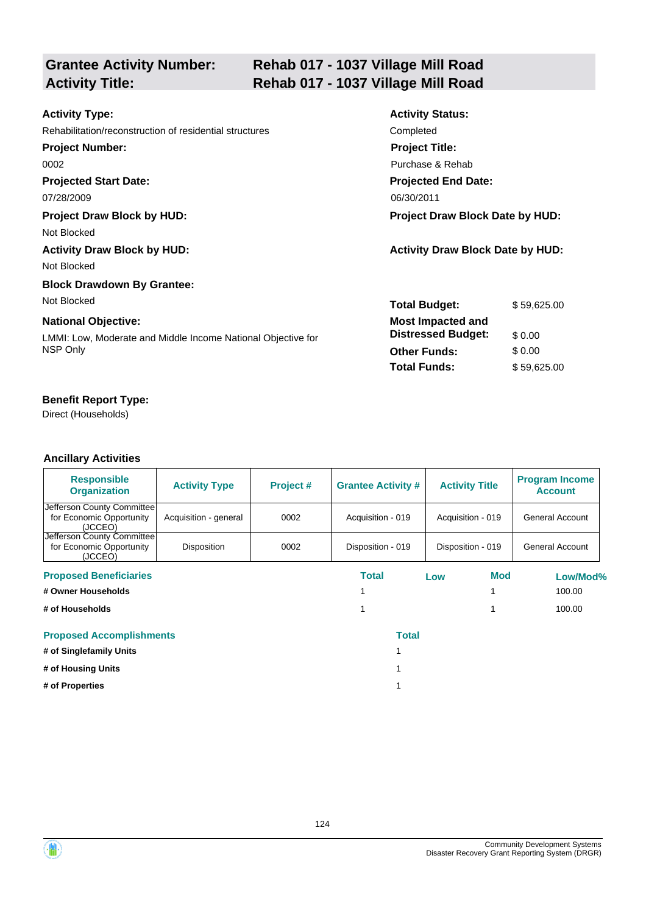# **Grantee Activity Number:**

# **Rehab 017 - 1037 Village Mill Road Activity Title: Rehab 017 - 1037 Village Mill Road**

| <b>Activity Type:</b>                                        | <b>Activity Status:</b>                 |             |  |
|--------------------------------------------------------------|-----------------------------------------|-------------|--|
| Rehabilitation/reconstruction of residential structures      | Completed                               |             |  |
| <b>Project Number:</b>                                       | <b>Project Title:</b>                   |             |  |
| 0002                                                         | Purchase & Rehab                        |             |  |
| <b>Projected Start Date:</b>                                 | <b>Projected End Date:</b>              |             |  |
| 07/28/2009                                                   | 06/30/2011                              |             |  |
| <b>Project Draw Block by HUD:</b>                            | <b>Project Draw Block Date by HUD:</b>  |             |  |
| Not Blocked                                                  |                                         |             |  |
| <b>Activity Draw Block by HUD:</b>                           | <b>Activity Draw Block Date by HUD:</b> |             |  |
| Not Blocked                                                  |                                         |             |  |
| <b>Block Drawdown By Grantee:</b>                            |                                         |             |  |
| Not Blocked                                                  | <b>Total Budget:</b>                    | \$59,625.00 |  |
| <b>National Objective:</b>                                   | <b>Most Impacted and</b>                |             |  |
| LMMI: Low, Moderate and Middle Income National Objective for | <b>Distressed Budget:</b>               | \$0.00      |  |
| NSP Only                                                     | <b>Other Funds:</b>                     | \$0.00      |  |
|                                                              | <b>Total Funds:</b>                     | \$59,625.00 |  |
|                                                              |                                         |             |  |

# **Benefit Report Type:**

Direct (Households)

| <b>Responsible</b><br><b>Organization</b>                         | <b>Activity Type</b>  | Project # | <b>Grantee Activity #</b> |     | <b>Activity Title</b> | <b>Program Income</b><br><b>Account</b> |
|-------------------------------------------------------------------|-----------------------|-----------|---------------------------|-----|-----------------------|-----------------------------------------|
| Jefferson County Committee<br>for Economic Opportunity<br>(JCCEO) | Acquisition - general | 0002      | Acquisition - 019         |     | Acquisition - 019     | General Account                         |
| Jefferson County Committee<br>for Economic Opportunity<br>(JCCEO) | Disposition           | 0002      | Disposition - 019         |     | Disposition - 019     | General Account                         |
| <b>Proposed Beneficiaries</b>                                     |                       |           | Total                     | Low | Mod                   | Low/Mod%                                |
| # Owner Households                                                |                       |           |                           |     |                       | 100.00                                  |
| # of Households                                                   |                       |           |                           |     |                       | 100.00                                  |
| <b>Proposed Accomplishments</b>                                   |                       |           | <b>Total</b>              |     |                       |                                         |
| # of Singlefamily Units                                           |                       |           |                           |     |                       |                                         |
| # of Housing Units                                                |                       |           |                           |     |                       |                                         |
| # of Properties                                                   |                       |           |                           |     |                       |                                         |

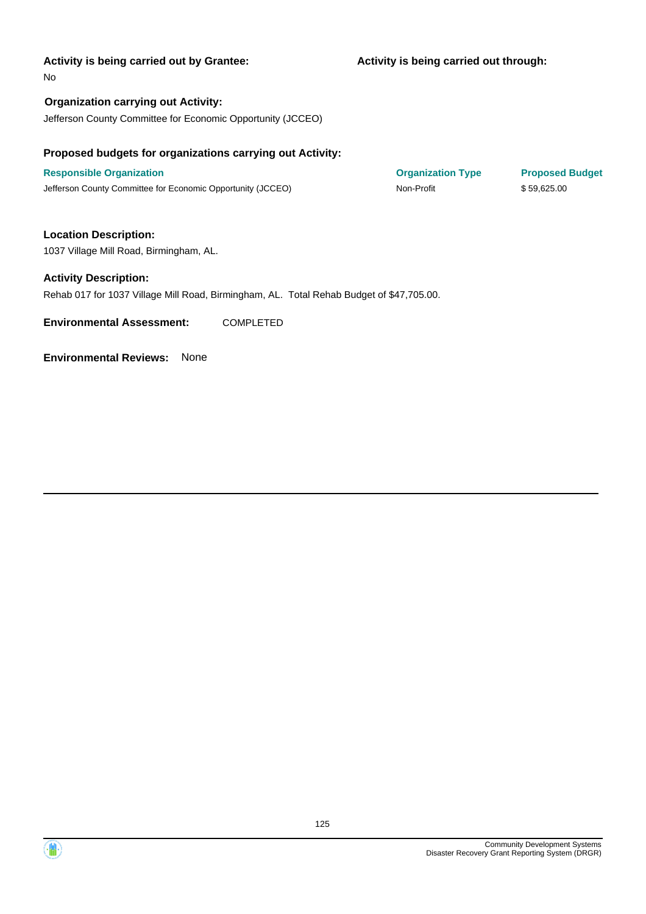### **Activity is being carried out through:**

No

**Organization carrying out Activity:** Jefferson County Committee for Economic Opportunity (JCCEO)

# **Proposed budgets for organizations carrying out Activity:**

**Responsible Organization COVID-10 COVID-10 Organization Type Proposed Budget** Jefferson County Committee for Economic Opportunity (JCCEO) Non-Profit \$ 59,625.00

**Location Description:**

1037 Village Mill Road, Birmingham, AL.

### **Activity Description:**

Rehab 017 for 1037 Village Mill Road, Birmingham, AL. Total Rehab Budget of \$47,705.00.

**Environmental Assessment:** COMPLETED



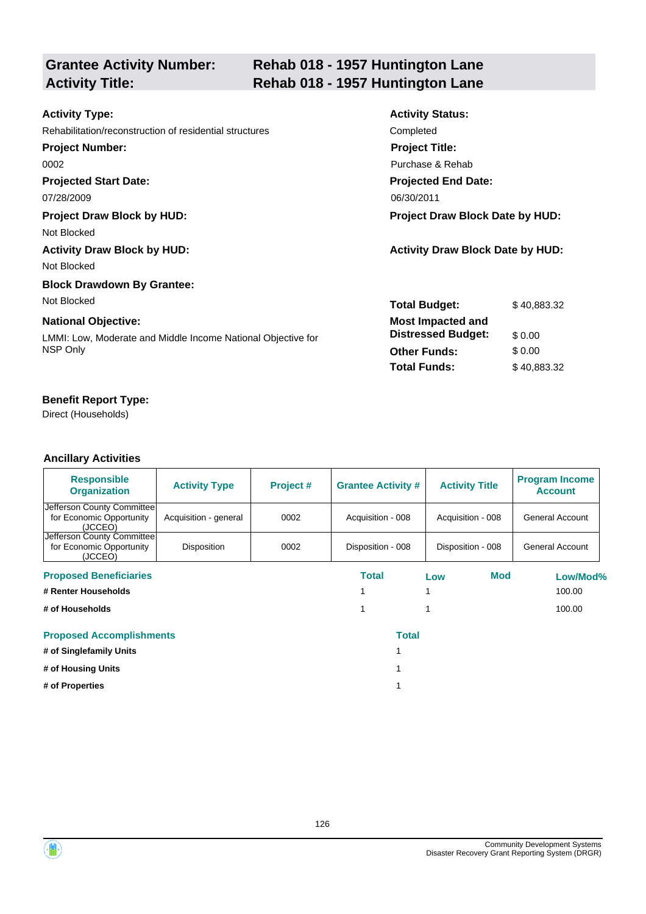# **Grantee Activity Number:**

# **Rehab 018 - 1957 Huntington Lane Activity Title: Rehab 018 - 1957 Huntington Lane**

| <b>Activity Type:</b>                                        | <b>Activity Status:</b>                 |             |  |
|--------------------------------------------------------------|-----------------------------------------|-------------|--|
| Rehabilitation/reconstruction of residential structures      | Completed                               |             |  |
| <b>Project Number:</b>                                       | <b>Project Title:</b>                   |             |  |
| 0002                                                         | Purchase & Rehab                        |             |  |
| <b>Projected Start Date:</b>                                 | <b>Projected End Date:</b>              |             |  |
| 07/28/2009                                                   | 06/30/2011                              |             |  |
| <b>Project Draw Block by HUD:</b>                            | <b>Project Draw Block Date by HUD:</b>  |             |  |
| Not Blocked                                                  |                                         |             |  |
| <b>Activity Draw Block by HUD:</b>                           | <b>Activity Draw Block Date by HUD:</b> |             |  |
| Not Blocked                                                  |                                         |             |  |
| <b>Block Drawdown By Grantee:</b>                            |                                         |             |  |
| Not Blocked                                                  | <b>Total Budget:</b>                    | \$40,883.32 |  |
| <b>National Objective:</b>                                   | <b>Most Impacted and</b>                |             |  |
| LMMI: Low, Moderate and Middle Income National Objective for | <b>Distressed Budget:</b>               | \$0.00      |  |
| NSP Only                                                     | <b>Other Funds:</b>                     | \$0.00      |  |
|                                                              | <b>Total Funds:</b>                     | \$40,883.32 |  |
|                                                              |                                         |             |  |

# **Benefit Report Type:**

Direct (Households)

| <b>Responsible</b><br><b>Organization</b>                         | <b>Activity Type</b>  | Project # | <b>Grantee Activity #</b> | <b>Activity Title</b> | <b>Program Income</b><br><b>Account</b> |
|-------------------------------------------------------------------|-----------------------|-----------|---------------------------|-----------------------|-----------------------------------------|
| Jefferson County Committee<br>for Economic Opportunity<br>(JCCEO) | Acquisition - general | 0002      | Acquisition - 008         | Acquisition - 008     | General Account                         |
| Jefferson County Committee<br>for Economic Opportunity<br>(JCCEO) | Disposition           | 0002      | Disposition - 008         | Disposition - 008     | General Account                         |
| <b>Proposed Beneficiaries</b>                                     |                       |           | Total                     | Mod<br>Low            | Low/Mod%                                |
| # Renter Households                                               |                       |           |                           |                       | 100.00                                  |
| # of Households                                                   |                       |           |                           |                       | 100.00                                  |
| <b>Proposed Accomplishments</b>                                   |                       |           | <b>Total</b>              |                       |                                         |
| # of Singlefamily Units                                           |                       |           |                           |                       |                                         |
| # of Housing Units                                                |                       |           |                           |                       |                                         |
| # of Properties                                                   |                       |           |                           |                       |                                         |

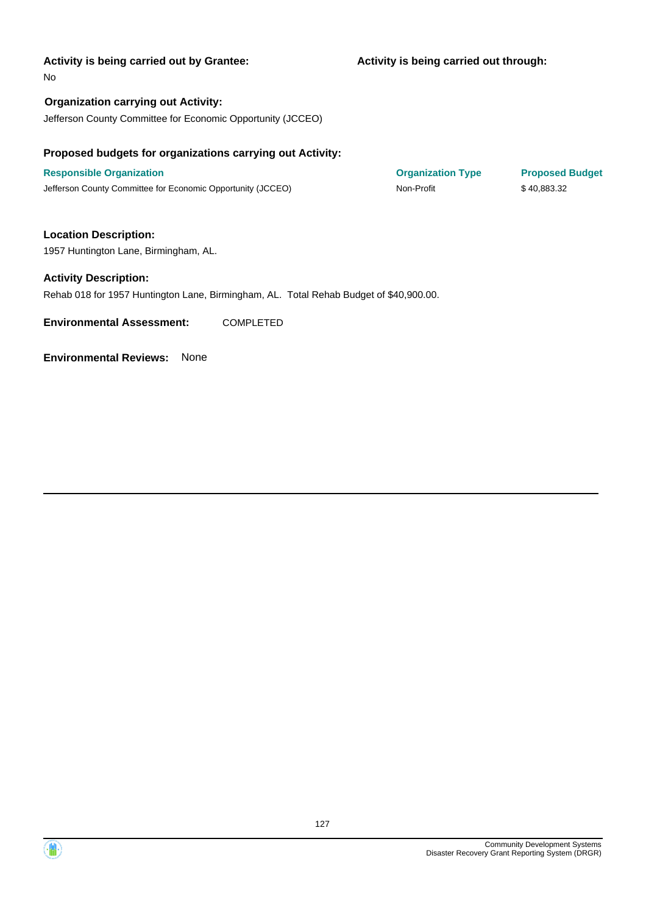### **Activity is being carried out through:**

No

**Organization carrying out Activity:** Jefferson County Committee for Economic Opportunity (JCCEO)

# **Proposed budgets for organizations carrying out Activity:**

**Responsible Organization COVID-10 COVID-10 Organization Type Proposed Budget** Jefferson County Committee for Economic Opportunity (JCCEO) Non-Profit \$ 40,883.32

**Location Description:**

1957 Huntington Lane, Birmingham, AL.

### **Activity Description:**

Rehab 018 for 1957 Huntington Lane, Birmingham, AL. Total Rehab Budget of \$40,900.00.

**Environmental Assessment:** COMPLETED

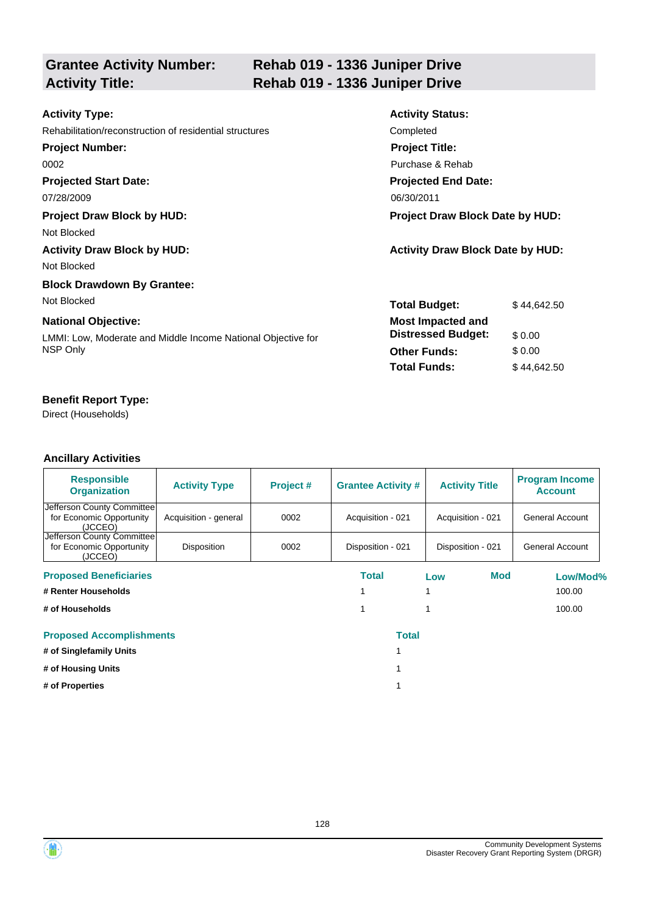# **Grantee Activity Number:**

# **Rehab 019 - 1336 Juniper Drive Activity Title: Rehab 019 - 1336 Juniper Drive**

| <b>Activity Type:</b>                                        | <b>Activity Status:</b>                 |             |  |
|--------------------------------------------------------------|-----------------------------------------|-------------|--|
| Rehabilitation/reconstruction of residential structures      | Completed                               |             |  |
| <b>Project Number:</b>                                       | <b>Project Title:</b>                   |             |  |
| 0002                                                         | Purchase & Rehab                        |             |  |
| <b>Projected Start Date:</b>                                 | <b>Projected End Date:</b>              |             |  |
| 07/28/2009                                                   | 06/30/2011                              |             |  |
| <b>Project Draw Block by HUD:</b>                            | <b>Project Draw Block Date by HUD:</b>  |             |  |
| Not Blocked                                                  |                                         |             |  |
| <b>Activity Draw Block by HUD:</b>                           | <b>Activity Draw Block Date by HUD:</b> |             |  |
| Not Blocked                                                  |                                         |             |  |
| <b>Block Drawdown By Grantee:</b>                            |                                         |             |  |
| Not Blocked                                                  | <b>Total Budget:</b>                    | \$44,642.50 |  |
| <b>National Objective:</b>                                   | <b>Most Impacted and</b>                |             |  |
| LMMI: Low, Moderate and Middle Income National Objective for | <b>Distressed Budget:</b>               | \$0.00      |  |
| NSP Only                                                     | <b>Other Funds:</b>                     | \$0.00      |  |
|                                                              | <b>Total Funds:</b>                     | \$44,642.50 |  |

# **Benefit Report Type:**

Direct (Households)

| <b>Responsible</b><br><b>Organization</b>                         | <b>Activity Type</b>  | Project # | <b>Grantee Activity #</b> | <b>Activity Title</b> | <b>Program Income</b><br><b>Account</b> |
|-------------------------------------------------------------------|-----------------------|-----------|---------------------------|-----------------------|-----------------------------------------|
| Jefferson County Committee<br>for Economic Opportunity<br>(JCCEO) | Acquisition - general | 0002      | Acquisition - 021         | Acquisition - 021     | General Account                         |
| Jefferson County Committee<br>for Economic Opportunity<br>(JCCEO) | Disposition           | 0002      | Disposition - 021         | Disposition - 021     | General Account                         |
| <b>Proposed Beneficiaries</b>                                     |                       |           | Total                     | Mod<br>Low            | Low/Mod%                                |
| # Renter Households                                               |                       |           |                           |                       | 100.00                                  |
| # of Households                                                   |                       |           |                           |                       | 100.00                                  |
| <b>Proposed Accomplishments</b>                                   |                       |           | <b>Total</b>              |                       |                                         |
| # of Singlefamily Units                                           |                       |           |                           |                       |                                         |
| # of Housing Units                                                |                       |           |                           |                       |                                         |
| # of Properties                                                   |                       |           |                           |                       |                                         |



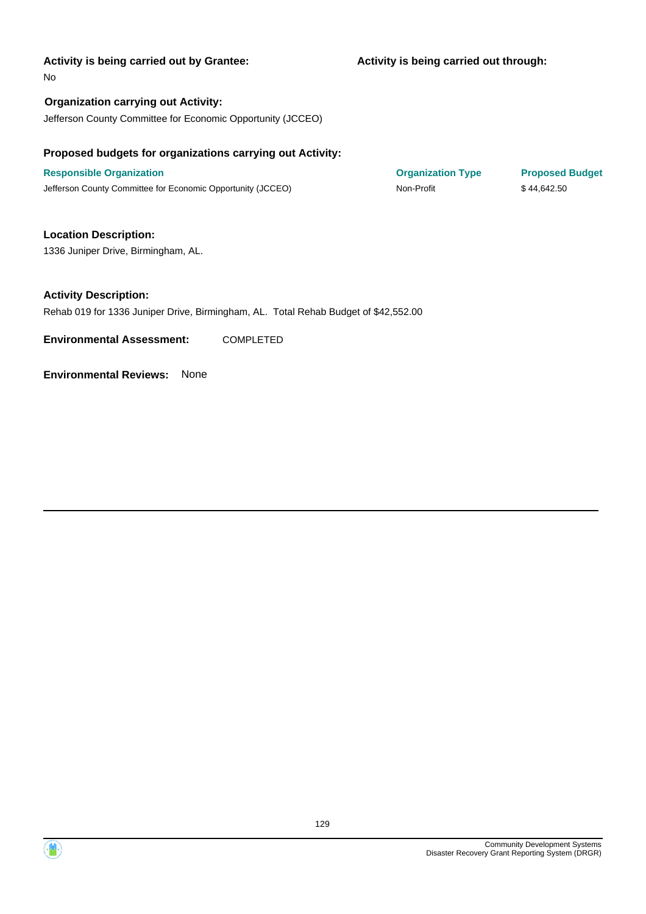### **Activity is being carried out through:**

#### No

**Organization carrying out Activity:** Jefferson County Committee for Economic Opportunity (JCCEO)

## **Proposed budgets for organizations carrying out Activity:**

**Responsible Organization COVID-10 COVID-10 Organization Type Proposed Budget** Jefferson County Committee for Economic Opportunity (JCCEO) Non-Profit \$44,642.50

# **Location Description:**

1336 Juniper Drive, Birmingham, AL.

## **Activity Description:**

Rehab 019 for 1336 Juniper Drive, Birmingham, AL. Total Rehab Budget of \$42,552.00

**Environmental Assessment:** COMPLETED



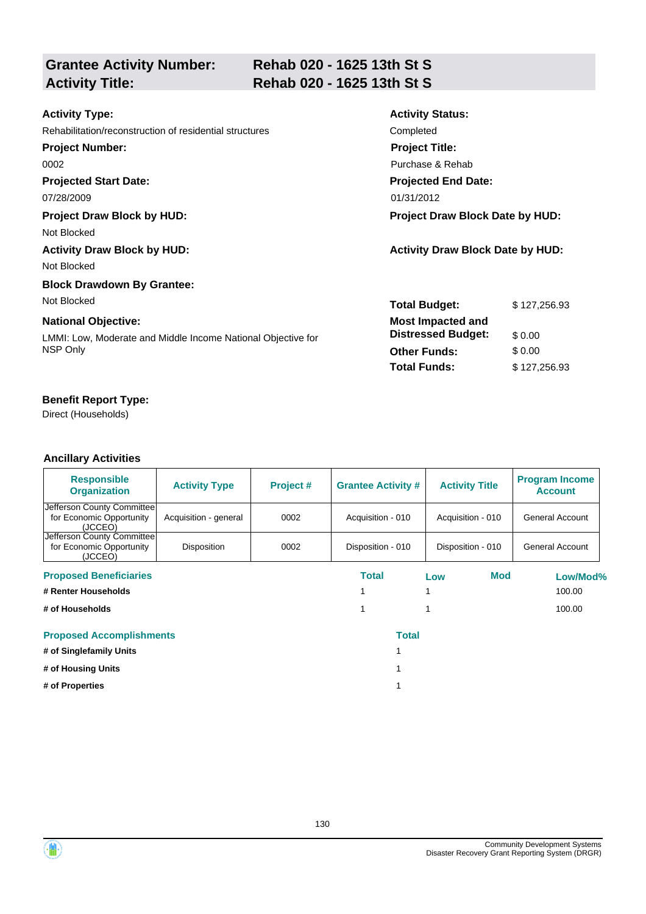| <b>Grantee Activity Number:</b> |  |
|---------------------------------|--|
| <b>Activity Title:</b>          |  |

# **Rehab 020 - 1625 13th St S Activity Title: Rehab 020 - 1625 13th St S**

| <b>Activity Type:</b>                                        | <b>Activity Status:</b>                 |              |
|--------------------------------------------------------------|-----------------------------------------|--------------|
| Rehabilitation/reconstruction of residential structures      | Completed                               |              |
| <b>Project Number:</b>                                       | <b>Project Title:</b>                   |              |
| 0002                                                         | Purchase & Rehab                        |              |
| <b>Projected Start Date:</b>                                 | <b>Projected End Date:</b>              |              |
| 07/28/2009                                                   | 01/31/2012                              |              |
| <b>Project Draw Block by HUD:</b>                            | <b>Project Draw Block Date by HUD:</b>  |              |
| Not Blocked                                                  |                                         |              |
| <b>Activity Draw Block by HUD:</b>                           | <b>Activity Draw Block Date by HUD:</b> |              |
| Not Blocked                                                  |                                         |              |
| <b>Block Drawdown By Grantee:</b>                            |                                         |              |
| Not Blocked                                                  | <b>Total Budget:</b>                    | \$127,256,93 |
| <b>National Objective:</b>                                   | <b>Most Impacted and</b>                |              |
| LMMI: Low, Moderate and Middle Income National Objective for | <b>Distressed Budget:</b>               | \$0.00       |
| NSP Only                                                     | <b>Other Funds:</b>                     | \$0.00       |
|                                                              | <b>Total Funds:</b>                     | \$127,256.93 |
|                                                              |                                         |              |

# **Benefit Report Type:**

Direct (Households)

| <b>Responsible</b><br><b>Organization</b>                         | <b>Activity Type</b>  | Project # | <b>Grantee Activity #</b> | <b>Activity Title</b> | <b>Program Income</b><br><b>Account</b> |
|-------------------------------------------------------------------|-----------------------|-----------|---------------------------|-----------------------|-----------------------------------------|
| Jefferson County Committee<br>for Economic Opportunity<br>(JCCEO) | Acquisition - general | 0002      | Acquisition - 010         | Acquisition - 010     | General Account                         |
| Jefferson County Committee<br>for Economic Opportunity<br>(JCCEO) | Disposition           | 0002      | Disposition - 010         | Disposition - 010     | General Account                         |
| <b>Proposed Beneficiaries</b>                                     |                       |           | Total                     | Mod<br>Low            | Low/Mod%                                |
| # Renter Households                                               |                       |           |                           |                       | 100.00                                  |
| # of Households                                                   |                       |           |                           |                       | 100.00                                  |
| <b>Proposed Accomplishments</b>                                   |                       |           | <b>Total</b>              |                       |                                         |
| # of Singlefamily Units                                           |                       |           |                           |                       |                                         |
| # of Housing Units                                                |                       |           |                           |                       |                                         |
| # of Properties                                                   |                       |           |                           |                       |                                         |

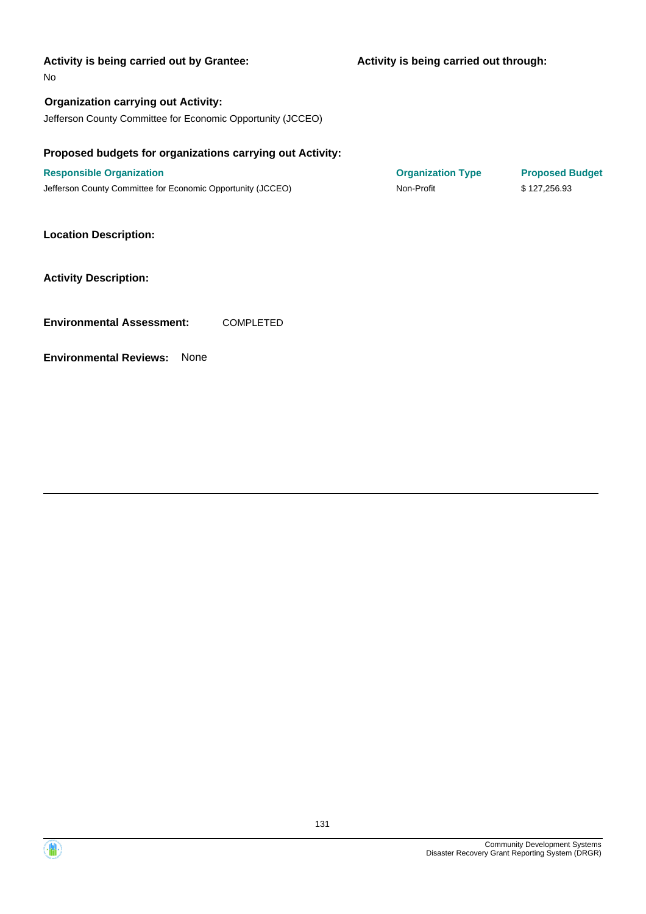### **Activity is being carried out through:**

#### No

**Organization carrying out Activity:** Jefferson County Committee for Economic Opportunity (JCCEO)

## **Proposed budgets for organizations carrying out Activity:**

**Responsible Organization COVID-10 COVID-10 Organization Type Proposed Budget** Jefferson County Committee for Economic Opportunity (JCCEO) Non-Profit \$ 127,256.93

### **Location Description:**

### **Activity Description:**

**Environmental Assessment:** COMPLETED



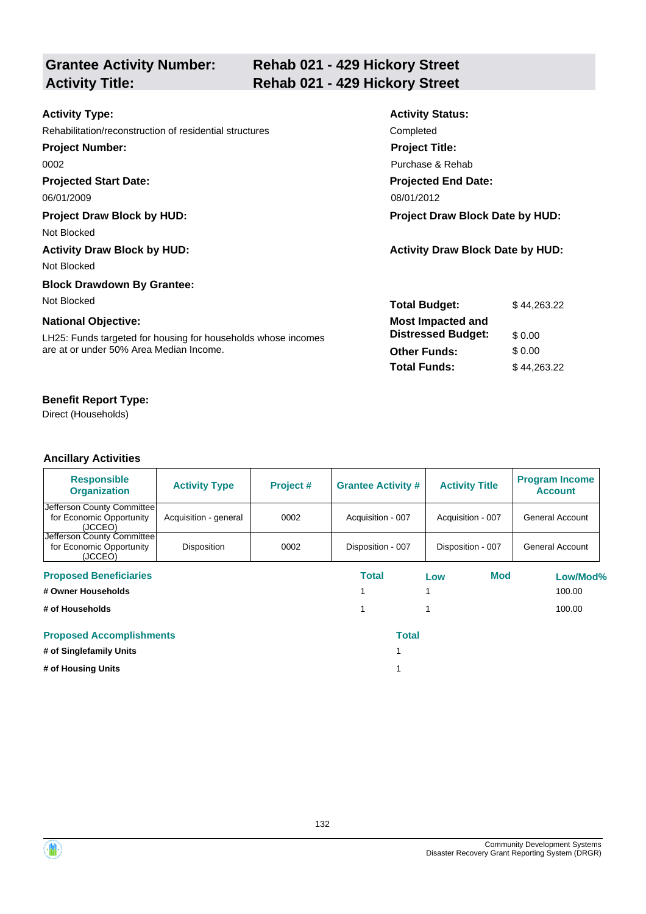| <b>Grantee Activity Number:</b> |  |
|---------------------------------|--|
| <b>Activity Title:</b>          |  |

# **Rehab 021 - 429 Hickory Street Activity Title: Rehab 021 - 429 Hickory Street**

| <b>Activity Type:</b>                                         | <b>Activity Status:</b>                 |             |
|---------------------------------------------------------------|-----------------------------------------|-------------|
| Rehabilitation/reconstruction of residential structures       | Completed                               |             |
| <b>Project Number:</b>                                        | <b>Project Title:</b>                   |             |
| 0002                                                          | Purchase & Rehab                        |             |
| <b>Projected Start Date:</b>                                  | <b>Projected End Date:</b>              |             |
| 06/01/2009                                                    | 08/01/2012                              |             |
| <b>Project Draw Block by HUD:</b>                             | <b>Project Draw Block Date by HUD:</b>  |             |
| Not Blocked                                                   |                                         |             |
| <b>Activity Draw Block by HUD:</b>                            | <b>Activity Draw Block Date by HUD:</b> |             |
| Not Blocked                                                   |                                         |             |
| <b>Block Drawdown By Grantee:</b>                             |                                         |             |
| Not Blocked                                                   | <b>Total Budget:</b>                    | \$44,263.22 |
| <b>National Objective:</b>                                    | <b>Most Impacted and</b>                |             |
| LH25: Funds targeted for housing for households whose incomes | <b>Distressed Budget:</b>               | \$0.00      |
| are at or under 50% Area Median Income.                       | <b>Other Funds:</b>                     | \$0.00      |
|                                                               | <b>Total Funds:</b>                     | \$44,263.22 |
|                                                               |                                         |             |

# **Benefit Report Type:**

Direct (Households)

| <b>Responsible</b><br><b>Organization</b>                         | <b>Activity Type</b>  | Project # | <b>Grantee Activity #</b> | <b>Activity Title</b> | <b>Program Income</b><br><b>Account</b> |
|-------------------------------------------------------------------|-----------------------|-----------|---------------------------|-----------------------|-----------------------------------------|
| Jefferson County Committee<br>for Economic Opportunity<br>(JCCEO) | Acquisition - general | 0002      | Acquisition - 007         | Acquisition - 007     | General Account                         |
| Jefferson County Committee<br>for Economic Opportunity<br>(JCCEO) | <b>Disposition</b>    | 0002      | Disposition - 007         | Disposition - 007     | General Account                         |
| <b>Proposed Beneficiaries</b>                                     |                       |           | Total                     | <b>Mod</b><br>Low     | Low/Mod%                                |
| # Owner Households                                                |                       |           |                           |                       | 100.00                                  |
| # of Households                                                   |                       |           |                           |                       | 100.00                                  |
| <b>Proposed Accomplishments</b>                                   |                       |           | <b>Total</b>              |                       |                                         |
| # of Singlefamily Units                                           |                       |           |                           |                       |                                         |
| # of Housing Units                                                |                       |           |                           |                       |                                         |



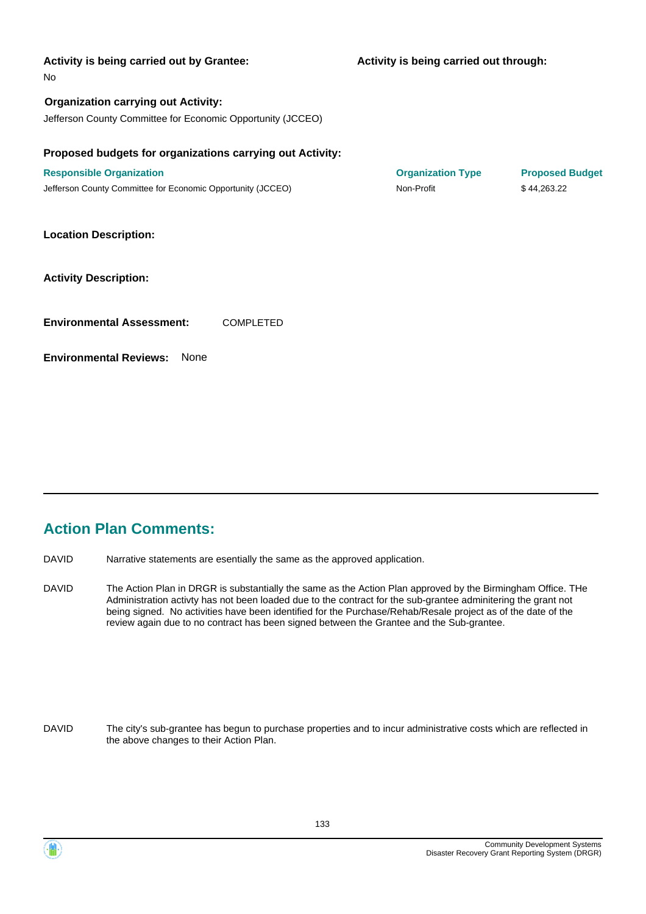| Activity is being carried out by Grantee:<br><b>No</b>                                                               | Activity is being carried out through: |                        |
|----------------------------------------------------------------------------------------------------------------------|----------------------------------------|------------------------|
| <b>Organization carrying out Activity:</b><br>Jefferson County Committee for Economic Opportunity (JCCEO)            |                                        |                        |
|                                                                                                                      |                                        |                        |
| Proposed budgets for organizations carrying out Activity:                                                            |                                        |                        |
| <b>Responsible Organization</b>                                                                                      | <b>Organization Type</b>               | <b>Proposed Budget</b> |
| Jefferson County Committee for Economic Opportunity (JCCEO)                                                          | Non-Profit                             | \$44,263.22            |
| <b>Location Description:</b><br><b>Activity Description:</b><br><b>Environmental Assessment:</b><br><b>COMPLETED</b> |                                        |                        |
| <b>Environmental Reviews:</b><br>None                                                                                |                                        |                        |
|                                                                                                                      |                                        |                        |

# **Action Plan Comments:**

DAVID Narrative statements are esentially the same as the approved application.

The Action Plan in DRGR is substantially the same as the Action Plan approved by the Birmingham Office. THe Administration activty has not been loaded due to the contract for the sub-grantee adminitering the grant not being signed. No activities have been identified for the Purchase/Rehab/Resale project as of the date of the review again due to no contract has been signed between the Grantee and the Sub-grantee. DAVID

The city's sub-grantee has begun to purchase properties and to incur administrative costs which are reflected in the above changes to their Action Plan. DAVID